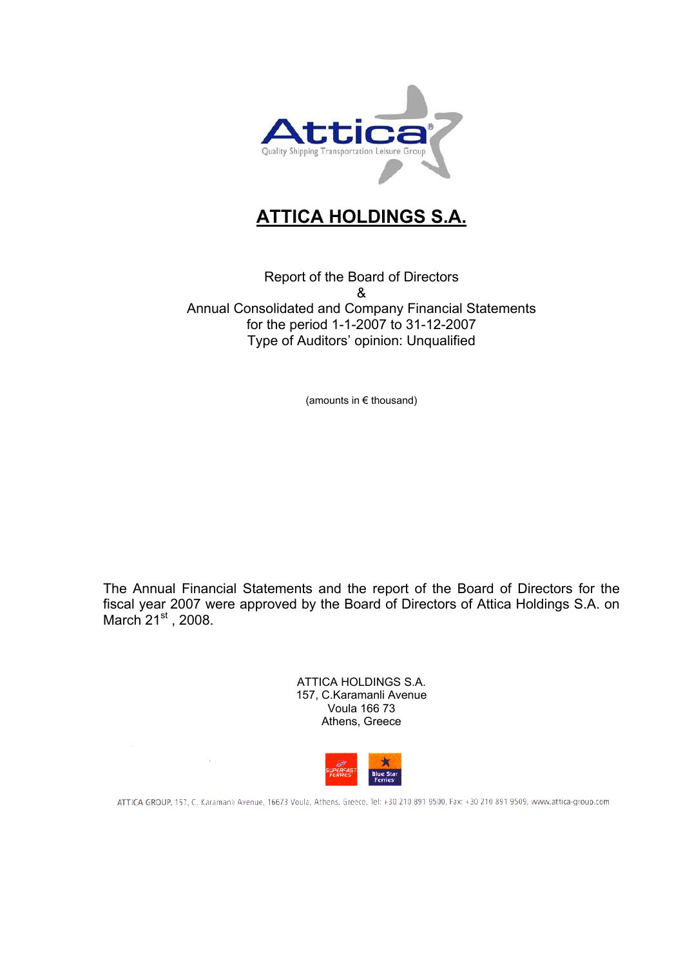

# **ATTICA HOLDINGS S.A.**

Report of the Board of Directors & Annual Consolidated and Company Financial Statements for the period 1-1-2007 to 31-12-2007 Type of Auditors' opinion: Unqualified

(amounts in € thousand)

The Annual Financial Statements and the report of the Board of Directors for the fiscal year 2007 were approved by the Board of Directors of Attica Holdings S.A. on March  $21<sup>st</sup>$ , 2008.

| ATTICA HOLDINGS S.A.    |
|-------------------------|
| 157, C.Karamanli Avenue |
| Voula 166 73            |
| Athens, Greece          |
|                         |



ATTICA GROUP, 157, C. Karamanlı Avenue, 16673 Voula, Athens, Greece, Tel: +30 210 891 9500, Fax: +30 210 891 9509, www.attica-group.com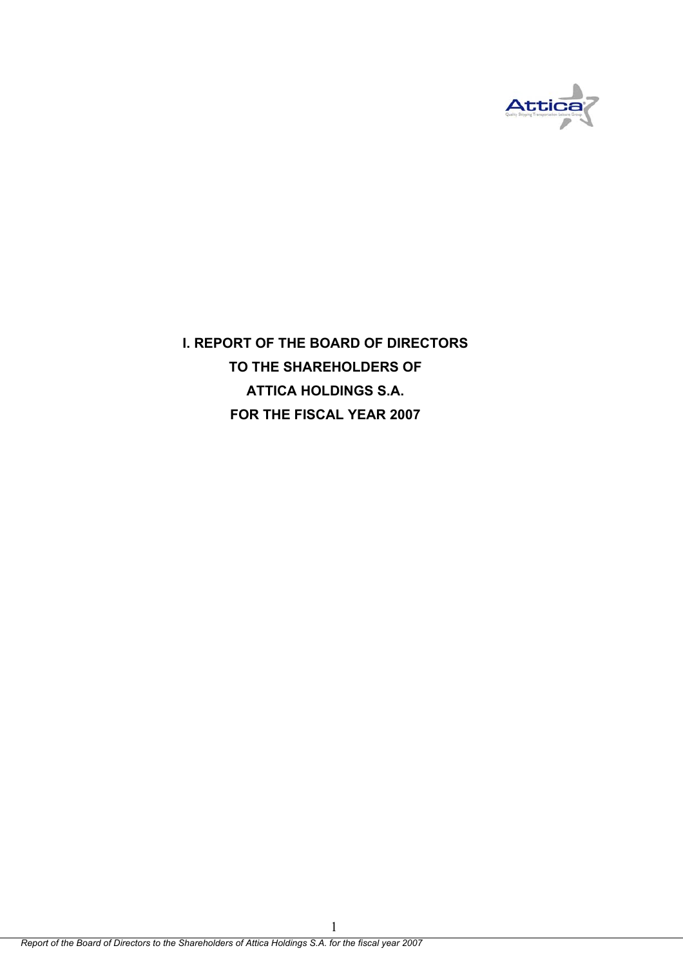

**I. REPORT OF THE BOARD OF DIRECTORS TO THE SHAREHOLDERS OF ATTICA HOLDINGS S.A. FOR THE FISCAL YEAR 2007**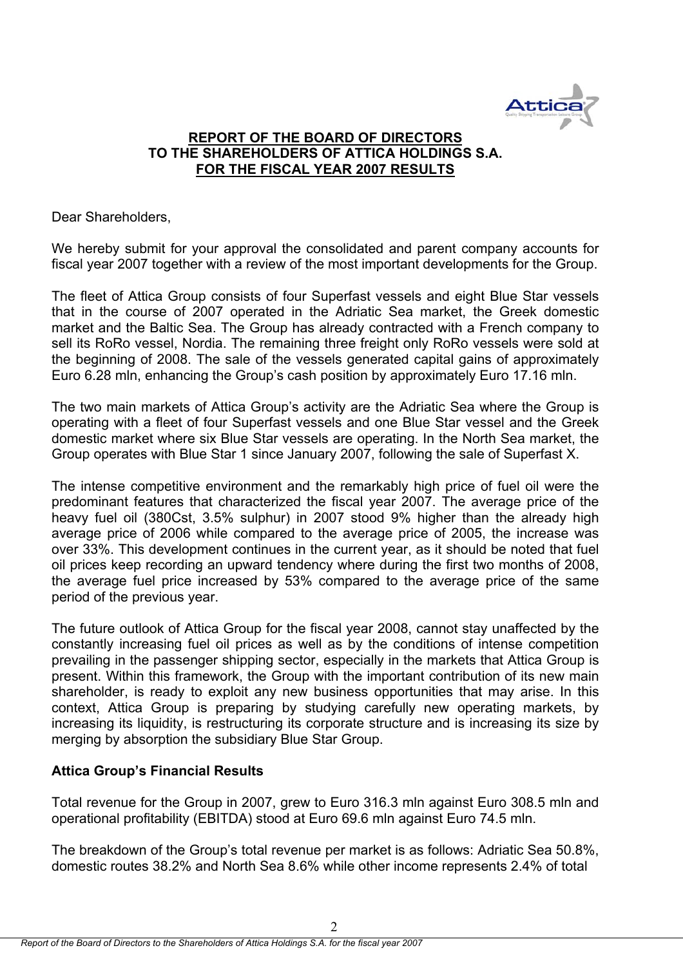

# **REPORT OF THE BOARD OF DIRECTORS TO THE SHAREHOLDERS OF ATTICA HOLDINGS S.A. FOR THE FISCAL YEAR 2007 RESULTS**

Dear Shareholders,

We hereby submit for your approval the consolidated and parent company accounts for fiscal year 2007 together with a review of the most important developments for the Group.

The fleet of Attica Group consists of four Superfast vessels and eight Blue Star vessels that in the course of 2007 operated in the Adriatic Sea market, the Greek domestic market and the Baltic Sea. The Group has already contracted with a French company to sell its RoRo vessel, Nordia. The remaining three freight only RoRo vessels were sold at the beginning of 2008. The sale of the vessels generated capital gains of approximately Euro 6.28 mln, enhancing the Group's cash position by approximately Euro 17.16 mln.

The two main markets of Attica Group's activity are the Adriatic Sea where the Group is operating with a fleet of four Superfast vessels and one Blue Star vessel and the Greek domestic market where six Blue Star vessels are operating. In the North Sea market, the Group operates with Blue Star 1 since January 2007, following the sale of Superfast X.

The intense competitive environment and the remarkably high price of fuel oil were the predominant features that characterized the fiscal year 2007. The average price of the heavy fuel oil (380Cst, 3.5% sulphur) in 2007 stood 9% higher than the already high average price of 2006 while compared to the average price of 2005, the increase was over 33%. This development continues in the current year, as it should be noted that fuel oil prices keep recording an upward tendency where during the first two months of 2008, the average fuel price increased by 53% compared to the average price of the same period of the previous year.

The future outlook of Attica Group for the fiscal year 2008, cannot stay unaffected by the constantly increasing fuel oil prices as well as by the conditions of intense competition prevailing in the passenger shipping sector, especially in the markets that Attica Group is present. Within this framework, the Group with the important contribution of its new main shareholder, is ready to exploit any new business opportunities that may arise. In this context, Attica Group is preparing by studying carefully new operating markets, by increasing its liquidity, is restructuring its corporate structure and is increasing its size by merging by absorption the subsidiary Blue Star Group.

# **Attica Group's Financial Results**

Total revenue for the Group in 2007, grew to Euro 316.3 mln against Euro 308.5 mln and operational profitability (EBITDA) stood at Euro 69.6 mln against Euro 74.5 mln.

The breakdown of the Group's total revenue per market is as follows: Adriatic Sea 50.8%, domestic routes 38.2% and North Sea 8.6% while other income represents 2.4% of total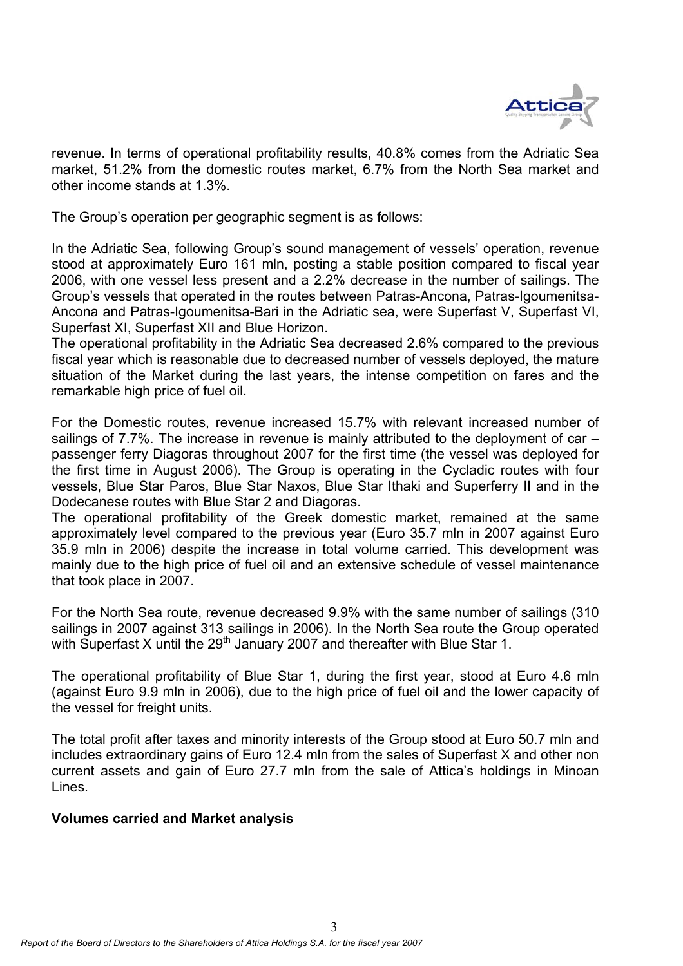

revenue. In terms of operational profitability results, 40.8% comes from the Adriatic Sea market, 51.2% from the domestic routes market, 6.7% from the North Sea market and other income stands at 1.3%.

The Group's operation per geographic segment is as follows:

In the Adriatic Sea, following Group's sound management of vessels' operation, revenue stood at approximately Euro 161 mln, posting a stable position compared to fiscal year 2006, with one vessel less present and a 2.2% decrease in the number of sailings. The Group's vessels that operated in the routes between Patras-Ancona, Patras-Igoumenitsa-Ancona and Patras-Igoumenitsa-Bari in the Adriatic sea, were Superfast V, Superfast VI, Superfast XI, Superfast XII and Blue Horizon.

The operational profitability in the Adriatic Sea decreased 2.6% compared to the previous fiscal year which is reasonable due to decreased number of vessels deployed, the mature situation of the Market during the last years, the intense competition on fares and the remarkable high price of fuel oil.

For the Domestic routes, revenue increased 15.7% with relevant increased number of sailings of 7.7%. The increase in revenue is mainly attributed to the deployment of car – passenger ferry Diagoras throughout 2007 for the first time (the vessel was deployed for the first time in August 2006). The Group is operating in the Cycladic routes with four vessels, Blue Star Paros, Blue Star Naxos, Blue Star Ithaki and Superferry II and in the Dodecanese routes with Blue Star 2 and Diagoras.

The operational profitability of the Greek domestic market, remained at the same approximately level compared to the previous year (Euro 35.7 mln in 2007 against Euro 35.9 mln in 2006) despite the increase in total volume carried. This development was mainly due to the high price of fuel oil and an extensive schedule of vessel maintenance that took place in 2007.

For the North Sea route, revenue decreased 9.9% with the same number of sailings (310 sailings in 2007 against 313 sailings in 2006). In the North Sea route the Group operated with Superfast X until the  $29<sup>th</sup>$  January 2007 and thereafter with Blue Star 1.

The operational profitability of Blue Star 1, during the first year, stood at Euro 4.6 mln (against Euro 9.9 mln in 2006), due to the high price of fuel oil and the lower capacity of the vessel for freight units.

The total profit after taxes and minority interests of the Group stood at Euro 50.7 mln and includes extraordinary gains of Euro 12.4 mln from the sales of Superfast X and other non current assets and gain of Euro 27.7 mln from the sale of Attica's holdings in Minoan Lines.

# **Volumes carried and Market analysis**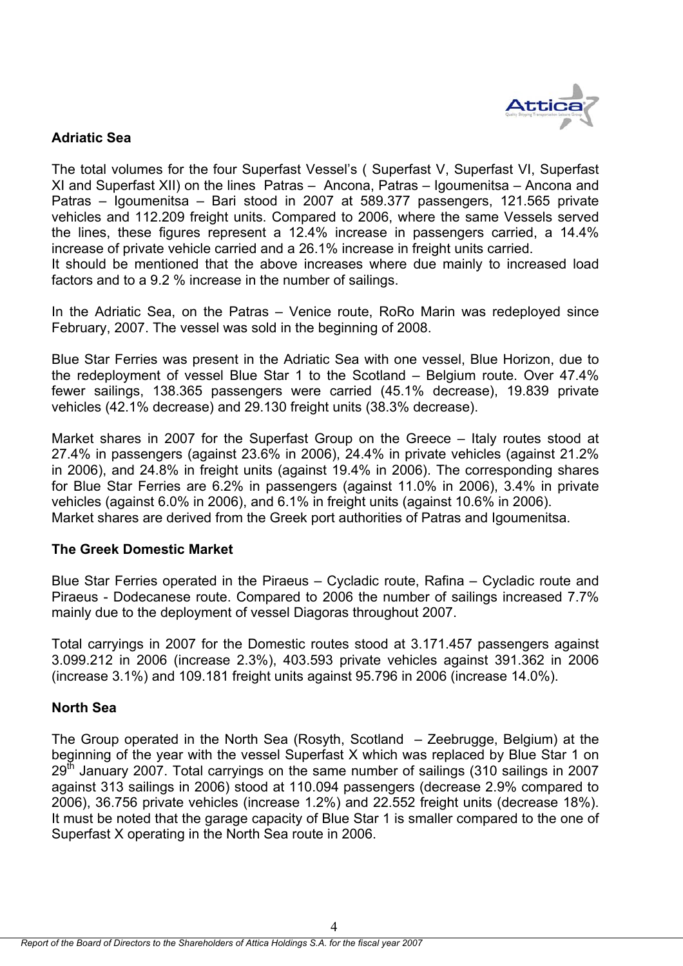

# **Adriatic Sea**

The total volumes for the four Superfast Vessel's ( Superfast V, Superfast VI, Superfast XI and Superfast XII) on the lines Patras – Ancona, Patras – Igoumenitsa – Ancona and Patras – Igoumenitsa – Bari stood in 2007 at 589.377 passengers, 121.565 private vehicles and 112.209 freight units. Compared to 2006, where the same Vessels served the lines, these figures represent a 12.4% increase in passengers carried, a 14.4% increase of private vehicle carried and a 26.1% increase in freight units carried.

It should be mentioned that the above increases where due mainly to increased load factors and to a 9.2 % increase in the number of sailings.

In the Adriatic Sea, on the Patras – Venice route, RoRo Marin was redeployed since February, 2007. The vessel was sold in the beginning of 2008.

Blue Star Ferries was present in the Adriatic Sea with one vessel, Blue Horizon, due to the redeployment of vessel Blue Star 1 to the Scotland – Belgium route. Over 47.4% fewer sailings, 138.365 passengers were carried (45.1% decrease), 19.839 private vehicles (42.1% decrease) and 29.130 freight units (38.3% decrease).

Market shares in 2007 for the Superfast Group on the Greece – Italy routes stood at 27.4% in passengers (against 23.6% in 2006), 24.4% in private vehicles (against 21.2% in 2006), and 24.8% in freight units (against 19.4% in 2006). The corresponding shares for Blue Star Ferries are 6.2% in passengers (against 11.0% in 2006), 3.4% in private vehicles (against 6.0% in 2006), and 6.1% in freight units (against 10.6% in 2006). Market shares are derived from the Greek port authorities of Patras and Igoumenitsa.

# **The Greek Domestic Market**

Blue Star Ferries operated in the Piraeus – Cycladic route, Rafina – Cycladic route and Piraeus - Dodecanese route. Compared to 2006 the number of sailings increased 7.7% mainly due to the deployment of vessel Diagoras throughout 2007.

Total carryings in 2007 for the Domestic routes stood at 3.171.457 passengers against 3.099.212 in 2006 (increase 2.3%), 403.593 private vehicles against 391.362 in 2006 (increase 3.1%) and 109.181 freight units against 95.796 in 2006 (increase 14.0%).

### **North Sea**

The Group operated in the North Sea (Rosyth, Scotland – Zeebrugge, Belgium) at the beginning of the year with the vessel Superfast X which was replaced by Blue Star 1 on  $29<sup>th</sup>$  January 2007. Total carryings on the same number of sailings (310 sailings in 2007 against 313 sailings in 2006) stood at 110.094 passengers (decrease 2.9% compared to 2006), 36.756 private vehicles (increase 1.2%) and 22.552 freight units (decrease 18%). It must be noted that the garage capacity of Blue Star 1 is smaller compared to the one of Superfast X operating in the North Sea route in 2006.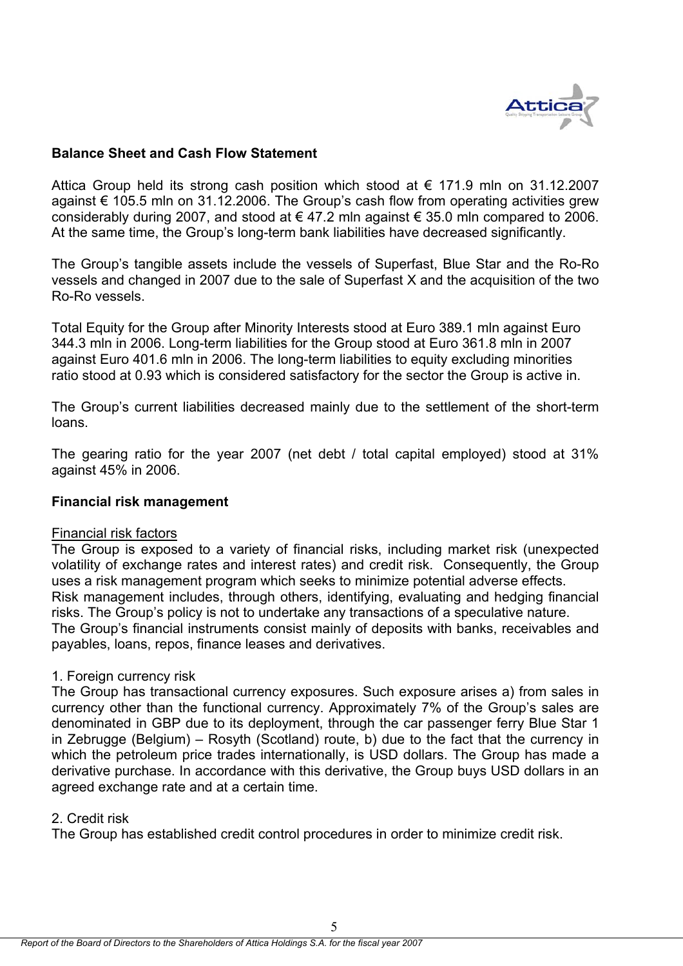

# **Balance Sheet and Cash Flow Statement**

Attica Group held its strong cash position which stood at  $\epsilon$  171.9 mln on 31.12.2007 against € 105.5 mln on 31.12.2006. The Group's cash flow from operating activities grew considerably during 2007, and stood at  $\epsilon$  47.2 mln against  $\epsilon$  35.0 mln compared to 2006. At the same time, the Group's long-term bank liabilities have decreased significantly.

The Group's tangible assets include the vessels of Superfast, Blue Star and the Ro-Ro vessels and changed in 2007 due to the sale of Superfast X and the acquisition of the two Ro-Ro vessels.

Total Equity for the Group after Minority Interests stood at Euro 389.1 mln against Euro 344.3 mln in 2006. Long-term liabilities for the Group stood at Euro 361.8 mln in 2007 against Euro 401.6 mln in 2006. The long-term liabilities to equity excluding minorities ratio stood at 0.93 which is considered satisfactory for the sector the Group is active in.

The Group's current liabilities decreased mainly due to the settlement of the short-term loans.

The gearing ratio for the year 2007 (net debt / total capital employed) stood at 31% against 45% in 2006.

### **Financial risk management**

#### Financial risk factors

The Group is exposed to a variety of financial risks, including market risk (unexpected volatility of exchange rates and interest rates) and credit risk. Consequently, the Group uses a risk management program which seeks to minimize potential adverse effects. Risk management includes, through others, identifying, evaluating and hedging financial risks. The Group's policy is not to undertake any transactions of a speculative nature. The Group's financial instruments consist mainly of deposits with banks, receivables and payables, loans, repos, finance leases and derivatives.

### 1. Foreign currency risk

The Group has transactional currency exposures. Such exposure arises a) from sales in currency other than the functional currency. Approximately 7% of the Group's sales are denominated in GBP due to its deployment, through the car passenger ferry Blue Star 1 in Zebrugge (Belgium) – Rosyth (Scotland) route, b) due to the fact that the currency in which the petroleum price trades internationally, is USD dollars. The Group has made a derivative purchase. In accordance with this derivative, the Group buys USD dollars in an agreed exchange rate and at a certain time.

### 2. Credit risk

The Group has established credit control procedures in order to minimize credit risk.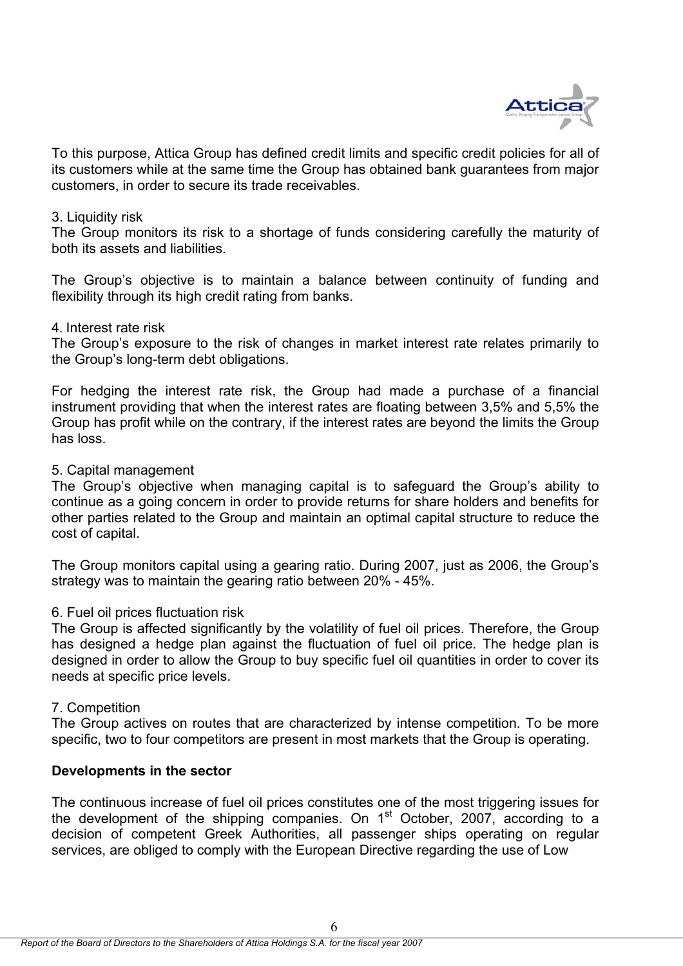

To this purpose, Attica Group has defined credit limits and specific credit policies for all of its customers while at the same time the Group has obtained bank guarantees from major customers, in order to secure its trade receivables.

### 3. Liquidity risk

The Group monitors its risk to a shortage of funds considering carefully the maturity of both its assets and liabilities.

The Group's objective is to maintain a balance between continuity of funding and flexibility through its high credit rating from banks.

# 4. Interest rate risk

The Group's exposure to the risk of changes in market interest rate relates primarily to the Group's long-term debt obligations.

For hedging the interest rate risk, the Group had made a purchase of a financial instrument providing that when the interest rates are floating between 3,5% and 5,5% the Group has profit while on the contrary, if the interest rates are beyond the limits the Group has loss.

# 5. Capital management

The Group's objective when managing capital is to safeguard the Group's ability to continue as a going concern in order to provide returns for share holders and benefits for other parties related to the Group and maintain an optimal capital structure to reduce the cost of capital.

The Group monitors capital using a gearing ratio. During 2007, just as 2006, the Group's strategy was to maintain the gearing ratio between 20% - 45%.

# 6. Fuel oil prices fluctuation risk

The Group is affected significantly by the volatility of fuel oil prices. Therefore, the Group has designed a hedge plan against the fluctuation of fuel oil price. The hedge plan is designed in order to allow the Group to buy specific fuel oil quantities in order to cover its needs at specific price levels.

### 7. Competition

The Group actives on routes that are characterized by intense competition. To be more specific, two to four competitors are present in most markets that the Group is operating.

# **Developments in the sector**

The continuous increase of fuel oil prices constitutes one of the most triggering issues for the development of the shipping companies. On  $1<sup>st</sup>$  October, 2007, according to a decision of competent Greek Authorities, all passenger ships operating on regular services, are obliged to comply with the European Directive regarding the use of Low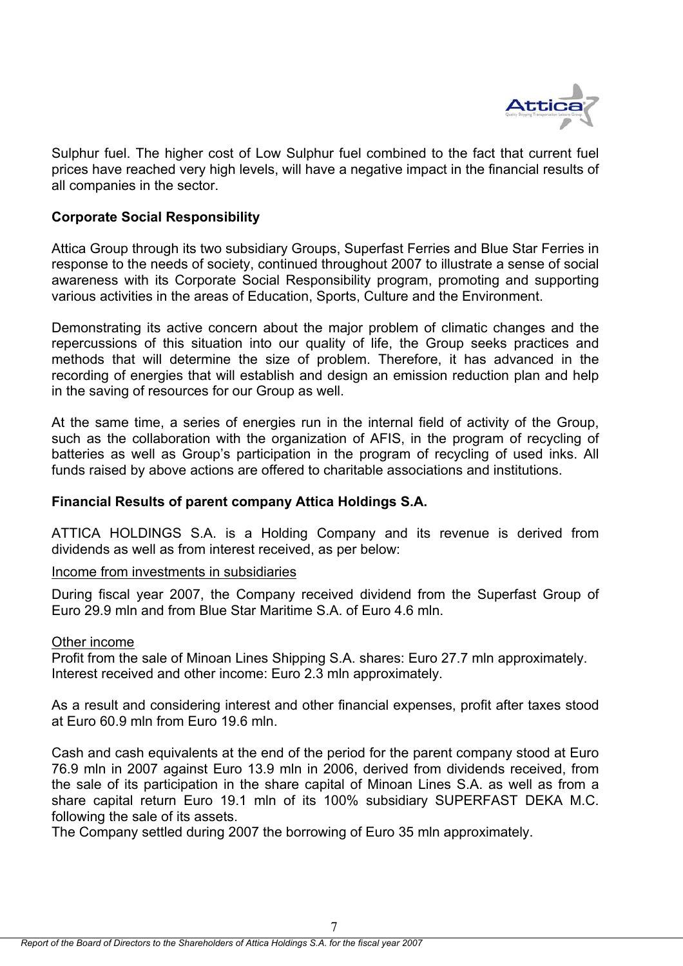

Sulphur fuel. The higher cost of Low Sulphur fuel combined to the fact that current fuel prices have reached very high levels, will have a negative impact in the financial results of all companies in the sector.

# **Corporate Social Responsibility**

Attica Group through its two subsidiary Groups, Superfast Ferries and Blue Star Ferries in response to the needs of society, continued throughout 2007 to illustrate a sense of social awareness with its Corporate Social Responsibility program, promoting and supporting various activities in the areas of Education, Sports, Culture and the Environment.

Demonstrating its active concern about the major problem of climatic changes and the repercussions of this situation into our quality of life, the Group seeks practices and methods that will determine the size of problem. Therefore, it has advanced in the recording of energies that will establish and design an emission reduction plan and help in the saving of resources for our Group as well.

At the same time, a series of energies run in the internal field of activity of the Group, such as the collaboration with the organization of AFIS, in the program of recycling of batteries as well as Group's participation in the program of recycling of used inks. All funds raised by above actions are offered to charitable associations and institutions.

# **Financial Results of parent company Attica Holdings S.A.**

ATTICA HOLDINGS S.A. is a Holding Company and its revenue is derived from dividends as well as from interest received, as per below:

# Income from investments in subsidiaries

During fiscal year 2007, the Company received dividend from the Superfast Group of Euro 29.9 mln and from Blue Star Maritime S.Α. of Euro 4.6 mln.

# Other income

Profit from the sale of Minoan Lines Shipping S.A. shares: Εuro 27.7 mln approximately. Interest received and other income: Εuro 2.3 mln approximately.

As a result and considering interest and other financial expenses, profit after taxes stood at Euro 60.9 mln from Euro 19.6 mln.

Cash and cash equivalents at the end of the period for the parent company stood at Euro 76.9 mln in 2007 against Euro 13.9 mln in 2006, derived from dividends received, from the sale of its participation in the share capital of Minoan Lines S.A. as well as from a share capital return Euro 19.1 mln of its 100% subsidiary SUPERFAST DEKA M.C. following the sale of its assets.

The Company settled during 2007 the borrowing of Euro 35 mln approximately.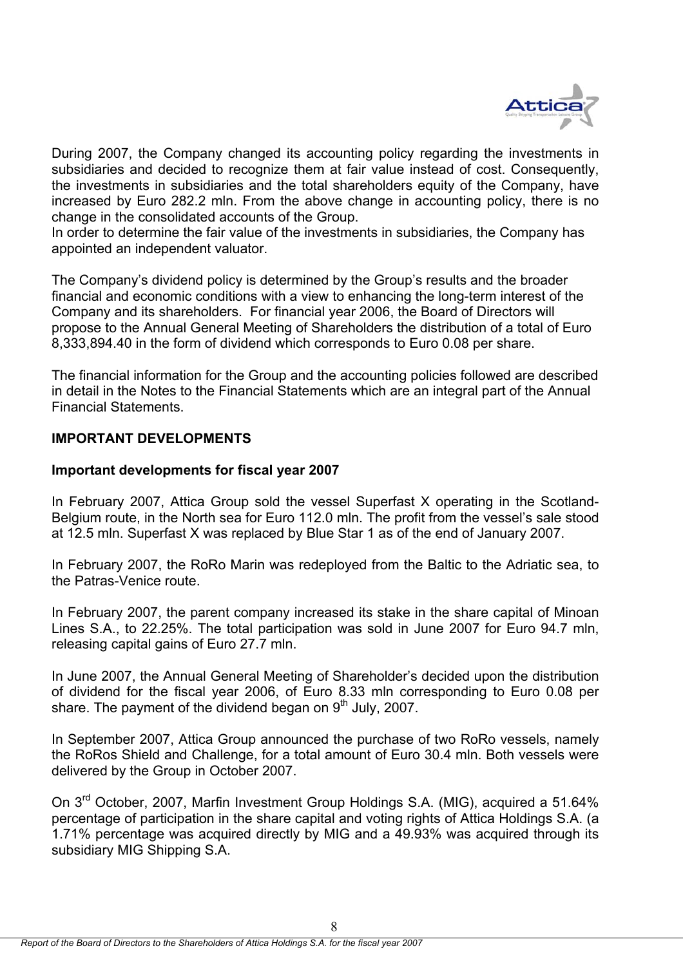

During 2007, the Company changed its accounting policy regarding the investments in subsidiaries and decided to recognize them at fair value instead of cost. Consequently, the investments in subsidiaries and the total shareholders equity of the Company, have increased by Euro 282.2 mln. From the above change in accounting policy, there is no change in the consolidated accounts of the Group.

In order to determine the fair value of the investments in subsidiaries, the Company has appointed an independent valuator.

The Company's dividend policy is determined by the Group's results and the broader financial and economic conditions with a view to enhancing the long-term interest of the Company and its shareholders. For financial year 2006, the Board of Directors will propose to the Annual General Meeting of Shareholders the distribution of a total of Euro 8,333,894.40 in the form of dividend which corresponds to Euro 0.08 per share.

The financial information for the Group and the accounting policies followed are described in detail in the Notes to the Financial Statements which are an integral part of the Annual Financial Statements.

# **IMPORTANT DEVELOPMENTS**

# **Important developments for fiscal year 2007**

In February 2007, Attica Group sold the vessel Superfast X operating in the Scotland-Belgium route, in the North sea for Euro 112.0 mln. The profit from the vessel's sale stood at 12.5 mln. Superfast X was replaced by Blue Star 1 as of the end of January 2007.

In February 2007, the RoRo Marin was redeployed from the Baltic to the Adriatic sea, to the Patras-Venice route.

In February 2007, the parent company increased its stake in the share capital of Minoan Lines S.A., to 22.25%. The total participation was sold in June 2007 for Euro 94.7 mln, releasing capital gains of Euro 27.7 mln.

In June 2007, the Annual General Meeting of Shareholder's decided upon the distribution of dividend for the fiscal year 2006, of Euro 8.33 mln corresponding to Euro 0.08 per share. The payment of the dividend began on  $9<sup>th</sup>$  July, 2007.

In September 2007, Attica Group announced the purchase of two RoRo vessels, namely the RoRos Shield and Challenge, for a total amount of Euro 30.4 mln. Both vessels were delivered by the Group in October 2007.

On 3<sup>rd</sup> October, 2007, Marfin Investment Group Holdings S.A. (MIG), acquired a 51.64% percentage of participation in the share capital and voting rights of Attica Holdings S.A. (a 1.71% percentage was acquired directly by MIG and a 49.93% was acquired through its subsidiary MIG Shipping S.A.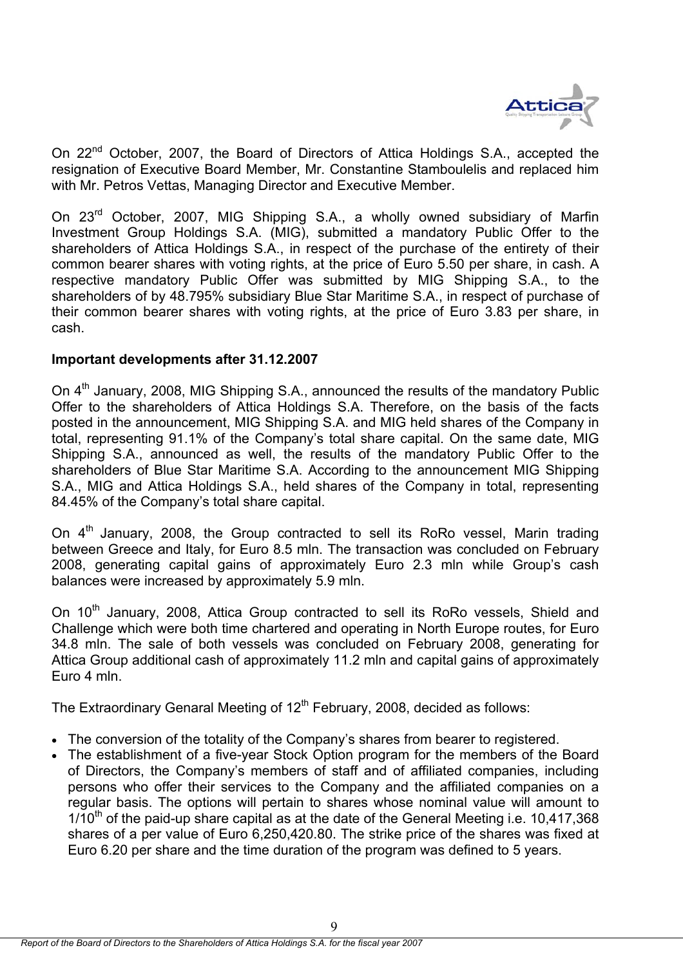

On 22<sup>nd</sup> October, 2007, the Board of Directors of Attica Holdings S.A., accepted the resignation of Executive Board Member, Mr. Constantine Stamboulelis and replaced him with Mr. Petros Vettas, Managing Director and Executive Member.

On 23<sup>rd</sup> October, 2007, MIG Shipping S.A., a wholly owned subsidiary of Marfin Investment Group Holdings S.A. (MIG), submitted a mandatory Public Offer to the shareholders of Attica Holdings S.A., in respect of the purchase of the entirety of their common bearer shares with voting rights, at the price of Euro 5.50 per share, in cash. A respective mandatory Public Offer was submitted by MIG Shipping S.A., to the shareholders of by 48.795% subsidiary Blue Star Maritime S.A., in respect of purchase of their common bearer shares with voting rights, at the price of Euro 3.83 per share, in cash.

# **Important developments after 31.12.2007**

On 4<sup>th</sup> January, 2008, MIG Shipping S.A., announced the results of the mandatory Public Offer to the shareholders of Attica Holdings S.A. Therefore, on the basis of the facts posted in the announcement, MIG Shipping S.A. and MIG held shares of the Company in total, representing 91.1% of the Company's total share capital. On the same date, MIG Shipping S.A., announced as well, the results of the mandatory Public Offer to the shareholders of Blue Star Maritime S.A. According to the announcement MIG Shipping S.A., MIG and Attica Holdings S.A., held shares of the Company in total, representing 84.45% of the Company's total share capital.

On  $4<sup>th</sup>$  January, 2008, the Group contracted to sell its RoRo vessel, Marin trading between Greece and Italy, for Euro 8.5 mln. The transaction was concluded on February 2008, generating capital gains of approximately Euro 2.3 mln while Group's cash balances were increased by approximately 5.9 mln.

On 10<sup>th</sup> January, 2008, Attica Group contracted to sell its RoRo vessels, Shield and Challenge which were both time chartered and operating in North Europe routes, for Euro 34.8 mln. The sale of both vessels was concluded on February 2008, generating for Attica Group additional cash of approximately 11.2 mln and capital gains of approximately Euro 4 mln.

The Extraordinary Genaral Meeting of 12<sup>th</sup> February, 2008, decided as follows:

- The conversion of the totality of the Company's shares from bearer to registered.
- The establishment of a five-year Stock Option program for the members of the Board of Directors, the Company's members of staff and of affiliated companies, including persons who offer their services to the Company and the affiliated companies on a regular basis. The options will pertain to shares whose nominal value will amount to  $1/10<sup>th</sup>$  of the paid-up share capital as at the date of the General Meeting i.e. 10,417,368 shares of a per value of Euro 6,250,420.80. The strike price of the shares was fixed at Euro 6.20 per share and the time duration of the program was defined to 5 years.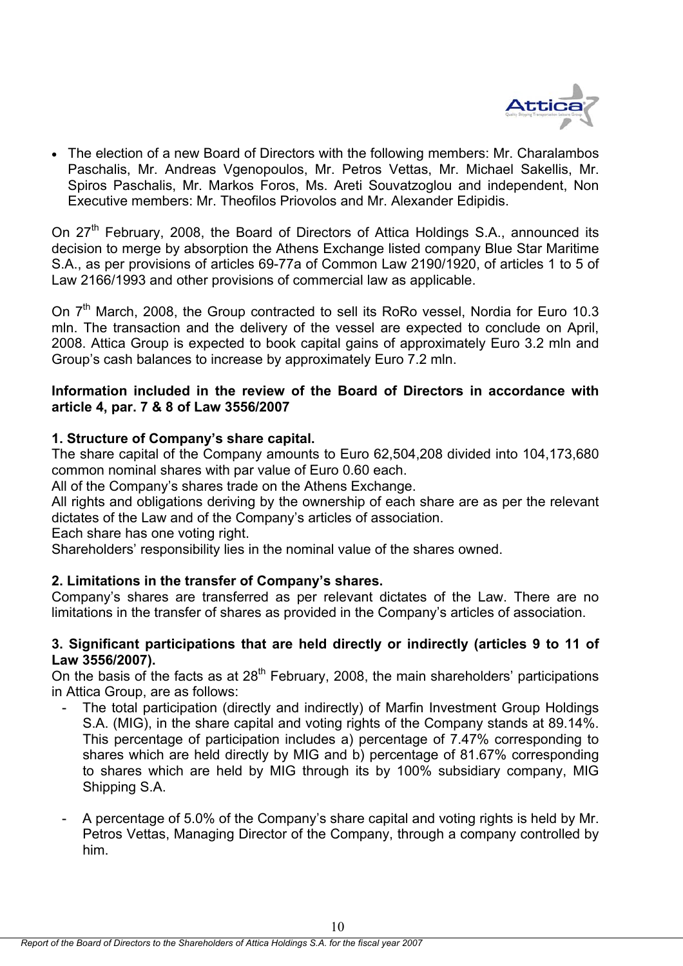

• The election of a new Board of Directors with the following members: Mr. Charalambos Paschalis, Mr. Andreas Vgenopoulos, Mr. Petros Vettas, Mr. Michael Sakellis, Mr. Spiros Paschalis, Mr. Markos Foros, Ms. Areti Souvatzoglou and independent, Non Executive members: Mr. Theofilos Priovolos and Mr. Alexander Edipidis.

On  $27<sup>th</sup>$  February, 2008, the Board of Directors of Attica Holdings S.A., announced its decision to merge by absorption the Athens Exchange listed company Blue Star Maritime S.A., as per provisions of articles 69-77a of Common Law 2190/1920, of articles 1 to 5 of Law 2166/1993 and other provisions of commercial law as applicable.

On  $7<sup>th</sup>$  March, 2008, the Group contracted to sell its RoRo vessel, Nordia for Euro 10.3 mln. The transaction and the delivery of the vessel are expected to conclude on April, 2008. Attica Group is expected to book capital gains of approximately Euro 3.2 mln and Group's cash balances to increase by approximately Euro 7.2 mln.

# **Information included in the review of the Board of Directors in accordance with article 4, par. 7 & 8 of Law 3556/2007**

# **1. Structure of Company's share capital.**

The share capital of the Company amounts to Euro 62,504,208 divided into 104,173,680 common nominal shares with par value of Euro 0.60 each.

All of the Company's shares trade on the Athens Exchange.

All rights and obligations deriving by the ownership of each share are as per the relevant dictates of the Law and of the Company's articles of association.

Each share has one voting right.

Shareholders' responsibility lies in the nominal value of the shares owned.

# **2. Limitations in the transfer of Company's shares.**

Company's shares are transferred as per relevant dictates of the Law. There are no limitations in the transfer of shares as provided in the Company's articles of association.

# **3. Significant participations that are held directly or indirectly (articles 9 to 11 of Law 3556/2007).**

On the basis of the facts as at 28th February, 2008, the main shareholders' participations in Attica Group, are as follows:

- The total participation (directly and indirectly) of Marfin Investment Group Holdings S.A. (MIG), in the share capital and voting rights of the Company stands at 89.14%. This percentage of participation includes a) percentage of 7.47% corresponding to shares which are held directly by MIG and b) percentage of 81.67% corresponding to shares which are held by MIG through its by 100% subsidiary company, MIG Shipping S.A.
- A percentage of 5.0% of the Company's share capital and voting rights is held by Mr. Petros Vettas, Managing Director of the Company, through a company controlled by him.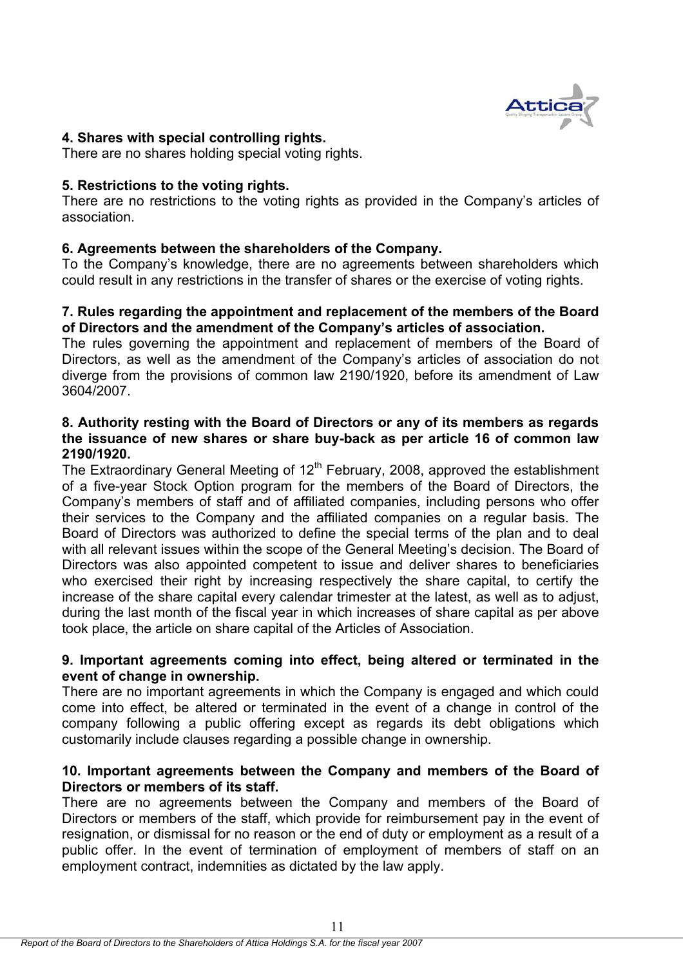

# **4. Shares with special controlling rights.**

There are no shares holding special voting rights.

# **5. Restrictions to the voting rights.**

There are no restrictions to the voting rights as provided in the Company's articles of association.

# **6. Agreements between the shareholders of the Company.**

To the Company's knowledge, there are no agreements between shareholders which could result in any restrictions in the transfer of shares or the exercise of voting rights.

# **7. Rules regarding the appointment and replacement of the members of the Board of Directors and the amendment of the Company's articles of association.**

The rules governing the appointment and replacement of members of the Board of Directors, as well as the amendment of the Company's articles of association do not diverge from the provisions of common law 2190/1920, before its amendment of Law 3604/2007.

# **8. Authority resting with the Board of Directors or any of its members as regards the issuance of new shares or share buy-back as per article 16 of common law 2190/1920.**

The Extraordinary General Meeting of  $12<sup>th</sup>$  February, 2008, approved the establishment of a five-year Stock Option program for the members of the Board of Directors, the Company's members of staff and of affiliated companies, including persons who offer their services to the Company and the affiliated companies on a regular basis. The Board of Directors was authorized to define the special terms of the plan and to deal with all relevant issues within the scope of the General Meeting's decision. The Board of Directors was also appointed competent to issue and deliver shares to beneficiaries who exercised their right by increasing respectively the share capital, to certify the increase of the share capital every calendar trimester at the latest, as well as to adjust, during the last month of the fiscal year in which increases of share capital as per above took place, the article on share capital of the Articles of Association.

# **9. Important agreements coming into effect, being altered or terminated in the event of change in ownership.**

There are no important agreements in which the Company is engaged and which could come into effect, be altered or terminated in the event of a change in control of the company following a public offering except as regards its debt obligations which customarily include clauses regarding a possible change in ownership.

# **10. Important agreements between the Company and members of the Board of Directors or members of its staff.**

There are no agreements between the Company and members of the Board of Directors or members of the staff, which provide for reimbursement pay in the event of resignation, or dismissal for no reason or the end of duty or employment as a result of a public offer. In the event of termination of employment of members of staff on an employment contract, indemnities as dictated by the law apply.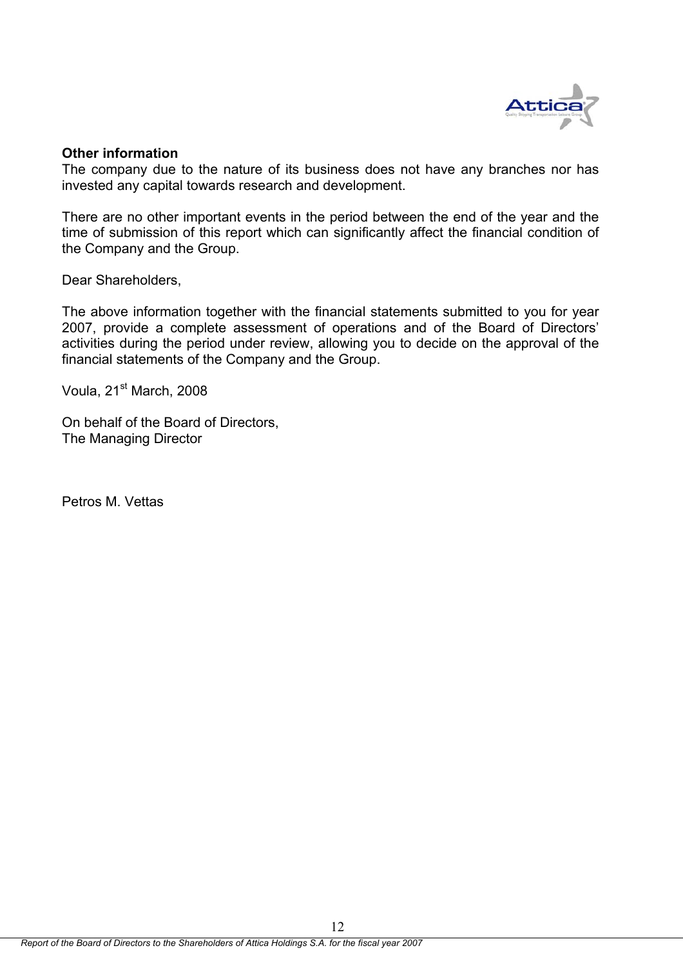

# **Other information**

The company due to the nature of its business does not have any branches nor has invested any capital towards research and development.

There are no other important events in the period between the end of the year and the time of submission of this report which can significantly affect the financial condition of the Company and the Group.

Dear Shareholders,

The above information together with the financial statements submitted to you for year 2007, provide a complete assessment of operations and of the Board of Directors' activities during the period under review, allowing you to decide on the approval of the financial statements of the Company and the Group.

Voula, 21<sup>st</sup> March, 2008

On behalf of the Board of Directors, The Managing Director

Petros M. Vettas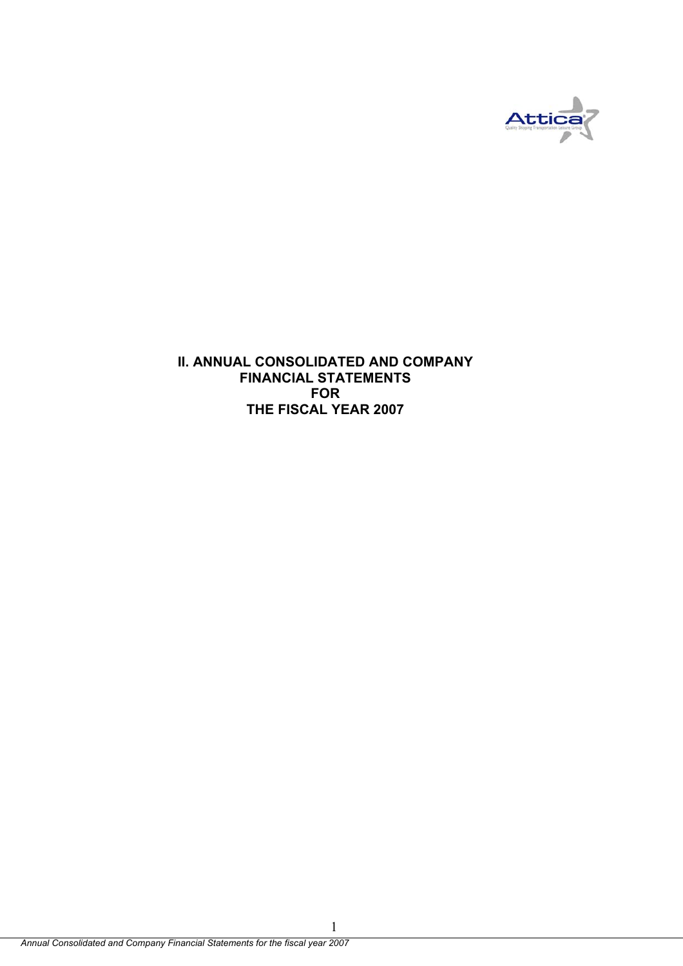

**II. ANNUAL CONSOLIDATED AND COMPANY FINANCIAL STATEMENTS FOR THE FISCAL YEAR 2007** 

1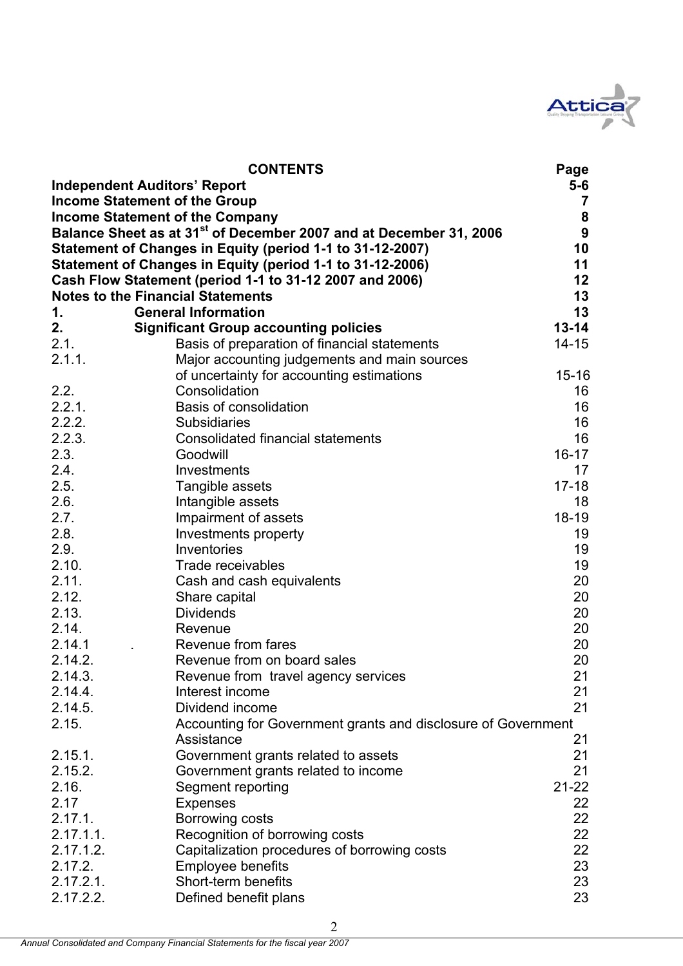

|                    | <b>CONTENTS</b>                                                                | Page             |
|--------------------|--------------------------------------------------------------------------------|------------------|
|                    | <b>Independent Auditors' Report</b>                                            | 5-6              |
|                    | <b>Income Statement of the Group</b>                                           | $\overline{7}$   |
|                    | <b>Income Statement of the Company</b>                                         | ${\bf 8}$        |
|                    | Balance Sheet as at 31 <sup>st</sup> of December 2007 and at December 31, 2006 | $\boldsymbol{9}$ |
|                    | Statement of Changes in Equity (period 1-1 to 31-12-2007)                      | 10               |
|                    | Statement of Changes in Equity (period 1-1 to 31-12-2006)                      | 11               |
|                    | Cash Flow Statement (period 1-1 to 31-12 2007 and 2006)                        | 12               |
|                    | <b>Notes to the Financial Statements</b>                                       | 13               |
| 1.                 | <b>General Information</b>                                                     | 13               |
| 2.                 | <b>Significant Group accounting policies</b>                                   | $13 - 14$        |
| 2.1.               | Basis of preparation of financial statements                                   | $14 - 15$        |
| 2.1.1.             | Major accounting judgements and main sources                                   |                  |
|                    | of uncertainty for accounting estimations                                      | $15 - 16$        |
| 2.2.               | Consolidation                                                                  | 16               |
| 2.2.1.             | <b>Basis of consolidation</b>                                                  | 16               |
| 2.2.2.             | <b>Subsidiaries</b>                                                            | 16               |
| 2.2.3.             | <b>Consolidated financial statements</b>                                       | 16               |
| 2.3.               | Goodwill                                                                       | $16 - 17$        |
| 2.4.               | Investments                                                                    | 17               |
| 2.5.               | Tangible assets                                                                | $17 - 18$        |
| 2.6.               | Intangible assets                                                              | 18               |
| 2.7.               | Impairment of assets                                                           | $18-19$          |
| 2.8.               | Investments property                                                           | 19               |
| 2.9.               | Inventories                                                                    | 19               |
| 2.10.              | Trade receivables                                                              | 19               |
| 2.11.              | Cash and cash equivalents                                                      | 20               |
| 2.12.              | Share capital                                                                  | 20               |
| 2.13.<br>2.14.     | <b>Dividends</b>                                                               | 20               |
| 2.14.1             | Revenue                                                                        | 20               |
| 2.14.2.            | Revenue from fares<br>Revenue from on board sales                              | 20<br>20         |
| 2.14.3.            |                                                                                | 21               |
|                    | Revenue from travel agency services                                            |                  |
| 2.14.4.<br>2.14.5. | Interest income<br>Dividend income                                             | 21<br>21         |
| 2.15.              | Accounting for Government grants and disclosure of Government                  |                  |
|                    | Assistance                                                                     | 21               |
| 2.15.1.            | Government grants related to assets                                            | 21               |
| 2.15.2.            | Government grants related to income                                            | 21               |
| 2.16.              | Segment reporting                                                              | $21 - 22$        |
| 2.17               | <b>Expenses</b>                                                                | 22               |
| 2.17.1.            | Borrowing costs                                                                | 22               |
| 2.17.1.1.          | Recognition of borrowing costs                                                 | 22               |
| 2.17.1.2.          | Capitalization procedures of borrowing costs                                   | 22               |
| 2.17.2.            | <b>Employee benefits</b>                                                       | 23               |
| 2.17.2.1.          | Short-term benefits                                                            | 23               |
| 2.17.2.2.          | Defined benefit plans                                                          | 23               |
|                    |                                                                                |                  |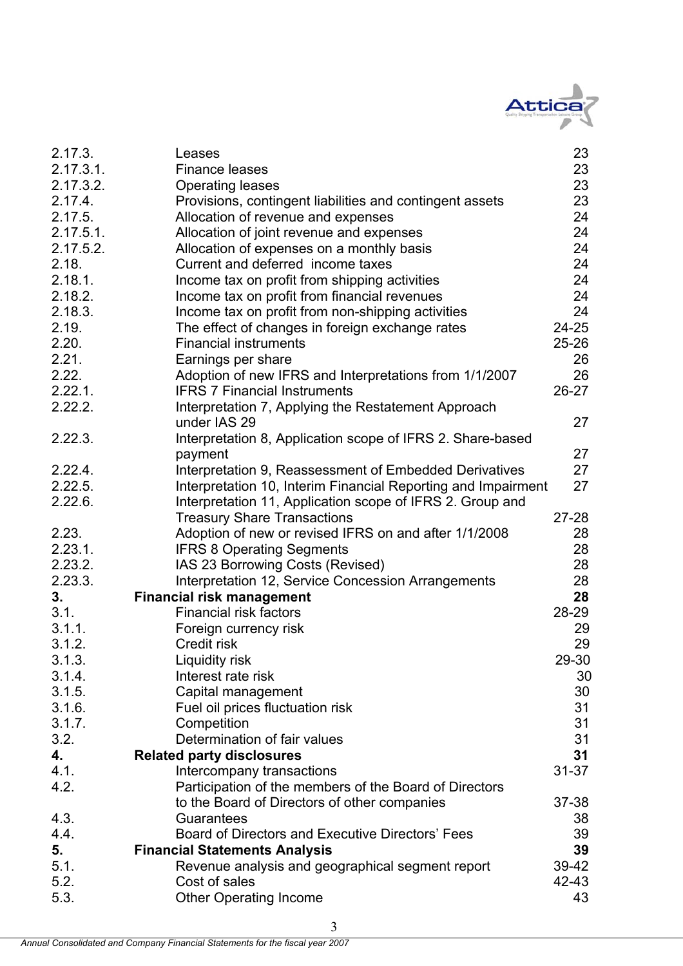

| 2.17.3.   | Leases                                                        | 23        |
|-----------|---------------------------------------------------------------|-----------|
| 2.17.3.1. | <b>Finance leases</b>                                         | 23        |
| 2.17.3.2. | <b>Operating leases</b>                                       | 23        |
| 2.17.4.   | Provisions, contingent liabilities and contingent assets      | 23        |
| 2.17.5.   | Allocation of revenue and expenses                            | 24        |
| 2.17.5.1. | Allocation of joint revenue and expenses                      | 24        |
| 2.17.5.2. | Allocation of expenses on a monthly basis                     | 24        |
| 2.18.     | Current and deferred income taxes                             | 24        |
| 2.18.1.   | Income tax on profit from shipping activities                 | 24        |
| 2.18.2.   | Income tax on profit from financial revenues                  | 24        |
| 2.18.3.   | Income tax on profit from non-shipping activities             | 24        |
| 2.19.     | The effect of changes in foreign exchange rates               | $24 - 25$ |
| 2.20.     | <b>Financial instruments</b>                                  | $25 - 26$ |
| 2.21.     | Earnings per share                                            | 26        |
| 2.22.     | Adoption of new IFRS and Interpretations from 1/1/2007        | 26        |
| 2.22.1.   | <b>IFRS 7 Financial Instruments</b>                           | $26 - 27$ |
| 2.22.2.   | Interpretation 7, Applying the Restatement Approach           |           |
|           | under IAS 29                                                  | 27        |
| 2.22.3.   | Interpretation 8, Application scope of IFRS 2. Share-based    |           |
|           | payment                                                       | 27        |
| 2.22.4.   | Interpretation 9, Reassessment of Embedded Derivatives        | 27        |
| 2.22.5.   | Interpretation 10, Interim Financial Reporting and Impairment | 27        |
| 2.22.6.   | Interpretation 11, Application scope of IFRS 2. Group and     |           |
|           | <b>Treasury Share Transactions</b>                            | $27 - 28$ |
| 2.23.     | Adoption of new or revised IFRS on and after 1/1/2008         | 28        |
| 2.23.1.   | <b>IFRS 8 Operating Segments</b>                              | 28        |
| 2.23.2.   | IAS 23 Borrowing Costs (Revised)                              | 28        |
| 2.23.3.   | Interpretation 12, Service Concession Arrangements            | 28        |
| 3.        | <b>Financial risk management</b>                              | 28        |
| 3.1.      | <b>Financial risk factors</b>                                 | 28-29     |
| 3.1.1.    | Foreign currency risk                                         | 29        |
| 3.1.2.    | Credit risk                                                   | 29        |
| 3.1.3.    | Liquidity risk                                                | 29-30     |
| 3.1.4.    | Interest rate risk                                            | 30        |
| 3.1.5.    | Capital management                                            | 30        |
| 3.1.6.    | Fuel oil prices fluctuation risk                              | 31        |
| 3.1.7.    | Competition                                                   | 31        |
| 3.2.      | Determination of fair values                                  | 31        |
| 4.        | <b>Related party disclosures</b>                              | 31        |
| 4.1.      | Intercompany transactions                                     | $31 - 37$ |
| 4.2.      | Participation of the members of the Board of Directors        |           |
|           | to the Board of Directors of other companies                  | $37 - 38$ |
| 4.3.      | Guarantees                                                    | 38        |
| 4.4.      | Board of Directors and Executive Directors' Fees              | 39        |
| 5.        | <b>Financial Statements Analysis</b>                          | 39        |
| 5.1.      | Revenue analysis and geographical segment report              | 39-42     |
| 5.2.      | Cost of sales                                                 | 42-43     |
| 5.3.      | <b>Other Operating Income</b>                                 | 43        |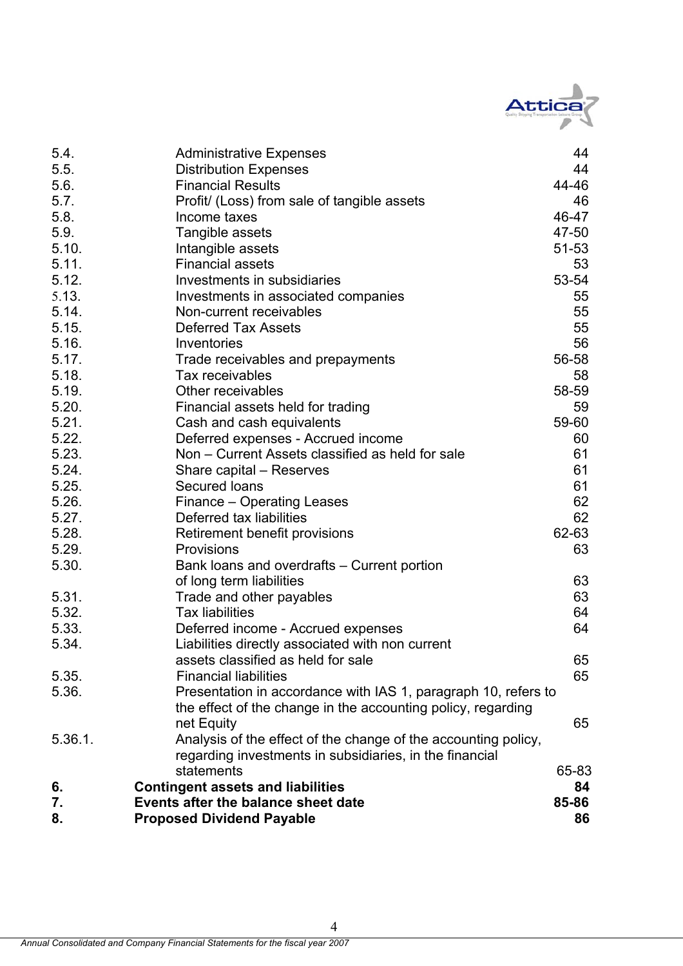

| 5.4.    | <b>Administrative Expenses</b>                                 | 44        |
|---------|----------------------------------------------------------------|-----------|
| 5.5.    | <b>Distribution Expenses</b>                                   | 44        |
| 5.6.    | <b>Financial Results</b>                                       | 44-46     |
| 5.7.    | Profit/ (Loss) from sale of tangible assets                    | 46        |
| 5.8.    | Income taxes                                                   | 46-47     |
| 5.9.    | Tangible assets                                                | 47-50     |
| 5.10.   | Intangible assets                                              | $51 - 53$ |
| 5.11.   | <b>Financial assets</b>                                        | 53        |
| 5.12.   | Investments in subsidiaries                                    | 53-54     |
| 5.13.   | Investments in associated companies                            | 55        |
| 5.14.   | Non-current receivables                                        | 55        |
| 5.15.   | <b>Deferred Tax Assets</b>                                     | 55        |
| 5.16.   | Inventories                                                    | 56        |
| 5.17.   | Trade receivables and prepayments                              | 56-58     |
| 5.18.   | Tax receivables                                                | 58        |
| 5.19.   | Other receivables                                              | 58-59     |
| 5.20.   | Financial assets held for trading                              | 59        |
| 5.21.   | Cash and cash equivalents                                      | 59-60     |
| 5.22.   | Deferred expenses - Accrued income                             | 60        |
| 5.23.   | Non - Current Assets classified as held for sale               | 61        |
| 5.24.   | Share capital – Reserves                                       | 61        |
| 5.25.   | Secured loans                                                  | 61        |
| 5.26.   | Finance – Operating Leases                                     | 62        |
| 5.27.   | Deferred tax liabilities                                       | 62        |
| 5.28.   | Retirement benefit provisions                                  | 62-63     |
| 5.29.   | <b>Provisions</b>                                              | 63        |
| 5.30.   | Bank loans and overdrafts – Current portion                    |           |
|         | of long term liabilities                                       | 63        |
| 5.31.   | Trade and other payables                                       | 63        |
| 5.32.   | <b>Tax liabilities</b>                                         | 64        |
| 5.33.   | Deferred income - Accrued expenses                             | 64        |
| 5.34.   | Liabilities directly associated with non current               |           |
|         | assets classified as held for sale                             | 65        |
| 5.35.   | <b>Financial liabilities</b>                                   | 65        |
| 5.36.   | Presentation in accordance with IAS 1, paragraph 10, refers to |           |
|         | the effect of the change in the accounting policy, regarding   |           |
|         | net Equity                                                     | 65        |
| 5.36.1. | Analysis of the effect of the change of the accounting policy, |           |
|         | regarding investments in subsidiaries, in the financial        |           |
|         | statements                                                     | 65-83     |
| 6.      | <b>Contingent assets and liabilities</b>                       | 84        |
| 7.      | Events after the balance sheet date                            | 85-86     |
| 8.      | <b>Proposed Dividend Payable</b>                               | 86        |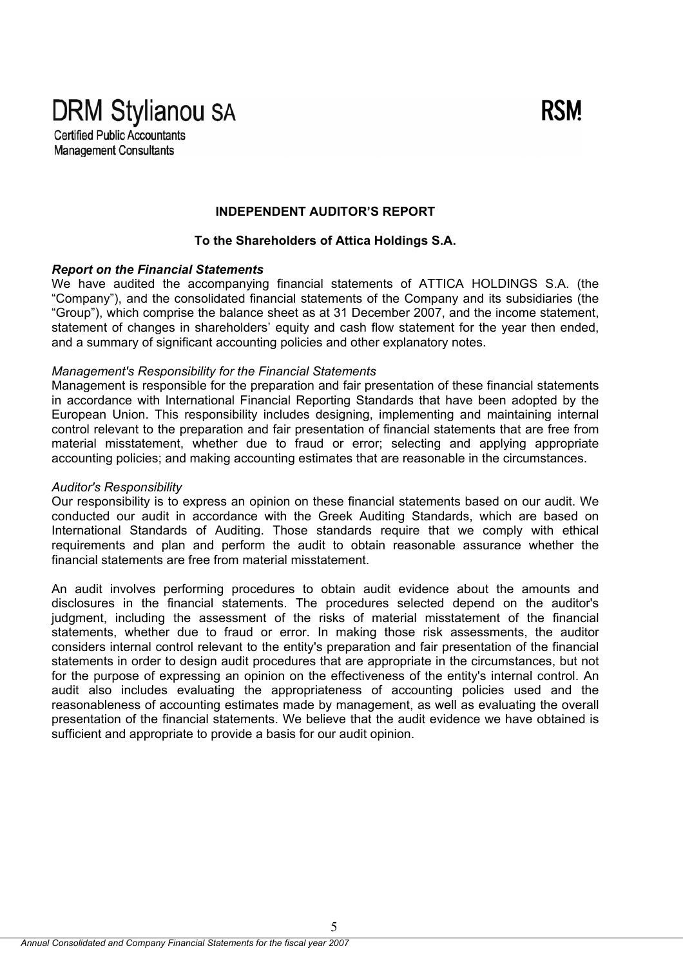**DRM Stylianou SA Certified Public Accountants** 

**Management Consultants** 

# **INDEPENDENT AUDITOR'S REPORT**

**RSM** 

### **To the Shareholders of Attica Holdings S.A.**

### *Report on the Financial Statements*

We have audited the accompanying financial statements of ATTICA HOLDINGS S.A. (the "Company"), and the consolidated financial statements of the Company and its subsidiaries (the "Group"), which comprise the balance sheet as at 31 December 2007, and the income statement, statement of changes in shareholders' equity and cash flow statement for the year then ended, and a summary of significant accounting policies and other explanatory notes.

### *Management's Responsibility for the Financial Statements*

Management is responsible for the preparation and fair presentation of these financial statements in accordance with International Financial Reporting Standards that have been adopted by the European Union. This responsibility includes designing, implementing and maintaining internal control relevant to the preparation and fair presentation of financial statements that are free from material misstatement, whether due to fraud or error; selecting and applying appropriate accounting policies; and making accounting estimates that are reasonable in the circumstances.

#### *Auditor's Responsibility*

Our responsibility is to express an opinion on these financial statements based on our audit. We conducted our audit in accordance with the Greek Auditing Standards, which are based on International Standards of Auditing. Those standards require that we comply with ethical requirements and plan and perform the audit to obtain reasonable assurance whether the financial statements are free from material misstatement.

An audit involves performing procedures to obtain audit evidence about the amounts and disclosures in the financial statements. The procedures selected depend on the auditor's judgment, including the assessment of the risks of material misstatement of the financial statements, whether due to fraud or error. In making those risk assessments, the auditor considers internal control relevant to the entity's preparation and fair presentation of the financial statements in order to design audit procedures that are appropriate in the circumstances, but not for the purpose of expressing an opinion on the effectiveness of the entity's internal control. An audit also includes evaluating the appropriateness of accounting policies used and the reasonableness of accounting estimates made by management, as well as evaluating the overall presentation of the financial statements. We believe that the audit evidence we have obtained is sufficient and appropriate to provide a basis for our audit opinion.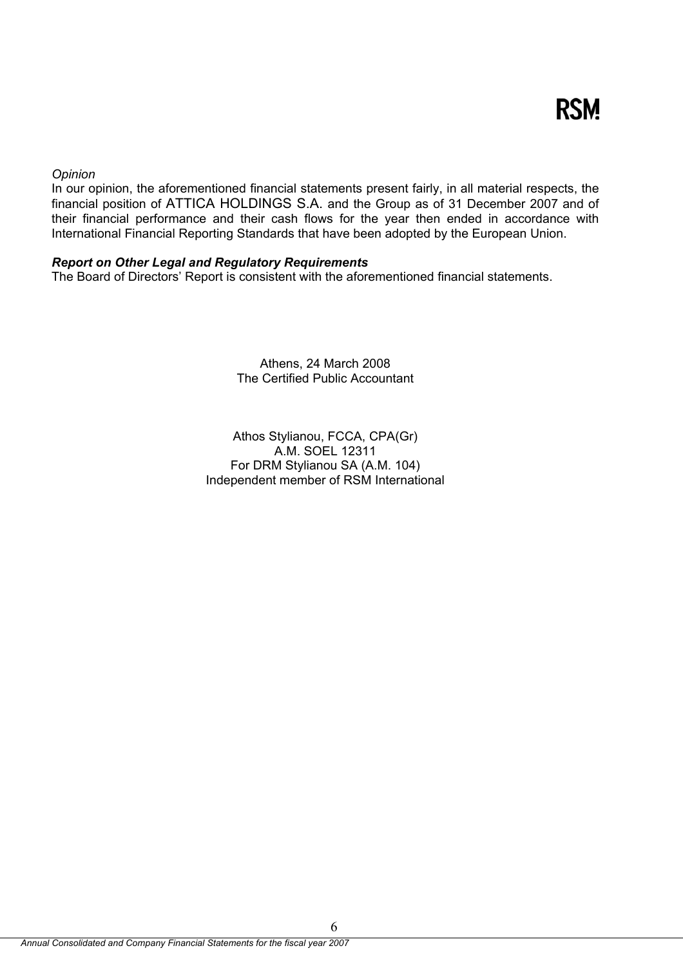### *Opinion*

In our opinion, the aforementioned financial statements present fairly, in all material respects, the financial position of ATTICA HOLDINGS S.A. and the Group as of 31 December 2007 and of their financial performance and their cash flows for the year then ended in accordance with International Financial Reporting Standards that have been adopted by the European Union.

### *Report on Other Legal and Regulatory Requirements*

The Board of Directors' Report is consistent with the aforementioned financial statements.

Athens, 24 March 2008 The Certified Public Accountant

Athos Stylianou, FCCA, CPA(Gr) A.M. SOEL 12311 For DRM Stylianou SA (A.M. 104) Independent member of RSM International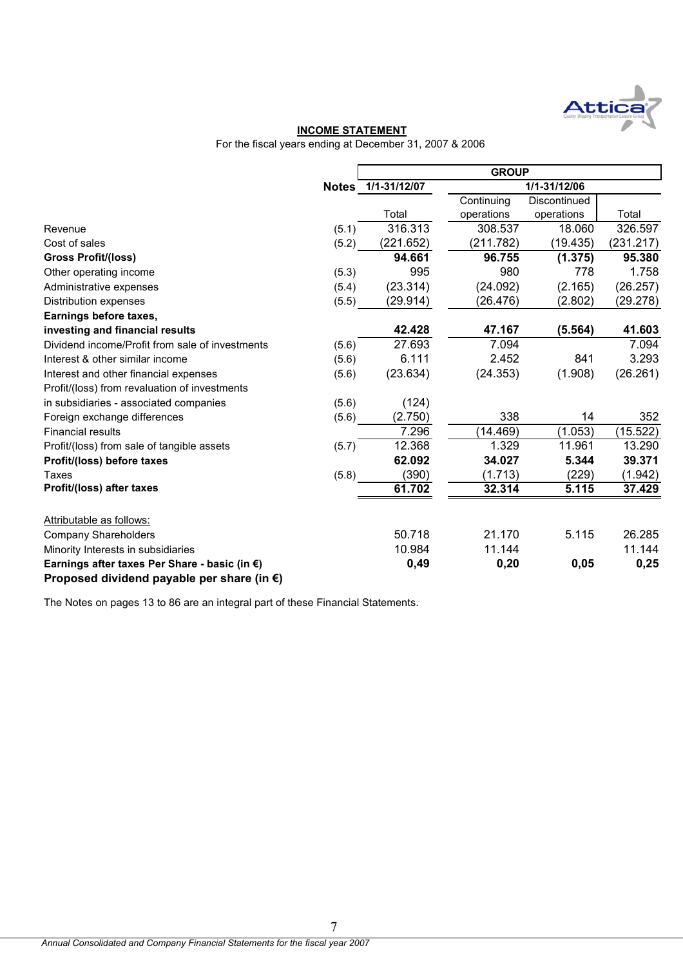

### **INCOME STATEMENT**

For the fiscal years ending at December 31, 2007 & 2006

|                                                                                                       |       | <b>GROUP</b>       |            |              |           |  |  |
|-------------------------------------------------------------------------------------------------------|-------|--------------------|------------|--------------|-----------|--|--|
|                                                                                                       |       | Notes 1/1-31/12/07 |            | 1/1-31/12/06 |           |  |  |
|                                                                                                       |       |                    | Continuing | Discontinued |           |  |  |
|                                                                                                       |       | Total              | operations | operations   | Total     |  |  |
| Revenue                                                                                               | (5.1) | 316.313            | 308.537    | 18.060       | 326.597   |  |  |
| Cost of sales                                                                                         | (5.2) | (221.652)          | (211.782)  | (19.435)     | (231.217) |  |  |
| <b>Gross Profit/(loss)</b>                                                                            |       | 94.661             | 96.755     | (1.375)      | 95.380    |  |  |
| Other operating income                                                                                | (5.3) | 995                | 980        | 778          | 1.758     |  |  |
| Administrative expenses                                                                               | (5.4) | (23.314)           | (24.092)   | (2.165)      | (26.257)  |  |  |
| <b>Distribution expenses</b>                                                                          | (5.5) | (29.914)           | (26.476)   | (2.802)      | (29.278)  |  |  |
| Earnings before taxes,                                                                                |       |                    |            |              |           |  |  |
| investing and financial results                                                                       |       | 42.428             | 47.167     | (5.564)      | 41.603    |  |  |
| Dividend income/Profit from sale of investments                                                       | (5.6) | 27.693             | 7.094      |              | 7.094     |  |  |
| Interest & other similar income                                                                       | (5.6) | 6.111              | 2.452      | 841          | 3.293     |  |  |
| Interest and other financial expenses                                                                 | (5.6) | (23.634)           | (24.353)   | (1.908)      | (26.261)  |  |  |
| Profit/(loss) from revaluation of investments                                                         |       |                    |            |              |           |  |  |
| in subsidiaries - associated companies                                                                | (5.6) | (124)              |            |              |           |  |  |
| Foreign exchange differences                                                                          | (5.6) | (2.750)            | 338        | 14           | 352       |  |  |
| <b>Financial results</b>                                                                              |       | 7.296              | (14.469)   | (1.053)      | (15.522)  |  |  |
| Profit/(loss) from sale of tangible assets                                                            | (5.7) | 12.368             | 1.329      | 11.961       | 13.290    |  |  |
| Profit/(loss) before taxes                                                                            |       | 62.092             | 34.027     | 5.344        | 39.371    |  |  |
| Taxes                                                                                                 | (5.8) | (390)              | (1.713)    | (229)        | (1.942)   |  |  |
| Profit/(loss) after taxes                                                                             |       | 61.702             | 32.314     | 5.115        | 37.429    |  |  |
| Attributable as follows:                                                                              |       |                    |            |              |           |  |  |
| <b>Company Shareholders</b>                                                                           |       | 50.718             | 21.170     | 5.115        | 26.285    |  |  |
| Minority Interests in subsidiaries                                                                    |       | 10.984             | 11.144     |              | 11.144    |  |  |
| Earnings after taxes Per Share - basic (in €)<br>Proposed dividend payable per share (in $\epsilon$ ) |       | 0,49               | 0,20       | 0,05         | 0,25      |  |  |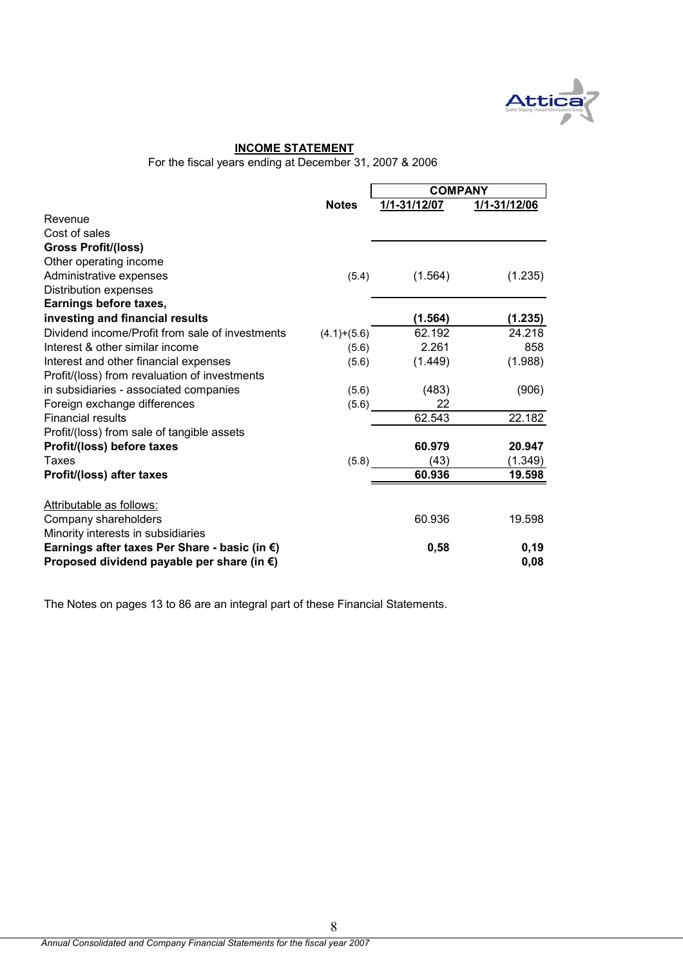

#### **INCOME STATEMENT**

For the fiscal years ending at December 31, 2007 & 2006

|                                                      |               | <b>COMPANY</b> |              |  |
|------------------------------------------------------|---------------|----------------|--------------|--|
|                                                      | <b>Notes</b>  | 1/1-31/12/07   | 1/1-31/12/06 |  |
| Revenue                                              |               |                |              |  |
| Cost of sales                                        |               |                |              |  |
| <b>Gross Profit/(loss)</b>                           |               |                |              |  |
| Other operating income                               |               |                |              |  |
| Administrative expenses                              | (5.4)         | (1.564)        | (1.235)      |  |
| <b>Distribution expenses</b>                         |               |                |              |  |
| Earnings before taxes,                               |               |                |              |  |
| investing and financial results                      |               | (1.564)        | (1.235)      |  |
| Dividend income/Profit from sale of investments      | $(4.1)+(5.6)$ | 62.192         | 24.218       |  |
| Interest & other similar income                      | (5.6)         | 2.261          | 858          |  |
| Interest and other financial expenses                | (5.6)         | (1.449)        | (1.988)      |  |
| Profit/(loss) from revaluation of investments        |               |                |              |  |
| in subsidiaries - associated companies               | (5.6)         | (483)          | (906)        |  |
| Foreign exchange differences                         | (5.6)         | 22             |              |  |
| <b>Financial results</b>                             |               | 62.543         | 22.182       |  |
| Profit/(loss) from sale of tangible assets           |               |                |              |  |
| Profit/(loss) before taxes                           |               | 60.979         | 20.947       |  |
| Taxes                                                | (5.8)         | (43)           | (1.349)      |  |
| Profit/(loss) after taxes                            |               | 60.936         | 19.598       |  |
| Attributable as follows:                             |               |                |              |  |
| Company shareholders                                 |               | 60.936         | 19.598       |  |
| Minority interests in subsidiaries                   |               |                |              |  |
| Earnings after taxes Per Share - basic (in €)        |               | 0,58           | 0, 19        |  |
| Proposed dividend payable per share (in $\epsilon$ ) |               |                | 0,08         |  |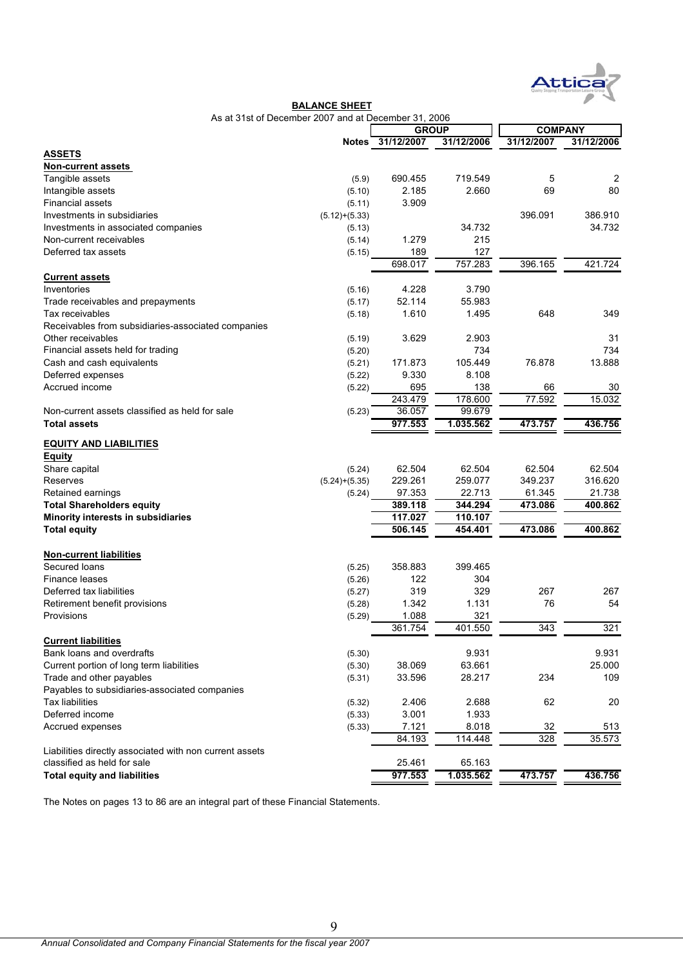

|                                                         | As at 31st of December 2007 and at December 31, 2006 |                  |                |                |               |
|---------------------------------------------------------|------------------------------------------------------|------------------|----------------|----------------|---------------|
|                                                         |                                                      | <b>GROUP</b>     |                | <b>COMPANY</b> |               |
|                                                         |                                                      | Notes 31/12/2007 | 31/12/2006     | 31/12/2007     | 31/12/2006    |
| <b>ASSETS</b>                                           |                                                      |                  |                |                |               |
| <b>Non-current assets</b>                               |                                                      |                  |                |                |               |
| Tangible assets                                         | (5.9)                                                | 690.455          | 719.549        | 5              | 2             |
| Intangible assets                                       | (5.10)                                               | 2.185            | 2.660          | 69             | 80            |
| <b>Financial assets</b>                                 | (5.11)                                               | 3.909            |                |                |               |
| Investments in subsidiaries                             | $(5.12)+(5.33)$                                      |                  |                | 396.091        | 386.910       |
| Investments in associated companies                     | (5.13)                                               |                  | 34.732         |                | 34.732        |
| Non-current receivables                                 | (5.14)                                               | 1.279            | 215            |                |               |
| Deferred tax assets                                     | (5.15)                                               | 189              | 127            |                |               |
|                                                         |                                                      | 698.017          | 757.283        | 396.165        | 421.724       |
| <b>Current assets</b>                                   |                                                      |                  |                |                |               |
| Inventories                                             | (5.16)                                               | 4.228            | 3.790          |                |               |
| Trade receivables and prepayments                       | (5.17)                                               | 52.114           | 55.983         |                |               |
| Tax receivables                                         | (5.18)                                               | 1.610            | 1.495          | 648            | 349           |
| Receivables from subsidiaries-associated companies      |                                                      |                  |                |                |               |
| Other receivables                                       | (5.19)                                               | 3.629            | 2.903          |                | 31            |
| Financial assets held for trading                       | (5.20)                                               |                  | 734            |                | 734           |
| Cash and cash equivalents                               | (5.21)                                               | 171.873          | 105.449        | 76.878         | 13.888        |
| Deferred expenses                                       | (5.22)                                               | 9.330            | 8.108          |                |               |
| Accrued income                                          | (5.22)                                               | 695              | 138            | 66             | 30            |
|                                                         |                                                      | 243.479          | 178.600        | 77.592         | 15.032        |
| Non-current assets classified as held for sale          | (5.23)                                               | 36.057           | 99.679         |                |               |
| <b>Total assets</b>                                     |                                                      | 977.553          | 1.035.562      | 473.757        | 436.756       |
|                                                         |                                                      |                  |                |                |               |
| <b>EQUITY AND LIABILITIES</b>                           |                                                      |                  |                |                |               |
| <b>Equity</b>                                           |                                                      |                  |                |                |               |
| Share capital                                           | (5.24)                                               | 62.504           | 62.504         | 62.504         | 62.504        |
| Reserves                                                | $(5.24)+(5.35)$                                      | 229.261          | 259.077        | 349.237        | 316.620       |
| Retained earnings                                       | (5.24)                                               | 97.353           | 22.713         | 61.345         | 21.738        |
| <b>Total Shareholders equity</b>                        |                                                      | 389.118          | 344.294        | 473.086        | 400.862       |
| Minority interests in subsidiaries                      |                                                      | 117.027          | 110.107        |                |               |
| <b>Total equity</b>                                     |                                                      | 506.145          | 454.401        | 473.086        | 400.862       |
|                                                         |                                                      |                  |                |                |               |
| <b>Non-current liabilities</b><br>Secured loans         | (5.25)                                               | 358.883          | 399.465        |                |               |
| Finance leases                                          | (5.26)                                               | 122              | 304            |                |               |
| Deferred tax liabilities                                |                                                      | 319              | 329            | 267            | 267           |
|                                                         | (5.27)                                               |                  | 1.131          | 76             | 54            |
| Retirement benefit provisions                           | (5.28)                                               | 1.342            |                |                |               |
| Provisions                                              | (5.29)                                               | 1.088<br>361.754 | 321<br>401.550 | 343            | 321           |
| <b>Current liabilities</b>                              |                                                      |                  |                |                |               |
| Bank loans and overdrafts                               | (5.30)                                               |                  | 9.931          |                | 9.931         |
| Current portion of long term liabilities                | (5.30)                                               | 38.069           | 63.661         |                | 25.000        |
| Trade and other payables                                | (5.31)                                               | 33.596           | 28.217         | 234            | 109           |
| Payables to subsidiaries-associated companies           |                                                      |                  |                |                |               |
| Tax liabilities                                         | (5.32)                                               | 2.406            | 2.688          | 62             | 20            |
| Deferred income                                         |                                                      |                  |                |                |               |
|                                                         | (5.33)                                               | 3.001<br>7.121   | 1.933<br>8.018 | 32             |               |
| Accrued expenses                                        | (5.33)                                               | 84.193           | 114.448        | 328            | 513<br>35.573 |
| Liabilities directly associated with non current assets |                                                      |                  |                |                |               |
| classified as held for sale                             |                                                      | 25.461           | 65.163         |                |               |
| <b>Total equity and liabilities</b>                     |                                                      | 977.553          | 1.035.562      | 473.757        | 436.756       |
|                                                         |                                                      |                  |                |                |               |

**BALANCE SHEET**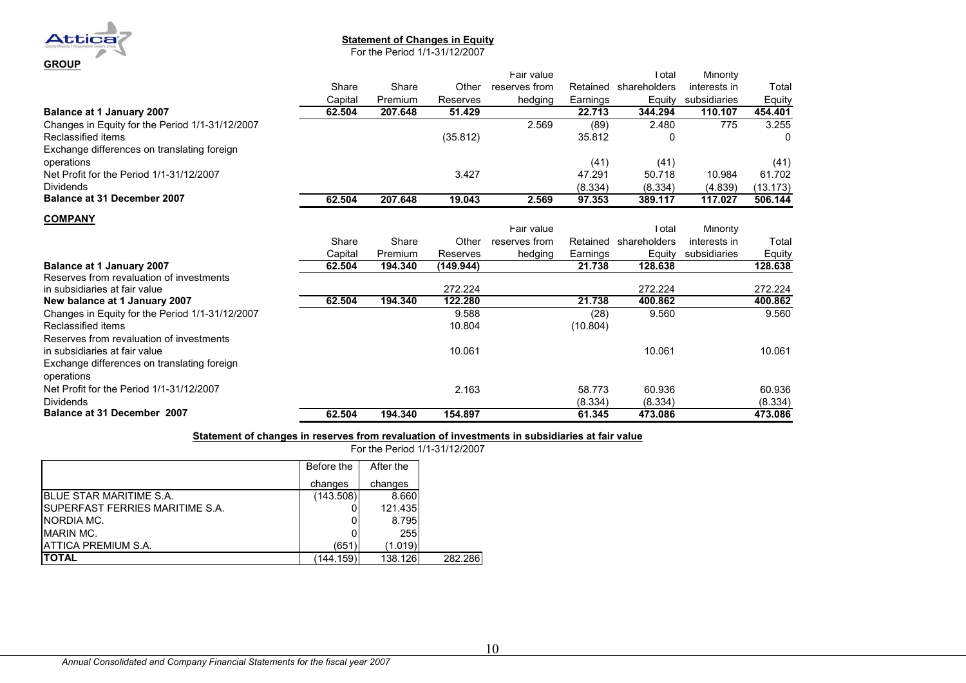

#### **Statement of Changes in Equity**

For the Period 1/1-31/12/2007

|                                                 |         |         |           | Fair value    |          | Гotal        | Minority     |          |
|-------------------------------------------------|---------|---------|-----------|---------------|----------|--------------|--------------|----------|
|                                                 | Share   | Share   | Other     | reserves from | Retained | shareholders | interests in | Total    |
|                                                 | Capital | Premium | Reserves  | hedging       | Earnings | Equity       | subsidiaries | Equity   |
| Balance at 1 January 2007                       | 62.504  | 207.648 | 51.429    |               | 22.713   | 344.294      | 110.107      | 454.401  |
| Changes in Equity for the Period 1/1-31/12/2007 |         |         |           | 2.569         | (89)     | 2.480        | 775          | 3.255    |
| Reclassified items                              |         |         | (35.812)  |               | 35.812   | 0            |              | 0        |
| Exchange differences on translating foreign     |         |         |           |               |          |              |              |          |
| operations                                      |         |         |           |               | (41)     | (41)         |              | (41)     |
| Net Profit for the Period 1/1-31/12/2007        |         |         | 3.427     |               | 47.291   | 50.718       | 10.984       | 61.702   |
| <b>Dividends</b>                                |         |         |           |               | (8.334)  | (8.334)      | (4.839)      | (13.173) |
| <b>Balance at 31 December 2007</b>              | 62.504  | 207.648 | 19.043    | 2.569         | 97.353   | 389.117      | 117.027      | 506.144  |
| <b>COMPANY</b>                                  |         |         |           |               |          |              |              |          |
|                                                 |         |         |           | Fair value    |          | Total        | Minority     |          |
|                                                 | Share   | Share   | Other     | reserves from | Retained | shareholders | interests in | Total    |
|                                                 | Capital | Premium | Reserves  | hedging       | Earnings | Equity       | subsidiaries | Equity   |
| <b>Balance at 1 January 2007</b>                | 62.504  | 194.340 | (149.944) |               | 21.738   | 128.638      |              | 128.638  |
| Reserves from revaluation of investments        |         |         |           |               |          |              |              |          |
| in subsidiaries at fair value                   |         |         | 272.224   |               |          | 272.224      |              | 272.224  |
| New balance at 1 January 2007                   | 62.504  | 194.340 | 122.280   |               | 21.738   | 400.862      |              | 400.862  |
| Changes in Equity for the Period 1/1-31/12/2007 |         |         | 9.588     |               | (28)     | 9.560        |              | 9.560    |
| Reclassified items                              |         |         | 10.804    |               | (10.804) |              |              |          |
| Reserves from revaluation of investments        |         |         |           |               |          |              |              |          |
| in subsidiaries at fair value                   |         |         | 10.061    |               |          | 10.061       |              | 10.061   |
| Exchange differences on translating foreign     |         |         |           |               |          |              |              |          |
| operations                                      |         |         |           |               |          |              |              |          |
| Net Profit for the Period 1/1-31/12/2007        |         |         | 2.163     |               | 58.773   | 60.936       |              | 60.936   |
| <b>Dividends</b>                                |         |         |           |               | (8.334)  | (8.334)      |              | (8.334)  |
| <b>Balance at 31 December 2007</b>              | 62.504  | 194.340 | 154.897   |               | 61.345   | 473.086      |              | 473.086  |

### **Statement of changes in reserves from revaluation of investments in subsidiaries at fair value**

For the Period 1/1-31/12/2007

|                                         | Before the | After the |         |
|-----------------------------------------|------------|-----------|---------|
|                                         | changes    | changes   |         |
| <b>BLUE STAR MARITIME S.A.</b>          | (143.508)  | 8.660     |         |
| <b>ISUPERFAST FERRIES MARITIME S.A.</b> |            | 121.435   |         |
| NORDIA MC.                              |            | 8.795     |         |
| <b>MARIN MC.</b>                        |            | 255       |         |
| <b>ATTICA PREMIUM S.A.</b>              | (651)      | (1.019)   |         |
| <b>ITOTAL</b>                           | (144.159)  | 138.126   | 282.286 |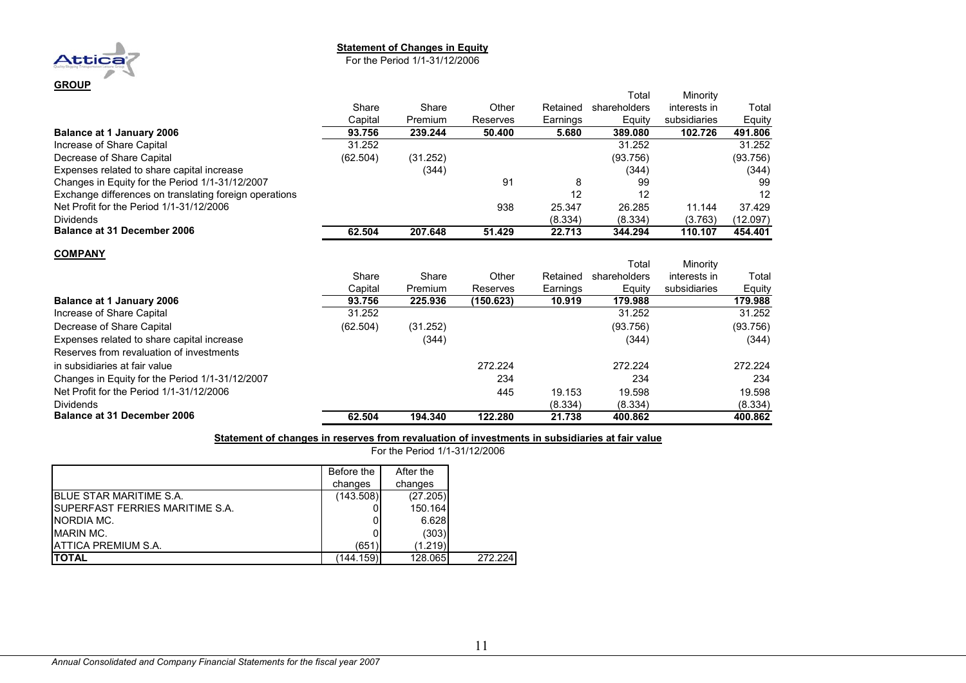#### **Statement of Changes in Equity**

For the Period 1/1-31/12/2006

|                                                        |          |          |           |          | Total        | Minority     |          |
|--------------------------------------------------------|----------|----------|-----------|----------|--------------|--------------|----------|
|                                                        | Share    | Share    | Other     | Retained | shareholders | interests in | Total    |
|                                                        | Capital  | Premium  | Reserves  | Earnings | Equity       | subsidiaries | Equity   |
| <b>Balance at 1 January 2006</b>                       | 93.756   | 239.244  | 50.400    | 5.680    | 389.080      | 102.726      | 491.806  |
| Increase of Share Capital                              | 31.252   |          |           |          | 31.252       |              | 31.252   |
| Decrease of Share Capital                              | (62.504) | (31.252) |           |          | (93.756)     |              | (93.756) |
| Expenses related to share capital increase             |          | (344)    |           |          | (344)        |              | (344)    |
| Changes in Equity for the Period 1/1-31/12/2007        |          |          | 91        | 8        | 99           |              | 99       |
| Exchange differences on translating foreign operations |          |          |           | 12       | 12           |              | 12       |
| Net Profit for the Period 1/1-31/12/2006               |          |          | 938       | 25.347   | 26.285       | 11.144       | 37.429   |
| <b>Dividends</b>                                       |          |          |           | (8.334)  | (8.334)      | (3.763)      | (12.097) |
| <b>Balance at 31 December 2006</b>                     | 62.504   | 207.648  | 51.429    | 22.713   | 344.294      | 110.107      | 454.401  |
| <b>COMPANY</b>                                         |          |          |           |          |              |              |          |
|                                                        |          |          |           |          | Total        | Minority     |          |
|                                                        | Share    | Share    | Other     | Retained | shareholders | interests in | Total    |
|                                                        | Capital  | Premium  | Reserves  | Earnings | Equity       | subsidiaries | Equity   |
| Balance at 1 January 2006                              | 93.756   | 225.936  | (150.623) | 10.919   | 179.988      |              | 179.988  |

|                                                 | Cabilai  | гісінші  | NGSGI VGS. | саншчэ  | ⊏yully   | SUDSIUIDIITES | ⊏yuluy   |
|-------------------------------------------------|----------|----------|------------|---------|----------|---------------|----------|
| <b>Balance at 1 January 2006</b>                | 93.756   | 225.936  | (150.623)  | 10.919  | 179.988  |               | 179.988  |
| Increase of Share Capital                       | 31.252   |          |            |         | 31.252   |               | 31.252   |
| Decrease of Share Capital                       | (62.504) | (31.252) |            |         | (93.756) |               | (93.756) |
| Expenses related to share capital increase      |          | (344)    |            |         | (344)    |               | (344)    |
| Reserves from revaluation of investments        |          |          |            |         |          |               |          |
| in subsidiaries at fair value                   |          |          | 272.224    |         | 272.224  |               | 272.224  |
| Changes in Equity for the Period 1/1-31/12/2007 |          |          | 234        |         | 234      |               | 234      |
| Net Profit for the Period 1/1-31/12/2006        |          |          | 445        | 19.153  | 19.598   |               | 19.598   |
| <b>Dividends</b>                                |          |          |            | (8.334) | (8.334)  |               | (8.334)  |
| <b>Balance at 31 December 2006</b>              | 62.504   | 194.340  | 122.280    | 21.738  | 400.862  |               | 400.862  |

#### **Statement of changes in reserves from revaluation of investments in subsidiaries at fair value**

For the Period 1/1-31/12/2006

|                                         | Before the | After the |         |
|-----------------------------------------|------------|-----------|---------|
|                                         | changes    | changes   |         |
| <b>IBLUE STAR MARITIME S.A.</b>         | (143.508)  | (27.205)  |         |
| <b>ISUPERFAST FERRIES MARITIME S.A.</b> |            | 150.164   |         |
| <b>INORDIA MC.</b>                      |            | 6.628     |         |
| MARIN MC.                               |            | (303)     |         |
| <b>JATTICA PREMIUM S.A.</b>             | (651)      | (1.219)   |         |
| <b>ITOTAL</b>                           | (144.159)  | 128.065   | 272.224 |

**GROUP**

**Attica**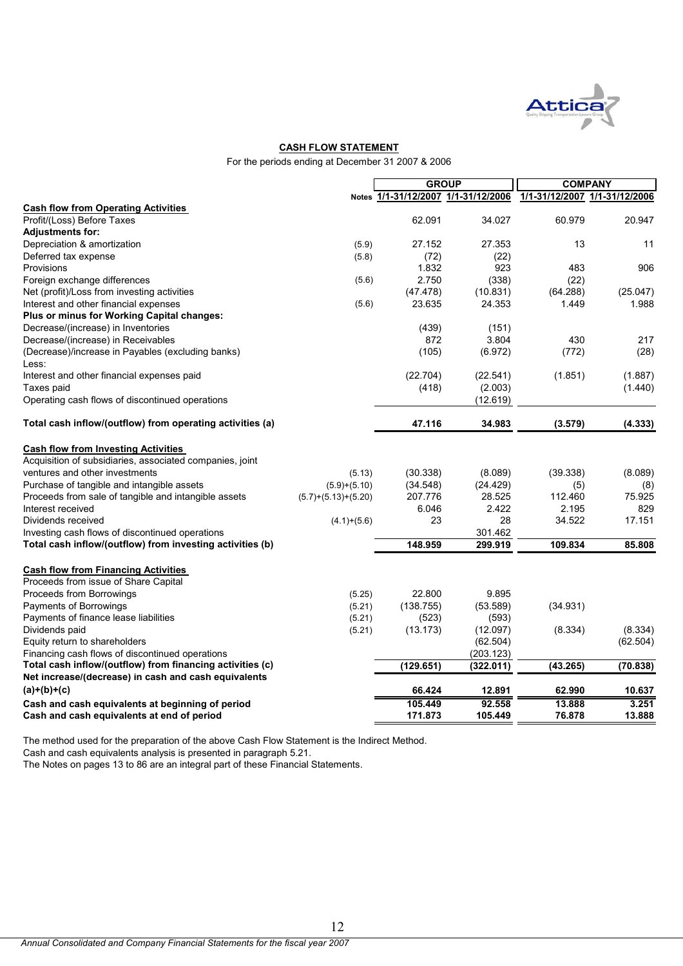

#### **CASH FLOW STATEMENT**

For the periods ending at December 31 2007 & 2006

|                                                                                                |                       | <b>GROUP</b>       |                                     | <b>COMPANY</b>                |                 |
|------------------------------------------------------------------------------------------------|-----------------------|--------------------|-------------------------------------|-------------------------------|-----------------|
|                                                                                                |                       |                    | Notes 1/1-31/12/2007 1/1-31/12/2006 | 1/1-31/12/2007 1/1-31/12/2006 |                 |
| <b>Cash flow from Operating Activities</b>                                                     |                       |                    |                                     |                               |                 |
| Profit/(Loss) Before Taxes                                                                     |                       | 62.091             | 34.027                              | 60.979                        | 20.947          |
| Adjustments for:                                                                               |                       |                    |                                     |                               |                 |
| Depreciation & amortization                                                                    | (5.9)                 | 27.152             | 27.353                              | 13                            | 11              |
| Deferred tax expense                                                                           | (5.8)                 | (72)               | (22)                                |                               |                 |
| Provisions                                                                                     |                       | 1.832              | 923                                 | 483                           | 906             |
| Foreign exchange differences                                                                   | (5.6)                 | 2.750              | (338)                               | (22)                          |                 |
| Net (profit)/Loss from investing activities                                                    |                       | (47.478)           | (10.831)                            | (64.288)                      | (25.047)        |
| Interest and other financial expenses                                                          | (5.6)                 | 23.635             | 24.353                              | 1.449                         | 1.988           |
| Plus or minus for Working Capital changes:                                                     |                       |                    |                                     |                               |                 |
| Decrease/(increase) in Inventories                                                             |                       | (439)              | (151)                               |                               |                 |
| Decrease/(increase) in Receivables                                                             |                       | 872                | 3.804                               | 430                           | 217             |
| (Decrease)/increase in Payables (excluding banks)                                              |                       | (105)              | (6.972)                             | (772)                         | (28)            |
| Less:                                                                                          |                       |                    |                                     |                               |                 |
| Interest and other financial expenses paid                                                     |                       | (22.704)           | (22.541)                            | (1.851)                       | (1.887)         |
| Taxes paid                                                                                     |                       | (418)              | (2.003)                             |                               | (1.440)         |
| Operating cash flows of discontinued operations                                                |                       |                    | (12.619)                            |                               |                 |
| Total cash inflow/(outflow) from operating activities (a)                                      |                       | 47.116             | 34.983                              | (3.579)                       | (4.333)         |
| <b>Cash flow from Investing Activities</b>                                                     |                       |                    |                                     |                               |                 |
| Acquisition of subsidiaries, associated companies, joint                                       |                       |                    |                                     |                               |                 |
| ventures and other investments                                                                 | (5.13)                | (30.338)           | (8.089)                             | (39.338)                      | (8.089)         |
| Purchase of tangible and intangible assets                                                     | $(5.9)+(5.10)$        | (34.548)           | (24.429)                            | (5)                           | (8)             |
| Proceeds from sale of tangible and intangible assets                                           | $(5.7)+(5.13)+(5.20)$ | 207.776            | 28.525                              | 112.460                       | 75.925          |
| Interest received                                                                              |                       | 6.046              | 2.422                               | 2.195                         | 829             |
| Dividends received                                                                             | $(4.1)+(5.6)$         | 23                 | 28                                  | 34.522                        | 17.151          |
| Investing cash flows of discontinued operations                                                |                       |                    | 301.462                             |                               |                 |
| Total cash inflow/(outflow) from investing activities (b)                                      |                       | 148.959            | 299.919                             | 109.834                       | 85.808          |
| <b>Cash flow from Financing Activities</b>                                                     |                       |                    |                                     |                               |                 |
| Proceeds from issue of Share Capital                                                           |                       |                    |                                     |                               |                 |
| Proceeds from Borrowings                                                                       | (5.25)                | 22.800             | 9.895                               |                               |                 |
| Payments of Borrowings                                                                         | (5.21)                | (138.755)          | (53.589)                            | (34.931)                      |                 |
| Payments of finance lease liabilities                                                          | (5.21)                | (523)              | (593)                               |                               |                 |
| Dividends paid                                                                                 | (5.21)                | (13.173)           | (12.097)                            | (8.334)                       | (8.334)         |
| Equity return to shareholders                                                                  |                       |                    | (62.504)                            |                               | (62.504)        |
| Financing cash flows of discontinued operations                                                |                       |                    | (203.123)                           |                               |                 |
| Total cash inflow/(outflow) from financing activities (c)                                      |                       | (129.651)          | (322.011)                           | (43.265)                      | (70.838)        |
| Net increase/(decrease) in cash and cash equivalents                                           |                       |                    |                                     |                               |                 |
| $(a)+(b)+(c)$                                                                                  |                       | 66.424             | 12.891                              | 62.990                        | 10.637          |
| Cash and cash equivalents at beginning of period<br>Cash and cash equivalents at end of period |                       | 105.449<br>171.873 | 92.558<br>105.449                   | 13.888<br>76.878              | 3.251<br>13.888 |
|                                                                                                |                       |                    |                                     |                               |                 |

The method used for the preparation of the above Cash Flow Statement is the Indirect Method.

Cash and cash equivalents analysis is presented in paragraph 5.21.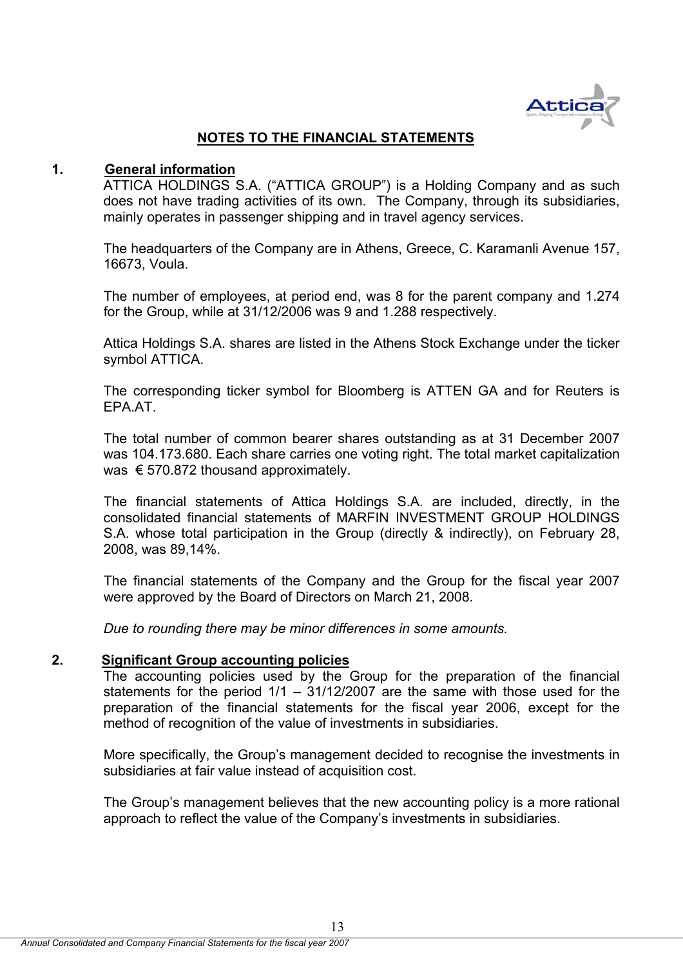

# **NOTES TO THE FINANCIAL STATEMENTS**

# **1. General information**

ATTICA HOLDINGS S.A. ("ATTICA GROUP") is a Holding Company and as such does not have trading activities of its own. The Company, through its subsidiaries, mainly operates in passenger shipping and in travel agency services.

The headquarters of the Company are in Athens, Greece, C. Karamanli Avenue 157, 16673, Voula.

The number of employees, at period end, was 8 for the parent company and 1.274 for the Group, while at 31/12/2006 was 9 and 1.288 respectively.

Attica Holdings S.A. shares are listed in the Athens Stock Exchange under the ticker symbol ATTICA.

The corresponding ticker symbol for Bloomberg is ATTEN GA and for Reuters is EPA.AT.

The total number of common bearer shares outstanding as at 31 December 2007 was 104.173.680. Each share carries one voting right. The total market capitalization was € 570.872 thousand approximately.

The financial statements of Attica Holdings S.A. are included, directly, in the consolidated financial statements of MARFIN INVESTMENT GROUP HOLDINGS S.A. whose total participation in the Group (directly & indirectly), on February 28, 2008, was 89,14%.

The financial statements of the Company and the Group for the fiscal year 2007 were approved by the Board of Directors on March 21, 2008.

*Due to rounding there may be minor differences in some amounts.* 

# **2. Significant Group accounting policies**

The accounting policies used by the Group for the preparation of the financial statements for the period 1/1 – 31/12/2007 are the same with those used for the preparation of the financial statements for the fiscal year 2006, except for the method of recognition of the value of investments in subsidiaries.

More specifically, the Group's management decided to recognise the investments in subsidiaries at fair value instead of acquisition cost.

The Group's management believes that the new accounting policy is a more rational approach to reflect the value of the Company's investments in subsidiaries.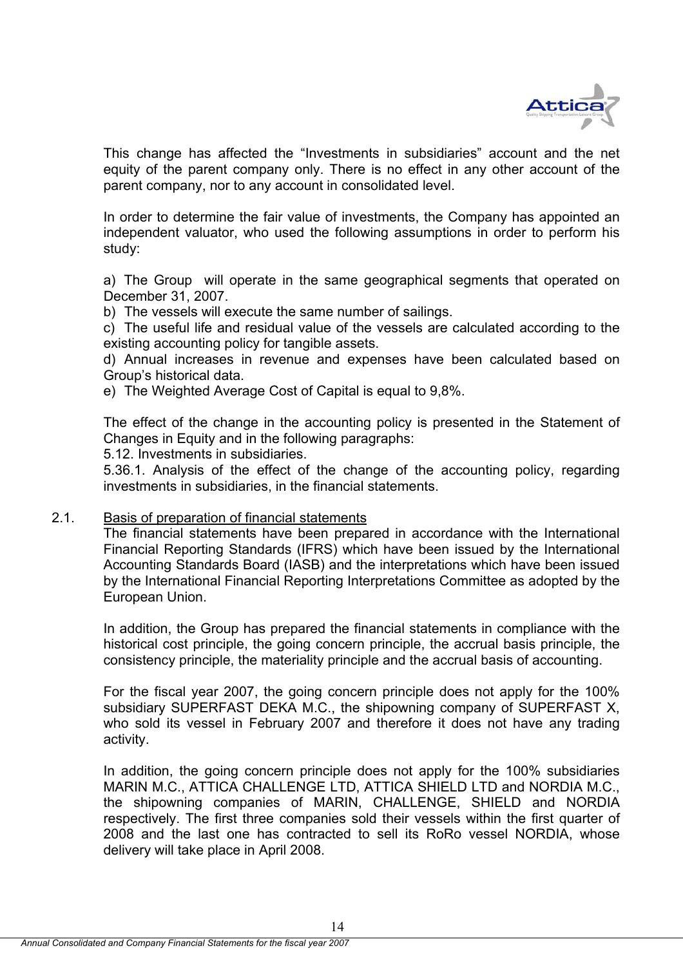

This change has affected the "Investments in subsidiaries" account and the net equity of the parent company only. There is no effect in any other account of the parent company, nor to any account in consolidated level.

In order to determine the fair value of investments, the Company has appointed an independent valuator, who used the following assumptions in order to perform his study:

a) The Group will operate in the same geographical segments that operated on December 31, 2007.

b) The vessels will execute the same number of sailings.

c) The useful life and residual value of the vessels are calculated according to the existing accounting policy for tangible assets.

d) Annual increases in revenue and expenses have been calculated based on Group's historical data.

e) The Weighted Average Cost of Capital is equal to 9,8%.

The effect of the change in the accounting policy is presented in the Statement of Changes in Equity and in the following paragraphs:

5.12. Investments in subsidiaries.

5.36.1. Analysis of the effect of the change of the accounting policy, regarding investments in subsidiaries, in the financial statements.

### 2.1. Basis of preparation of financial statements

The financial statements have been prepared in accordance with the International Financial Reporting Standards (IFRS) which have been issued by the International Accounting Standards Board (IASB) and the interpretations which have been issued by the International Financial Reporting Interpretations Committee as adopted by the European Union.

In addition, the Group has prepared the financial statements in compliance with the historical cost principle, the going concern principle, the accrual basis principle, the consistency principle, the materiality principle and the accrual basis of accounting.

For the fiscal year 2007, the going concern principle does not apply for the 100% subsidiary SUPERFAST DEKA M.C., the shipowning company of SUPERFAST X, who sold its vessel in February 2007 and therefore it does not have any trading activity.

In addition, the going concern principle does not apply for the 100% subsidiaries MARIN M.C., ATTICA CHALLENGE LTD, ATTICA SHIELD LTD and NORDIA M.C., the shipowning companies of MARIN, CHALLENGE, SHIELD and NORDIA respectively. The first three companies sold their vessels within the first quarter of 2008 and the last one has contracted to sell its RoRo vessel NORDIA, whose delivery will take place in April 2008.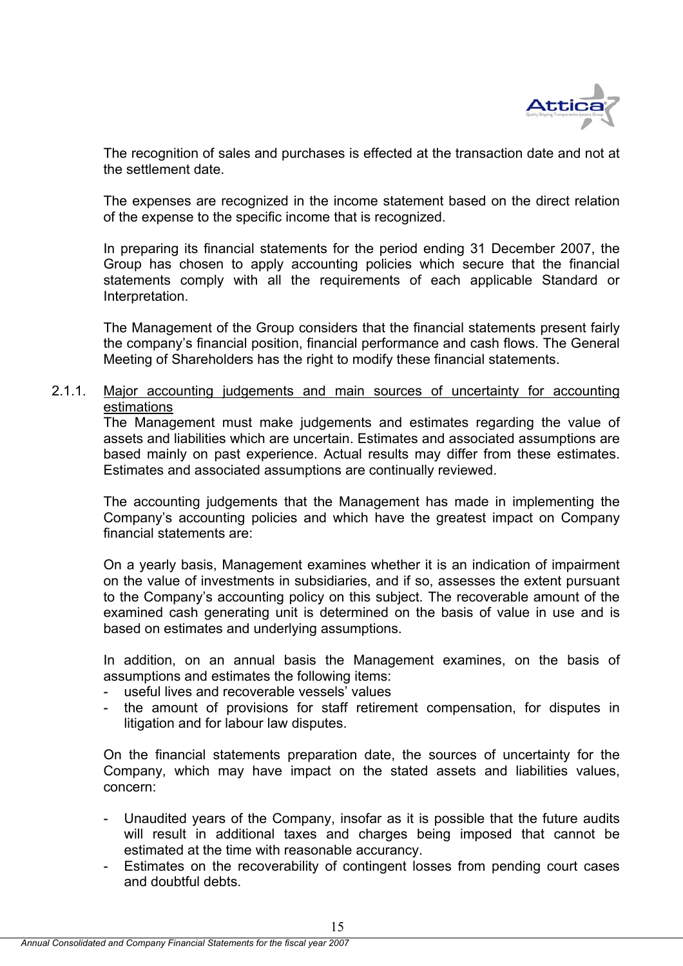

The recognition of sales and purchases is effected at the transaction date and not at the settlement date.

The expenses are recognized in the income statement based on the direct relation of the expense to the specific income that is recognized.

In preparing its financial statements for the period ending 31 December 2007, the Group has chosen to apply accounting policies which secure that the financial statements comply with all the requirements of each applicable Standard or Interpretation.

The Management of the Group considers that the financial statements present fairly the company's financial position, financial performance and cash flows. The General Meeting of Shareholders has the right to modify these financial statements.

# 2.1.1. Major accounting judgements and main sources of uncertainty for accounting estimations

The Management must make judgements and estimates regarding the value of assets and liabilities which are uncertain. Estimates and associated assumptions are based mainly on past experience. Actual results may differ from these estimates. Estimates and associated assumptions are continually reviewed.

The accounting judgements that the Management has made in implementing the Company's accounting policies and which have the greatest impact on Company financial statements are:

On a yearly basis, Management examines whether it is an indication of impairment on the value of investments in subsidiaries, and if so, assesses the extent pursuant to the Company's accounting policy on this subject. The recoverable amount of the examined cash generating unit is determined on the basis of value in use and is based on estimates and underlying assumptions.

In addition, on an annual basis the Management examines, on the basis of assumptions and estimates the following items:

- useful lives and recoverable vessels' values
- the amount of provisions for staff retirement compensation, for disputes in litigation and for labour law disputes.

On the financial statements preparation date, the sources of uncertainty for the Company, which may have impact on the stated assets and liabilities values, concern:

- Unaudited years of the Company, insofar as it is possible that the future audits will result in additional taxes and charges being imposed that cannot be estimated at the time with reasonable accurancy.
- Estimates on the recoverability of contingent losses from pending court cases and doubtful debts.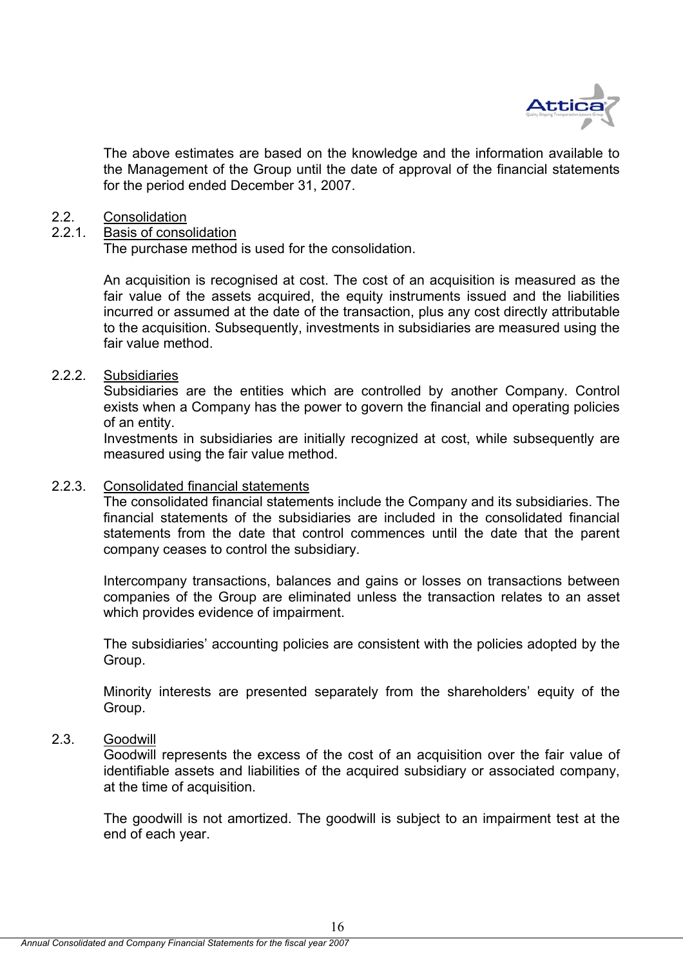

 The above estimates are based οn the knowledge and the information available to the Management of the Group until the date of approval of the financial statements for the period ended December 31, 2007.

### 2.2. Consolidation

### 2.2.1. Basis of consolidation

The purchase method is used for the consolidation.

An acquisition is recognised at cost. The cost of an acquisition is measured as the fair value of the assets acquired, the equity instruments issued and the liabilities incurred or assumed at the date of the transaction, plus any cost directly attributable to the acquisition. Subsequently, investments in subsidiaries are measured using the fair value method.

# 2.2.2. Subsidiaries

Subsidiaries are the entities which are controlled by another Company. Control exists when a Company has the power to govern the financial and operating policies of an entity.

Investments in subsidiaries are initially recognized at cost, while subsequently are measured using the fair value method.

# 2.2.3. Consolidated financial statements

The consolidated financial statements include the Company and its subsidiaries. The financial statements of the subsidiaries are included in the consolidated financial statements from the date that control commences until the date that the parent company ceases to control the subsidiary.

Intercompany transactions, balances and gains or losses on transactions between companies of the Group are eliminated unless the transaction relates to an asset which provides evidence of impairment.

The subsidiaries' accounting policies are consistent with the policies adopted by the Group.

Minority interests are presented separately from the shareholders' equity of the Group.

### 2.3. Goodwill

Goodwill represents the excess of the cost of an acquisition over the fair value of identifiable assets and liabilities of the acquired subsidiary or associated company, at the time of acquisition.

The goodwill is not amortized. The goodwill is subject to an impairment test at the end of each year.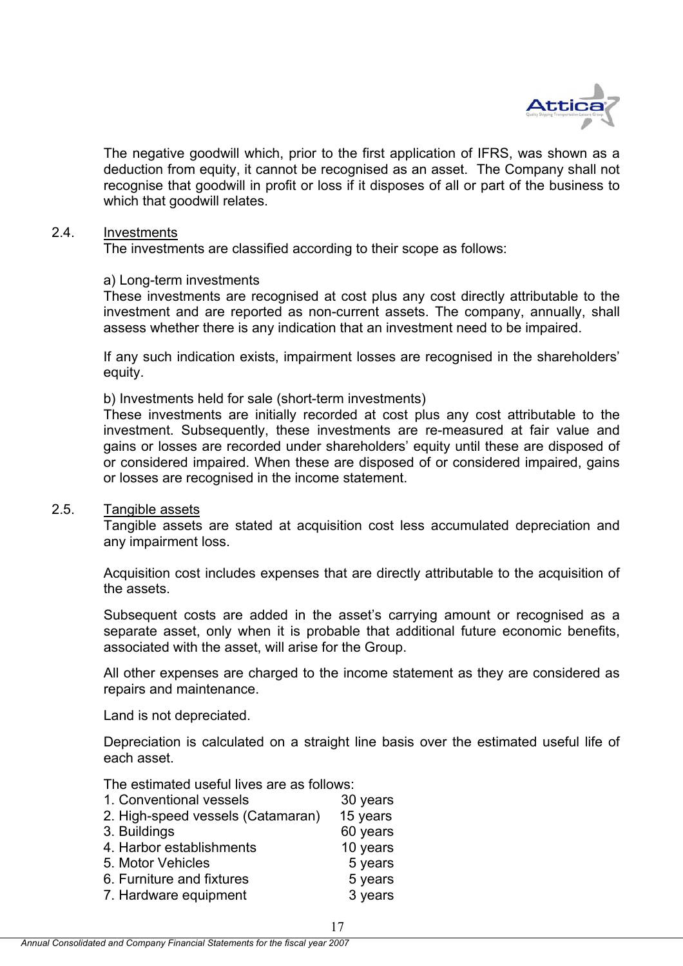

The negative goodwill which, prior to the first application of IFRS, was shown as a deduction from equity, it cannot be recognised as an asset. The Company shall not recognise that goodwill in profit or loss if it disposes of all or part of the business to which that goodwill relates.

### 2.4. Investments

The investments are classified according to their scope as follows:

### a) Long-term investments

These investments are recognised at cost plus any cost directly attributable to the investment and are reported as non-current assets. The company, annually, shall assess whether there is any indication that an investment need to be impaired.

If any such indication exists, impairment losses are recognised in the shareholders' equity.

b) Investments held for sale (short-term investments)

These investments are initially recorded at cost plus any cost attributable to the investment. Subsequently, these investments are re-measured at fair value and gains or losses are recorded under shareholders' equity until these are disposed of or considered impaired. When these are disposed of or considered impaired, gains or losses are recognised in the income statement.

### 2.5. Tangible assets

Tangible assets are stated at acquisition cost less accumulated depreciation and any impairment loss.

Acquisition cost includes expenses that are directly attributable to the acquisition of the assets.

Subsequent costs are added in the asset's carrying amount or recognised as a separate asset, only when it is probable that additional future economic benefits, associated with the asset, will arise for the Group.

All other expenses are charged to the income statement as they are considered as repairs and maintenance.

Land is not depreciated.

Depreciation is calculated on a straight line basis over the estimated useful life of each asset.

The estimated useful lives are as follows:

| 1. Conventional vessels           | 30 years |
|-----------------------------------|----------|
| 2. High-speed vessels (Catamaran) | 15 years |
| 3. Buildings                      | 60 years |
| 4. Harbor establishments          | 10 years |
| 5. Motor Vehicles                 | 5 years  |
| 6. Furniture and fixtures         | 5 years  |
| 7. Hardware equipment             | 3 years  |
|                                   |          |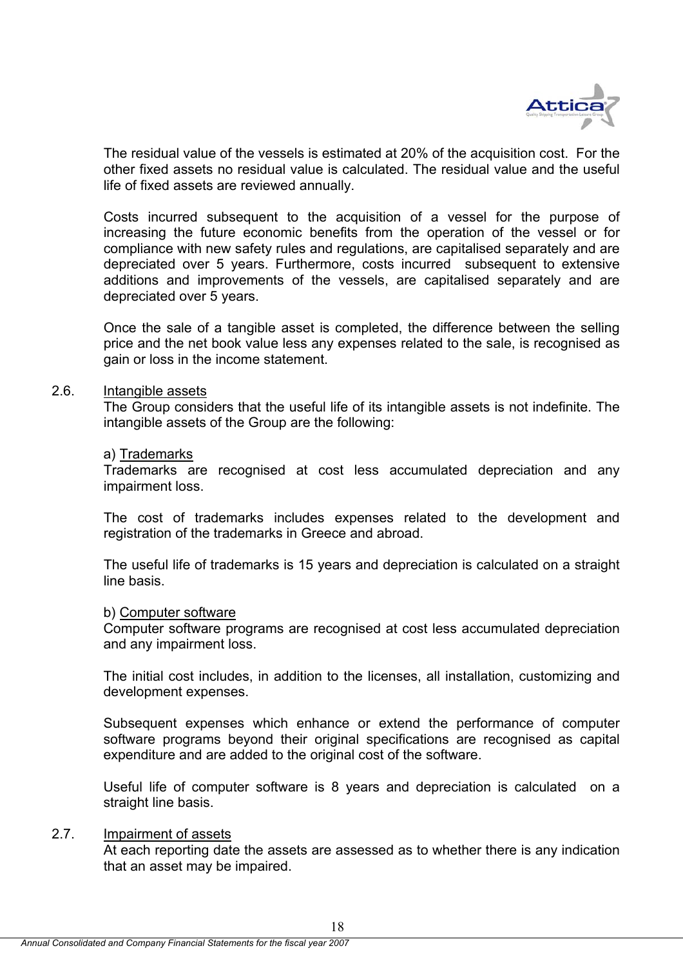

The residual value of the vessels is estimated at 20% of the acquisition cost. For the other fixed assets no residual value is calculated. The residual value and the useful life of fixed assets are reviewed annually.

Costs incurred subsequent to the acquisition of a vessel for the purpose of increasing the future economic benefits from the operation of the vessel or for compliance with new safety rules and regulations, are capitalised separately and are depreciated over 5 years. Furthermore, costs incurred subsequent to extensive additions and improvements of the vessels, are capitalised separately and are depreciated over 5 years.

Once the sale of a tangible asset is completed, the difference between the selling price and the net book value less any expenses related to the sale, is recognised as gain or loss in the income statement.

### 2.6. Intangible assets

The Group considers that the useful life of its intangible assets is not indefinite. The intangible assets of the Group are the following:

### a) Trademarks

Trademarks are recognised at cost less accumulated depreciation and any impairment loss.

The cost of trademarks includes expenses related to the development and registration of the trademarks in Greece and abroad.

The useful life of trademarks is 15 years and depreciation is calculated on a straight line basis.

### b) Computer software

Computer software programs are recognised at cost less accumulated depreciation and any impairment loss.

The initial cost includes, in addition to the licenses, all installation, customizing and development expenses.

Subsequent expenses which enhance or extend the performance of computer software programs beyond their original specifications are recognised as capital expenditure and are added to the original cost of the software.

Useful life of computer software is 8 years and depreciation is calculated on a straight line basis.

# 2.7. Impairment of assets

At each reporting date the assets are assessed as to whether there is any indication that an asset may be impaired.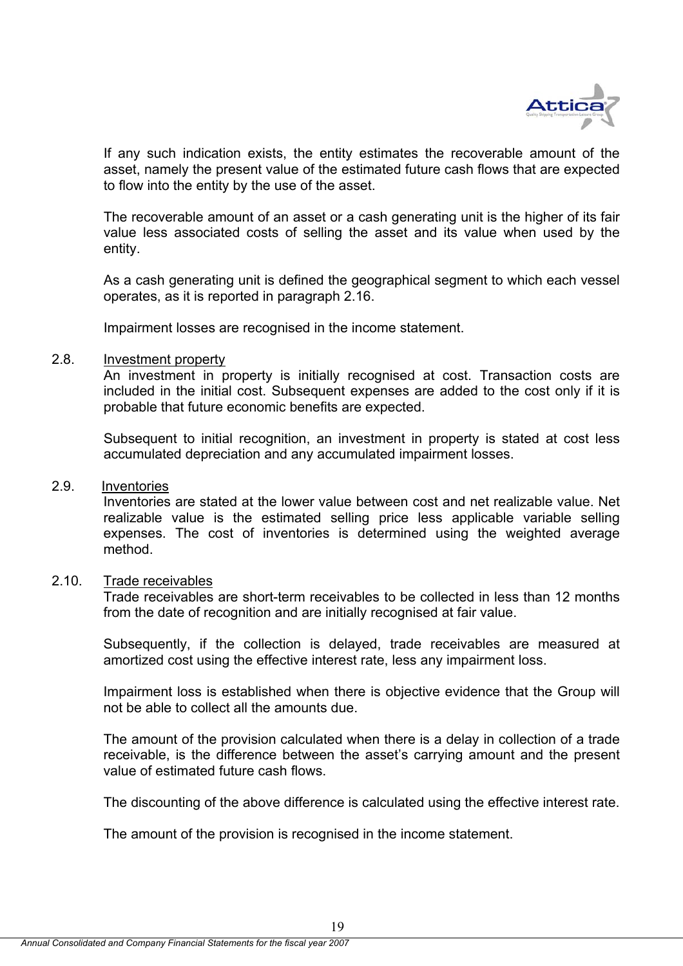

If any such indication exists, the entity estimates the recoverable amount of the asset, namely the present value of the estimated future cash flows that are expected to flow into the entity by the use of the asset.

The recoverable amount of an asset or a cash generating unit is the higher of its fair value less associated costs of selling the asset and its value when used by the entity.

As a cash generating unit is defined the geographical segment to which each vessel operates, as it is reported in paragraph 2.16.

Impairment losses are recognised in the income statement.

#### 2.8. Investment property

An investment in property is initially recognised at cost. Transaction costs are included in the initial cost. Subsequent expenses are added to the cost only if it is probable that future economic benefits are expected.

Subsequent to initial recognition, an investment in property is stated at cost less accumulated depreciation and any accumulated impairment losses.

# 2.9. Inventories

Inventories are stated at the lower value between cost and net realizable value. Net realizable value is the estimated selling price less applicable variable selling expenses. The cost of inventories is determined using the weighted average method.

### 2.10. Trade receivables

Trade receivables are short-term receivables to be collected in less than 12 months from the date of recognition and are initially recognised at fair value.

Subsequently, if the collection is delayed, trade receivables are measured at amortized cost using the effective interest rate, less any impairment loss.

Impairment loss is established when there is objective evidence that the Group will not be able to collect all the amounts due.

The amount of the provision calculated when there is a delay in collection of a trade receivable, is the difference between the asset's carrying amount and the present value of estimated future cash flows.

The discounting of the above difference is calculated using the effective interest rate.

The amount of the provision is recognised in the income statement.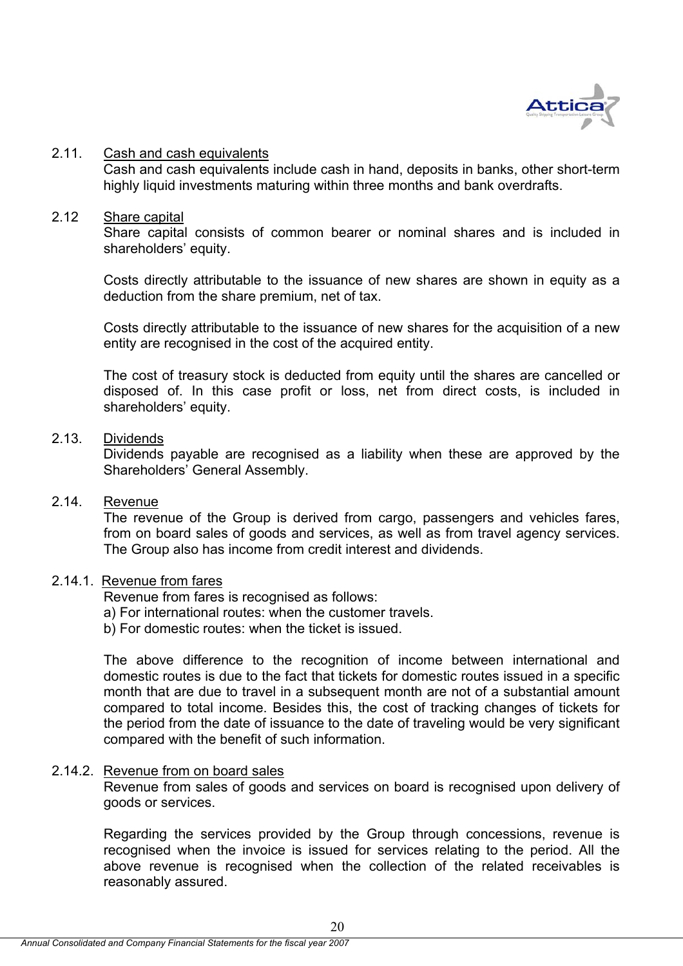

### 2.11. Cash and cash equivalents

Cash and cash equivalents include cash in hand, deposits in banks, other short-term highly liquid investments maturing within three months and bank overdrafts.

### 2.12 Share capital

Share capital consists of common bearer or nominal shares and is included in shareholders' equity.

Costs directly attributable to the issuance of new shares are shown in equity as a deduction from the share premium, net of tax.

Costs directly attributable to the issuance of new shares for the acquisition of a new entity are recognised in the cost of the acquired entity.

The cost of treasury stock is deducted from equity until the shares are cancelled or disposed of. In this case profit or loss, net from direct costs, is included in shareholders' equity.

### 2.13. Dividends

Dividends payable are recognised as a liability when these are approved by the Shareholders' General Assembly.

# 2.14. Revenue

The revenue of the Group is derived from cargo, passengers and vehicles fares, from on board sales of goods and services, as well as from travel agency services. The Group also has income from credit interest and dividends.

### 2.14.1. Revenue from fares

Revenue from fares is recognised as follows:

- a) For international routes: when the customer travels.
- b) For domestic routes: when the ticket is issued.

The above difference to the recognition of income between international and domestic routes is due to the fact that tickets for domestic routes issued in a specific month that are due to travel in a subsequent month are not of a substantial amount compared to total income. Besides this, the cost of tracking changes of tickets for the period from the date of issuance to the date of traveling would be very significant compared with the benefit of such information.

### 2.14.2. Revenue from on board sales

Revenue from sales of goods and services on board is recognised upon delivery of goods or services.

Regarding the services provided by the Group through concessions, revenue is recognised when the invoice is issued for services relating to the period. All the above revenue is recognised when the collection of the related receivables is reasonably assured.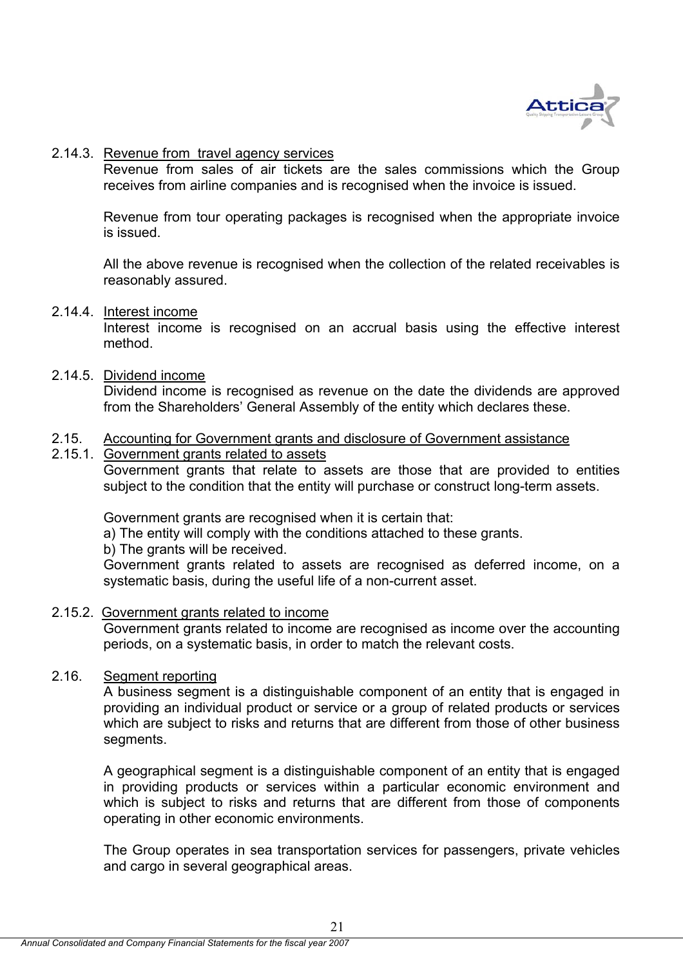

# 2.14.3. Revenue from travel agency services

Revenue from sales of air tickets are the sales commissions which the Group receives from airline companies and is recognised when the invoice is issued.

Revenue from tour operating packages is recognised when the appropriate invoice is issued.

All the above revenue is recognised when the collection of the related receivables is reasonably assured.

# 2.14.4. Interest income

Interest income is recognised on an accrual basis using the effective interest method.

# 2.14.5. Dividend income

Dividend income is recognised as revenue on the date the dividends are approved from the Shareholders' General Assembly of the entity which declares these.

### 2.15. Accounting for Government grants and disclosure of Government assistance

2.15.1. Government grants related to assets Government grants that relate to assets are those that are provided to entities subject to the condition that the entity will purchase or construct long-term assets.

Government grants are recognised when it is certain that:

a) The entity will comply with the conditions attached to these grants.

b) The grants will be received.

Government grants related to assets are recognised as deferred income, on a systematic basis, during the useful life of a non-current asset.

### 2.15.2. Government grants related to income

Government grants related to income are recognised as income over the accounting periods, on a systematic basis, in order to match the relevant costs.

# 2.16. Segment reporting

A business segment is a distinguishable component of an entity that is engaged in providing an individual product or service or a group of related products or services which are subject to risks and returns that are different from those of other business segments.

A geographical segment is a distinguishable component of an entity that is engaged in providing products or services within a particular economic environment and which is subject to risks and returns that are different from those of components operating in other economic environments.

The Group operates in sea transportation services for passengers, private vehicles and cargo in several geographical areas.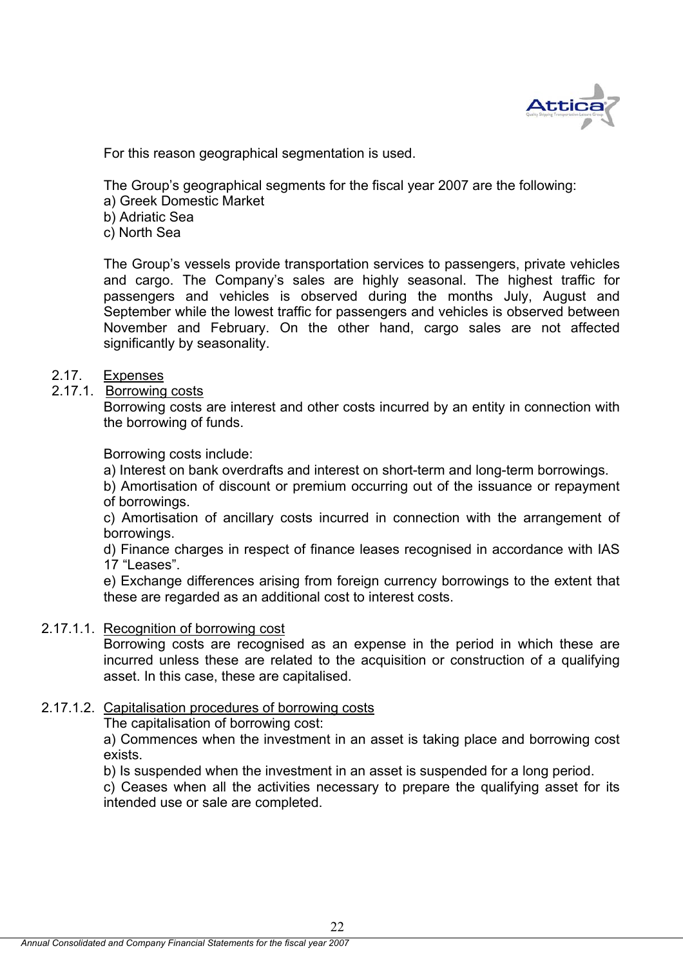

For this reason geographical segmentation is used.

The Group's geographical segments for the fiscal year 2007 are the following:

- a) Greek Domestic Market
- b) Adriatic Sea
- c) North Sea

The Group's vessels provide transportation services to passengers, private vehicles and cargo. The Company's sales are highly seasonal. The highest traffic for passengers and vehicles is observed during the months July, August and September while the lowest traffic for passengers and vehicles is observed between November and February. On the other hand, cargo sales are not affected significantly by seasonality.

# 2.17. Expenses

2.17.1. Borrowing costs

Borrowing costs are interest and other costs incurred by an entity in connection with the borrowing of funds.

Borrowing costs include:

a) Interest on bank overdrafts and interest on short-term and long-term borrowings.

b) Amortisation of discount or premium occurring out of the issuance or repayment of borrowings.

c) Amortisation of ancillary costs incurred in connection with the arrangement of borrowings.

d) Finance charges in respect of finance leases recognised in accordance with IAS 17 "Leases".

e) Exchange differences arising from foreign currency borrowings to the extent that these are regarded as an additional cost to interest costs.

### 2.17.1.1. Recognition of borrowing cost

Borrowing costs are recognised as an expense in the period in which these are incurred unless these are related to the acquisition or construction of a qualifying asset. In this case, these are capitalised.

# 2.17.1.2. Capitalisation procedures of borrowing costs

The capitalisation of borrowing cost:

a) Commences when the investment in an asset is taking place and borrowing cost exists.

b) Is suspended when the investment in an asset is suspended for a long period.

c) Ceases when all the activities necessary to prepare the qualifying asset for its intended use or sale are completed.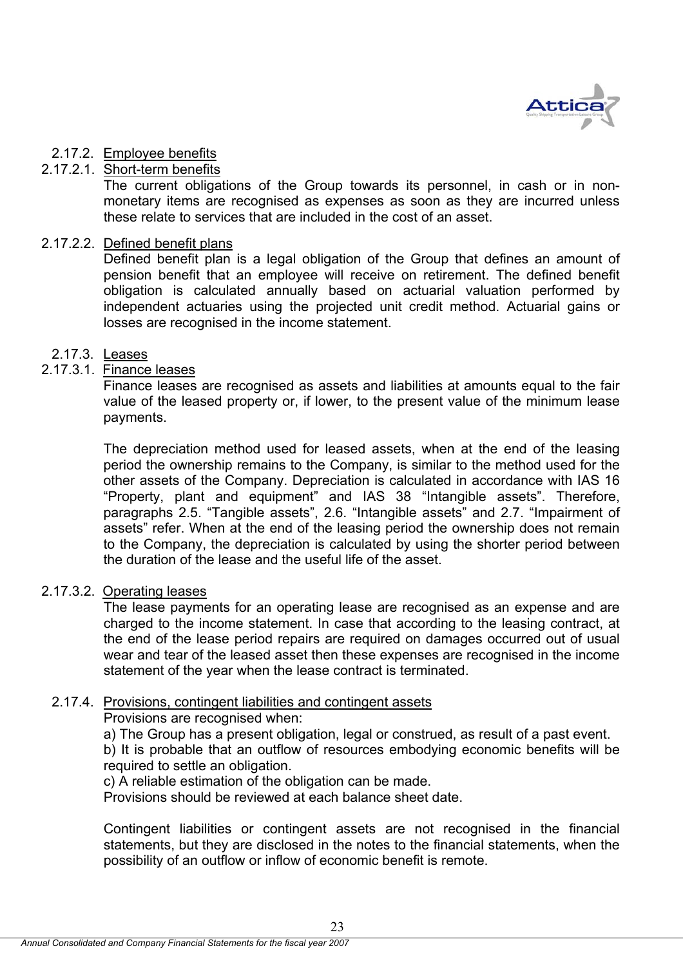

# 2.17.2. Employee benefits

# 2.17.2.1. Short-term benefits

The current obligations of the Group towards its personnel, in cash or in nonmonetary items are recognised as expenses as soon as they are incurred unless these relate to services that are included in the cost of an asset.

# 2.17.2.2. Defined benefit plans

Defined benefit plan is a legal obligation of the Group that defines an amount of pension benefit that an employee will receive on retirement. The defined benefit obligation is calculated annually based on actuarial valuation performed by independent actuaries using the projected unit credit method. Actuarial gains or losses are recognised in the income statement.

# 2.17.3. Leases

# 2.17.3.1. Finance leases

Finance leases are recognised as assets and liabilities at amounts equal to the fair value of the leased property or, if lower, to the present value of the minimum lease payments.

The depreciation method used for leased assets, when at the end of the leasing period the ownership remains to the Company, is similar to the method used for the other assets of the Company. Depreciation is calculated in accordance with IAS 16 "Property, plant and equipment" and IAS 38 "Intangible assets". Therefore, paragraphs 2.5. "Tangible assets", 2.6. "Intangible assets" and 2.7. "Impairment of assets" refer. When at the end of the leasing period the ownership does not remain to the Company, the depreciation is calculated by using the shorter period between the duration of the lease and the useful life of the asset.

# 2.17.3.2. Operating leases

The lease payments for an operating lease are recognised as an expense and are charged to the income statement. In case that according to the leasing contract, at the end of the lease period repairs are required on damages occurred out of usual wear and tear of the leased asset then these expenses are recognised in the income statement of the year when the lease contract is terminated.

# 2.17.4. Provisions, contingent liabilities and contingent assets

Provisions are recognised when:

a) The Group has a present obligation, legal or construed, as result of a past event. b) It is probable that an outflow of resources embodying economic benefits will be required to settle an obligation.

c) A reliable estimation of the obligation can be made.

Provisions should be reviewed at each balance sheet date.

Contingent liabilities or contingent assets are not recognised in the financial statements, but they are disclosed in the notes to the financial statements, when the possibility of an outflow or inflow of economic benefit is remote.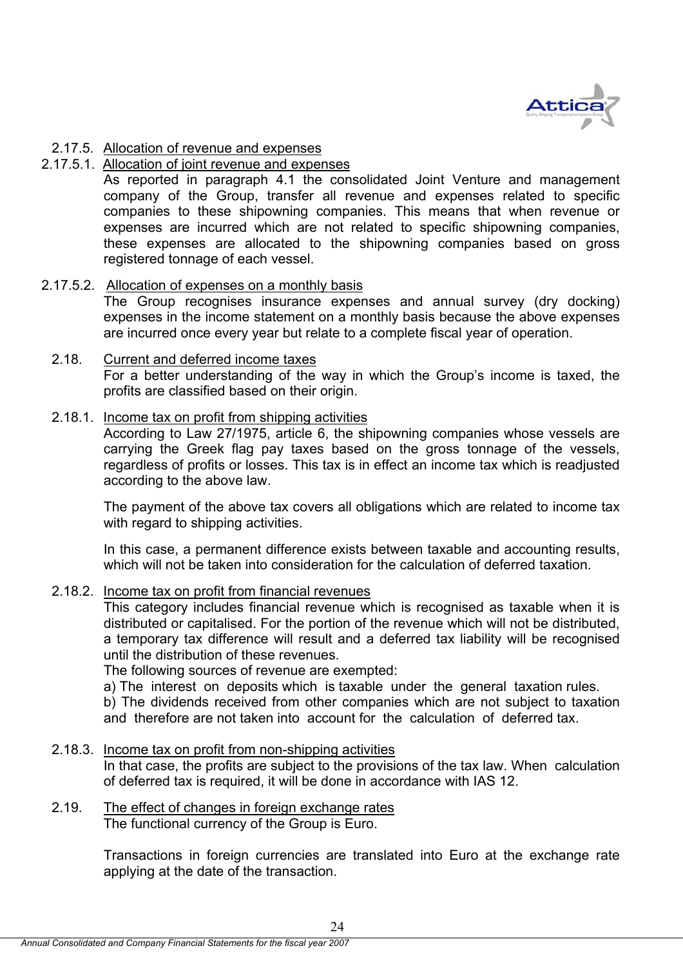

## 2.17.5. Allocation of revenue and expenses

## 2.17.5.1. Allocation of joint revenue and expenses

As reported in paragraph 4.1 the consolidated Joint Venture and management company of the Group, transfer all revenue and expenses related to specific companies to these shipowning companies. This means that when revenue or expenses are incurred which are not related to specific shipowning companies, these expenses are allocated to the shipowning companies based on gross registered tonnage of each vessel.

## 2.17.5.2. Allocation of expenses on a monthly basis

The Group recognises insurance expenses and annual survey (dry docking) expenses in the income statement on a monthly basis because the above expenses are incurred once every year but relate to a complete fiscal year of operation.

## 2.18. Current and deferred income taxes

For a better understanding of the way in which the Group's income is taxed, the profits are classified based on their origin.

# 2.18.1. Income tax on profit from shipping activities

According to Law 27/1975, article 6, the shipowning companies whose vessels are carrying the Greek flag pay taxes based on the gross tonnage of the vessels, regardless of profits or losses. This tax is in effect an income tax which is readjusted according to the above law.

The payment of the above tax covers all obligations which are related to income tax with regard to shipping activities.

In this case, a permanent difference exists between taxable and accounting results, which will not be taken into consideration for the calculation of deferred taxation.

## 2.18.2. Income tax on profit from financial revenues

This category includes financial revenue which is recognised as taxable when it is distributed or capitalised. For the portion of the revenue which will not be distributed, a temporary tax difference will result and a deferred tax liability will be recognised until the distribution of these revenues.

The following sources of revenue are exempted:

a) The interest on deposits which is taxable under the general taxation rules.

b) The dividends received from other companies which are not subject to taxation and therefore are not taken into account for the calculation of deferred tax.

## 2.18.3. Income tax on profit from non-shipping activities

In that case, the profits are subject to the provisions of the tax law. When calculation of deferred tax is required, it will be done in accordance with IAS 12.

#### 2.19. The effect of changes in foreign exchange rates The functional currency of the Group is Euro.

Transactions in foreign currencies are translated into Euro at the exchange rate applying at the date of the transaction.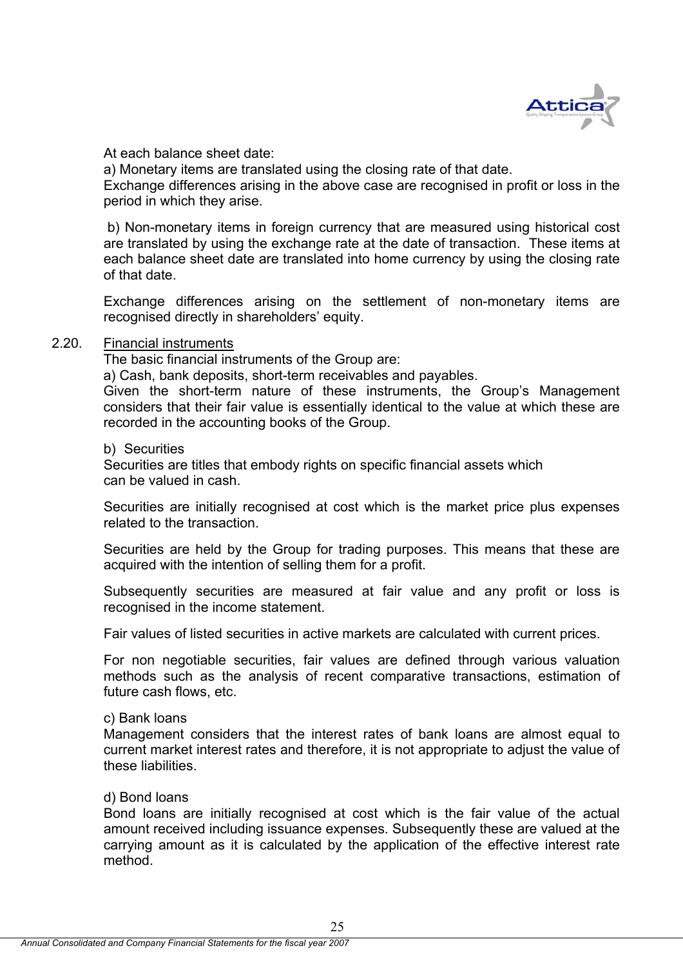

At each balance sheet date:

a) Monetary items are translated using the closing rate of that date. Exchange differences arising in the above case are recognised in profit or loss in the period in which they arise.

 b) Non-monetary items in foreign currency that are measured using historical cost are translated by using the exchange rate at the date of transaction. These items at each balance sheet date are translated into home currency by using the closing rate of that date.

Exchange differences arising on the settlement of non-monetary items are recognised directly in shareholders' equity.

## 2.20. Financial instruments

The basic financial instruments of the Group are:

a) Cash, bank deposits, short-term receivables and payables.

Given the short-term nature of these instruments, the Group's Management considers that their fair value is essentially identical to the value at which these are recorded in the accounting books of the Group.

b) Securities

Securities are titles that embody rights on specific financial assets which can be valued in cash.

Securities are initially recognised at cost which is the market price plus expenses related to the transaction.

Securities are held by the Group for trading purposes. This means that these are acquired with the intention of selling them for a profit.

Subsequently securities are measured at fair value and any profit or loss is recognised in the income statement.

Fair values of listed securities in active markets are calculated with current prices.

For non negotiable securities, fair values are defined through various valuation methods such as the analysis of recent comparative transactions, estimation of future cash flows, etc.

## c) Bank loans

Management considers that the interest rates of bank loans are almost equal to current market interest rates and therefore, it is not appropriate to adjust the value of these liabilities.

## d) Bond loans

Bond loans are initially recognised at cost which is the fair value of the actual amount received including issuance expenses. Subsequently these are valued at the carrying amount as it is calculated by the application of the effective interest rate method.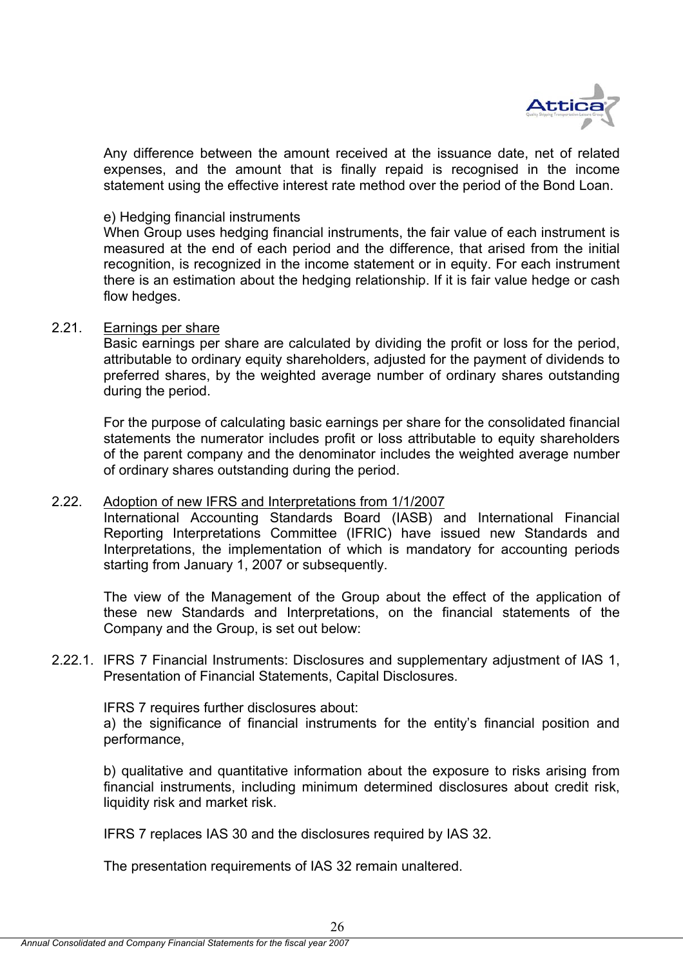

Any difference between the amount received at the issuance date, net of related expenses, and the amount that is finally repaid is recognised in the income statement using the effective interest rate method over the period of the Bond Loan.

## e) Hedging financial instruments

When Group uses hedging financial instruments, the fair value of each instrument is measured at the end of each period and the difference, that arised from the initial recognition, is recognized in the income statement or in equity. For each instrument there is an estimation about the hedging relationship. If it is fair value hedge or cash flow hedges.

## 2.21. Earnings per share

Basic earnings per share are calculated by dividing the profit or loss for the period, attributable to ordinary equity shareholders, adjusted for the payment of dividends to preferred shares, by the weighted average number of ordinary shares outstanding during the period.

For the purpose of calculating basic earnings per share for the consolidated financial statements the numerator includes profit or loss attributable to equity shareholders of the parent company and the denominator includes the weighted average number of ordinary shares outstanding during the period.

## 2.22. Adoption of new IFRS and Interpretations from 1/1/2007

International Accounting Standards Board (IASB) and International Financial Reporting Interpretations Committee (IFRIC) have issued new Standards and Interpretations, the implementation of which is mandatory for accounting periods starting from January 1, 2007 or subsequently.

The view of the Management of the Group about the effect of the application of these new Standards and Interpretations, on the financial statements of the Company and the Group, is set out below:

2.22.1. IFRS 7 Financial Instruments: Disclosures and supplementary adjustment of IAS 1, Presentation of Financial Statements, Capital Disclosures.

IFRS 7 requires further disclosures about:

a) the significance of financial instruments for the entity's financial position and performance,

b) qualitative and quantitative information about the exposure to risks arising from financial instruments, including minimum determined disclosures about credit risk, liquidity risk and market risk.

IFRS 7 replaces IAS 30 and the disclosures required by IAS 32.

The presentation requirements of IAS 32 remain unaltered.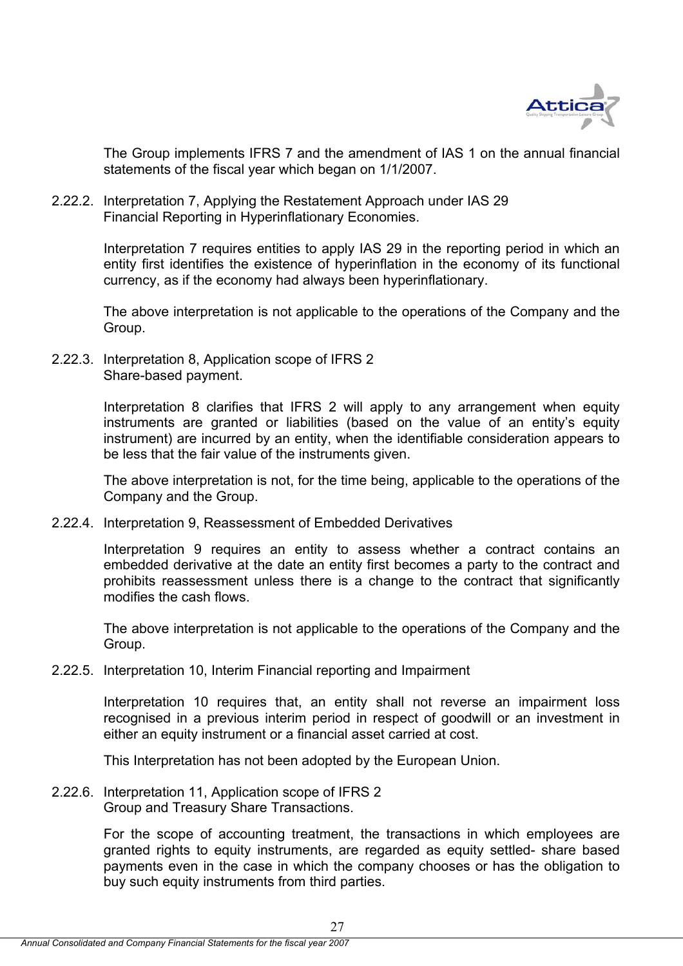

The Group implements IFRS 7 and the amendment of IAS 1 on the annual financial statements of the fiscal year which began on 1/1/2007.

2.22.2. Interpretation 7, Applying the Restatement Approach under IAS 29 Financial Reporting in Hyperinflationary Economies.

> Interpretation 7 requires entities to apply IAS 29 in the reporting period in which an entity first identifies the existence of hyperinflation in the economy of its functional currency, as if the economy had always been hyperinflationary.

> The above interpretation is not applicable to the operations of the Company and the Group.

2.22.3. Interpretation 8, Application scope of IFRS 2 Share-based payment.

> Interpretation 8 clarifies that IFRS 2 will apply to any arrangement when equity instruments are granted or liabilities (based on the value of an entity's equity instrument) are incurred by an entity, when the identifiable consideration appears to be less that the fair value of the instruments given.

> The above interpretation is not, for the time being, applicable to the operations of the Company and the Group.

2.22.4. Interpretation 9, Reassessment of Embedded Derivatives

Interpretation 9 requires an entity to assess whether a contract contains an embedded derivative at the date an entity first becomes a party to the contract and prohibits reassessment unless there is a change to the contract that significantly modifies the cash flows.

The above interpretation is not applicable to the operations of the Company and the Group.

2.22.5. Interpretation 10, Interim Financial reporting and Impairment

Interpretation 10 requires that, an entity shall not reverse an impairment loss recognised in a previous interim period in respect of goodwill or an investment in either an equity instrument or a financial asset carried at cost.

This Interpretation has not been adopted by the European Union.

2.22.6. Interpretation 11, Application scope of IFRS 2 Group and Treasury Share Transactions.

> For the scope of accounting treatment, the transactions in which employees are granted rights to equity instruments, are regarded as equity settled- share based payments even in the case in which the company chooses or has the obligation to buy such equity instruments from third parties.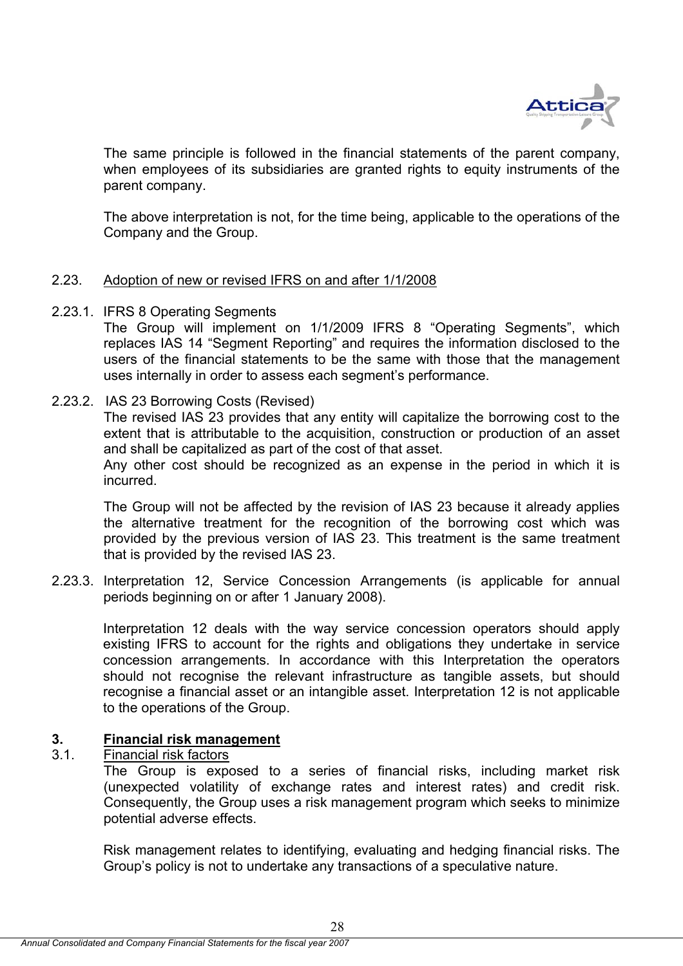

The same principle is followed in the financial statements of the parent company, when employees of its subsidiaries are granted rights to equity instruments of the parent company.

The above interpretation is not, for the time being, applicable to the operations of the Company and the Group.

## 2.23. Adoption of new or revised IFRS on and after 1/1/2008

2.23.1. IFRS 8 Operating Segments

The Group will implement on 1/1/2009 IFRS 8 "Operating Segments", which replaces IAS 14 "Segment Reporting" and requires the information disclosed to the users of the financial statements to be the same with those that the management uses internally in order to assess each segment's performance.

## 2.23.2. IAS 23 Borrowing Costs (Revised)

The revised IAS 23 provides that any entity will capitalize the borrowing cost to the extent that is attributable to the acquisition, construction or production of an asset and shall be capitalized as part of the cost of that asset.

Any other cost should be recognized as an expense in the period in which it is incurred.

The Group will not be affected by the revision of IAS 23 because it already applies the alternative treatment for the recognition of the borrowing cost which was provided by the previous version of IAS 23. This treatment is the same treatment that is provided by the revised IAS 23.

2.23.3. Interpretation 12, Service Concession Arrangements (is applicable for annual periods beginning on or after 1 January 2008).

Interpretation 12 deals with the way service concession operators should apply existing IFRS to account for the rights and obligations they undertake in service concession arrangements. In accordance with this Interpretation the operators should not recognise the relevant infrastructure as tangible assets, but should recognise a financial asset or an intangible asset. Interpretation 12 is not applicable to the operations of the Group.

## **3. Financial risk management**

## 3.1. Financial risk factors

The Group is exposed to a series of financial risks, including market risk (unexpected volatility of exchange rates and interest rates) and credit risk. Consequently, the Group uses a risk management program which seeks to minimize potential adverse effects.

Risk management relates to identifying, evaluating and hedging financial risks. The Group's policy is not to undertake any transactions of a speculative nature.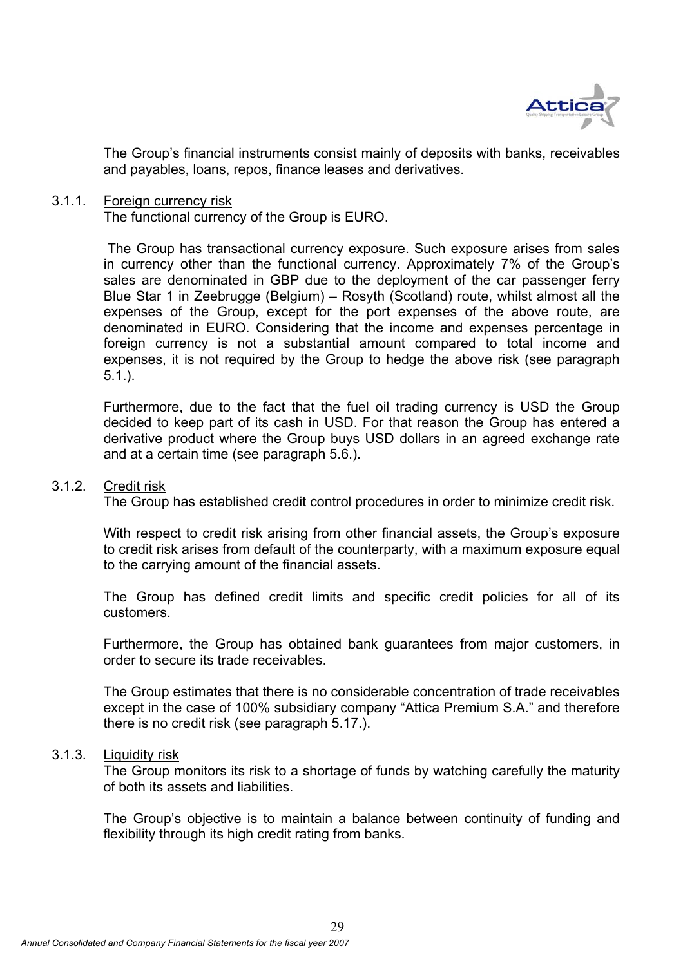

The Group's financial instruments consist mainly of deposits with banks, receivables and payables, loans, repos, finance leases and derivatives.

### 3.1.1. Foreign currency risk

The functional currency of the Group is EURO.

 The Group has transactional currency exposure. Such exposure arises from sales in currency other than the functional currency. Approximately 7% of the Group's sales are denominated in GBP due to the deployment of the car passenger ferry Blue Star 1 in Zeebrugge (Belgium) – Rosyth (Scotland) route, whilst almost all the expenses of the Group, except for the port expenses of the above route, are denominated in EURO. Considering that the income and expenses percentage in foreign currency is not a substantial amount compared to total income and expenses, it is not required by the Group to hedge the above risk (see paragraph 5.1.).

Furthermore, due to the fact that the fuel oil trading currency is USD the Group decided to keep part of its cash in USD. For that reason the Group has entered a derivative product where the Group buys USD dollars in an agreed exchange rate and at a certain time (see paragraph 5.6.).

#### 3.1.2. Credit risk

The Group has established credit control procedures in order to minimize credit risk.

With respect to credit risk arising from other financial assets, the Group's exposure to credit risk arises from default of the counterparty, with a maximum exposure equal to the carrying amount of the financial assets.

The Group has defined credit limits and specific credit policies for all of its customers.

Furthermore, the Group has obtained bank guarantees from major customers, in order to secure its trade receivables.

The Group estimates that there is no considerable concentration of trade receivables except in the case of 100% subsidiary company "Attica Premium S.A." and therefore there is no credit risk (see paragraph 5.17.).

## 3.1.3. Liquidity risk

The Group monitors its risk to a shortage of funds by watching carefully the maturity of both its assets and liabilities.

The Group's objective is to maintain a balance between continuity of funding and flexibility through its high credit rating from banks.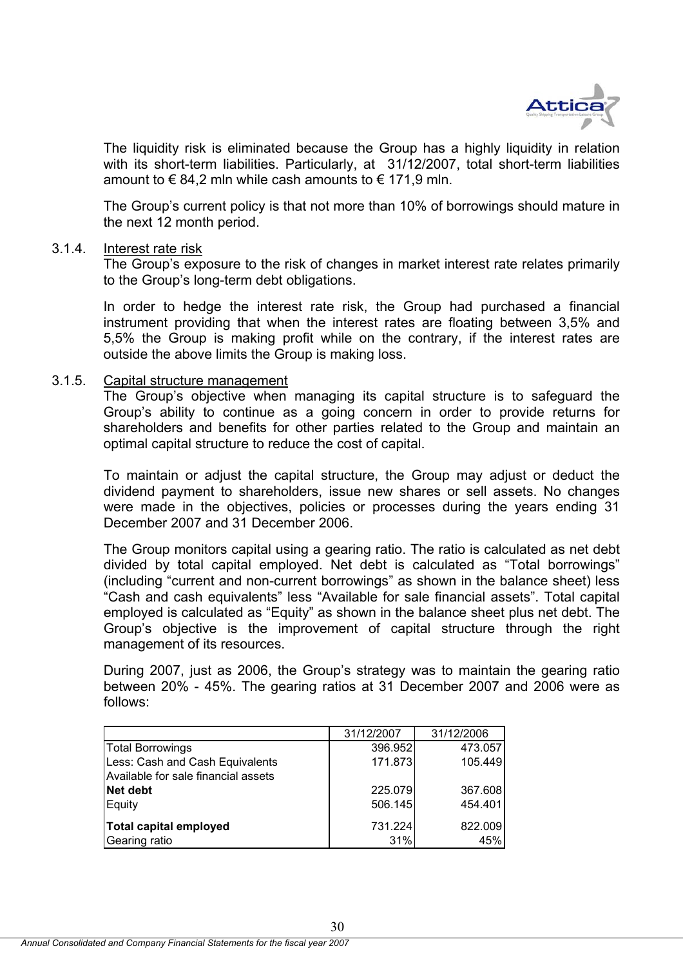

The liquidity risk is eliminated because the Group has a highly liquidity in relation with its short-term liabilities. Particularly, at 31/12/2007, total short-term liabilities amount to  $\epsilon$  84,2 mln while cash amounts to  $\epsilon$  171,9 mln.

The Group's current policy is that not more than 10% of borrowings should mature in the next 12 month period.

### 3.1.4. Interest rate risk

The Group's exposure to the risk of changes in market interest rate relates primarily to the Group's long-term debt obligations.

In order to hedge the interest rate risk, the Group had purchased a financial instrument providing that when the interest rates are floating between 3,5% and 5,5% the Group is making profit while on the contrary, if the interest rates are outside the above limits the Group is making loss.

### 3.1.5. Capital structure management

The Group's objective when managing its capital structure is to safeguard the Group's ability to continue as a going concern in order to provide returns for shareholders and benefits for other parties related to the Group and maintain an optimal capital structure to reduce the cost of capital.

To maintain or adjust the capital structure, the Group may adjust or deduct the dividend payment to shareholders, issue new shares or sell assets. No changes were made in the objectives, policies or processes during the years ending 31 December 2007 and 31 December 2006.

The Group monitors capital using a gearing ratio. The ratio is calculated as net debt divided by total capital employed. Net debt is calculated as "Total borrowings" (including "current and non-current borrowings" as shown in the balance sheet) less "Cash and cash equivalents" less "Available for sale financial assets". Total capital employed is calculated as "Equity" as shown in the balance sheet plus net debt. The Group's objective is the improvement of capital structure through the right management of its resources.

During 2007, just as 2006, the Group's strategy was to maintain the gearing ratio between 20% - 45%. The gearing ratios at 31 December 2007 and 2006 were as follows:

|                                     | 31/12/2007 | 31/12/2006 |
|-------------------------------------|------------|------------|
| <b>Total Borrowings</b>             | 396.952    | 473.057    |
| Less: Cash and Cash Equivalents     | 171.873    | 105.449    |
| Available for sale financial assets |            |            |
| <b>Net debt</b>                     | 225.079    | 367.608    |
| Equity                              | 506.145    | 454.401    |
| Total capital employed              | 731.224    | 822.009    |
| Gearing ratio                       | 31%        | 45%        |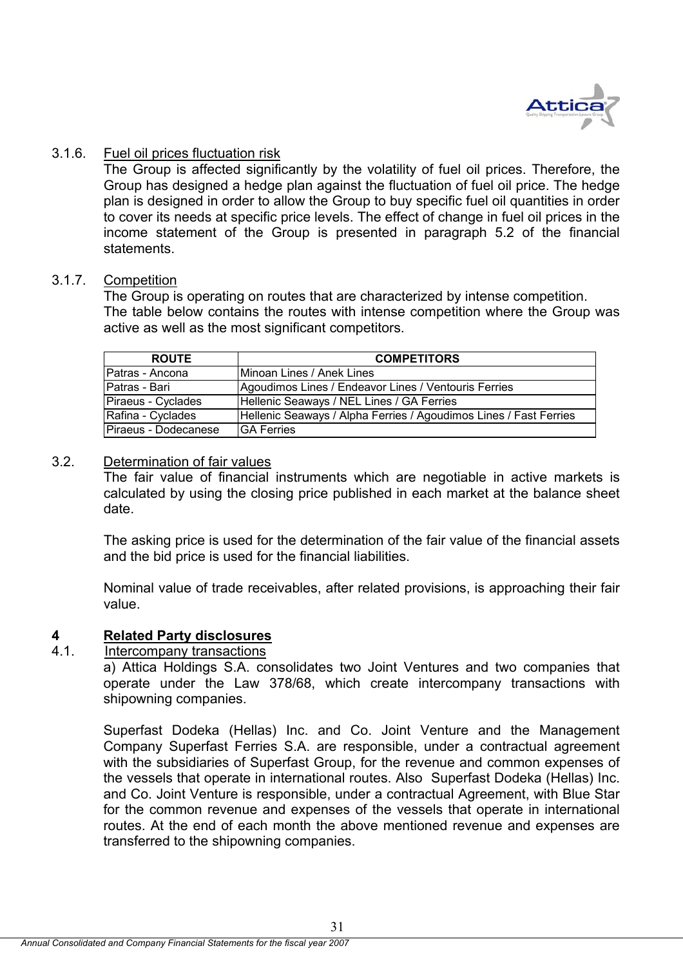

## 3.1.6. Fuel oil prices fluctuation risk

The Group is affected significantly by the volatility of fuel oil prices. Therefore, the Group has designed a hedge plan against the fluctuation of fuel oil price. The hedge plan is designed in order to allow the Group to buy specific fuel oil quantities in order to cover its needs at specific price levels. The effect of change in fuel oil prices in the income statement of the Group is presented in paragraph 5.2 of the financial statements.

## 3.1.7. Competition

The Group is operating on routes that are characterized by intense competition. The table below contains the routes with intense competition where the Group was active as well as the most significant competitors.

| <b>ROUTE</b>         | <b>COMPETITORS</b>                                                |
|----------------------|-------------------------------------------------------------------|
| IPatras - Ancona     | Minoan Lines / Anek Lines                                         |
| Patras - Bari        | Agoudimos Lines / Endeavor Lines / Ventouris Ferries              |
| Piraeus - Cyclades   | Hellenic Seaways / NEL Lines / GA Ferries                         |
| Rafina - Cyclades    | Hellenic Seaways / Alpha Ferries / Agoudimos Lines / Fast Ferries |
| Piraeus - Dodecanese | <b>GA Ferries</b>                                                 |

## 3.2. Determination of fair values

The fair value of financial instruments which are negotiable in active markets is calculated by using the closing price published in each market at the balance sheet date.

The asking price is used for the determination of the fair value of the financial assets and the bid price is used for the financial liabilities.

Nominal value of trade receivables, after related provisions, is approaching their fair value.

## **4 Related Party disclosures**

## 4.1. Intercompany transactions

a) Attica Holdings S.A. consolidates two Joint Ventures and two companies that operate under the Law 378/68, which create intercompany transactions with shipowning companies.

Superfast Dodeka (Hellas) Inc. and Co. Joint Venture and the Management Company Superfast Ferries S.A. are responsible, under a contractual agreement with the subsidiaries of Superfast Group, for the revenue and common expenses of the vessels that operate in international routes. Also Superfast Dodeka (Hellas) Inc. and Co. Joint Venture is responsible, under a contractual Agreement, with Blue Star for the common revenue and expenses of the vessels that operate in international routes. At the end of each month the above mentioned revenue and expenses are transferred to the shipowning companies.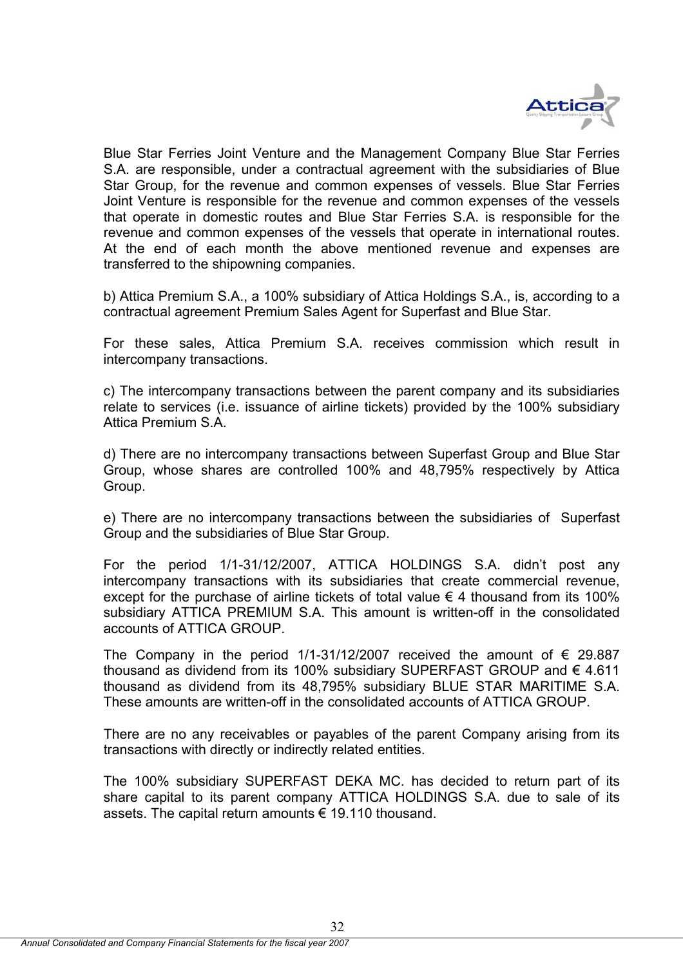

Blue Star Ferries Joint Venture and the Management Company Blue Star Ferries S.A. are responsible, under a contractual agreement with the subsidiaries of Blue Star Group, for the revenue and common expenses of vessels. Blue Star Ferries Joint Venture is responsible for the revenue and common expenses of the vessels that operate in domestic routes and Blue Star Ferries S.A. is responsible for the revenue and common expenses of the vessels that operate in international routes. At the end of each month the above mentioned revenue and expenses are transferred to the shipowning companies.

b) Attica Premium S.A., a 100% subsidiary of Attica Holdings S.A., is, according to a contractual agreement Premium Sales Agent for Superfast and Blue Star.

For these sales, Attica Premium S.A. receives commission which result in intercompany transactions.

c) The intercompany transactions between the parent company and its subsidiaries relate to services (i.e. issuance of airline tickets) provided by the 100% subsidiary Attica Premium S.A.

d) There are no intercompany transactions between Superfast Group and Blue Star Group, whose shares are controlled 100% and 48,795% respectively by Attica Group.

e) There are no intercompany transactions between the subsidiaries of Superfast Group and the subsidiaries of Blue Star Group.

For the period 1/1-31/12/2007, ATTICA HOLDINGS S.A. didn't post any intercompany transactions with its subsidiaries that create commercial revenue, except for the purchase of airline tickets of total value  $\epsilon$  4 thousand from its 100% subsidiary ATTICA PREMIUM S.A. This amount is written-off in the consolidated accounts of ATTICA GROUP.

The Company in the period 1/1-31/12/2007 received the amount of  $\epsilon$  29.887 thousand as dividend from its 100% subsidiary SUPERFAST GROUP and € 4.611 thousand as dividend from its 48,795% subsidiary BLUE STAR MARITIME S.A. These amounts are written-off in the consolidated accounts of ATTICA GROUP.

There are no any receivables or payables of the parent Company arising from its transactions with directly or indirectly related entities.

The 100% subsidiary SUPERFAST DEKA MC. has decided to return part of its share capital to its parent company ATTICA HOLDINGS S.A. due to sale of its assets. The capital return amounts € 19.110 thousand.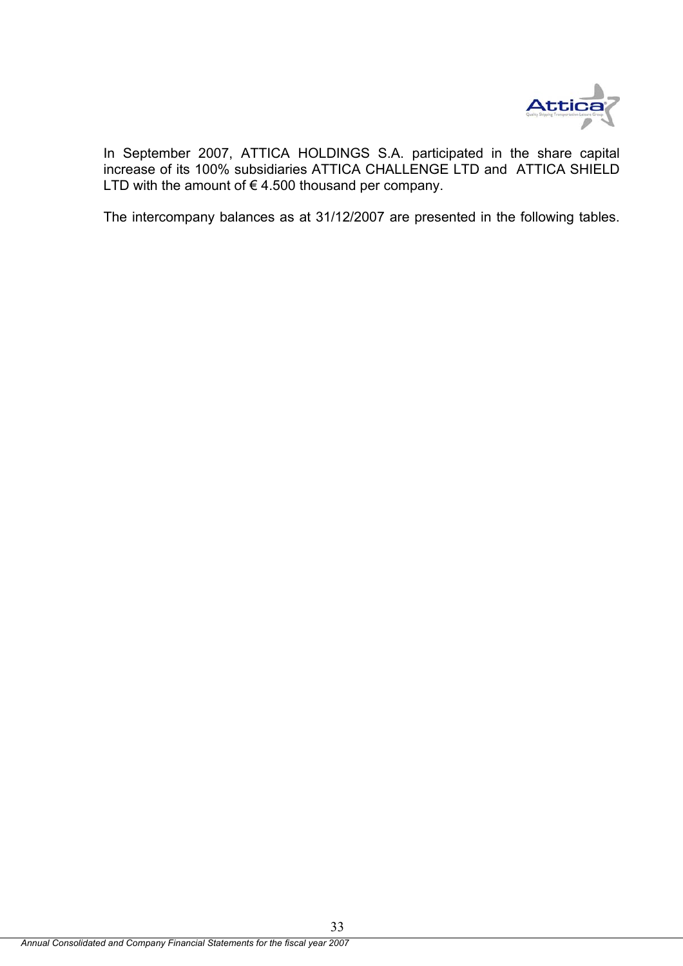

In September 2007, ATTICA HOLDINGS S.A. participated in the share capital increase of its 100% subsidiaries ATTICA CHALLENGE LTD and ATTICA SHIELD LTD with the amount of  $\epsilon$  4.500 thousand per company.

The intercompany balances as at 31/12/2007 are presented in the following tables.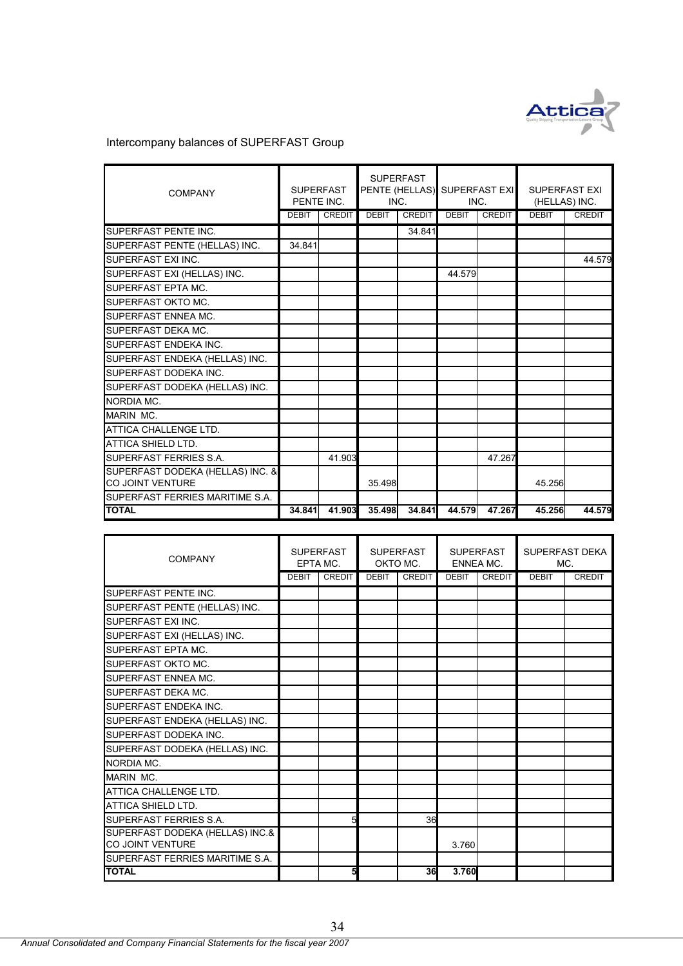

#### Intercompany balances of SUPERFAST Group

| <b>COMPANY</b>                                              | <b>SUPERFAST</b><br>PENTE INC. |               | <b>SUPERFAST</b><br>INC. |               | PENTE (HELLAS) SUPERFAST EXI<br>INC. |               | <b>SUPERFAST EXI</b><br>(HELLAS) INC. |               |
|-------------------------------------------------------------|--------------------------------|---------------|--------------------------|---------------|--------------------------------------|---------------|---------------------------------------|---------------|
|                                                             | <b>DEBIT</b>                   | <b>CREDIT</b> | <b>DEBIT</b>             | <b>CREDIT</b> | <b>DEBIT</b>                         | <b>CREDIT</b> | <b>DEBIT</b>                          | <b>CREDIT</b> |
| SUPERFAST PENTE INC.                                        |                                |               |                          | 34.841        |                                      |               |                                       |               |
| SUPERFAST PENTE (HELLAS) INC.                               | 34.841                         |               |                          |               |                                      |               |                                       |               |
| <b>SUPERFAST EXI INC.</b>                                   |                                |               |                          |               |                                      |               |                                       | 44.579        |
| SUPERFAST EXI (HELLAS) INC.                                 |                                |               |                          |               | 44.579                               |               |                                       |               |
| SUPERFAST EPTA MC.                                          |                                |               |                          |               |                                      |               |                                       |               |
| SUPERFAST OKTO MC.                                          |                                |               |                          |               |                                      |               |                                       |               |
| SUPERFAST ENNEA MC.                                         |                                |               |                          |               |                                      |               |                                       |               |
| SUPERFAST DEKA MC.                                          |                                |               |                          |               |                                      |               |                                       |               |
| <b>SUPERFAST ENDEKA INC.</b>                                |                                |               |                          |               |                                      |               |                                       |               |
| SUPERFAST ENDEKA (HELLAS) INC.                              |                                |               |                          |               |                                      |               |                                       |               |
| SUPERFAST DODEKA INC.                                       |                                |               |                          |               |                                      |               |                                       |               |
| SUPERFAST DODEKA (HELLAS) INC.                              |                                |               |                          |               |                                      |               |                                       |               |
| NORDIA MC.                                                  |                                |               |                          |               |                                      |               |                                       |               |
| MARIN MC.                                                   |                                |               |                          |               |                                      |               |                                       |               |
| ATTICA CHALLENGE LTD.                                       |                                |               |                          |               |                                      |               |                                       |               |
| <b>ATTICA SHIELD LTD.</b>                                   |                                |               |                          |               |                                      |               |                                       |               |
| <b>SUPERFAST FERRIES S.A.</b>                               |                                | 41.903        |                          |               |                                      | 47.267        |                                       |               |
| SUPERFAST DODEKA (HELLAS) INC. &<br><b>CO JOINT VENTURE</b> |                                |               | 35.498                   |               |                                      |               | 45.256                                |               |
| SUPERFAST FERRIES MARITIME S.A.                             |                                |               |                          |               |                                      |               |                                       |               |
| <b>TOTAL</b>                                                | 34.841                         | 41.903        | 35.498                   | 34.841        | 44.579                               | 47.267        | 45.256                                | 44.579        |

| <b>COMPANY</b>                                      | <b>SUPERFAST</b><br>EPTA MC. |               | <b>SUPERFAST</b><br>OKTO MC. |        | <b>SUPERFAST</b><br><b>ENNEA MC.</b> |               | <b>SUPERFAST DEKA</b><br>MC. |               |
|-----------------------------------------------------|------------------------------|---------------|------------------------------|--------|--------------------------------------|---------------|------------------------------|---------------|
|                                                     | <b>DEBIT</b>                 | <b>CREDIT</b> | <b>DEBIT</b>                 | CREDIT | <b>DEBIT</b>                         | <b>CREDIT</b> | <b>DEBIT</b>                 | <b>CREDIT</b> |
| SUPERFAST PENTE INC.                                |                              |               |                              |        |                                      |               |                              |               |
| SUPERFAST PENTE (HELLAS) INC.                       |                              |               |                              |        |                                      |               |                              |               |
| SUPERFAST FXLINC.                                   |                              |               |                              |        |                                      |               |                              |               |
| SUPERFAST EXI (HELLAS) INC.                         |                              |               |                              |        |                                      |               |                              |               |
| <b>SUPERFAST EPTA MC.</b>                           |                              |               |                              |        |                                      |               |                              |               |
| <b>SUPERFAST OKTO MC.</b>                           |                              |               |                              |        |                                      |               |                              |               |
| <b>SUPERFAST ENNEA MC.</b>                          |                              |               |                              |        |                                      |               |                              |               |
| SUPERFAST DEKA MC.                                  |                              |               |                              |        |                                      |               |                              |               |
| SUPERFAST ENDEKA INC.                               |                              |               |                              |        |                                      |               |                              |               |
| SUPERFAST ENDEKA (HELLAS) INC.                      |                              |               |                              |        |                                      |               |                              |               |
| SUPERFAST DODEKA INC.                               |                              |               |                              |        |                                      |               |                              |               |
| SUPERFAST DODEKA (HELLAS) INC.                      |                              |               |                              |        |                                      |               |                              |               |
| NORDIA MC.                                          |                              |               |                              |        |                                      |               |                              |               |
| MARIN MC.                                           |                              |               |                              |        |                                      |               |                              |               |
| ATTICA CHALLENGE LTD.                               |                              |               |                              |        |                                      |               |                              |               |
| ATTICA SHIELD LTD.                                  |                              |               |                              |        |                                      |               |                              |               |
| SUPERFAST FERRIES S.A.                              |                              | 5             |                              | 36     |                                      |               |                              |               |
| SUPERFAST DODEKA (HELLAS) INC.&<br>CO JOINT VENTURE |                              |               |                              |        | 3.760                                |               |                              |               |
| SUPERFAST FERRIES MARITIME S.A.                     |                              |               |                              |        |                                      |               |                              |               |
| <b>TOTAL</b>                                        |                              | 5             |                              | 36     | 3.760                                |               |                              |               |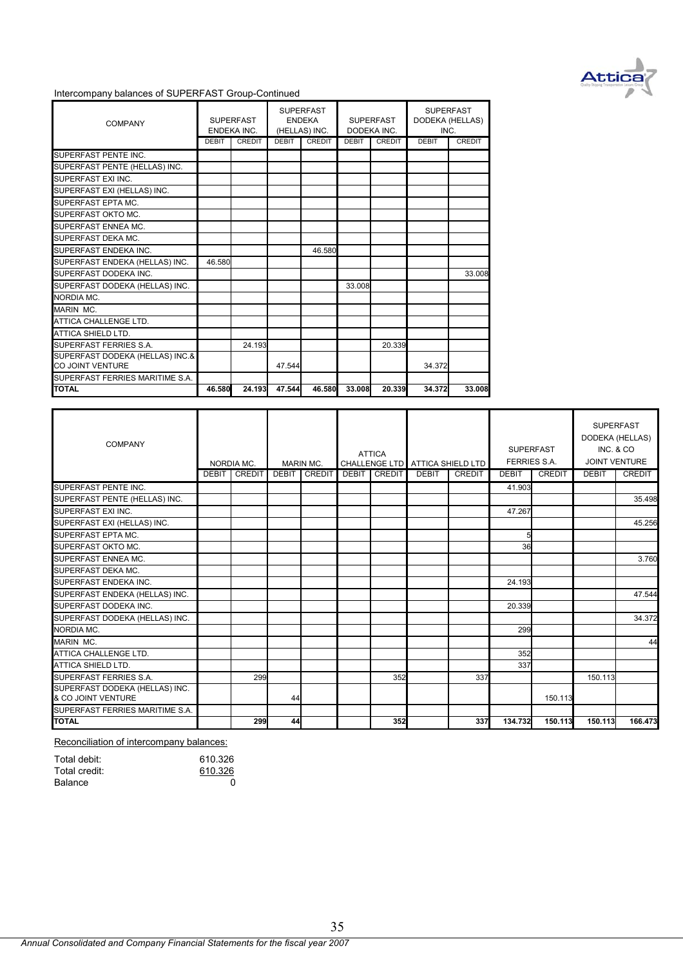

#### Intercompany balances of SUPERFAST Group-Continued

| <b>COMPANY</b>                  |        | <b>SUPERFAST</b><br><b>ENDEKA INC.</b> | <b>SUPERFAST</b><br><b>ENDEKA</b><br>(HELLAS) INC. |               | <b>SUPERFAST</b><br>DODEKA INC. |               | <b>SUPERFAST</b><br>DODEKA (HELLAS)<br>INC. |               |
|---------------------------------|--------|----------------------------------------|----------------------------------------------------|---------------|---------------------------------|---------------|---------------------------------------------|---------------|
|                                 | DEBIT  | <b>CREDIT</b>                          | <b>DEBIT</b>                                       | <b>CREDIT</b> | <b>DEBIT</b>                    | <b>CREDIT</b> | <b>DEBIT</b>                                | <b>CREDIT</b> |
| SUPERFAST PENTE INC.            |        |                                        |                                                    |               |                                 |               |                                             |               |
| SUPERFAST PENTE (HELLAS) INC.   |        |                                        |                                                    |               |                                 |               |                                             |               |
| SUPERFAST EXI INC.              |        |                                        |                                                    |               |                                 |               |                                             |               |
| SUPERFAST EXI (HELLAS) INC.     |        |                                        |                                                    |               |                                 |               |                                             |               |
| SUPERFAST EPTA MC.              |        |                                        |                                                    |               |                                 |               |                                             |               |
| SUPERFAST OKTO MC.              |        |                                        |                                                    |               |                                 |               |                                             |               |
| SUPERFAST ENNEA MC.             |        |                                        |                                                    |               |                                 |               |                                             |               |
| SUPERFAST DEKA MC.              |        |                                        |                                                    |               |                                 |               |                                             |               |
| SUPERFAST ENDEKA INC.           |        |                                        |                                                    | 46.580        |                                 |               |                                             |               |
| SUPERFAST ENDEKA (HELLAS) INC.  | 46.580 |                                        |                                                    |               |                                 |               |                                             |               |
| SUPERFAST DODEKA INC.           |        |                                        |                                                    |               |                                 |               |                                             | 33.008        |
| SUPERFAST DODEKA (HELLAS) INC.  |        |                                        |                                                    |               | 33.008                          |               |                                             |               |
| NORDIA MC.                      |        |                                        |                                                    |               |                                 |               |                                             |               |
| MARIN MC.                       |        |                                        |                                                    |               |                                 |               |                                             |               |
| ATTICA CHALLENGE LTD.           |        |                                        |                                                    |               |                                 |               |                                             |               |
| <b>ATTICA SHIELD LTD.</b>       |        |                                        |                                                    |               |                                 |               |                                             |               |
| SUPERFAST FERRIES S.A.          |        | 24.193                                 |                                                    |               |                                 | 20.339        |                                             |               |
| SUPERFAST DODEKA (HELLAS) INC.& |        |                                        |                                                    |               |                                 |               |                                             |               |
| <b>CO JOINT VENTURE</b>         |        |                                        | 47.544                                             |               |                                 |               | 34.372                                      |               |
| SUPERFAST FERRIES MARITIME S.A. |        |                                        |                                                    |               |                                 |               |                                             |               |
| <b>TOTAL</b>                    | 46.580 | 24.193                                 | 47.544                                             | 46.580        | 33.008                          | 20.339        | 34.372                                      | 33.008        |

| COMPANY                                              |              | NORDIA MC.    |              | <b>MARIN MC.</b> | <b>ATTICA</b>       | CHALLENGE LTD ATTICA SHIELD LTD |        | <b>SUPERFAST</b> | <b>FERRIES S.A.</b> | <b>SUPERFAST</b><br>DODEKA (HELLAS)<br>INC. & CO<br>JOINT VENTURE |               |
|------------------------------------------------------|--------------|---------------|--------------|------------------|---------------------|---------------------------------|--------|------------------|---------------------|-------------------------------------------------------------------|---------------|
|                                                      | <b>DEBIT</b> | <b>CREDIT</b> | <b>DEBIT</b> | <b>CREDIT</b>    | <b>DEBIT CREDIT</b> | <b>DEBIT</b>                    | CREDIT | <b>DEBIT</b>     | <b>CREDIT</b>       | <b>DEBIT</b>                                                      | <b>CREDIT</b> |
| SUPERFAST PENTE INC.                                 |              |               |              |                  |                     |                                 |        | 41.903           |                     |                                                                   |               |
| SUPERFAST PENTE (HELLAS) INC.                        |              |               |              |                  |                     |                                 |        |                  |                     |                                                                   | 35.498        |
| SUPERFAST EXI INC.                                   |              |               |              |                  |                     |                                 |        | 47.267           |                     |                                                                   |               |
| SUPERFAST EXI (HELLAS) INC.                          |              |               |              |                  |                     |                                 |        |                  |                     |                                                                   | 45.256        |
| SUPERFAST EPTA MC.                                   |              |               |              |                  |                     |                                 |        |                  |                     |                                                                   |               |
| SUPERFAST OKTO MC.                                   |              |               |              |                  |                     |                                 |        | 36               |                     |                                                                   |               |
| SUPERFAST ENNEA MC.                                  |              |               |              |                  |                     |                                 |        |                  |                     |                                                                   | 3.760         |
| SUPERFAST DEKA MC.                                   |              |               |              |                  |                     |                                 |        |                  |                     |                                                                   |               |
| SUPERFAST ENDEKA INC.                                |              |               |              |                  |                     |                                 |        | 24.193           |                     |                                                                   |               |
| SUPERFAST ENDEKA (HELLAS) INC.                       |              |               |              |                  |                     |                                 |        |                  |                     |                                                                   | 47.544        |
| SUPERFAST DODEKA INC.                                |              |               |              |                  |                     |                                 |        | 20.339           |                     |                                                                   |               |
| SUPERFAST DODEKA (HELLAS) INC.                       |              |               |              |                  |                     |                                 |        |                  |                     |                                                                   | 34.372        |
| NORDIA MC.                                           |              |               |              |                  |                     |                                 |        | 299              |                     |                                                                   |               |
| MARIN MC.                                            |              |               |              |                  |                     |                                 |        |                  |                     |                                                                   | 44            |
| ATTICA CHALLENGE LTD.                                |              |               |              |                  |                     |                                 |        | 352              |                     |                                                                   |               |
| ATTICA SHIELD LTD.                                   |              |               |              |                  |                     |                                 |        | 337              |                     |                                                                   |               |
| SUPERFAST FERRIES S.A.                               |              | 299           |              |                  | 352                 |                                 | 337    |                  |                     | 150.113                                                           |               |
| SUPERFAST DODEKA (HELLAS) INC.<br>& CO JOINT VENTURE |              |               | 44           |                  |                     |                                 |        |                  | 150.113             |                                                                   |               |
| SUPERFAST FERRIES MARITIME S.A.                      |              |               |              |                  |                     |                                 |        |                  |                     |                                                                   |               |
| <b>TOTAL</b>                                         |              | 299           | 44           |                  | 352                 |                                 | 337    | 134.732          | 150.113             | 150.113                                                           | 166.473       |

Reconciliation of intercompany balances:

| Total debit:  | 610.326 |
|---------------|---------|
| Total credit: | 610.326 |
| Balance       | ŋ       |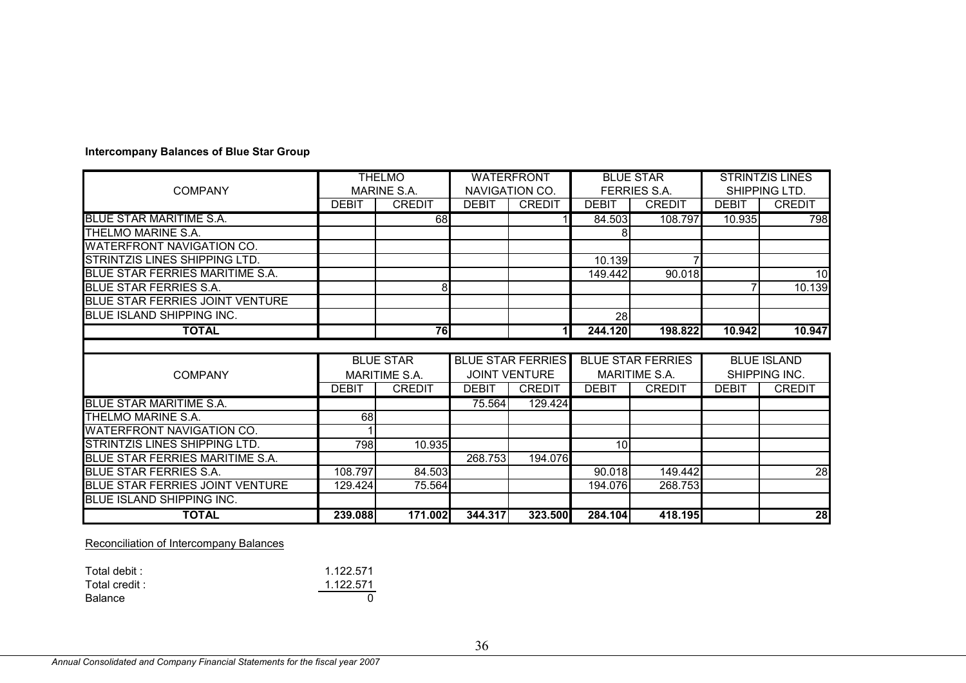|                                        | <b>THELMO</b> |                  | <b>WATERFRONT</b>        |                |                          | <b>BLUE STAR</b>    | <b>STRINTZIS LINES</b> |                 |  |
|----------------------------------------|---------------|------------------|--------------------------|----------------|--------------------------|---------------------|------------------------|-----------------|--|
| <b>COMPANY</b>                         |               | MARINE S.A.      |                          | NAVIGATION CO. |                          | <b>FERRIES S.A.</b> |                        | SHIPPING LTD.   |  |
|                                        | <b>DEBIT</b>  | <b>CREDIT</b>    | <b>DEBIT</b>             | <b>CREDIT</b>  | <b>DEBIT</b>             | <b>CREDIT</b>       | <b>DEBIT</b>           | <b>CREDIT</b>   |  |
| <b>BLUE STAR MARITIME S.A.</b>         |               | 68               |                          |                | 84.503                   | 108.797             | 10.935                 | 798             |  |
| THELMO MARINE S.A.                     |               |                  |                          |                |                          |                     |                        |                 |  |
| <b>WATERFRONT NAVIGATION CO.</b>       |               |                  |                          |                |                          |                     |                        |                 |  |
| STRINTZIS LINES SHIPPING LTD.          |               |                  |                          |                | 10.139                   |                     |                        |                 |  |
| BLUE STAR FERRIES MARITIME S.A.        |               |                  |                          |                | 149.442                  | 90.018              |                        | 10              |  |
| <b>BLUE STAR FERRIES S.A.</b>          |               | 8                |                          |                |                          |                     |                        | 10.139          |  |
| <b>BLUE STAR FERRIES JOINT VENTURE</b> |               |                  |                          |                |                          |                     |                        |                 |  |
| <b>BLUE ISLAND SHIPPING INC.</b>       |               |                  |                          |                | 28                       |                     |                        |                 |  |
| <b>TOTAL</b>                           |               | 76               |                          | 11             | 244.120                  | 198.822             | 10.942                 | 10.947          |  |
|                                        |               |                  |                          |                |                          |                     |                        |                 |  |
|                                        |               | <b>BLUE STAR</b> | <b>BLUE STAR FERRIES</b> |                | <b>BLUE STAR FERRIES</b> |                     | <b>BLUE ISLAND</b>     |                 |  |
| <b>COMPANY</b>                         | MARITIME S.A. |                  | <b>JOINT VENTURE</b>     |                | MARITIME S.A.            |                     | SHIPPING INC.          |                 |  |
|                                        | <b>DEBIT</b>  | <b>CREDIT</b>    | <b>DEBIT</b>             | <b>CREDIT</b>  | <b>DEBIT</b>             | <b>CREDIT</b>       | <b>DEBIT</b>           | <b>CREDIT</b>   |  |
| <b>BLUE STAR MARITIME S.A.</b>         |               |                  | 75.564                   | 129.424        |                          |                     |                        |                 |  |
| THELMO MARINE S.A.                     | 68            |                  |                          |                |                          |                     |                        |                 |  |
| <b>WATERFRONT NAVIGATION CO.</b>       |               |                  |                          |                |                          |                     |                        |                 |  |
| STRINTZIS LINES SHIPPING LTD.          | 798           | 10.935           |                          |                | 10 <sup>1</sup>          |                     |                        |                 |  |
| BLUE STAR FERRIES MARITIME S.A.        |               |                  | 268.753                  | 194.076        |                          |                     |                        |                 |  |
| <b>BLUE STAR FERRIES S.A.</b>          | 108.797       | 84.503           |                          |                | 90.018                   | 149.442             |                        | 28              |  |
| <b>BLUE STAR FERRIES JOINT VENTURE</b> | 129.424       | 75.564           |                          |                | 194.076                  | 268.753             |                        |                 |  |
| <b>BLUE ISLAND SHIPPING INC.</b>       |               |                  |                          |                |                          |                     |                        |                 |  |
| <b>TOTAL</b>                           | 239.088       | 171.002          | 344.317                  | 323.500        | 284.104                  | 418.195             |                        | $\overline{28}$ |  |

#### **Intercompany Balances of Blue Star Group**

Reconciliation of Intercompany Balances

| Total debit : | 1.122.571 |
|---------------|-----------|
| Total credit: | 1.122.571 |
| Balance       |           |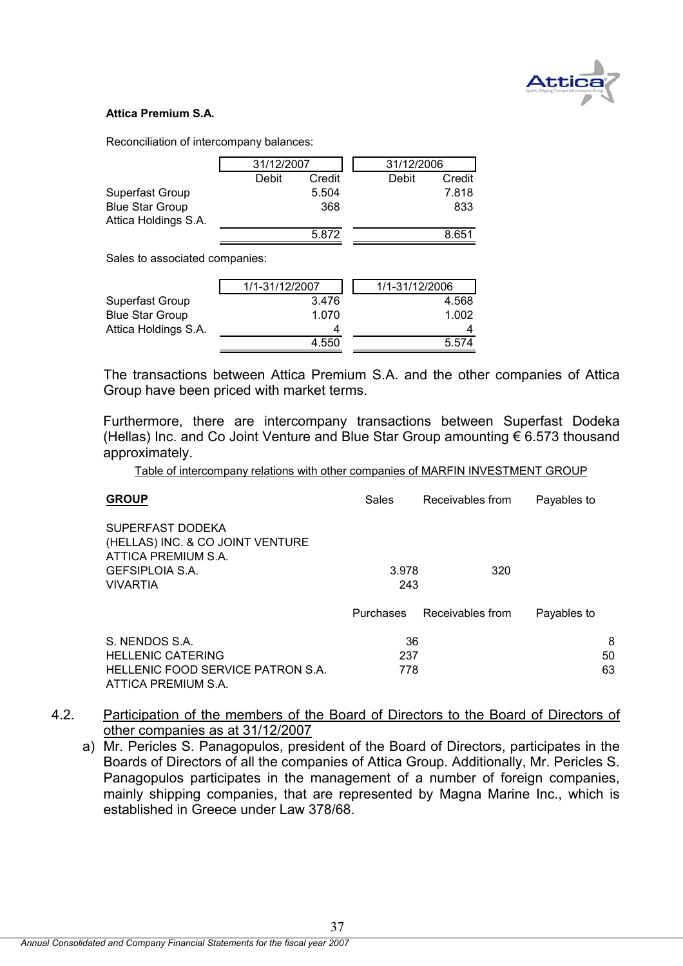

#### **Attica Premium S.A.**

Reconciliation of intercompany balances:

|                        | 31/12/2007 | 31/12/2006 |       |        |
|------------------------|------------|------------|-------|--------|
|                        | Debit      | Credit     | Debit | Credit |
| Superfast Group        |            | 5.504      |       | 7.818  |
| <b>Blue Star Group</b> |            | 368        |       | 833    |
| Attica Holdings S.A.   |            |            |       |        |
|                        |            | 5.872      |       | 8.651  |

Sales to associated companies:

| 1/1-31/12/2007 | 1/1-31/12/2006 |
|----------------|----------------|
| 3.476          | 4.568          |
| 1.070          | 1.002          |
|                |                |
| 4.550          | 5.574          |
|                |                |

The transactions between Attica Premium S.A. and the other companies of Attica Group have been priced with market terms.

Furthermore, there are intercompany transactions between Superfast Dodeka (Hellas) Inc. and Co Joint Venture and Blue Star Group amounting  $\epsilon$  6.573 thousand approximately.

Table of intercompany relations with other companies of MARFIN INVESTMENT GROUP

| <b>GROUP</b>                                                                | Sales            | Receivables from | Payables to |
|-----------------------------------------------------------------------------|------------------|------------------|-------------|
| SUPERFAST DODEKA<br>(HELLAS) INC. & CO JOINT VENTURE<br>ATTICA PREMIUM S.A. |                  |                  |             |
| <b>GEFSIPLOIA S.A.</b>                                                      | 3.978            | 320              |             |
| <b>VIVARTIA</b>                                                             | 243              |                  |             |
|                                                                             | <b>Purchases</b> | Receivables from | Payables to |
| S. NENDOS S.A.                                                              | 36               |                  | 8           |
| <b>HELLENIC CATERING</b>                                                    | 237              |                  | 50          |
| HELLENIC FOOD SERVICE PATRON S.A.<br>ATTICA PREMIUM S.A.                    | 778              |                  | 63          |

- 4.2. Participation of the members of the Board of Directors to the Board of Directors of other companies as at 31/12/2007
	- a) Mr. Pericles S. Panagopulos, president of the Board of Directors, participates in the Boards of Directors of all the companies of Attica Group. Additionally, Mr. Pericles S. Panagopulos participates in the management of a number of foreign companies, mainly shipping companies, that are represented by Magna Marine Inc., which is established in Greece under Law 378/68.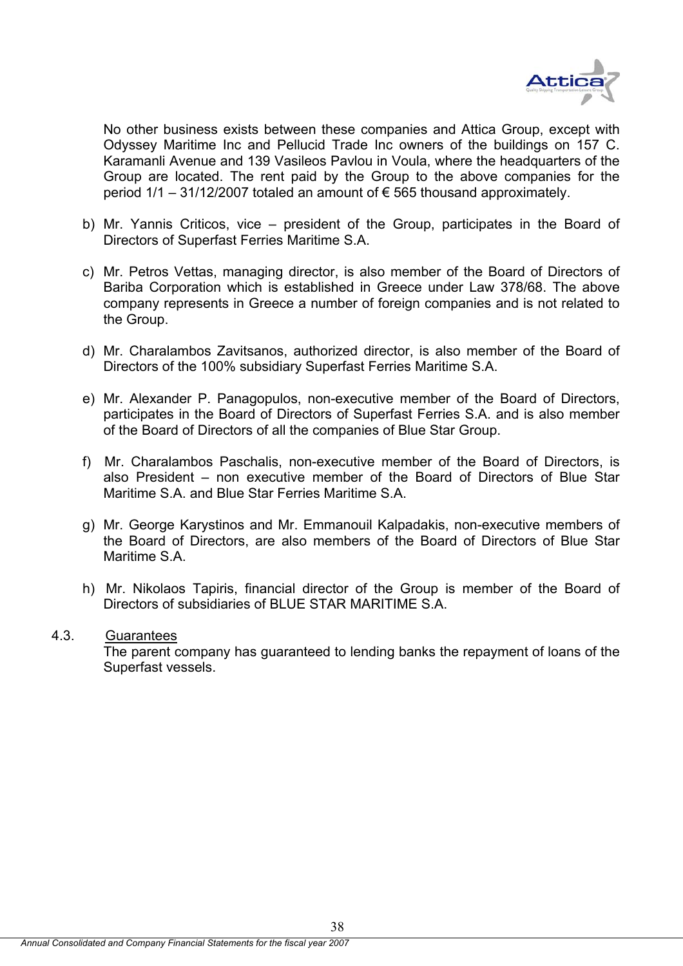

No other business exists between these companies and Attica Group, except with Odyssey Maritime Inc and Pellucid Trade Inc owners of the buildings on 157 C. Karamanli Avenue and 139 Vasileos Pavlou in Voula, where the headquarters of the Group are located. The rent paid by the Group to the above companies for the period  $1/1 - 31/12/2007$  totaled an amount of  $\epsilon$  565 thousand approximately.

- b) Mr. Yannis Criticos, vice president of the Group, participates in the Board of Directors of Superfast Ferries Maritime S.A.
- c) Mr. Petros Vettas, managing director, is also member of the Board of Directors of Bariba Corporation which is established in Greece under Law 378/68. The above company represents in Greece a number of foreign companies and is not related to the Group.
- d) Mr. Charalambos Zavitsanos, authorized director, is also member of the Board of Directors of the 100% subsidiary Superfast Ferries Maritime S.A.
- e) Mr. Alexander P. Panagopulos, non-executive member of the Board of Directors, participates in the Board of Directors of Superfast Ferries S.A. and is also member of the Board of Directors of all the companies of Blue Star Group.
- f) Mr. Charalambos Paschalis, non-executive member of the Board of Directors, is also President – non executive member of the Board of Directors of Blue Star Maritime S.A. and Blue Star Ferries Maritime S.A.
- g) Mr. George Karystinos and Mr. Emmanouil Kalpadakis, non-executive members of the Board of Directors, are also members of the Board of Directors of Blue Star Maritime S.A.
- h) Mr. Nikolaos Tapiris, financial director of the Group is member of the Board of Directors of subsidiaries of BLUE STAR MARITIME S.A.

## 4.3. Guarantees

 The parent company has guaranteed to lending banks the repayment of loans of the Superfast vessels.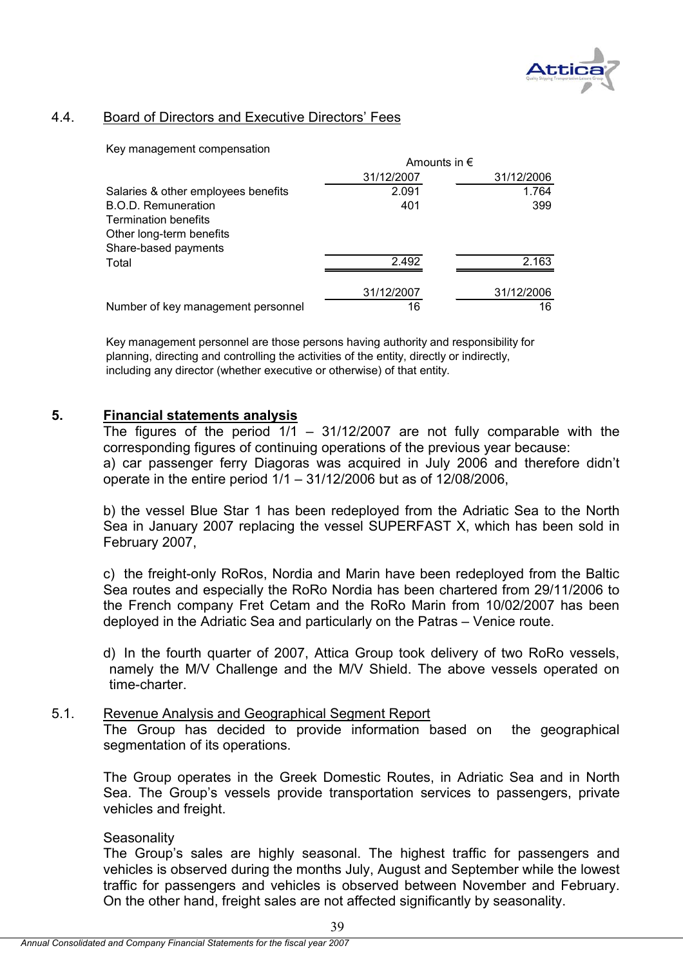

## 4.4. Board of Directors and Executive Directors' Fees

Key management compensation

|                                     | Amounts in $\epsilon$ |            |  |
|-------------------------------------|-----------------------|------------|--|
|                                     | 31/12/2007            | 31/12/2006 |  |
| Salaries & other employees benefits | 2.091                 | 1.764      |  |
| <b>B.O.D. Remuneration</b>          | 401                   | 399        |  |
| <b>Termination benefits</b>         |                       |            |  |
| Other long-term benefits            |                       |            |  |
| Share-based payments                |                       |            |  |
| Total                               | 2.492                 | 2.163      |  |
|                                     | 31/12/2007            | 31/12/2006 |  |
| Number of key management personnel  | 16                    | 16         |  |

Key management personnel are those persons having authority and responsibility for planning, directing and controlling the activities of the entity, directly or indirectly, including any director (whether executive or otherwise) of that entity.

## **5. Financial statements analysis**

The figures of the period  $1/1$  – 31/12/2007 are not fully comparable with the corresponding figures of continuing operations of the previous year because: a) car passenger ferry Diagoras was acquired in July 2006 and therefore didn't operate in the entire period 1/1 – 31/12/2006 but as of 12/08/2006,

b) the vessel Blue Star 1 has been redeployed from the Adriatic Sea to the North Sea in January 2007 replacing the vessel SUPERFAST X, which has been sold in February 2007,

c) the freight-only RoRos, Nordia and Marin have been redeployed from the Baltic Sea routes and especially the RoRo Nordia has been chartered from 29/11/2006 to the French company Fret Cetam and the RoRo Marin from 10/02/2007 has been deployed in the Adriatic Sea and particularly on the Patras – Venice route.

d) In the fourth quarter of 2007, Attica Group took delivery of two RoRo vessels, namely the M/V Challenge and the M/V Shield. The above vessels operated on time-charter.

## 5.1. Revenue Analysis and Geographical Segment Report

The Group has decided to provide information based on the geographical segmentation of its operations.

The Group operates in the Greek Domestic Routes, in Adriatic Sea and in North Sea. The Group's vessels provide transportation services to passengers, private vehicles and freight.

## **Seasonality**

The Group's sales are highly seasonal. The highest traffic for passengers and vehicles is observed during the months July, August and September while the lowest traffic for passengers and vehicles is observed between November and February. On the other hand, freight sales are not affected significantly by seasonality.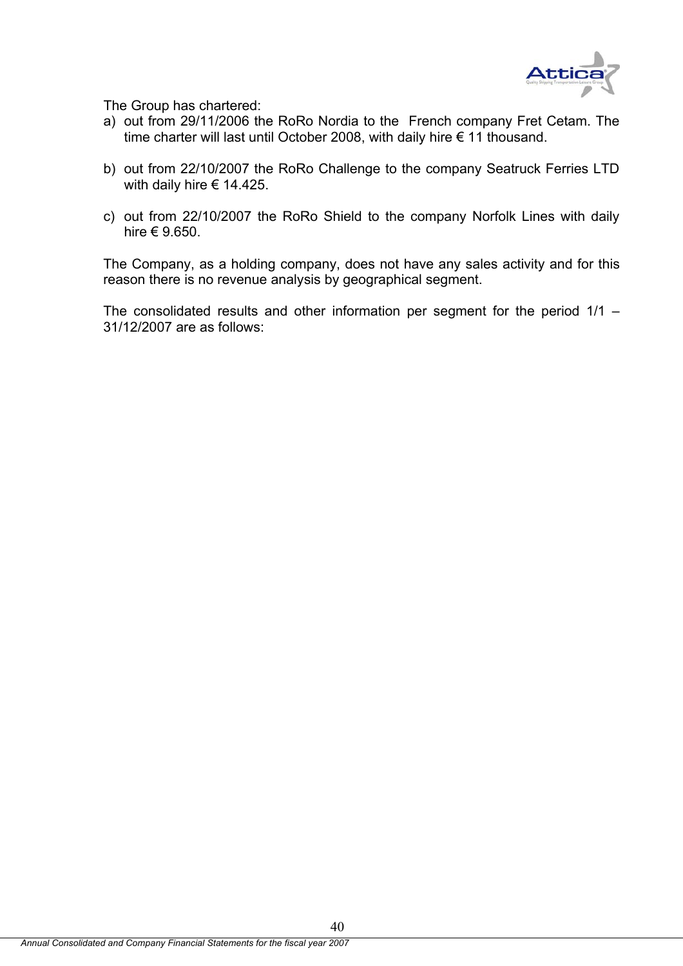

Τhe Group has chartered:

- a) out from 29/11/2006 the RoRo Nordia to the French company Fret Cetam. The time charter will last until October 2008, with daily hire € 11 thousand.
- b) out from 22/10/2007 the RoRo Challenge to the company Seatruck Ferries LTD with daily hire  $\epsilon$  14.425.
- c) out from 22/10/2007 the RoRo Shield to the company Norfolk Lines with daily hire € 9.650.

The Company, as a holding company, does not have any sales activity and for this reason there is no revenue analysis by geographical segment.

The consolidated results and other information per segment for the period  $1/1 -$ 31/12/2007 are as follows: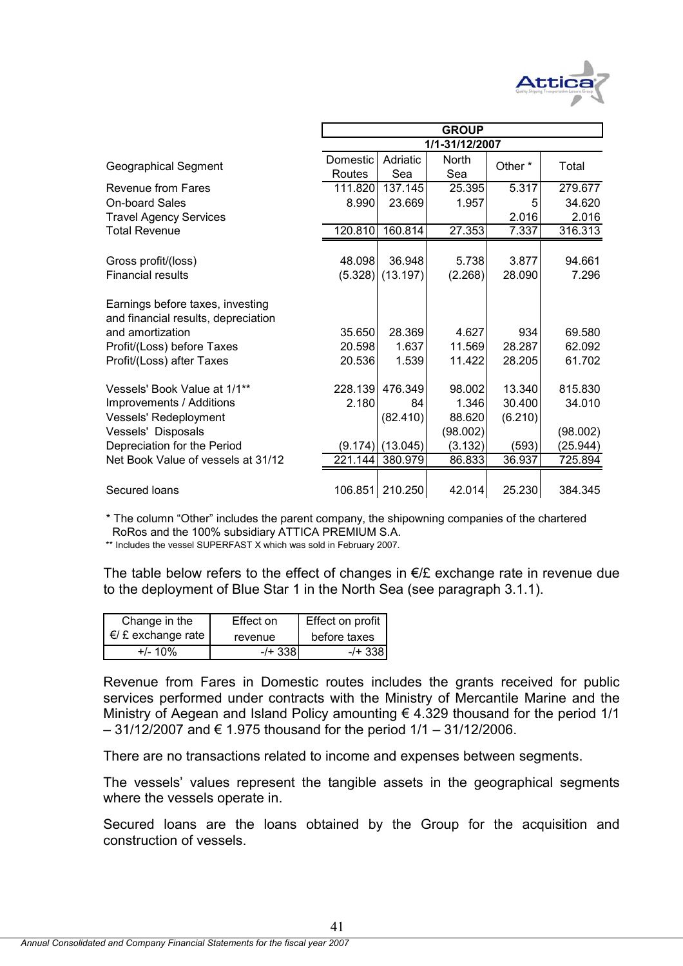

|                                                                         | <b>GROUP</b> |                 |          |         |          |  |
|-------------------------------------------------------------------------|--------------|-----------------|----------|---------|----------|--|
|                                                                         |              |                 |          |         |          |  |
| <b>Geographical Segment</b>                                             | Domestic     | Adriatic        | North    | Other*  | Total    |  |
|                                                                         | Routes       | Sea             | Sea      |         |          |  |
| Revenue from Fares                                                      | 111.820      | 137.145         | 25.395   | 5.317   | 279.677  |  |
| <b>On-board Sales</b>                                                   | 8.990        | 23.669          | 1.957    | 5       | 34.620   |  |
| <b>Travel Agency Services</b>                                           |              |                 |          | 2.016   | 2.016    |  |
| <b>Total Revenue</b>                                                    | 120.810      | 160.814         | 27.353   | 7.337   | 316.313  |  |
|                                                                         |              |                 |          |         |          |  |
| Gross profit/(loss)                                                     | 48.098       | 36.948          | 5.738    | 3.877   | 94.661   |  |
| <b>Financial results</b>                                                | (5.328)      | (13.197)        | (2.268)  | 28.090  | 7.296    |  |
| Earnings before taxes, investing<br>and financial results, depreciation |              |                 |          |         |          |  |
| and amortization                                                        | 35.650       | 28.369          | 4.627    | 934     | 69.580   |  |
| Profit/(Loss) before Taxes                                              | 20.598       | 1.637           | 11.569   | 28.287  | 62.092   |  |
| Profit/(Loss) after Taxes                                               | 20.536       | 1.539           | 11.422   | 28.205  | 61.702   |  |
| Vessels' Book Value at 1/1**                                            |              | 228.139 476.349 | 98.002   | 13.340  | 815.830  |  |
| Improvements / Additions                                                | 2.180        | 84              | 1.346    | 30.400  | 34.010   |  |
| Vessels' Redeployment                                                   |              | (82.410)        | 88.620   | (6.210) |          |  |
| Vessels' Disposals                                                      |              |                 | (98.002) |         | (98.002) |  |
| Depreciation for the Period                                             | (9.174)      | (13.045)        | (3.132)  | (593)   | (25.944) |  |
| Net Book Value of vessels at 31/12                                      | 221.144      | 380.979         | 86.833   | 36.937  | 725.894  |  |
| Secured loans                                                           | 106.851      | 210.250         | 42.014   | 25.230  | 384.345  |  |

\* The column "Other" includes the parent company, the shipowning companies of the chartered RoRos and the 100% subsidiary ATTICA PREMIUM S.A.

\*\* Includes the vessel SUPERFAST X which was sold in February 2007.

The table below refers to the effect of changes in  $E/E$  exchange rate in revenue due to the deployment of Blue Star 1 in the North Sea (see paragraph 3.1.1).

| Change in the              | Effect on  | Effect on profit |
|----------------------------|------------|------------------|
| $\epsilon$ £ exchange rate | revenue    | before taxes     |
| $+/- 10\%$                 | $-$ /+ 338 | -/+ 3381         |

Revenue from Fares in Domestic routes includes the grants received for public services performed under contracts with the Ministry of Mercantile Marine and the Ministry of Aegean and Island Policy amounting  $\epsilon$  4.329 thousand for the period 1/1  $-31/12/2007$  and € 1.975 thousand for the period  $1/1 - 31/12/2006$ .

There are no transactions related to income and expenses between segments.

The vessels' values represent the tangible assets in the geographical segments where the vessels operate in.

Secured loans are the loans obtained by the Group for the acquisition and construction of vessels.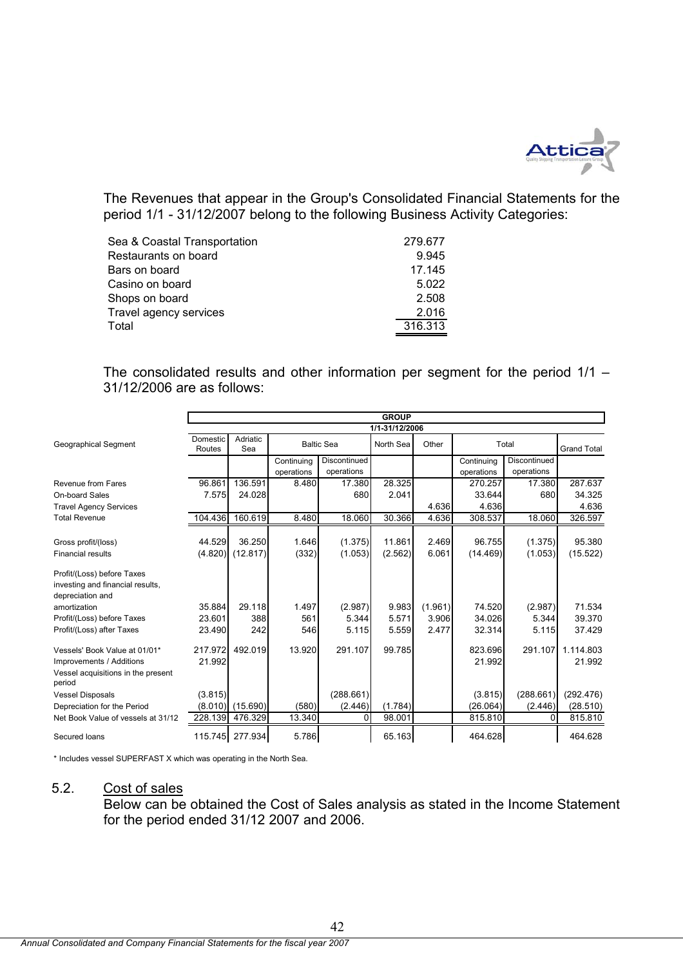

The Revenues that appear in the Group's Consolidated Financial Statements for the period 1/1 - 31/12/2007 belong to the following Business Activity Categories:

| Sea & Coastal Transportation | 279.677 |
|------------------------------|---------|
| Restaurants on board         | 9.945   |
| Bars on board                | 17.145  |
| Casino on board              | 5.022   |
| Shops on board               | 2.508   |
| Travel agency services       | 2.016   |
| Total                        | 316.313 |
|                              |         |

The consolidated results and other information per segment for the period 1/1 – 31/12/2006 are as follows:

|                                                                                                           | <b>GROUP</b>       |                 |                          |                            |           |         |                          |                            |                     |
|-----------------------------------------------------------------------------------------------------------|--------------------|-----------------|--------------------------|----------------------------|-----------|---------|--------------------------|----------------------------|---------------------|
|                                                                                                           | 1/1-31/12/2006     |                 |                          |                            |           |         |                          |                            |                     |
| Geographical Segment                                                                                      | Domestic<br>Routes | Adriatic<br>Sea |                          | <b>Baltic Sea</b>          | North Sea | Other   |                          | Total                      | <b>Grand Total</b>  |
|                                                                                                           |                    |                 | Continuing<br>operations | Discontinued<br>operations |           |         | Continuing<br>operations | Discontinued<br>operations |                     |
| Revenue from Fares                                                                                        | 96.861             | 136.591         | 8.480                    | 17.380                     | 28.325    |         | 270.257                  | 17.380                     | 287.637             |
| On-board Sales                                                                                            | 7.575              | 24.028          |                          | 680                        | 2.041     |         | 33.644                   | 680                        | 34.325              |
| <b>Travel Agency Services</b>                                                                             |                    |                 |                          |                            |           | 4.636   | 4.636                    |                            | 4.636               |
| <b>Total Revenue</b>                                                                                      | 104.436            | 160.619         | 8.480                    | 18.060                     | 30.366    | 4.636   | 308.537                  | 18.060                     | 326.597             |
| Gross profit/(loss)                                                                                       | 44.529             | 36.250          | 1.646                    | (1.375)                    | 11.861    | 2.469   | 96.755                   | (1.375)                    | 95.380              |
| <b>Financial results</b>                                                                                  | (4.820)            | (12.817)        | (332)                    | (1.053)                    | (2.562)   | 6.061   | (14.469)                 | (1.053)                    | (15.522)            |
| Profit/(Loss) before Taxes<br>investing and financial results,<br>depreciation and                        |                    |                 |                          |                            |           |         |                          |                            |                     |
| amortization                                                                                              | 35.884             | 29.118          | 1.497                    | (2.987)                    | 9.983     | (1.961) | 74.520                   | (2.987)                    | 71.534              |
| Profit/(Loss) before Taxes                                                                                | 23.601             | 388             | 561                      | 5.344                      | 5.571     | 3.906   | 34.026                   | 5.344                      | 39.370              |
| Profit/(Loss) after Taxes                                                                                 | 23.490             | 242             | 546                      | 5.115                      | 5.559     | 2.477   | 32.314                   | 5.115                      | 37.429              |
| Vessels' Book Value at 01/01*<br>Improvements / Additions<br>Vessel acquisitions in the present<br>period | 217.972<br>21.992  | 492.019         | 13.920                   | 291.107                    | 99.785    |         | 823.696<br>21.992        | 291.107                    | 1.114.803<br>21.992 |
| <b>Vessel Disposals</b>                                                                                   | (3.815)            |                 |                          | (288.661)                  |           |         | (3.815)                  | (288.661)                  | (292.476)           |
| Depreciation for the Period                                                                               | (8.010)            | (15.690)        | (580)                    | (2.446)                    | (1.784)   |         | (26.064)                 | (2.446)                    | (28.510)            |
| Net Book Value of vessels at 31/12                                                                        | 228.139            | 476.329         | 13.340                   | 0                          | 98.001    |         | 815.810                  | $\Omega$                   | 815.810             |
| Secured Ioans                                                                                             |                    | 115.745 277.934 | 5.786                    |                            | 65.163    |         | 464.628                  |                            | 464.628             |

\* Includes vessel SUPERFAST X which was operating in the North Sea.

## 5.2. Cost of sales

Below can be obtained the Cost of Sales analysis as stated in the Income Statement for the period ended 31/12 2007 and 2006.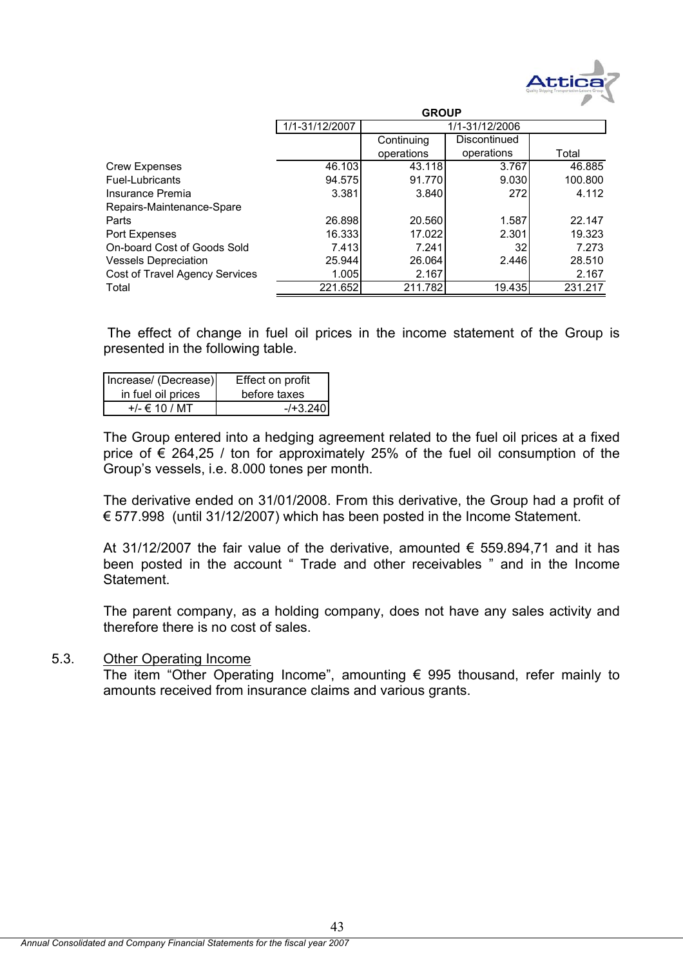

|                                | <b>GROUP</b>   |            |              |         |  |
|--------------------------------|----------------|------------|--------------|---------|--|
|                                | 1/1-31/12/2007 |            |              |         |  |
|                                |                | Continuing | Discontinued |         |  |
|                                |                | operations | operations   | Total   |  |
| <b>Crew Expenses</b>           | 46.103         | 43.118     | 3.767        | 46.885  |  |
| Fuel-Lubricants                | 94.575         | 91.770     | 9.030        | 100.800 |  |
| Insurance Premia               | 3.381          | 3.840      | 272          | 4.112   |  |
| Repairs-Maintenance-Spare      |                |            |              |         |  |
| Parts                          | 26.898         | 20.560     | 1.587        | 22.147  |  |
| Port Expenses                  | 16.333         | 17.022     | 2.301        | 19.323  |  |
| On-board Cost of Goods Sold    | 7.413          | 7.241      | 32           | 7.273   |  |
| <b>Vessels Depreciation</b>    | 25.944         | 26.064     | 2.446        | 28.510  |  |
| Cost of Travel Agency Services | 1.005          | 2.167      |              | 2.167   |  |
| Total                          | 221.652        | 211.782    | 19.435       | 231.217 |  |

 The effect of change in fuel oil prices in the income statement of the Group is presented in the following table.

| Increase/ (Decrease) | Effect on profit |
|----------------------|------------------|
| in fuel oil prices   | before taxes     |
| +/- € 10 / MT        | $-1 + 3.240$     |

The Group entered into a hedging agreement related to the fuel oil prices at a fixed price of  $\epsilon$  264,25 / ton for approximately 25% of the fuel oil consumption of the Group's vessels, i.e. 8.000 tones per month.

The derivative ended on 31/01/2008. From this derivative, the Group had a profit of € 577.998 (until 31/12/2007) which has been posted in the Income Statement.

At 31/12/2007 the fair value of the derivative, amounted  $\epsilon$  559.894,71 and it has been posted in the account " Trade and other receivables " and in the Income Statement.

The parent company, as a holding company, does not have any sales activity and therefore there is no cost of sales.

## 5.3. Other Operating Income

The item "Other Operating Income", amounting  $\epsilon$  995 thousand, refer mainly to amounts received from insurance claims and various grants.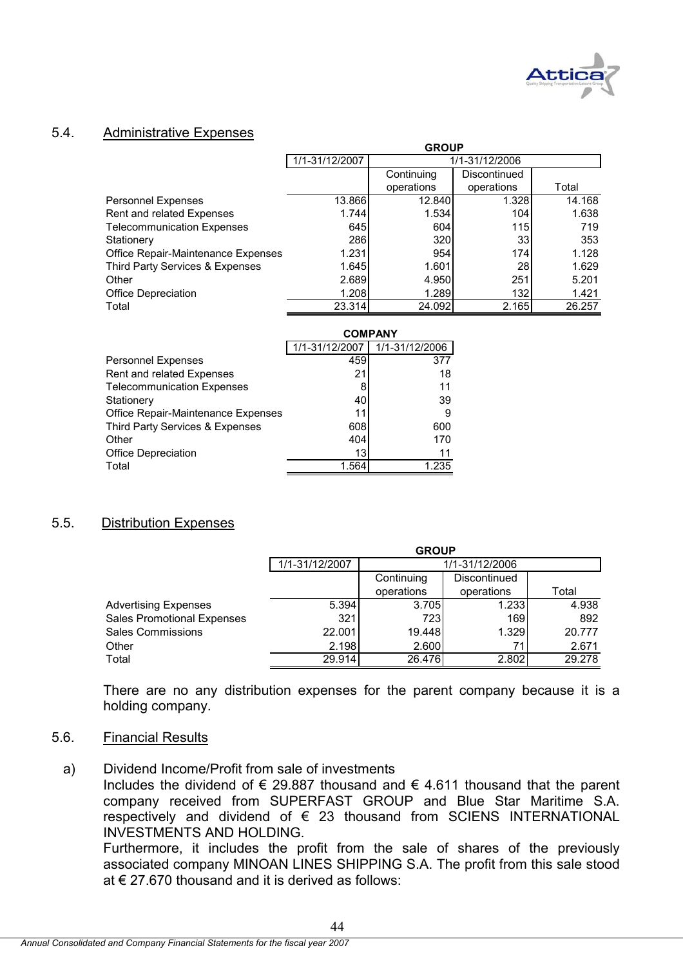

## 5.4. Administrative Expenses

|                                    | ukuur          |                |                 |        |  |  |
|------------------------------------|----------------|----------------|-----------------|--------|--|--|
|                                    | 1/1-31/12/2007 | 1/1-31/12/2006 |                 |        |  |  |
|                                    |                | Continuing     | Discontinued    |        |  |  |
|                                    |                | operations     | operations      | Total  |  |  |
| <b>Personnel Expenses</b>          | 13.866         | 12.840         | 1.328           | 14.168 |  |  |
| Rent and related Expenses          | 1.744          | 1.534          | 104             | 1.638  |  |  |
| <b>Telecommunication Expenses</b>  | 645l           | 604            | 115             | 719    |  |  |
| Stationery                         | 286            | 320            | 33 <sub>1</sub> | 353    |  |  |
| Office Repair-Maintenance Expenses | 1.231          | 954            | 174             | 1.128  |  |  |
| Third Party Services & Expenses    | 1.645          | 1.601          | 28              | 1.629  |  |  |
| Other                              | 2.689          | 4.950          | 251             | 5.201  |  |  |
| Office Depreciation                | 1.208          | 1.289          | 132             | 1.421  |  |  |
| Total                              | 23.314         | 24.092         | 2.165           | 26.257 |  |  |

**GROUP**

|                                    |                | <b>COMPANY</b> |
|------------------------------------|----------------|----------------|
|                                    | 1/1-31/12/2007 | 1/1-31/12/2006 |
| <b>Personnel Expenses</b>          | 459            | 377            |
| Rent and related Expenses          | 21             | 18             |
| <b>Telecommunication Expenses</b>  | 8              | 11             |
| Stationery                         | 40             | 39             |
| Office Repair-Maintenance Expenses | 11             | 9              |
| Third Party Services & Expenses    | 608            | 600            |
| Other                              | 404            | 170            |
| <b>Office Depreciation</b>         | 13             | 11             |
| Total                              | 1.564          | 1.235          |

## 5.5. Distribution Expenses

|                                   | <b>GROUP</b>   |                |              |        |  |  |
|-----------------------------------|----------------|----------------|--------------|--------|--|--|
|                                   | 1/1-31/12/2007 | 1/1-31/12/2006 |              |        |  |  |
|                                   |                | Continuing     | Discontinued |        |  |  |
|                                   |                | operations     | operations   | Total  |  |  |
| <b>Advertising Expenses</b>       | 5.394          | 3.705          | 1.233        | 4.938  |  |  |
| <b>Sales Promotional Expenses</b> | 321            | 723            | 169          | 892    |  |  |
| <b>Sales Commissions</b>          | 22.001         | 19.448         | 1.329        | 20.777 |  |  |
| Other                             | 2.198          | 2.600          | 71           | 2.671  |  |  |
| Total                             | 29.914         | 26.476         | 2.802        | 29.278 |  |  |

There are no any distribution expenses for the parent company because it is a holding company.

## 5.6. Financial Results

a) Dividend Income/Profit from sale of investments

Includes the dividend of  $\epsilon$  29.887 thousand and  $\epsilon$  4.611 thousand that the parent company received from SUPERFAST GROUP and Blue Star Maritime S.A. respectively and dividend of € 23 thousand from SCIENS INTERNATIONAL INVESTMENTS AND HOLDING.

Furthermore, it includes the profit from the sale of shares of the previously associated company MINOAN LINES SHIPPING S.A. The profit from this sale stood at  $\epsilon$  27.670 thousand and it is derived as follows: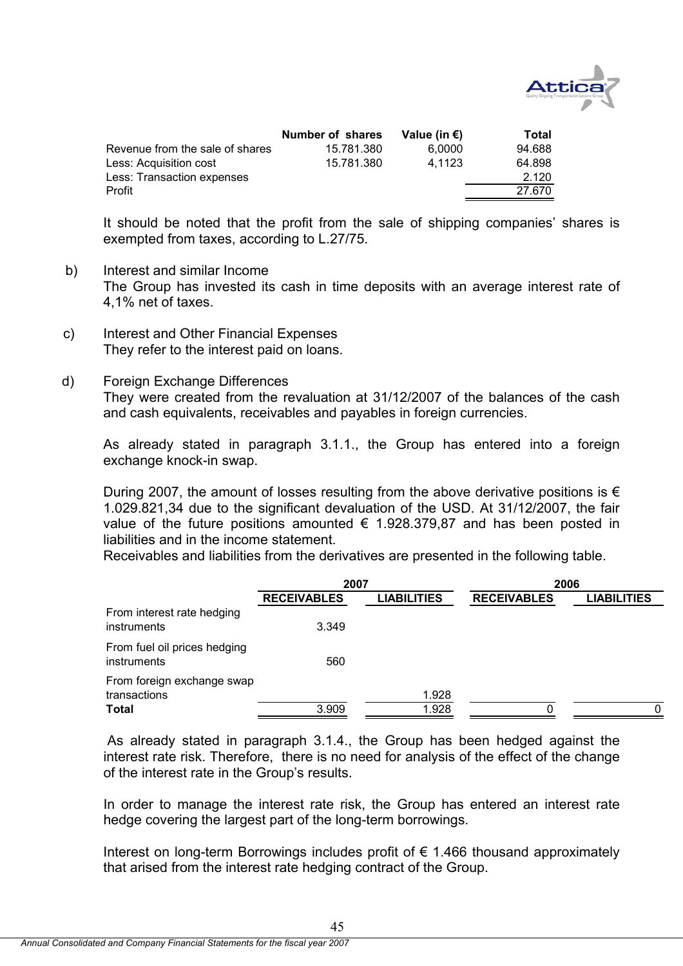

|                                 | Number of shares | Value (in $\epsilon$ ) | Total  |
|---------------------------------|------------------|------------------------|--------|
| Revenue from the sale of shares | 15.781.380       | 6.0000                 | 94.688 |
| Less: Acquisition cost          | 15.781.380       | 4.1123                 | 64.898 |
| Less: Transaction expenses      |                  |                        | 2.120  |
| Profit                          |                  |                        | 27.670 |

It should be noted that the profit from the sale of shipping companies' shares is exempted from taxes, according to L.27/75.

- b) Interest and similar Income The Group has invested its cash in time deposits with an average interest rate of 4,1% net of taxes.
- c) Interest and Other Financial Expenses They refer to the interest paid on loans.
- d) Foreign Exchange Differences They were created from the revaluation at 31/12/2007 of the balances of the cash and cash equivalents, receivables and payables in foreign currencies.

As already stated in paragraph 3.1.1., the Group has entered into a foreign exchange knock-in swap.

During 2007, the amount of losses resulting from the above derivative positions is  $\epsilon$ 1.029.821,34 due to the significant devaluation of the USD. At 31/12/2007, the fair value of the future positions amounted  $\epsilon$  1.928.379,87 and has been posted in liabilities and in the income statement.

Receivables and liabilities from the derivatives are presented in the following table.

|                                             | 2007               |                    | 2006               |                    |
|---------------------------------------------|--------------------|--------------------|--------------------|--------------------|
|                                             | <b>RECEIVABLES</b> | <b>LIABILITIES</b> | <b>RECEIVABLES</b> | <b>LIABILITIES</b> |
| From interest rate hedging<br>instruments   | 3.349              |                    |                    |                    |
| From fuel oil prices hedging<br>instruments | 560                |                    |                    |                    |
| From foreign exchange swap<br>transactions  |                    | 1.928              |                    |                    |
| <b>Total</b>                                | 3.909              | 1.928              | O                  | 0                  |

 As already stated in paragraph 3.1.4., the Group has been hedged against the interest rate risk. Therefore, there is no need for analysis of the effect of the change of the interest rate in the Group's results.

In order to manage the interest rate risk, the Group has entered an interest rate hedge covering the largest part of the long-term borrowings.

Interest on long-term Borrowings includes profit of  $\epsilon$  1.466 thousand approximately that arised from the interest rate hedging contract of the Group.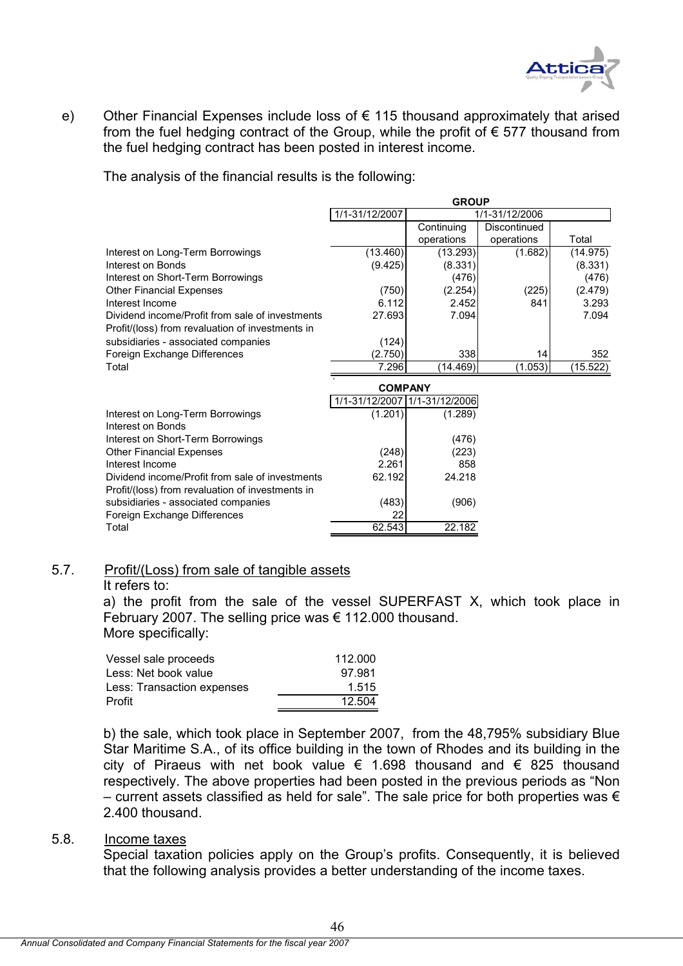

e) Other Financial Expenses include loss of  $\epsilon$  115 thousand approximately that arised from the fuel hedging contract of the Group, while the profit of  $\epsilon$  577 thousand from the fuel hedging contract has been posted in interest income.

The analysis of the financial results is the following:

|                                                  | <b>GROUP</b>   |                |              |          |  |  |  |
|--------------------------------------------------|----------------|----------------|--------------|----------|--|--|--|
|                                                  | 1/1-31/12/2007 | 1/1-31/12/2006 |              |          |  |  |  |
|                                                  |                | Continuing     | Discontinued |          |  |  |  |
|                                                  |                | operations     | operations   | Total    |  |  |  |
| Interest on Long-Term Borrowings                 | (13.460)       | (13.293)       | (1.682)      | (14.975) |  |  |  |
| Interest on Bonds                                | (9.425)        | (8.331)        |              | (8.331)  |  |  |  |
| Interest on Short-Term Borrowings                |                | (476)          |              | (476)    |  |  |  |
| <b>Other Financial Expenses</b>                  | (750)          | (2.254)        | (225)        | (2.479)  |  |  |  |
| Interest Income                                  | 6.112          | 2.452          | 841          | 3.293    |  |  |  |
| Dividend income/Profit from sale of investments  | 27.693         | 7.094          |              | 7.094    |  |  |  |
| Profit/(loss) from revaluation of investments in |                |                |              |          |  |  |  |
| subsidiaries - associated companies              | (124)          |                |              |          |  |  |  |
| Foreign Exchange Differences                     | (2.750)        | 338            | 14           | 352      |  |  |  |
| Total                                            | 7.296          | (14.469)       | (1.053)      | (15.522) |  |  |  |
|                                                  |                |                |              |          |  |  |  |

|                                                  | <b>COMPANY</b>                |         |  |
|--------------------------------------------------|-------------------------------|---------|--|
|                                                  | 1/1-31/12/2007 1/1-31/12/2006 |         |  |
| Interest on Long-Term Borrowings                 | (1.201)                       | (1.289) |  |
| Interest on Bonds                                |                               |         |  |
| Interest on Short-Term Borrowings                |                               | (476)   |  |
| <b>Other Financial Expenses</b>                  | (248)                         | (223)   |  |
| Interest Income                                  | 2.261                         | 858     |  |
| Dividend income/Profit from sale of investments  | 62.192                        | 24.218  |  |
| Profit/(loss) from revaluation of investments in |                               |         |  |
| subsidiaries - associated companies              | (483)                         | (906)   |  |
| Foreign Exchange Differences                     | 22                            |         |  |
| Total                                            | 62.543                        | 22.182  |  |
|                                                  |                               |         |  |

## 5.7. Profit/(Loss) from sale of tangible assets

It refers to:

a) the profit from the sale of the vessel SUPERFAST X, which took place in February 2007. The selling price was € 112.000 thousand. More specifically:

| Vessel sale proceeds       | 112.000 |
|----------------------------|---------|
| Less: Net book value       | 97.981  |
| Less: Transaction expenses | 1.515   |
| Profit                     | 12.504  |

b) the sale, which took place in September 2007, from the 48,795% subsidiary Blue Star Maritime S.A., of its office building in the town of Rhodes and its building in the city of Piraeus with net book value  $\epsilon$  1.698 thousand and  $\epsilon$  825 thousand respectively. The above properties had been posted in the previous periods as "Non – current assets classified as held for sale". The sale price for both properties was  $\epsilon$ 2.400 thousand.

## 5.8. Income taxes

Special taxation policies apply on the Group's profits. Consequently, it is believed that the following analysis provides a better understanding of the income taxes.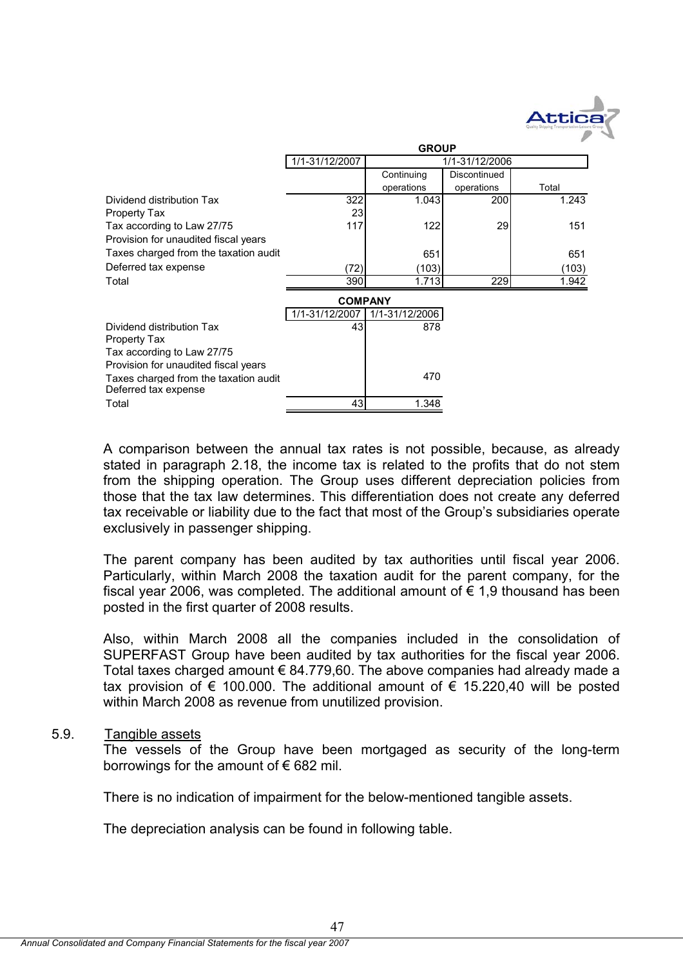

|                                       | <b>GROUP</b>   |                |              |       |  |  |  |  |
|---------------------------------------|----------------|----------------|--------------|-------|--|--|--|--|
|                                       | 1/1-31/12/2007 | 1/1-31/12/2006 |              |       |  |  |  |  |
|                                       |                | Continuing     | Discontinued |       |  |  |  |  |
|                                       |                | operations     | operations   | Total |  |  |  |  |
| Dividend distribution Tax             | 322            | 1.043          | 200          | 1.243 |  |  |  |  |
| Property Tax                          | 23             |                |              |       |  |  |  |  |
| Tax according to Law 27/75            | 117            | 122            | 29           | 151   |  |  |  |  |
| Provision for unaudited fiscal years  |                |                |              |       |  |  |  |  |
| Taxes charged from the taxation audit |                | 651            |              | 651   |  |  |  |  |
| Deferred tax expense                  | (72)           | (103)          |              | (103) |  |  |  |  |
| Total                                 | 390            | 1.713          | 229          | 1.942 |  |  |  |  |
|                                       | <b>COMPANY</b> |                |              |       |  |  |  |  |
|                                       | 1/1-31/12/2007 | 1/1-31/12/2006 |              |       |  |  |  |  |
| Dividend distribution Tax             | 43             | 878            |              |       |  |  |  |  |
| Property Tax                          |                |                |              |       |  |  |  |  |
| Tax according to Law 27/75            |                |                |              |       |  |  |  |  |
| Provision for unaudited fiscal years  |                |                |              |       |  |  |  |  |
| Taxes charged from the taxation audit |                | 470            |              |       |  |  |  |  |
| Deferred tax expense                  |                |                |              |       |  |  |  |  |
| Total                                 | 43             | 1.348          |              |       |  |  |  |  |

A comparison between the annual tax rates is not possible, because, as already stated in paragraph 2.18, the income tax is related to the profits that do not stem from the shipping operation. The Group uses different depreciation policies from those that the tax law determines. This differentiation does not create any deferred tax receivable or liability due to the fact that most of the Group's subsidiaries operate exclusively in passenger shipping.

The parent company has been audited by tax authorities until fiscal year 2006. Particularly, within March 2008 the taxation audit for the parent company, for the fiscal year 2006, was completed. The additional amount of  $\epsilon$  1,9 thousand has been posted in the first quarter of 2008 results.

Also, within March 2008 all the companies included in the consolidation of SUPERFAST Group have been audited by tax authorities for the fiscal year 2006. Total taxes charged amount € 84.779,60. The above companies had already made a tax provision of  $\epsilon$  100.000. The additional amount of  $\epsilon$  15.220,40 will be posted within March 2008 as revenue from unutilized provision.

## 5.9. Tangible assets

The vessels of the Group have been mortgaged as security of the long-term borrowings for the amount of  $\epsilon$  682 mil.

There is no indication of impairment for the below-mentioned tangible assets.

The depreciation analysis can be found in following table.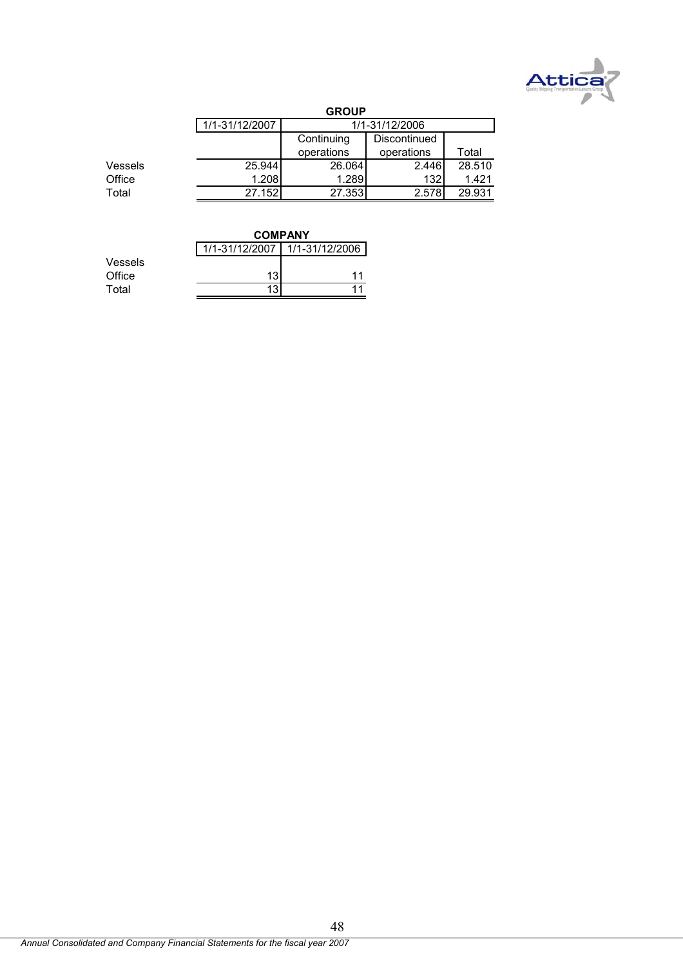

|         |                | <b>GROUP</b>   |              |        |  |  |  |  |
|---------|----------------|----------------|--------------|--------|--|--|--|--|
|         | 1/1-31/12/2007 | 1/1-31/12/2006 |              |        |  |  |  |  |
|         |                | Continuing     | Discontinued |        |  |  |  |  |
|         |                | operations     | operations   | Total  |  |  |  |  |
| Vessels | 25.944         | 26.064         | 2.446        | 28.510 |  |  |  |  |
| Office  | 1.208          | 1.289          | 132          | 1.421  |  |  |  |  |
| Total   | 27.152         | 27.353         | 2.578        | 29.931 |  |  |  |  |
|         |                |                |              |        |  |  |  |  |

|         |    | <b>COMPANY</b>                |  |  |  |  |  |
|---------|----|-------------------------------|--|--|--|--|--|
|         |    | 1/1-31/12/2007 1/1-31/12/2006 |  |  |  |  |  |
| Vessels |    |                               |  |  |  |  |  |
| Office  | 13 |                               |  |  |  |  |  |
| Total   | 13 |                               |  |  |  |  |  |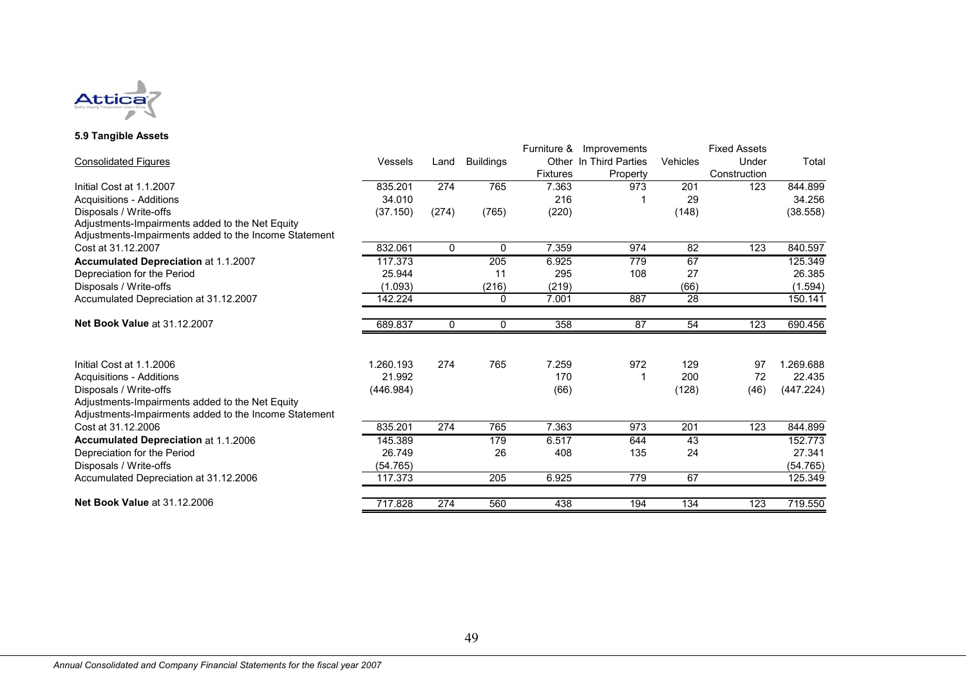

## **5.9 Tangible Assets**

|                                                       |           |          |                  |                 | Furniture & Improvements |                 | <b>Fixed Assets</b> |           |
|-------------------------------------------------------|-----------|----------|------------------|-----------------|--------------------------|-----------------|---------------------|-----------|
| <b>Consolidated Figures</b>                           | Vessels   | Land     | <b>Buildings</b> |                 | Other In Third Parties   | <b>Vehicles</b> | Under               | Total     |
|                                                       |           |          |                  | <b>Fixtures</b> | Property                 |                 | Construction        |           |
| Initial Cost at 1.1.2007                              | 835.201   | 274      | 765              | 7.363           | 973                      | 201             | 123                 | 844.899   |
| <b>Acquisitions - Additions</b>                       | 34.010    |          |                  | 216             |                          | 29              |                     | 34.256    |
| Disposals / Write-offs                                | (37.150)  | (274)    | (765)            | (220)           |                          | (148)           |                     | (38.558)  |
| Adjustments-Impairments added to the Net Equity       |           |          |                  |                 |                          |                 |                     |           |
| Adjustments-Impairments added to the Income Statement |           |          |                  |                 |                          |                 |                     |           |
| Cost at 31.12.2007                                    | 832.061   | $\Omega$ | 0                | 7.359           | 974                      | 82              | 123                 | 840.597   |
| Accumulated Depreciation at 1.1.2007                  | 117.373   |          | 205              | 6.925           | 779                      | 67              |                     | 125.349   |
| Depreciation for the Period                           | 25.944    |          | 11               | 295             | 108                      | 27              |                     | 26.385    |
| Disposals / Write-offs                                | (1.093)   |          | (216)            | (219)           |                          | (66)            |                     | (1.594)   |
| Accumulated Depreciation at 31.12.2007                | 142.224   |          | $\mathbf 0$      | 7.001           | 887                      | $\overline{28}$ |                     | 150.141   |
| Net Book Value at 31.12.2007                          | 689.837   | 0        | 0                | 358             | 87                       | 54              | 123                 | 690.456   |
| Initial Cost at 1.1.2006                              | 1.260.193 | 274      | 765              | 7.259           | 972                      | 129             | 97                  | 1.269.688 |
| Acquisitions - Additions                              | 21.992    |          |                  | 170             |                          | 200             | 72                  | 22.435    |
| Disposals / Write-offs                                | (446.984) |          |                  | (66)            |                          | (128)           | (46)                | (447.224) |
| Adjustments-Impairments added to the Net Equity       |           |          |                  |                 |                          |                 |                     |           |
| Adjustments-Impairments added to the Income Statement |           |          |                  |                 |                          |                 |                     |           |
| Cost at 31.12.2006                                    | 835.201   | 274      | 765              | 7.363           | 973                      | 201             | 123                 | 844.899   |
| <b>Accumulated Depreciation at 1.1.2006</b>           | 145.389   |          | 179              | 6.517           | 644                      | 43              |                     | 152.773   |
| Depreciation for the Period                           | 26.749    |          | 26               | 408             | 135                      | 24              |                     | 27.341    |
| Disposals / Write-offs                                | (54.765)  |          |                  |                 |                          |                 |                     | (54.765)  |
| Accumulated Depreciation at 31.12.2006                | 117.373   |          | 205              | 6.925           | 779                      | 67              |                     | 125.349   |
| <b>Net Book Value at 31.12.2006</b>                   | 717.828   | 274      | 560              | 438             | 194                      | 134             | 123                 | 719.550   |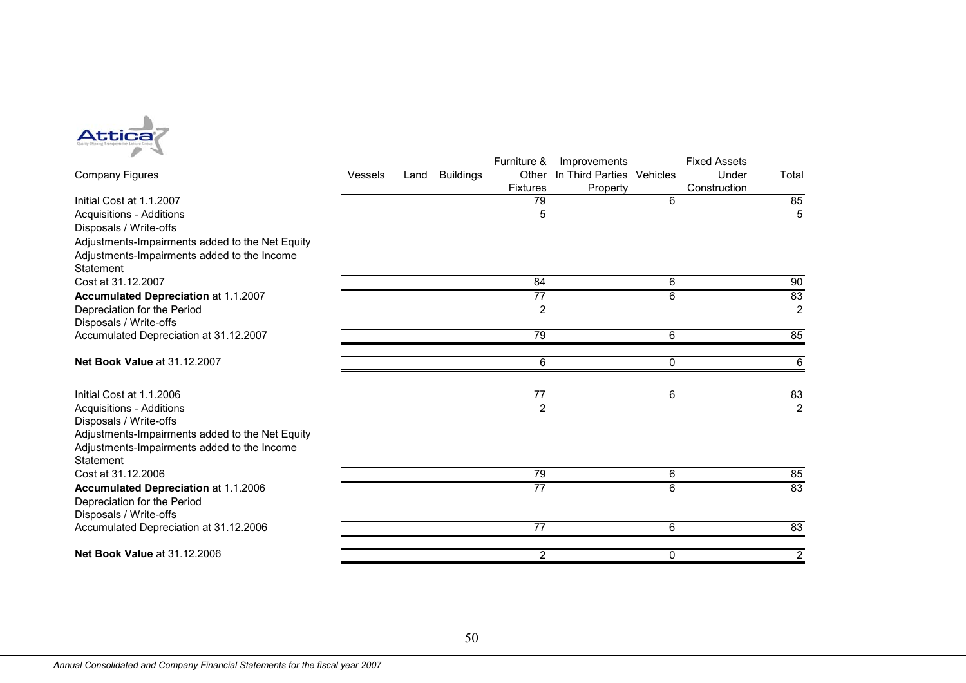

| ₽<br>$\overline{\phantom{a}}$                                              |                |      |                  | Furniture &              | Improvements                          |        | <b>Fixed Assets</b>   |                |
|----------------------------------------------------------------------------|----------------|------|------------------|--------------------------|---------------------------------------|--------|-----------------------|----------------|
| <b>Company Figures</b>                                                     | <b>Vessels</b> | Land | <b>Buildings</b> | Other<br><b>Fixtures</b> | In Third Parties Vehicles<br>Property |        | Under<br>Construction | Total          |
| Initial Cost at 1.1.2007                                                   |                |      |                  | 79                       |                                       | 6      |                       | 85             |
| <b>Acquisitions - Additions</b>                                            |                |      |                  | 5                        |                                       |        |                       | 5              |
| Disposals / Write-offs                                                     |                |      |                  |                          |                                       |        |                       |                |
| Adjustments-Impairments added to the Net Equity                            |                |      |                  |                          |                                       |        |                       |                |
| Adjustments-Impairments added to the Income                                |                |      |                  |                          |                                       |        |                       |                |
| Statement                                                                  |                |      |                  |                          |                                       |        |                       |                |
| Cost at 31.12.2007                                                         |                |      |                  | 84                       |                                       | 6      |                       | 90             |
| Accumulated Depreciation at 1.1.2007                                       |                |      |                  | $\overline{77}$          |                                       | 6      |                       | 83             |
| Depreciation for the Period<br>Disposals / Write-offs                      |                |      |                  | 2                        |                                       |        |                       | $\overline{2}$ |
| Accumulated Depreciation at 31.12.2007                                     |                |      |                  | 79                       |                                       | 6      |                       | 85             |
|                                                                            |                |      |                  |                          |                                       |        |                       |                |
| Net Book Value at 31.12.2007                                               |                |      |                  | 6                        |                                       | 0      |                       | 6              |
| Initial Cost at 1.1.2006                                                   |                |      |                  | 77                       |                                       | 6      |                       | 83             |
| <b>Acquisitions - Additions</b>                                            |                |      |                  | 2                        |                                       |        |                       | $\overline{2}$ |
| Disposals / Write-offs                                                     |                |      |                  |                          |                                       |        |                       |                |
| Adjustments-Impairments added to the Net Equity                            |                |      |                  |                          |                                       |        |                       |                |
| Adjustments-Impairments added to the Income                                |                |      |                  |                          |                                       |        |                       |                |
| Statement                                                                  |                |      |                  |                          |                                       |        |                       |                |
| Cost at 31.12.2006                                                         |                |      |                  | 79<br>$\overline{77}$    |                                       | 6<br>6 |                       | 85<br>83       |
| <b>Accumulated Depreciation at 1.1.2006</b><br>Depreciation for the Period |                |      |                  |                          |                                       |        |                       |                |
| Disposals / Write-offs                                                     |                |      |                  |                          |                                       |        |                       |                |
| Accumulated Depreciation at 31.12.2006                                     |                |      |                  | $\overline{77}$          |                                       | 6      |                       | 83             |
| Net Book Value at 31.12.2006                                               |                |      |                  | 2                        |                                       | 0      |                       | $\overline{2}$ |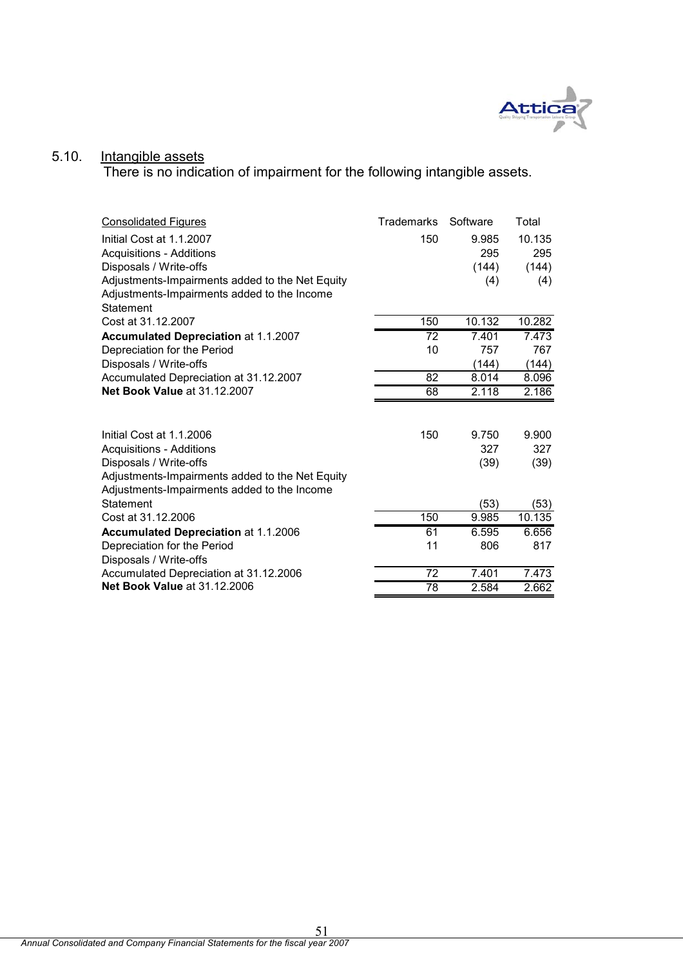

### 5.10. Intangible assets

There is no indication of impairment for the following intangible assets.

| <b>Consolidated Figures</b>                     | <b>Trademarks</b> | Software | Total  |
|-------------------------------------------------|-------------------|----------|--------|
| Initial Cost at 1.1.2007                        | 150               | 9.985    | 10.135 |
| <b>Acquisitions - Additions</b>                 |                   | 295      | 295    |
| Disposals / Write-offs                          |                   | (144)    | (144)  |
| Adjustments-Impairments added to the Net Equity |                   | (4)      | (4)    |
| Adjustments-Impairments added to the Income     |                   |          |        |
| Statement                                       |                   |          |        |
| Cost at 31.12.2007                              | 150               | 10.132   | 10.282 |
| Accumulated Depreciation at 1.1.2007            | 72                | 7.401    | 7.473  |
| Depreciation for the Period                     | 10                | 757      | 767    |
| Disposals / Write-offs                          |                   | (144)    | (144)  |
| Accumulated Depreciation at 31.12.2007          | 82                | 8.014    | 8.096  |
| Net Book Value at 31.12.2007                    | 68                | 2.118    | 2.186  |
|                                                 |                   |          |        |
| Initial Cost at 1.1.2006                        | 150               | 9.750    | 9.900  |
| Acquisitions - Additions                        |                   | 327      | 327    |
| Disposals / Write-offs                          |                   | (39)     | (39)   |
| Adjustments-Impairments added to the Net Equity |                   |          |        |
| Adjustments-Impairments added to the Income     |                   |          |        |
| Statement                                       |                   | (53)     | (53)   |
| Cost at 31.12.2006                              | 150               | 9.985    | 10.135 |
| <b>Accumulated Depreciation at 1.1.2006</b>     | 61                | 6.595    | 6.656  |
| Depreciation for the Period                     | 11                | 806      | 817    |
| Disposals / Write-offs                          |                   |          |        |
| Accumulated Depreciation at 31.12.2006          | 72                | 7.401    | 7.473  |
| Net Book Value at 31.12.2006                    | 78                | 2.584    | 2.662  |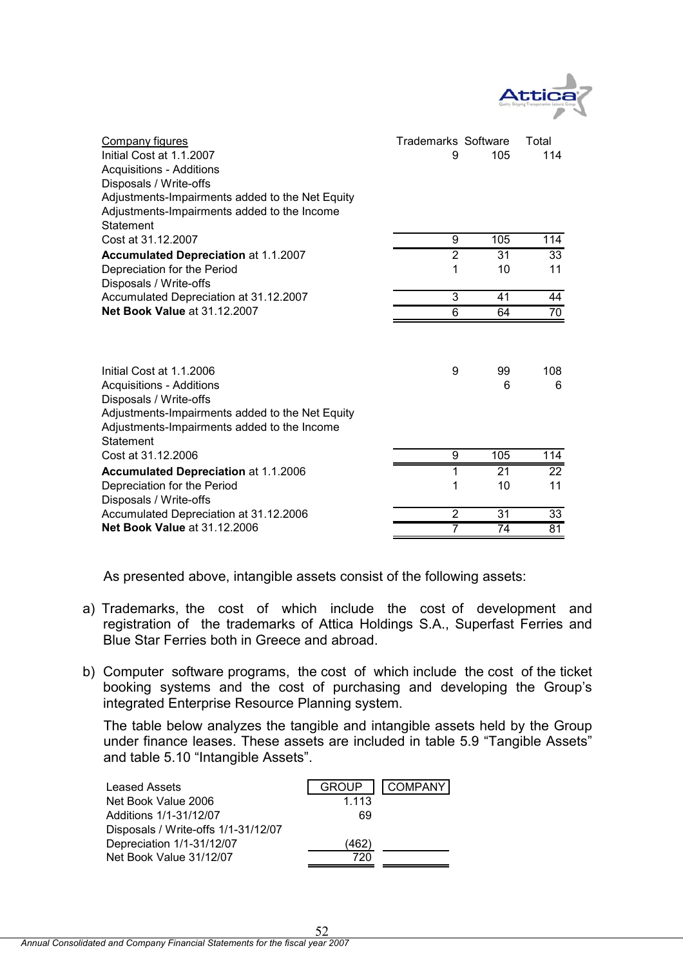

| Company figures<br>Initial Cost at 1.1.2007<br><b>Acquisitions - Additions</b><br>Disposals / Write-offs<br>Adjustments-Impairments added to the Net Equity<br>Adjustments-Impairments added to the Income<br>Statement | <b>Trademarks Software</b><br>9 | 105             | Total<br>114    |
|-------------------------------------------------------------------------------------------------------------------------------------------------------------------------------------------------------------------------|---------------------------------|-----------------|-----------------|
| Cost at 31.12.2007                                                                                                                                                                                                      | 9                               | 105             | 114             |
| <b>Accumulated Depreciation at 1.1.2007</b>                                                                                                                                                                             | $\overline{2}$                  | 31              | 33              |
| Depreciation for the Period<br>Disposals / Write-offs                                                                                                                                                                   | 1                               | 10              | 11              |
| Accumulated Depreciation at 31.12.2007                                                                                                                                                                                  | 3                               | 41              | 44              |
| <b>Net Book Value at 31.12.2007</b>                                                                                                                                                                                     | $\overline{6}$                  | 64              | $\overline{70}$ |
| Initial Cost at 1.1.2006<br><b>Acquisitions - Additions</b><br>Disposals / Write-offs<br>Adjustments-Impairments added to the Net Equity<br>Adjustments-Impairments added to the Income<br>Statement                    | 9                               | 99<br>6         | 108<br>6        |
| Cost at 31.12.2006                                                                                                                                                                                                      | 9                               | 105             | 114             |
| <b>Accumulated Depreciation at 1.1.2006</b>                                                                                                                                                                             | 1                               | 21              | $\overline{22}$ |
| Depreciation for the Period<br>Disposals / Write-offs                                                                                                                                                                   | 1                               | 10              | 11              |
| Accumulated Depreciation at 31.12.2006                                                                                                                                                                                  | $\overline{2}$                  | $\overline{31}$ | $\overline{33}$ |
| <b>Net Book Value at 31.12.2006</b>                                                                                                                                                                                     | 7                               | 74              | 81              |

As presented above, intangible assets consist of the following assets:

- a) Trademarks, the cost of which include the cost of development and registration of the trademarks of Attica Holdings S.A., Superfast Ferries and Blue Star Ferries both in Greece and abroad.
- b) Computer software programs, the cost of which include the cost of the ticket booking systems and the cost of purchasing and developing the Group's integrated Enterprise Resource Planning system.

The table below analyzes the tangible and intangible assets held by the Group under finance leases. These assets are included in table 5.9 "Tangible Assets" and table 5.10 "Intangible Assets".

| <b>Leased Assets</b>                | <b>GROUP</b> | <b>COMPANY</b> |
|-------------------------------------|--------------|----------------|
| Net Book Value 2006                 | 1.113        |                |
| Additions 1/1-31/12/07              | 69           |                |
| Disposals / Write-offs 1/1-31/12/07 |              |                |
| Depreciation 1/1-31/12/07           | (462)        |                |
| Net Book Value 31/12/07             |              |                |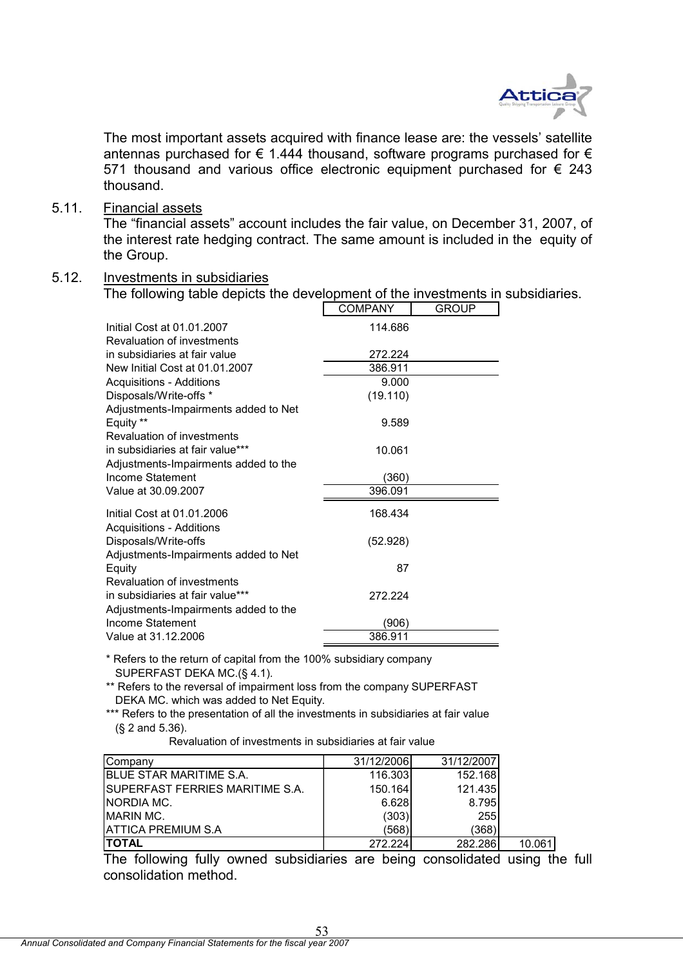

The most important assets acquired with finance lease are: the vessels' satellite antennas purchased for  $\epsilon$  1.444 thousand, software programs purchased for  $\epsilon$ 571 thousand and various office electronic equipment purchased for  $\epsilon$  243 thousand.

5.11. Financial assets

The "financial assets" account includes the fair value, on December 31, 2007, of the interest rate hedging contract. The same amount is included in the equity of the Group.

## 5.12. Investments in subsidiaries

The following table depicts the development of the investments in subsidiaries.

|                                      | <b>COMPANY</b> | <b>GROUP</b> |
|--------------------------------------|----------------|--------------|
| Initial Cost at 01.01.2007           | 114.686        |              |
| Revaluation of investments           |                |              |
| in subsidiaries at fair value        | 272.224        |              |
| New Initial Cost at 01.01.2007       | 386.911        |              |
| <b>Acquisitions - Additions</b>      | 9.000          |              |
| Disposals/Write-offs *               | (19.110)       |              |
| Adjustments-Impairments added to Net |                |              |
| Equity **                            | 9.589          |              |
| Revaluation of investments           |                |              |
| in subsidiaries at fair value***     | 10.061         |              |
| Adjustments-Impairments added to the |                |              |
| Income Statement                     | (360)          |              |
| Value at 30.09.2007                  | 396.091        |              |
| Initial Cost at 01.01.2006           | 168.434        |              |
| Acquisitions - Additions             |                |              |
| Disposals/Write-offs                 | (52.928)       |              |
| Adjustments-Impairments added to Net |                |              |
| Equity                               | 87             |              |
| Revaluation of investments           |                |              |
| in subsidiaries at fair value***     | 272.224        |              |
| Adjustments-Impairments added to the |                |              |
| Income Statement                     | (906)          |              |
| Value at 31.12.2006                  | 386.911        |              |

\* Refers to the return of capital from the 100% subsidiary company SUPERFAST DEKA MC.(§ 4.1).

\*\* Refers to the reversal of impairment loss from the company SUPERFAST DEKA MC. which was added to Net Equity.

\*\*\* Refers to the presentation of all the investments in subsidiaries at fair value (§ 2 and 5.36).

Revaluation of investments in subsidiaries at fair value

| Company                          | 31/12/2006 | 31/12/2007 |        |
|----------------------------------|------------|------------|--------|
| <b>BLUE STAR MARITIME S.A.</b>   | 116.303    | 152.168    |        |
| ISUPERFAST FERRIES MARITIME S.A. | 150.164    | 121.435    |        |
| NORDIA MC.                       | 6.628      | 8.795      |        |
| <b>MARIN MC.</b>                 | (303)      | 255        |        |
| IATTICA PREMIUM S.A              | (568)      | (368)      |        |
| <b>ITOTAL</b>                    | 272.224    | 282.286    | 10.061 |

The following fully owned subsidiaries are being consolidated using the full consolidation method.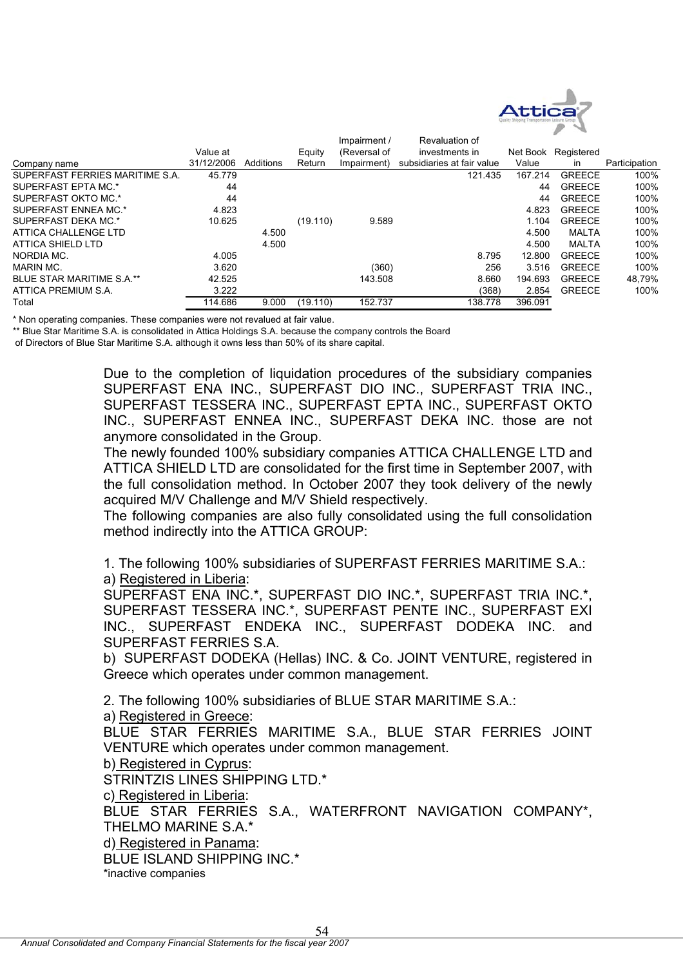

|                                  |            |           |          | Impairment / | Revaluation of             |          |               |               |
|----------------------------------|------------|-----------|----------|--------------|----------------------------|----------|---------------|---------------|
|                                  | Value at   |           | Equity   | (Reversal of | investments in             | Net Book | Registered    |               |
| Company name                     | 31/12/2006 | Additions | Return   | Impairment)  | subsidiaries at fair value | Value    | <i>in</i>     | Participation |
| SUPERFAST FERRIES MARITIME S.A.  | 45.779     |           |          |              | 121.435                    | 167.214  | <b>GREECE</b> | 100%          |
| SUPERFAST EPTA MC.*              | 44         |           |          |              |                            | 44       | <b>GREECE</b> | 100%          |
| SUPERFAST OKTO MC.*              | 44         |           |          |              |                            | 44       | <b>GREECE</b> | 100%          |
| SUPERFAST ENNEA MC.*             | 4.823      |           |          |              |                            | 4.823    | <b>GREECE</b> | 100%          |
| SUPERFAST DEKA MC.*              | 10.625     |           | (19.110) | 9.589        |                            | 1.104    | <b>GREECE</b> | 100%          |
| ATTICA CHALLENGE LTD             |            | 4.500     |          |              |                            | 4.500    | MALTA         | 100%          |
| ATTICA SHIELD LTD                |            | 4.500     |          |              |                            | 4.500    | MALTA         | 100%          |
| NORDIA MC.                       | 4.005      |           |          |              | 8.795                      | 12.800   | <b>GREECE</b> | 100%          |
| MARIN MC.                        | 3.620      |           |          | (360)        | 256                        | 3.516    | <b>GREECE</b> | 100%          |
| <b>BLUE STAR MARITIME S.A.**</b> | 42.525     |           |          | 143.508      | 8.660                      | 194.693  | <b>GREECE</b> | 48,79%        |
| ATTICA PREMIUM S.A.              | 3.222      |           |          |              | (368)                      | 2.854    | <b>GREECE</b> | 100%          |
| Total                            | 114.686    | 9.000     | (19.110) | 152.737      | 138.778                    | 396.091  |               |               |

\* Non operating companies. These companies were not revalued at fair value.

\*\* Blue Star Maritime S.A. is consolidated in Attica Holdings S.A. because the company controls the Board

of Directors of Blue Star Maritime S.A. although it owns less than 50% of its share capital.

Due to the completion of liquidation procedures of the subsidiary companies SUPERFAST ENA INC., SUPERFAST DIO INC., SUPERFAST TRIA INC., SUPERFAST TESSERA INC., SUPERFAST EPTA INC., SUPERFAST OKTO INC., SUPERFAST ENNEA INC., SUPERFAST DEKA INC. those are not anymore consolidated in the Group.

The newly founded 100% subsidiary companies ATTICA CHALLENGE LTD and ATTICA SHIELD LTD are consolidated for the first time in September 2007, with the full consolidation method. In October 2007 they took delivery of the newly acquired M/V Challenge and M/V Shield respectively.

The following companies are also fully consolidated using the full consolidation method indirectly into the ATTICA GROUP:

1. The following 100% subsidiaries of SUPERFAST FERRIES MARITIME S.A.: a) Registered in Liberia:

SUPERFAST ENA INC.\*, SUPERFAST DIO INC.\*, SUPERFAST TRIA INC.\*, SUPERFAST TESSERA INC.\*, SUPERFAST PENTE INC., SUPERFAST EXI INC., SUPERFAST ENDEKA INC., SUPERFAST DODEKA INC. and SUPERFAST FERRIES S.A.

b) SUPERFAST DODEKA (Hellas) INC. & Co. JOINT VENTURE, registered in Greece which operates under common management.

2. The following 100% subsidiaries of BLUE STAR MARITIME S.A.:

a) Registered in Greece:

BLUE STAR FERRIES MARITIME S.A., BLUE STAR FERRIES JOINT VENTURE which operates under common management.

b) Registered in Cyprus:

STRINTZIS LINES SHIPPING LTD.\*

c) Registered in Liberia:

BLUE STAR FERRIES S.A., WATERFRONT NAVIGATION COMPANY\*, THELMO MARINE S.A.\*

d) Registered in Panama:

BLUE ISLAND SHIPPING INC.\*

\*inactive companies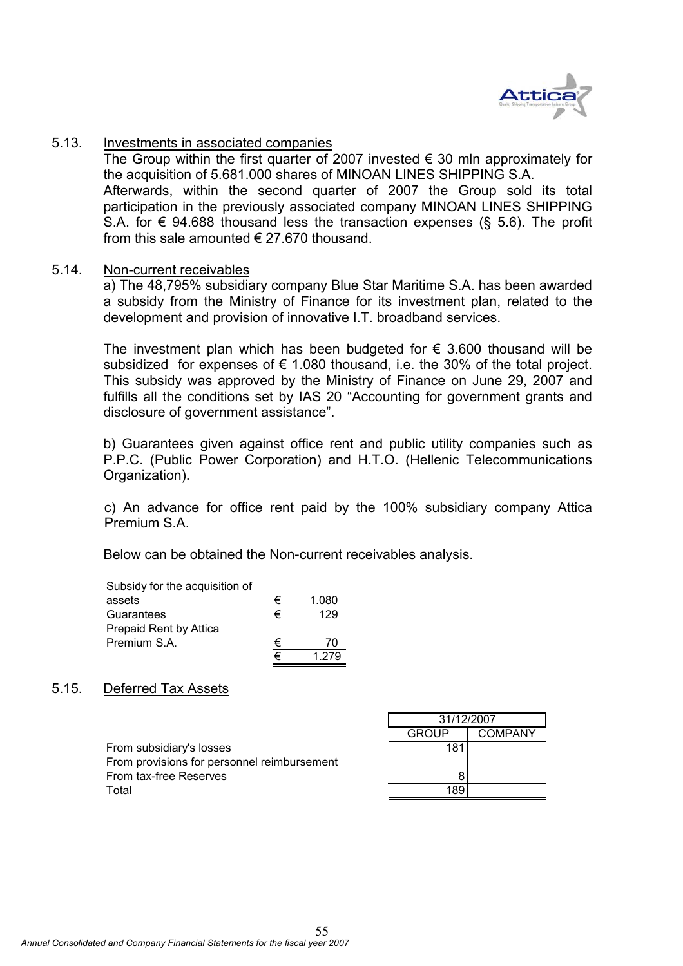

## 5.13. Investments in associated companies

The Group within the first quarter of 2007 invested  $\epsilon$  30 mln approximately for the acquisition of 5.681.000 shares of MINOAN LINES SHIPPING S.A. Afterwards, within the second quarter of 2007 the Group sold its total participation in the previously associated company MINOAN LINES SHIPPING S.A. for  $\epsilon$  94.688 thousand less the transaction expenses (§ 5.6). The profit from this sale amounted  $\epsilon$  27.670 thousand.

## 5.14. Non-current receivables

 a) The 48,795% subsidiary company Blue Star Maritime S.A. has been awarded a subsidy from the Ministry of Finance for its investment plan, related to the development and provision of innovative I.T. broadband services.

The investment plan which has been budgeted for  $\epsilon$  3.600 thousand will be subsidized for expenses of  $\epsilon$  1.080 thousand, i.e. the 30% of the total project. This subsidy was approved by the Ministry of Finance on June 29, 2007 and fulfills all the conditions set by IAS 20 "Accounting for government grants and disclosure of government assistance".

b) Guarantees given against office rent and public utility companies such as P.P.C. (Public Power Corporation) and H.T.O. (Hellenic Telecommunications Organization).

c) An advance for office rent paid by the 100% subsidiary company Attica Premium S.A.

Below can be obtained the Non-current receivables analysis.

| Subsidy for the acquisition of |   |       |
|--------------------------------|---|-------|
| assets                         | € | 1.080 |
| Guarantees                     | € | 129   |
| Prepaid Rent by Attica         |   |       |
| Premium S.A.                   | € | 70    |
|                                |   |       |

## 5.15. Deferred Tax Assets

|                                             | 31/12/2007 |         |
|---------------------------------------------|------------|---------|
|                                             | GROUP      | COMPANY |
| From subsidiary's losses                    | 181        |         |
| From provisions for personnel reimbursement |            |         |
| From tax-free Reserves                      |            |         |
| Total                                       | 189        |         |
|                                             |            |         |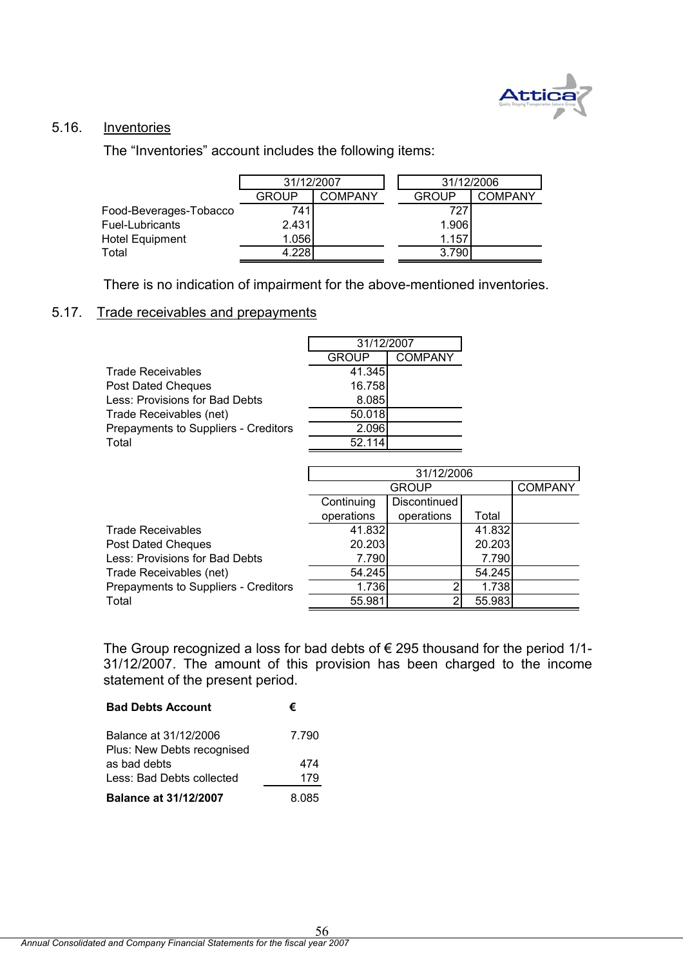

## 5.16. Inventories

The "Inventories" account includes the following items:

|                        | 31/12/2007   |                | 31/12/2006   |                |
|------------------------|--------------|----------------|--------------|----------------|
|                        | <b>GROUP</b> | <b>COMPANY</b> | <b>GROUP</b> | <b>COMPANY</b> |
| Food-Beverages-Tobacco | 741          |                | 727          |                |
| Fuel-Lubricants        | 2.431        |                | 1.906        |                |
| <b>Hotel Equipment</b> | 1.056        |                | 1.157        |                |
| Total                  | 4.228        |                | 3.790        |                |

There is no indication of impairment for the above-mentioned inventories.

# 5.17. Trade receivables and prepayments

|                                      | 31/12/2007   |                |  |
|--------------------------------------|--------------|----------------|--|
|                                      | <b>GROUP</b> | <b>COMPANY</b> |  |
| <b>Trade Receivables</b>             | 41.345       |                |  |
| Post Dated Cheques                   | 16.758       |                |  |
| Less: Provisions for Bad Debts       | 8.085        |                |  |
| Trade Receivables (net)              | 50.018       |                |  |
| Prepayments to Suppliers - Creditors | 2.096        |                |  |
| Total                                | 52.114       |                |  |

|                                      | 31/12/2006 |              |        |                |  |
|--------------------------------------|------------|--------------|--------|----------------|--|
|                                      |            | <b>GROUP</b> |        | <b>COMPANY</b> |  |
|                                      | Continuing | Discontinued |        |                |  |
|                                      | operations | operations   | Total  |                |  |
| <b>Trade Receivables</b>             | 41.832     |              | 41.832 |                |  |
| Post Dated Cheques                   | 20.203     |              | 20.203 |                |  |
| Less: Provisions for Bad Debts       | 7.790      |              | 7.790  |                |  |
| Trade Receivables (net)              | 54.245     |              | 54.245 |                |  |
| Prepayments to Suppliers - Creditors | 1.736      |              | 1.738  |                |  |
| Total                                | 55.981     |              | 55.983 |                |  |

The Group recognized a loss for bad debts of  $\epsilon$  295 thousand for the period 1/1-31/12/2007. The amount of this provision has been charged to the income statement of the present period.

| <b>Bad Debts Account</b>                            | €     |
|-----------------------------------------------------|-------|
| Balance at 31/12/2006<br>Plus: New Debts recognised | 7.790 |
| as bad debts                                        | 474   |
| Less: Bad Debts collected                           | 179   |
| <b>Balance at 31/12/2007</b>                        | 8 085 |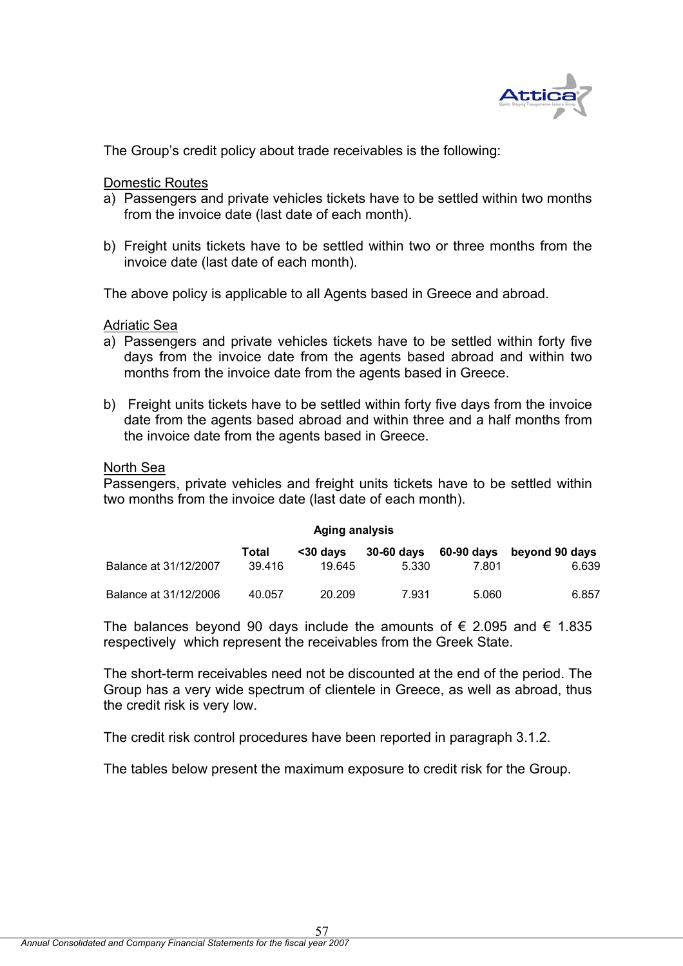

The Group's credit policy about trade receivables is the following:

Domestic Routes

- a) Passengers and private vehicles tickets have to be settled within two months from the invoice date (last date of each month).
- b) Freight units tickets have to be settled within two or three months from the invoice date (last date of each month).

The above policy is applicable to all Agents based in Greece and abroad.

Adriatic Sea

- a) Passengers and private vehicles tickets have to be settled within forty five days from the invoice date from the agents based abroad and within two months from the invoice date from the agents based in Greece.
- b) Freight units tickets have to be settled within forty five days from the invoice date from the agents based abroad and within three and a half months from the invoice date from the agents based in Greece.

## North Sea

Passengers, private vehicles and freight units tickets have to be settled within two months from the invoice date (last date of each month).

| <b>Aging analysis</b> |        |           |            |       |                           |  |
|-----------------------|--------|-----------|------------|-------|---------------------------|--|
|                       | Total  | $30$ davs | 30-60 days |       | 60-90 days beyond 90 days |  |
| Balance at 31/12/2007 | 39.416 | 19.645    | 5.330      | 7.801 | 6.639                     |  |
| Balance at 31/12/2006 | 40.057 | 20.209    | 7.931      | 5.060 | 6.857                     |  |

The balances beyond 90 days include the amounts of  $\epsilon$  2.095 and  $\epsilon$  1.835 respectively which represent the receivables from the Greek State.

The short-term receivables need not be discounted at the end of the period. The Group has a very wide spectrum of clientele in Greece, as well as abroad, thus the credit risk is very low.

The credit risk control procedures have been reported in paragraph 3.1.2.

The tables below present the maximum exposure to credit risk for the Group.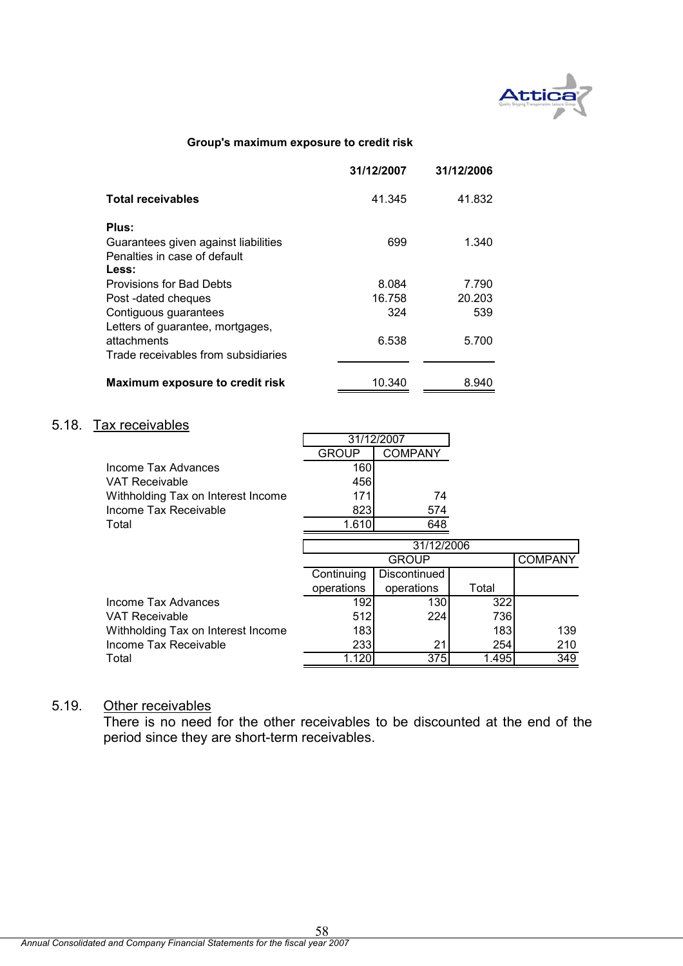

#### **Group's maximum exposure to credit risk**

|                                      | 31/12/2007 | 31/12/2006 |
|--------------------------------------|------------|------------|
| <b>Total receivables</b>             | 41.345     | 41.832     |
| Plus:                                |            |            |
| Guarantees given against liabilities | 699        | 1.340      |
| Penalties in case of default         |            |            |
| Less:                                |            |            |
| Provisions for Bad Debts             | 8.084      | 7.790      |
| Post-dated cheques                   | 16.758     | 20.203     |
| Contiguous guarantees                | 324        | 539        |
| Letters of guarantee, mortgages,     |            |            |
| attachments                          | 6.538      | 5.700      |
| Trade receivables from subsidiaries  |            |            |
| Maximum exposure to credit risk      | 10.340     | 8.940      |

# 5.18. Tax receivables

|                                    |            | 31/12/2007     |       |                |
|------------------------------------|------------|----------------|-------|----------------|
|                                    | GROUP      | <b>COMPANY</b> |       |                |
| Income Tax Advances                | 160        |                |       |                |
| VAT Receivable                     | 456        |                |       |                |
| Withholding Tax on Interest Income | 171        | 74             |       |                |
| Income Tax Receivable              | 823        | 574            |       |                |
| Total                              | 1.610      | 648            |       |                |
|                                    |            | 31/12/2006     |       |                |
|                                    |            | <b>GROUP</b>   |       | <b>COMPANY</b> |
|                                    | Continuing | Discontinued   |       |                |
|                                    | operations | operations     | Total |                |
| Income Tax Advances                | 192        | 130            | 322   |                |
| VAT Receivable                     | 512        | 224            | 736   |                |
| Withholding Tax on Interest Income | 183        |                | 183   | 139            |
| Income Tax Receivable              | 233        | 21             | 254   | 210            |
| Total                              | 1.120      | 375            | 1.495 | 349            |

## 5.19. Other receivables

There is no need for the other receivables to be discounted at the end of the period since they are short-term receivables.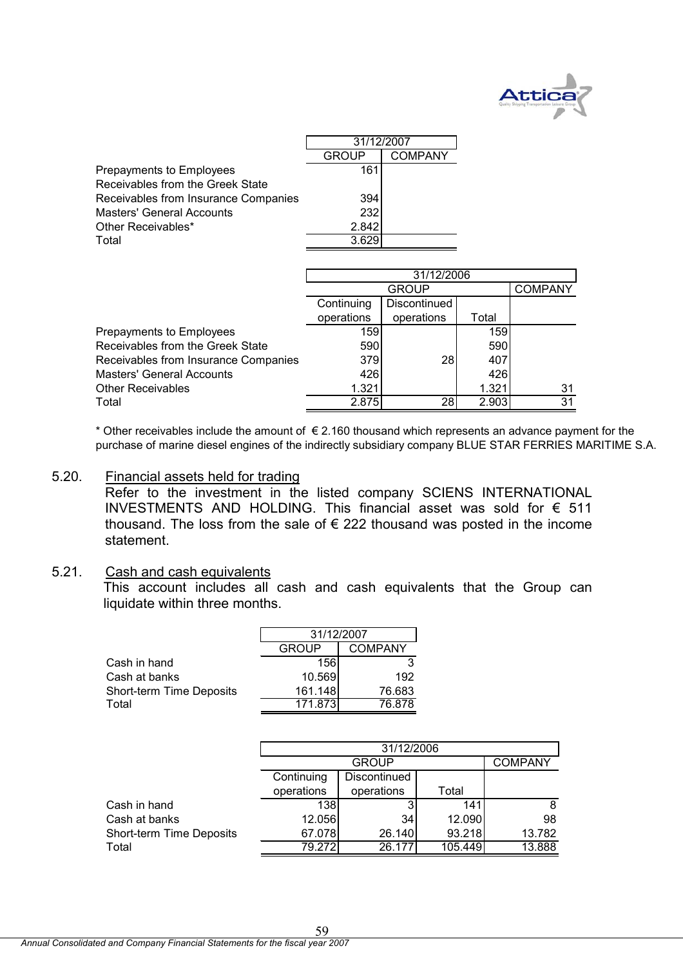

|                                      | 31/12/2007   |                |
|--------------------------------------|--------------|----------------|
|                                      | <b>GROUP</b> | <b>COMPANY</b> |
| Prepayments to Employees             | 161          |                |
| Receivables from the Greek State     |              |                |
| Receivables from Insurance Companies | 394          |                |
| <b>Masters' General Accounts</b>     | 232          |                |
| Other Receivables*                   | 2.842        |                |
| Total                                | 3.629        |                |

|                                      | 31/12/2006 |                |       |    |  |  |  |  |
|--------------------------------------|------------|----------------|-------|----|--|--|--|--|
|                                      |            | <b>COMPANY</b> |       |    |  |  |  |  |
|                                      | Continuing | Discontinued   |       |    |  |  |  |  |
|                                      | operations | operations     | Total |    |  |  |  |  |
| Prepayments to Employees             | <b>159</b> |                | 159   |    |  |  |  |  |
| Receivables from the Greek State     | 590        |                | 590   |    |  |  |  |  |
| Receivables from Insurance Companies | 379        | <b>28</b>      | 407   |    |  |  |  |  |
| <b>Masters' General Accounts</b>     | 426        |                | 426   |    |  |  |  |  |
| Other Receivables                    | 1.321      |                | 1.321 | 31 |  |  |  |  |
| Total                                | 2.875      | 28             | 2.903 | 31 |  |  |  |  |

purchase of marine diesel engines of the indirectly subsidiary company BLUE STAR FERRIES MARITIME S.A. \* Other receivables include the amount of  $\epsilon$  2.160 thousand which represents an advance payment for the

5.20. Financial assets held for trading

Refer to the investment in the listed company SCIENS INTERNATIONAL INVESTMENTS AND HOLDING. This financial asset was sold for € 511 thousand. The loss from the sale of  $\epsilon$  222 thousand was posted in the income statement.

## 5.21. Cash and cash equivalents

This account includes all cash and cash equivalents that the Group can liquidate within three months.

|                          | 31/12/2007 |         |  |
|--------------------------|------------|---------|--|
|                          | GROUP      | COMPANY |  |
| Cash in hand             | 156        | 3       |  |
| Cash at banks            | 10.569     | 192     |  |
| Short-term Time Deposits | 161.148    | 76.683  |  |
| Total                    | 171 873    | 76 878  |  |

|                          | 31/12/2006 |                |         |        |  |  |
|--------------------------|------------|----------------|---------|--------|--|--|
|                          |            | <b>COMPANY</b> |         |        |  |  |
|                          | Continuing | Discontinued   |         |        |  |  |
|                          | operations | operations     | Total   |        |  |  |
| Cash in hand             | 138        | 3              | 141     | 8      |  |  |
| Cash at banks            | 12.056     | 34             | 12.090  | 98     |  |  |
| Short-term Time Deposits | 67.078     | 26.140         | 93.218  | 13.782 |  |  |
| Total                    | 79.272     | 26.177         | 105.449 | 13.888 |  |  |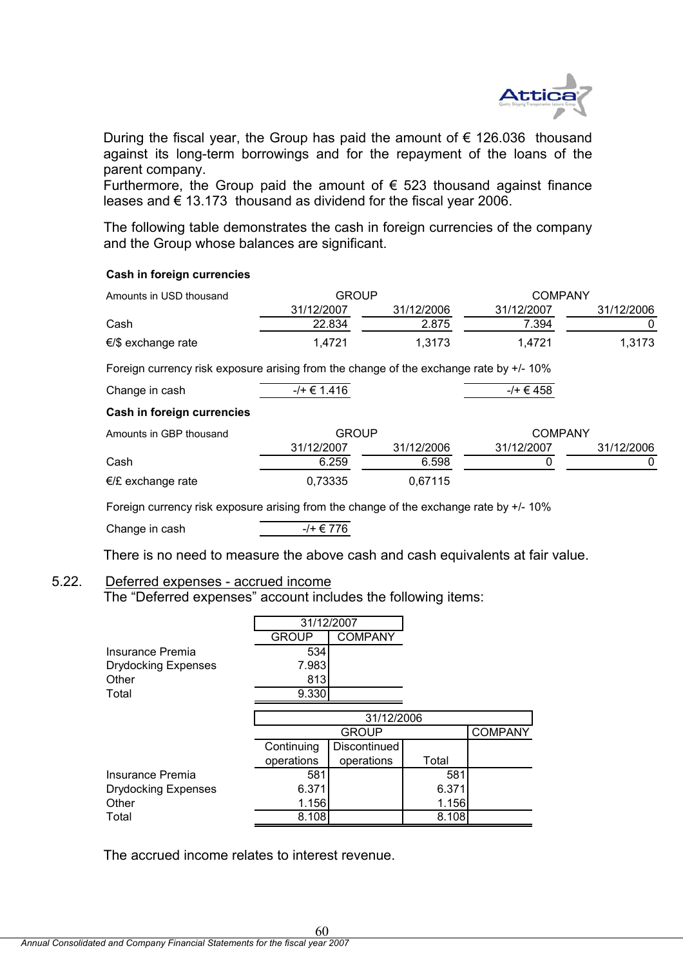

During the fiscal year, the Group has paid the amount of  $\epsilon$  126.036 thousand against its long-term borrowings and for the repayment of the loans of the parent company.

Furthermore, the Group paid the amount of  $\epsilon$  523 thousand against finance leases and € 13.173 thousand as dividend for the fiscal year 2006.

The following table demonstrates the cash in foreign currencies of the company and the Group whose balances are significant.

#### **Cash in foreign currencies**

| Amounts in USD thousand      | GROUP      |            | <b>COMPANY</b> |            |
|------------------------------|------------|------------|----------------|------------|
|                              | 31/12/2007 | 31/12/2006 | 31/12/2007     | 31/12/2006 |
| Cash                         | 22.834     | 2.875      | 7.394          |            |
| $\epsilon$ /\$ exchange rate | 1.4721     | 1.3173     | 1.4721         | 1.3173     |

Foreign currency risk exposure arising from the change of the exchange rate by +/- 10%

| Change in cash             | $-/- 6$ 1.416 |            | $-/-$ € 458    |            |
|----------------------------|---------------|------------|----------------|------------|
| Cash in foreign currencies |               |            |                |            |
| Amounts in GBP thousand    | <b>GROUP</b>  |            | <b>COMPANY</b> |            |
|                            | 31/12/2007    | 31/12/2006 | 31/12/2007     | 31/12/2006 |
| Cash                       | 6.259         | 6.598      |                |            |
| $E/E$ exchange rate        | 0,73335       | 0,67115    |                |            |

Foreign currency risk exposure arising from the change of the exchange rate by +/- 10%

Change in cash  $-/- \in 776$ 

There is no need to measure the above cash and cash equivalents at fair value.

# 5.22. Deferred expenses - accrued income

The "Deferred expenses" account includes the following items:

|                            | 31/12/2007   |                |       |                |  |
|----------------------------|--------------|----------------|-------|----------------|--|
|                            | <b>GROUP</b> | <b>COMPANY</b> |       |                |  |
| Insurance Premia           | 534          |                |       |                |  |
| <b>Drydocking Expenses</b> | 7.983        |                |       |                |  |
| Other                      | 813          |                |       |                |  |
| Total                      | 9.330        |                |       |                |  |
|                            |              |                |       |                |  |
|                            |              | 31/12/2006     |       |                |  |
|                            |              | <b>GROUP</b>   |       | <b>COMPANY</b> |  |
|                            | Continuing   | Discontinued   |       |                |  |
|                            | operations   | operations     | Total |                |  |
| Insurance Premia           | 581          |                | 581   |                |  |
| <b>Drydocking Expenses</b> | 6.371        |                | 6.371 |                |  |
| Other                      | 1.156        |                | 1.156 |                |  |
| Total                      | 8.108        |                | 8.108 |                |  |

60

The accrued income relates to interest revenue.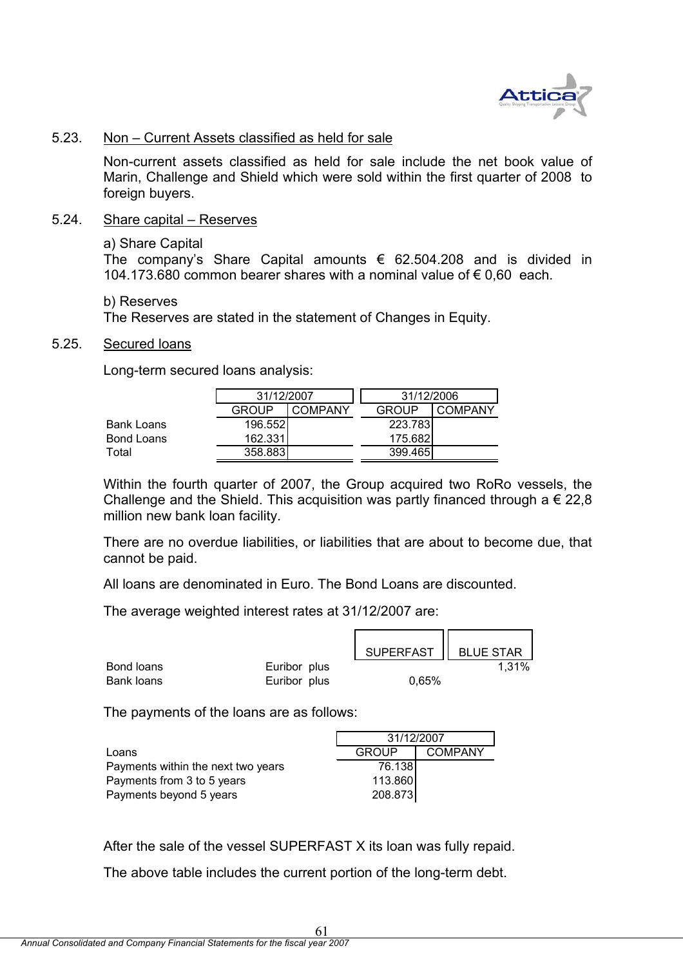

## 5.23. Non – Current Assets classified as held for sale

Non-current assets classified as held for sale include the net book value of Marin, Challenge and Shield which were sold within the first quarter of 2008 to foreign buyers.

### 5.24. Share capital – Reserves

#### a) Share Capital

The company's Share Capital amounts  $\epsilon$  62.504.208 and is divided in 104.173.680 common bearer shares with a nominal value of € 0,60 each.

#### b) Reserves

The Reserves are stated in the statement of Changes in Equity.

## 5.25. Secured loans

Long-term secured loans analysis:

|            |              | 31/12/2007 |              | 31/12/2006 |
|------------|--------------|------------|--------------|------------|
|            | <b>GROUP</b> | COMPANY    | <b>GROUP</b> | COMPANY    |
| Bank Loans | 196.552      |            | 223.783      |            |
| Bond Loans | 162.331      |            | 175.682      |            |
| Total      | 358.883      |            | 399.465      |            |

Within the fourth quarter of 2007, the Group acquired two RoRo vessels, the Challenge and the Shield. This acquisition was partly financed through a  $\epsilon$  22,8 million new bank loan facility.

There are no overdue liabilities, or liabilities that are about to become due, that cannot be paid.

All loans are denominated in Euro. The Bond Loans are discounted.

The average weighted interest rates at 31/12/2007 are:

|            |              | SUPERFAST   BLUE STAR |       |
|------------|--------------|-----------------------|-------|
| Bond loans | Euribor plus |                       | 1,31% |
| Bank loans | Euribor plus | 0,65%                 |       |

The payments of the loans are as follows:

|                                    | 31/12/2007   |                |
|------------------------------------|--------------|----------------|
| Loans                              | <b>GROUP</b> | <b>COMPANY</b> |
| Payments within the next two years | 76.138       |                |
| Payments from 3 to 5 years         | 113.860      |                |
| Payments beyond 5 years            | 208.873      |                |

After the sale of the vessel SUPERFAST X its loan was fully repaid.

The above table includes the current portion of the long-term debt.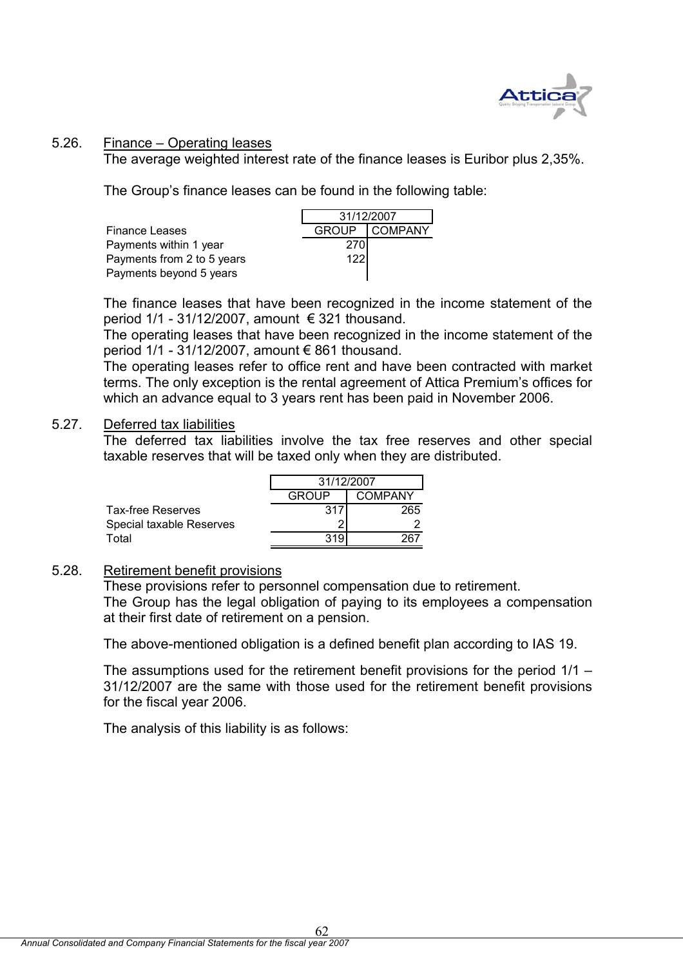

# 5.26. Finance – Operating leases

The average weighted interest rate of the finance leases is Euribor plus 2,35%.

The Group's finance leases can be found in the following table:

| <b>Finance Leases</b>      |            | GROUP COMPANY |
|----------------------------|------------|---------------|
| Payments within 1 year     | <b>270</b> |               |
| Payments from 2 to 5 years | 122        |               |
| Payments beyond 5 years    |            |               |

| 31/12/2007   |                |  |  |
|--------------|----------------|--|--|
| <b>GROUP</b> | <b>COMPANY</b> |  |  |
| 270          |                |  |  |
| 122          |                |  |  |
|              |                |  |  |

The finance leases that have been recognized in the income statement of the period  $1/1 - 31/12/2007$ , amount  $\epsilon$  321 thousand.

The operating leases that have been recognized in the income statement of the period  $1/1$  - 31/12/2007, amount  $\epsilon$  861 thousand.

The operating leases refer to office rent and have been contracted with market terms. The only exception is the rental agreement of Attica Premium's offices for which an advance equal to 3 years rent has been paid in November 2006.

## 5.27. Deferred tax liabilities

The deferred tax liabilities involve the tax free reserves and other special taxable reserves that will be taxed only when they are distributed.

|                          | 31/12/2007              |     |  |
|--------------------------|-------------------------|-----|--|
|                          | GROUP<br><b>COMPANY</b> |     |  |
| Tax-free Reserves        | 31                      | 265 |  |
| Special taxable Reserves |                         |     |  |
| Total                    |                         |     |  |

# 5.28. Retirement benefit provisions

These provisions refer to personnel compensation due to retirement. The Group has the legal obligation of paying to its employees a compensation at their first date of retirement on a pension.

The above-mentioned obligation is a defined benefit plan according to IAS 19.

The assumptions used for the retirement benefit provisions for the period 1/1 – 31/12/2007 are the same with those used for the retirement benefit provisions for the fiscal year 2006.

The analysis of this liability is as follows: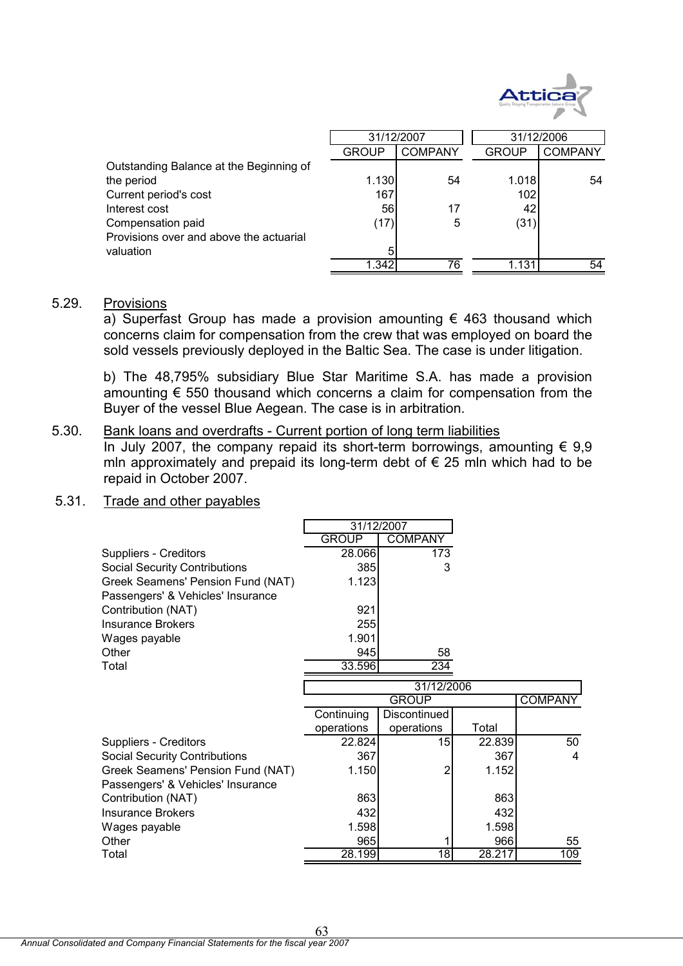

|                                         | 31/12/2007   |                |              | 31/12/2006     |
|-----------------------------------------|--------------|----------------|--------------|----------------|
|                                         | <b>GROUP</b> | <b>COMPANY</b> | <b>GROUP</b> | <b>COMPANY</b> |
| Outstanding Balance at the Beginning of |              |                |              |                |
| the period                              | 1.130        | 54             | 1.018        | 54             |
| Current period's cost                   | 167          |                | 102          |                |
| Interest cost                           | 56           | 17             | 42           |                |
| Compensation paid                       | (17)         | 5              | (31)         |                |
| Provisions over and above the actuarial |              |                |              |                |
| valuation                               | 5            |                |              |                |
|                                         | 1.342        | 76             | 1.131        | 54             |

## 5.29. Provisions

a) Superfast Group has made a provision amounting  $\epsilon$  463 thousand which concerns claim for compensation from the crew that was employed on board the sold vessels previously deployed in the Baltic Sea. The case is under litigation.

b) The 48,795% subsidiary Blue Star Maritime S.A. has made a provision amounting € 550 thousand which concerns a claim for compensation from the Buyer of the vessel Blue Aegean. The case is in arbitration.

### 5.30. Bank loans and overdrafts - Current portion of long term liabilities

In July 2007, the company repaid its short-term borrowings, amounting  $\epsilon$  9,9 mln approximately and prepaid its long-term debt of  $\epsilon$  25 mln which had to be repaid in October 2007.

# 5.31. Trade and other payables

|                                      | 31/12/2007    |                |               |                |
|--------------------------------------|---------------|----------------|---------------|----------------|
|                                      | <b>GROUP</b>  | <b>COMPANY</b> |               |                |
| <b>Suppliers - Creditors</b>         | 28.066        | 173            |               |                |
| <b>Social Security Contributions</b> | 385           | 3              |               |                |
| Greek Seamens' Pension Fund (NAT)    | 1.123         |                |               |                |
| Passengers' & Vehicles' Insurance    |               |                |               |                |
| Contribution (NAT)                   | 921           |                |               |                |
| <b>Insurance Brokers</b>             | 255           |                |               |                |
| Wages payable                        | 1.901         |                |               |                |
| Other                                | 945           | 58             |               |                |
| Total                                | 33.596        | 234            |               |                |
|                                      |               | 31/12/2006     |               |                |
|                                      |               |                |               |                |
|                                      |               | <b>GROUP</b>   |               | <b>COMPANY</b> |
|                                      | Continuing    | Discontinued   |               |                |
|                                      | operations    | operations     | Total         |                |
| <b>Suppliers - Creditors</b>         | 22.824        | 15             | 22.839        | 50             |
| <b>Social Security Contributions</b> | 367           |                | 367           | 4              |
| Greek Seamens' Pension Fund (NAT)    | 1.150         | 2              | 1.152         |                |
| Passengers' & Vehicles' Insurance    |               |                |               |                |
| Contribution (NAT)                   | 863           |                | 863           |                |
| <b>Insurance Brokers</b>             | 432           |                | 432           |                |
| Wages payable                        | 1.598         |                | 1.598         |                |
| Other                                | 965<br>28.199 |                | 966<br>28.217 | 55<br>109      |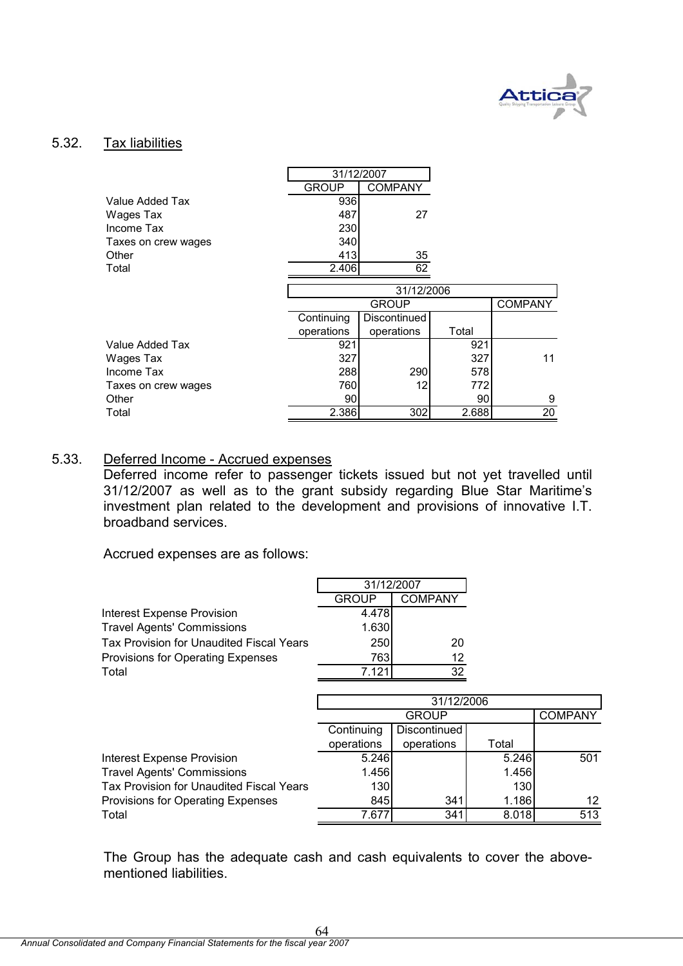

# 5.32. Tax liabilities

|                     | 31/12/2007   |                |       |                |
|---------------------|--------------|----------------|-------|----------------|
|                     | <b>GROUP</b> | <b>COMPANY</b> |       |                |
| Value Added Tax     | 936          |                |       |                |
| Wages Tax           | 487          | 27             |       |                |
| Income Tax          | 230          |                |       |                |
| Taxes on crew wages | 340          |                |       |                |
| Other               | 413          | 35             |       |                |
| Total               | 2.406        | 62             |       |                |
|                     |              |                |       |                |
|                     |              | 31/12/2006     |       |                |
|                     |              | <b>GROUP</b>   |       | <b>COMPANY</b> |
|                     | Continuing   | Discontinued   |       |                |
|                     | operations   | operations     | Total |                |
| Value Added Tax     | 921          |                | 921   |                |
| Wages Tax           | 327          |                | 327   | 11             |
| Income Tax          | 288          | 290            | 578   |                |
| Taxes on crew wages | 760          | 12             | 772   |                |
|                     |              |                |       |                |
| Other               | 90           |                | 90    | 9              |

# 5.33. Deferred Income - Accrued expenses

Deferred income refer to passenger tickets issued but not yet travelled until 31/12/2007 as well as to the grant subsidy regarding Blue Star Maritime's investment plan related to the development and provisions of innovative I.T. broadband services.

Accrued expenses are as follows:

|                                          | 31/12/2007   |                |       |                |
|------------------------------------------|--------------|----------------|-------|----------------|
|                                          | <b>GROUP</b> | <b>COMPANY</b> |       |                |
| <b>Interest Expense Provision</b>        | 4.478        |                |       |                |
| <b>Travel Agents' Commissions</b>        | 1.630        |                |       |                |
| Tax Provision for Unaudited Fiscal Years | 250          | 20             |       |                |
| Provisions for Operating Expenses        | 7631         | 12             |       |                |
| Total                                    | 7.121        | 32             |       |                |
|                                          |              |                |       |                |
|                                          |              | 31/12/2006     |       |                |
|                                          |              | <b>GROUP</b>   |       | <b>COMPANY</b> |
|                                          | Continuing   | Discontinued   |       |                |
|                                          | operations   | operations     | Total |                |
| <b>Interest Expense Provision</b>        | 5.246        |                | 5.246 | 501            |
| <b>Travel Agents' Commissions</b>        | 1.456        |                | 1.456 |                |
| Tax Provision for Unaudited Fiscal Years | 130          |                | 130   |                |
| Provisions for Operating Expenses        | 845          | 341            | 1.186 | 12             |
| Total                                    | 7.677        | 341            | 8.018 | 513            |

The Group has the adequate cash and cash equivalents to cover the abovementioned liabilities.

64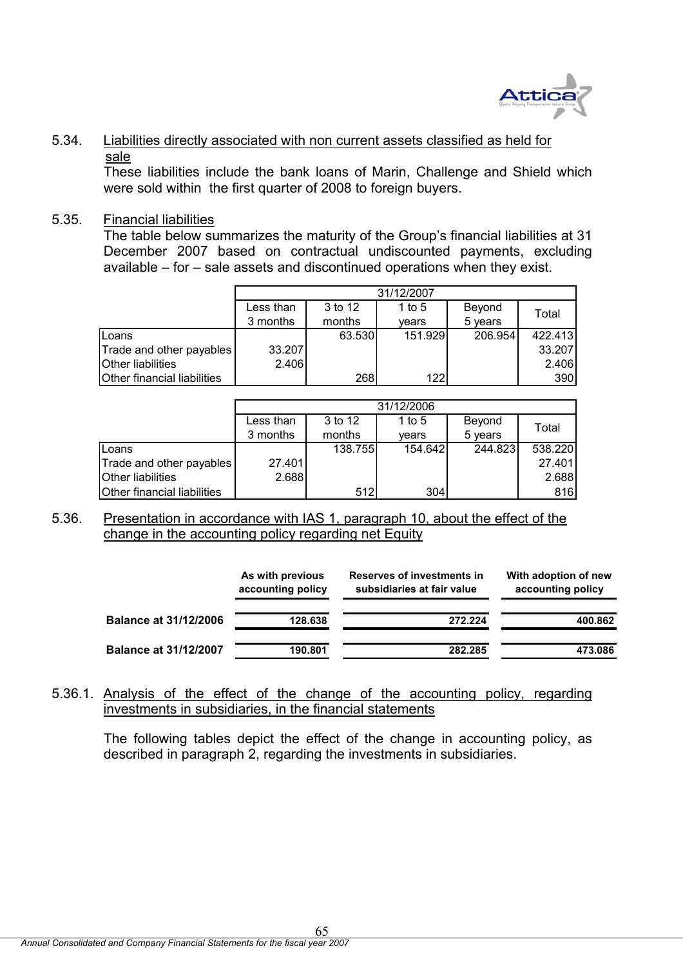

# 5.34. Liabilities directly associated with non current assets classified as held for sale

These liabilities include the bank loans of Marin, Challenge and Shield which were sold within the first quarter of 2008 to foreign buyers.

# 5.35. Financial liabilities

The table below summarizes the maturity of the Group's financial liabilities at 31 December 2007 based on contractual undiscounted payments, excluding available – for – sale assets and discontinued operations when they exist.

|                             |           |         | 31/12/2007 |         |         |
|-----------------------------|-----------|---------|------------|---------|---------|
|                             | Less than | 3 to 12 | 1 to 5     | Beyond  | Total   |
|                             | 3 months  | months  | vears      | 5 years |         |
| Loans                       |           | 63.530  | 151.929    | 206.954 | 422.413 |
| Trade and other payables    | 33.207    |         |            |         | 33.207  |
| <b>Other liabilities</b>    | 2.406     |         |            |         | 2.406   |
| Other financial liabilities |           | 268     | 122        |         | 390     |

|                             |           |         | 31/12/2006 |         |         |
|-----------------------------|-----------|---------|------------|---------|---------|
|                             | Less than | 3 to 12 | 1 to 5     | Beyond  | Total   |
|                             | 3 months  | months  | vears      | 5 years |         |
| Loans                       |           | 138.755 | 154.642    | 244.823 | 538.220 |
| Trade and other payables    | 27.401    |         |            |         | 27.401  |
| Other liabilities           | 2.688     |         |            |         | 2.688   |
| Other financial liabilities |           | 512     | 304        |         | 816     |

# 5.36. Presentation in accordance with IAS 1, paragraph 10, about the effect of the change in the accounting policy regarding net Equity

|                              | As with previous<br>accounting policy | Reserves of investments in<br>subsidiaries at fair value | With adoption of new<br>accounting policy |
|------------------------------|---------------------------------------|----------------------------------------------------------|-------------------------------------------|
| <b>Balance at 31/12/2006</b> | 128.638                               | 272.224                                                  | 400.862                                   |
| <b>Balance at 31/12/2007</b> | 190.801                               | 282.285                                                  | 473.086                                   |

# 5.36.1. Analysis of the effect of the change of the accounting policy, regarding investments in subsidiaries, in the financial statements

The following tables depict the effect of the change in accounting policy, as described in paragraph 2, regarding the investments in subsidiaries.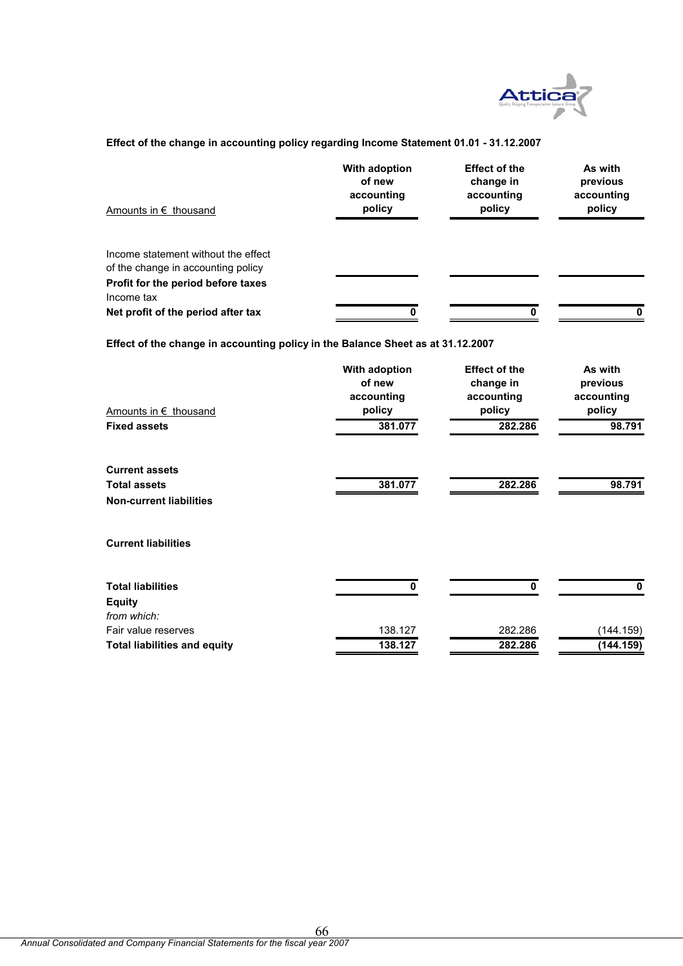

#### **Effect of the change in accounting policy regarding Income Statement 01.01 - 31.12.2007**

| Amounts in $\epsilon$ thousand                                                                                  | With adoption<br>of new<br>accounting<br>policy | <b>Effect of the</b><br>change in<br>accounting<br>policy | As with<br>previous<br>accounting<br>policy |
|-----------------------------------------------------------------------------------------------------------------|-------------------------------------------------|-----------------------------------------------------------|---------------------------------------------|
| Income statement without the effect<br>of the change in accounting policy<br>Profit for the period before taxes |                                                 |                                                           |                                             |
| Income tax<br>Net profit of the period after tax                                                                | n                                               |                                                           |                                             |

**Effect of the change in accounting policy in the Balance Sheet as at 31.12.2007**

| Amounts in € thousand               | With adoption<br>of new<br>accounting<br>policy | <b>Effect of the</b><br>change in<br>accounting<br>policy | As with<br>previous<br>accounting<br>policy |
|-------------------------------------|-------------------------------------------------|-----------------------------------------------------------|---------------------------------------------|
| <b>Fixed assets</b>                 | 381.077                                         | 282.286                                                   | 98.791                                      |
| <b>Current assets</b>               |                                                 |                                                           |                                             |
| <b>Total assets</b>                 | 381.077                                         | 282.286                                                   | 98.791                                      |
| <b>Non-current liabilities</b>      |                                                 |                                                           |                                             |
| <b>Current liabilities</b>          |                                                 |                                                           |                                             |
| <b>Total liabilities</b>            | 0                                               | Ω                                                         | $\bf{0}$                                    |
| <b>Equity</b>                       |                                                 |                                                           |                                             |
| from which:                         |                                                 |                                                           |                                             |
| Fair value reserves                 | 138.127                                         | 282.286                                                   | (144.159)                                   |
| <b>Total liabilities and equity</b> | 138.127                                         | 282.286                                                   | (144.159)                                   |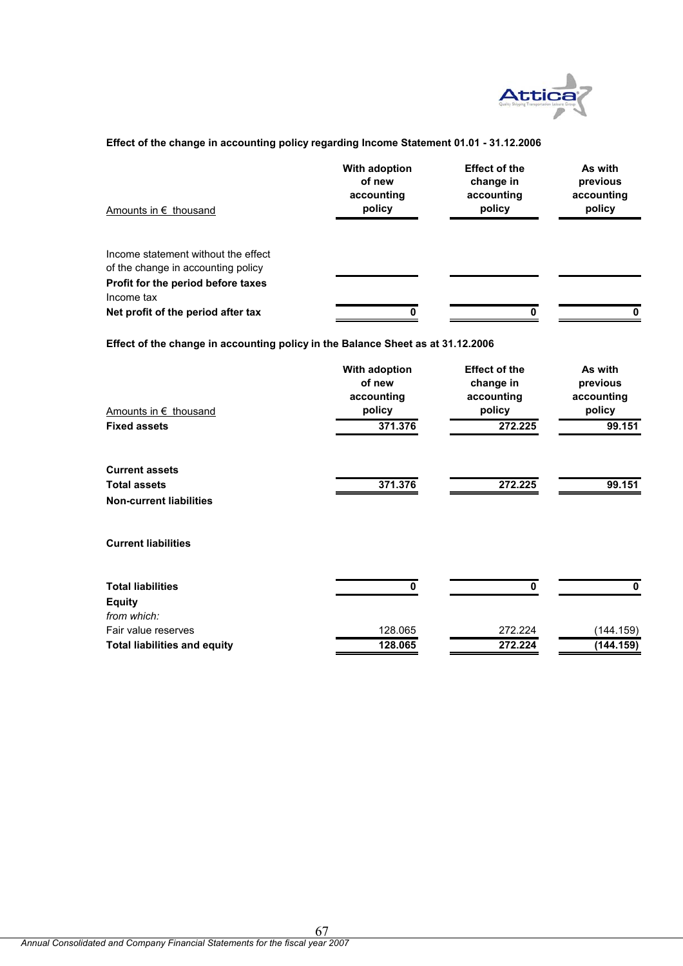

#### **Effect of the change in accounting policy regarding Income Statement 01.01 - 31.12.2006**

| Amounts in $\epsilon$ thousand                                                         | With adoption<br>of new<br>accounting<br>policy | <b>Effect of the</b><br>change in<br>accounting<br>policy | As with<br>previous<br>accounting<br>policy |
|----------------------------------------------------------------------------------------|-------------------------------------------------|-----------------------------------------------------------|---------------------------------------------|
| Income statement without the effect<br>of the change in accounting policy              |                                                 |                                                           |                                             |
| Profit for the period before taxes<br>Income tax<br>Net profit of the period after tax |                                                 |                                                           |                                             |

**Effect of the change in accounting policy in the Balance Sheet as at 31.12.2006**

| Amounts in € thousand               | With adoption<br>of new<br>accounting<br>policy | <b>Effect of the</b><br>change in<br>accounting<br>policy | As with<br>previous<br>accounting<br>policy |
|-------------------------------------|-------------------------------------------------|-----------------------------------------------------------|---------------------------------------------|
| <b>Fixed assets</b>                 | 371.376                                         | 272.225                                                   | 99.151                                      |
| <b>Current assets</b>               |                                                 |                                                           |                                             |
| <b>Total assets</b>                 | 371.376                                         | 272.225                                                   | 99.151                                      |
| <b>Non-current liabilities</b>      |                                                 |                                                           |                                             |
| <b>Current liabilities</b>          |                                                 |                                                           |                                             |
| <b>Total liabilities</b>            | O                                               | 0                                                         | 0                                           |
| <b>Equity</b>                       |                                                 |                                                           |                                             |
| from which:                         |                                                 |                                                           |                                             |
| Fair value reserves                 | 128.065                                         | 272.224                                                   | (144.159)                                   |
| <b>Total liabilities and equity</b> | 128.065                                         | 272.224                                                   | (144.159)                                   |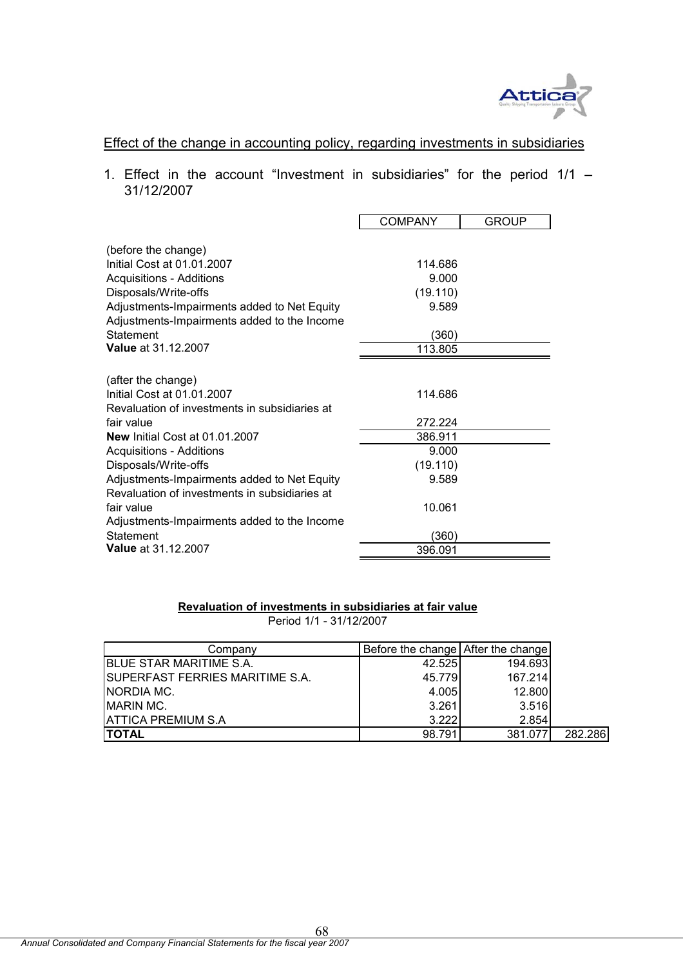

# Effect of the change in accounting policy, regarding investments in subsidiaries

1. Effect in the account "Investment in subsidiaries" for the period  $1/1 -$ 31/12/2007

|                                                   | <b>COMPANY</b> | <b>GROUP</b> |
|---------------------------------------------------|----------------|--------------|
| (before the change)<br>Initial Cost at 01.01.2007 | 114.686        |              |
| <b>Acquisitions - Additions</b>                   | 9.000          |              |
| Disposals/Write-offs                              | (19.110)       |              |
| Adjustments-Impairments added to Net Equity       | 9.589          |              |
| Adjustments-Impairments added to the Income       |                |              |
| Statement                                         | (360)          |              |
| <b>Value at 31.12.2007</b>                        | 113.805        |              |
|                                                   |                |              |
| (after the change)                                |                |              |
| Initial Cost at 01.01.2007                        | 114.686        |              |
| Revaluation of investments in subsidiaries at     |                |              |
| fair value                                        | 272.224        |              |
| New Initial Cost at 01.01.2007                    | 386.911        |              |
| <b>Acquisitions - Additions</b>                   | 9.000          |              |
| Disposals/Write-offs                              | (19.110)       |              |
| Adjustments-Impairments added to Net Equity       | 9.589          |              |
| Revaluation of investments in subsidiaries at     |                |              |
| fair value                                        | 10.061         |              |
| Adjustments-Impairments added to the Income       |                |              |
| Statement                                         | (360)          |              |
| <b>Value at 31.12.2007</b>                        | 396.091        |              |

#### **Revaluation of investments in subsidiaries at fair value** Period 1/1 - 31/12/2007

| Company                                 | Before the change After the change |         |         |
|-----------------------------------------|------------------------------------|---------|---------|
| <b>BLUE STAR MARITIME S.A.</b>          | 42.525                             | 194.693 |         |
| <b>ISUPERFAST FERRIES MARITIME S.A.</b> | 45.779                             | 167.214 |         |
| <b>NORDIA MC.</b>                       | 4.005                              | 12.800  |         |
| IMARIN MC.                              | 3.261                              | 3.516   |         |
| <b>ATTICA PREMIUM S.A</b>               | 3.222                              | 2.854   |         |
| <b>ITOTAL</b>                           | 98.791                             | 381.077 | 282.286 |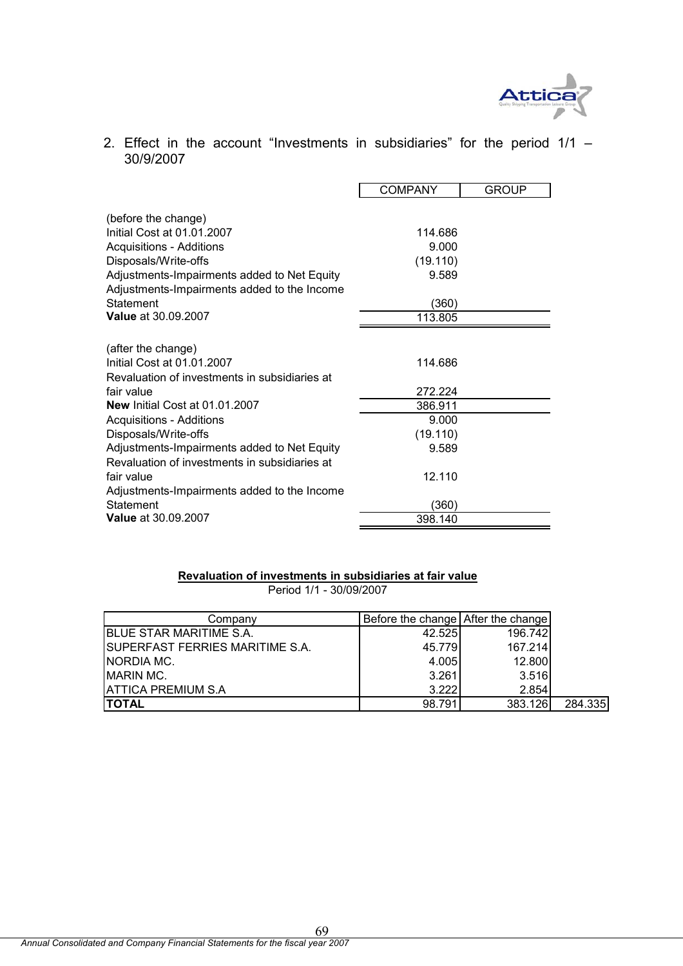

2. Effect in the account "Investments in subsidiaries" for the period 1/1 – 30/9/2007

|                                                                                                                                                                                                                                                       | <b>COMPANY</b>                                            | <b>GROUP</b> |
|-------------------------------------------------------------------------------------------------------------------------------------------------------------------------------------------------------------------------------------------------------|-----------------------------------------------------------|--------------|
| (before the change)<br>Initial Cost at 01.01.2007<br><b>Acquisitions - Additions</b><br>Disposals/Write-offs<br>Adjustments-Impairments added to Net Equity<br>Adjustments-Impairments added to the Income<br>Statement<br><b>Value at 30.09.2007</b> | 114.686<br>9.000<br>(19.110)<br>9.589<br>(360)<br>113.805 |              |
| (after the change)<br>Initial Cost at 01.01.2007                                                                                                                                                                                                      | 114.686                                                   |              |
| Revaluation of investments in subsidiaries at<br>fair value                                                                                                                                                                                           | 272.224                                                   |              |
| New Initial Cost at 01.01.2007                                                                                                                                                                                                                        | 386.911                                                   |              |
| <b>Acquisitions - Additions</b>                                                                                                                                                                                                                       | 9.000                                                     |              |
| Disposals/Write-offs                                                                                                                                                                                                                                  | (19.110)                                                  |              |
| Adjustments-Impairments added to Net Equity<br>Revaluation of investments in subsidiaries at                                                                                                                                                          | 9.589                                                     |              |
| fair value                                                                                                                                                                                                                                            | 12.110                                                    |              |
| Adjustments-Impairments added to the Income                                                                                                                                                                                                           |                                                           |              |
| Statement                                                                                                                                                                                                                                             | (360)                                                     |              |
| <b>Value at 30.09.2007</b>                                                                                                                                                                                                                            | 398.140                                                   |              |

#### **Revaluation of investments in subsidiaries at fair value** Period 1/1 - 30/09/2007

| Company                                 | Before the change After the change |         |         |
|-----------------------------------------|------------------------------------|---------|---------|
| <b>IBLUE STAR MARITIME S.A.</b>         | 42.525                             | 196.742 |         |
| <b>ISUPERFAST FERRIES MARITIME S.A.</b> | 45.779                             | 167.214 |         |
| INORDIA MC.                             | 4.005                              | 12.800  |         |
| <b>IMARIN MC.</b>                       | 3.261                              | 3.516   |         |
| <b>ATTICA PREMIUM S.A</b>               | 3.222                              | 2.854   |         |
| <b>TOTAL</b>                            | 98.791                             | 383.126 | 284.335 |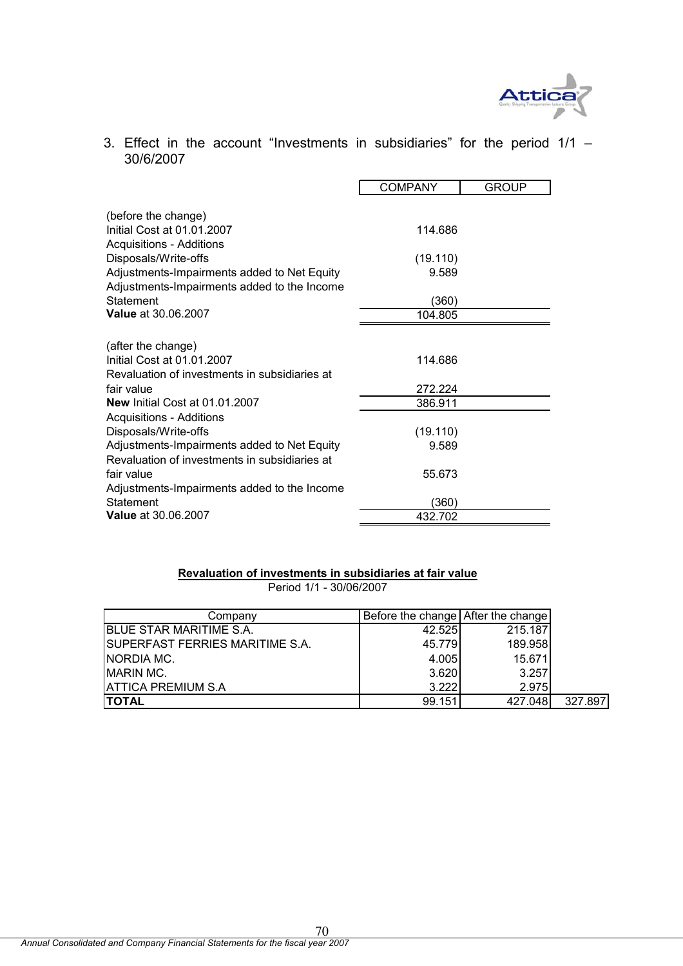

3. Effect in the account "Investments in subsidiaries" for the period 1/1 – 30/6/2007

|                                                                                            | <b>COMPANY</b> | <b>GROUP</b> |
|--------------------------------------------------------------------------------------------|----------------|--------------|
| (before the change)                                                                        |                |              |
| Initial Cost at 01.01.2007<br><b>Acquisitions - Additions</b>                              | 114.686        |              |
| Disposals/Write-offs                                                                       | (19.110)       |              |
| Adjustments-Impairments added to Net Equity<br>Adjustments-Impairments added to the Income | 9.589          |              |
| Statement                                                                                  | (360)          |              |
| <b>Value at 30.06.2007</b>                                                                 | 104.805        |              |
|                                                                                            |                |              |
| (after the change)                                                                         |                |              |
| Initial Cost at 01.01.2007                                                                 | 114.686        |              |
| Revaluation of investments in subsidiaries at                                              |                |              |
| fair value                                                                                 | 272.224        |              |
| New Initial Cost at 01.01.2007                                                             | 386.911        |              |
| <b>Acquisitions - Additions</b>                                                            |                |              |
| Disposals/Write-offs                                                                       | (19.110)       |              |
| Adjustments-Impairments added to Net Equity                                                | 9.589          |              |
| Revaluation of investments in subsidiaries at                                              |                |              |
| fair value                                                                                 | 55.673         |              |
| Adjustments-Impairments added to the Income                                                |                |              |
| Statement                                                                                  | (360)          |              |
| <b>Value at 30.06.2007</b>                                                                 | 432.702        |              |

# **Revaluation of investments in subsidiaries at fair value**

Period 1/1 - 30/06/2007

| Company                          | Before the change After the change |         |         |
|----------------------------------|------------------------------------|---------|---------|
| <b>IBLUE STAR MARITIME S.A.</b>  | 42.525                             | 215.187 |         |
| ISUPERFAST FERRIES MARITIME S.A. | 45.779                             | 189.958 |         |
| INORDIA MC.                      | 4.005                              | 15.671  |         |
| <b>MARIN MC.</b>                 | 3.620                              | 3.257   |         |
| <b>IATTICA PREMIUM S.A</b>       | 3.222                              | 2.975   |         |
| <b>TOTAL</b>                     | 99.151                             | 427.048 | 327.897 |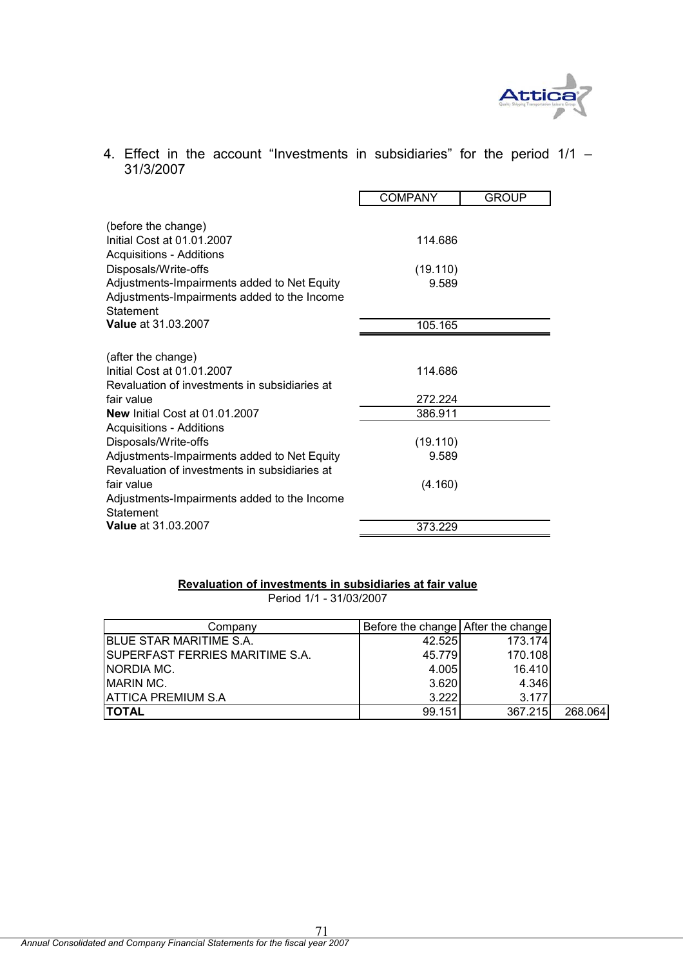

# 4. Effect in the account "Investments in subsidiaries" for the period  $1/1 -$ 31/3/2007

|                                                          | <b>COMPANY</b> | <b>GROUP</b> |
|----------------------------------------------------------|----------------|--------------|
|                                                          |                |              |
| (before the change)<br>Initial Cost at 01.01.2007        | 114.686        |              |
| <b>Acquisitions - Additions</b>                          |                |              |
| Disposals/Write-offs                                     | (19.110)       |              |
| Adjustments-Impairments added to Net Equity              | 9.589          |              |
| Adjustments-Impairments added to the Income<br>Statement |                |              |
| <b>Value at 31.03.2007</b>                               | 105.165        |              |
|                                                          |                |              |
| (after the change)                                       |                |              |
| Initial Cost at 01.01.2007                               | 114.686        |              |
| Revaluation of investments in subsidiaries at            |                |              |
| fair value                                               | 272.224        |              |
| <b>New Initial Cost at 01.01.2007</b>                    | 386.911        |              |
| <b>Acquisitions - Additions</b>                          |                |              |
| Disposals/Write-offs                                     | (19.110)       |              |
| Adjustments-Impairments added to Net Equity              | 9.589          |              |
| Revaluation of investments in subsidiaries at            |                |              |
| fair value                                               | (4.160)        |              |
| Adjustments-Impairments added to the Income<br>Statement |                |              |
| <b>Value at 31.03.2007</b>                               | 373.229        |              |

# **Revaluation of investments in subsidiaries at fair value**

Period 1/1 - 31/03/2007

| Companv                                 | Before the change After the change |         |         |
|-----------------------------------------|------------------------------------|---------|---------|
| <b>BLUE STAR MARITIME S.A.</b>          | 42.525                             | 173.174 |         |
| <b>ISUPERFAST FERRIES MARITIME S.A.</b> | 45.779                             | 170.108 |         |
| INORDIA MC.                             | 4.005                              | 16.410  |         |
| <b>MARIN MC.</b>                        | 3.620                              | 4.346   |         |
| <b>ATTICA PREMIUM S.A</b>               | 3.222                              | 3.177   |         |
| <b>TOTAL</b>                            | 99.151                             | 367.215 | 268.064 |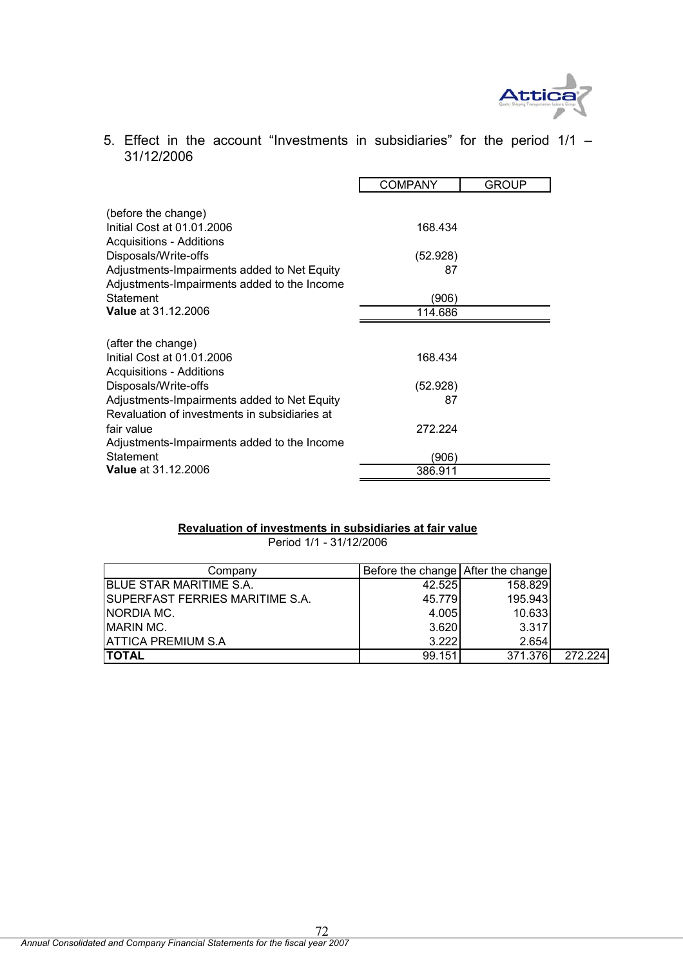

5. Effect in the account "Investments in subsidiaries" for the period 1/1 – 31/12/2006

|                                                                                              | <b>COMPANY</b>   | <b>GROUP</b> |
|----------------------------------------------------------------------------------------------|------------------|--------------|
| (before the change)<br>Initial Cost at 01.01.2006                                            | 168.434          |              |
| <b>Acquisitions - Additions</b><br>Disposals/Write-offs                                      | (52.928)         |              |
| Adjustments-Impairments added to Net Equity<br>Adjustments-Impairments added to the Income   | 87               |              |
| Statement<br><b>Value at 31.12.2006</b>                                                      | (906)<br>114.686 |              |
|                                                                                              |                  |              |
| (after the change)                                                                           |                  |              |
| Initial Cost at 01.01.2006<br><b>Acquisitions - Additions</b>                                | 168.434          |              |
| Disposals/Write-offs                                                                         | (52.928)         |              |
| Adjustments-Impairments added to Net Equity<br>Revaluation of investments in subsidiaries at | 87               |              |
| fair value                                                                                   | 272.224          |              |
| Adjustments-Impairments added to the Income                                                  |                  |              |
| Statement                                                                                    | (906)            |              |
| <b>Value</b> at 31.12.2006                                                                   | 386.911          |              |

# **Revaluation of investments in subsidiaries at fair value**

Period 1/1 - 31/12/2006

| Companv                                | Before the change After the change |         |         |
|----------------------------------------|------------------------------------|---------|---------|
| BLUE STAR MARITIME S.A.                | 42.525                             | 158.829 |         |
| <b>SUPERFAST FERRIES MARITIME S.A.</b> | 45.779                             | 195.943 |         |
| NORDIA MC.                             | 4.005                              | 10.633  |         |
| <b>MARIN MC.</b>                       | 3.620                              | 3.317   |         |
| <b>ATTICA PREMIUM S.A</b>              | 3.222                              | 2.654   |         |
| <b>TOTAL</b>                           | 99.151                             | 371.376 | 272.224 |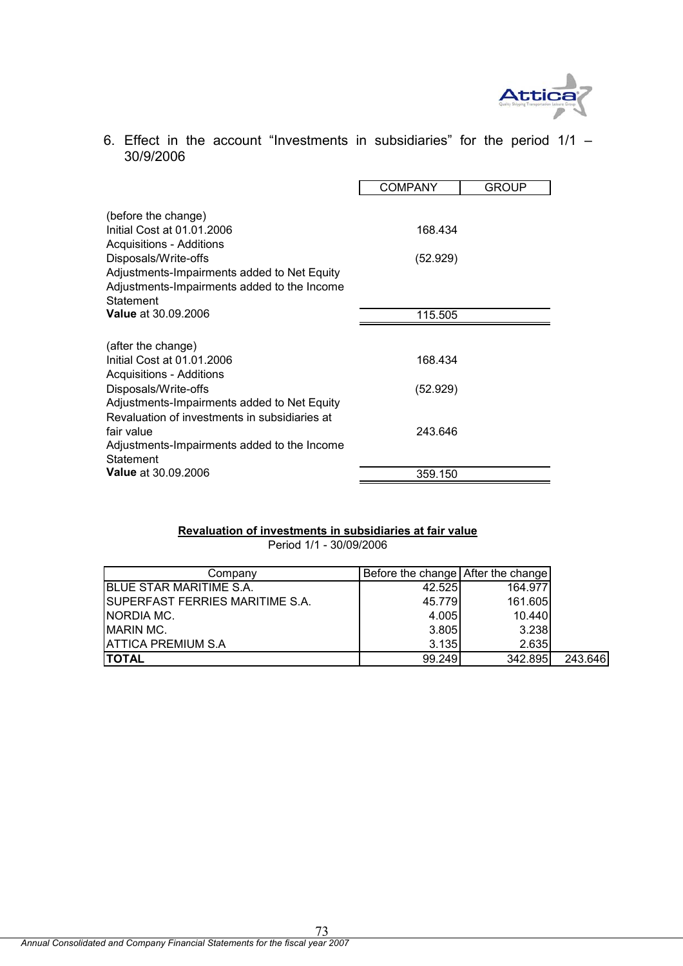

6. Effect in the account "Investments in subsidiaries" for the period  $1/1$  – 30/9/2006

|                                                                     | <b>COMPANY</b> | GROUP |
|---------------------------------------------------------------------|----------------|-------|
| (before the change)                                                 |                |       |
| Initial Cost at 01.01.2006<br><b>Acquisitions - Additions</b>       | 168.434        |       |
| Disposals/Write-offs                                                | (52.929)       |       |
| Adjustments-Impairments added to Net Equity                         |                |       |
| Adjustments-Impairments added to the Income<br>Statement            |                |       |
| <b>Value at 30.09.2006</b>                                          | 115.505        |       |
|                                                                     |                |       |
| (after the change)<br>Initial Cost at 01.01.2006                    | 168.434        |       |
| <b>Acquisitions - Additions</b>                                     |                |       |
| Disposals/Write-offs<br>Adjustments-Impairments added to Net Equity | (52.929)       |       |
| Revaluation of investments in subsidiaries at                       |                |       |
| fair value                                                          | 243.646        |       |
| Adjustments-Impairments added to the Income<br>Statement            |                |       |
| <b>Value</b> at 30.09.2006                                          | 359.150        |       |

## **Revaluation of investments in subsidiaries at fair value**

Period 1/1 - 30/09/2006

| Company                                 | Before the change After the change |         |         |
|-----------------------------------------|------------------------------------|---------|---------|
| <b>BLUE STAR MARITIME S.A.</b>          | 42.525                             | 164.977 |         |
| <b>ISUPERFAST FERRIES MARITIME S.A.</b> | 45.779                             | 161.605 |         |
| INORDIA MC.                             | 4.005                              | 10.440  |         |
| <b>IMARIN MC.</b>                       | 3.805                              | 3.238   |         |
| ATTICA PREMIUM S.A                      | 3.135                              | 2.635   |         |
| <b>ITOTAL</b>                           | 99.249                             | 342.895 | 243.646 |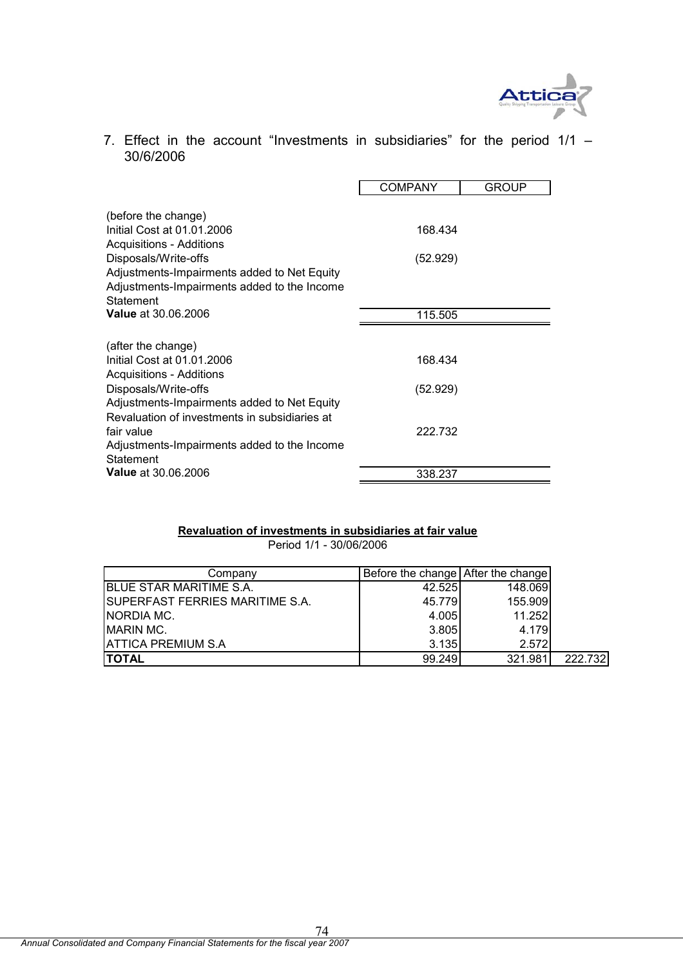

7. Effect in the account "Investments in subsidiaries" for the period  $1/1$  – 30/6/2006

|                                                                                                         | COMPANY  | GROUP |
|---------------------------------------------------------------------------------------------------------|----------|-------|
| (before the change)                                                                                     |          |       |
| Initial Cost at 01.01.2006<br><b>Acquisitions - Additions</b>                                           | 168.434  |       |
| Disposals/Write-offs                                                                                    | (52.929) |       |
| Adjustments-Impairments added to Net Equity<br>Adjustments-Impairments added to the Income<br>Statement |          |       |
| <b>Value</b> at 30.06.2006                                                                              | 115.505  |       |
|                                                                                                         |          |       |
| (after the change)<br>Initial Cost at 01.01.2006<br><b>Acquisitions - Additions</b>                     | 168.434  |       |
| Disposals/Write-offs                                                                                    | (52.929) |       |
| Adjustments-Impairments added to Net Equity<br>Revaluation of investments in subsidiaries at            |          |       |
| fair value                                                                                              | 222.732  |       |
| Adjustments-Impairments added to the Income<br>Statement                                                |          |       |
| <b>Value</b> at 30.06.2006                                                                              | 338.237  |       |

## **Revaluation of investments in subsidiaries at fair value**

Period 1/1 - 30/06/2006

| Companv                                | Before the change After the change |         |         |
|----------------------------------------|------------------------------------|---------|---------|
| <b>BLUE STAR MARITIME S.A.</b>         | 42.525                             | 148.069 |         |
| <b>SUPERFAST FERRIES MARITIME S.A.</b> | 45.779                             | 155.909 |         |
| NORDIA MC.                             | 4.005                              | 11.252  |         |
| <b>MARIN MC.</b>                       | 3.805                              | 4.179   |         |
| <b>ATTICA PREMIUM S.A</b>              | 3.135                              | 2.572   |         |
| <b>ITOTAL</b>                          | 99.249                             | 321.981 | 222.732 |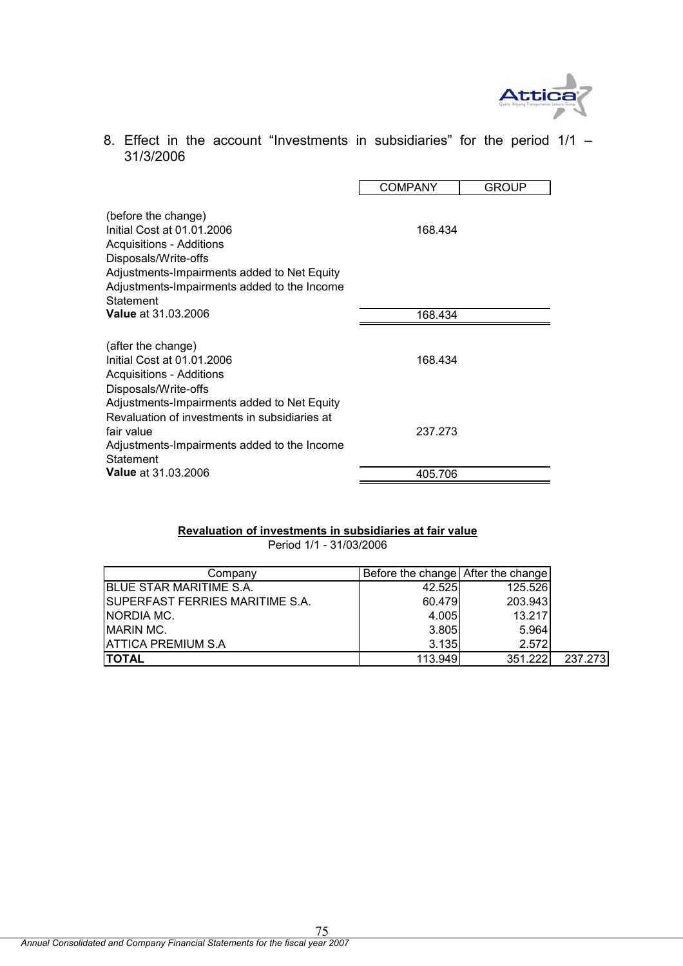

8. Effect in the account "Investments in subsidiaries" for the period 1/1 – 31/3/2006

|                                                                                                                                                                                                                         | <b>COMPANY</b> | <b>GROUP</b> |
|-------------------------------------------------------------------------------------------------------------------------------------------------------------------------------------------------------------------------|----------------|--------------|
| (before the change)<br>Initial Cost at 01.01.2006<br><b>Acquisitions - Additions</b><br>Disposals/Write-offs<br>Adjustments-Impairments added to Net Equity<br>Adjustments-Impairments added to the Income<br>Statement | 168.434        |              |
| <b>Value at 31.03.2006</b>                                                                                                                                                                                              | 168.434        |              |
| (after the change)<br>Initial Cost at 01.01.2006<br>Acquisitions - Additions<br>Disposals/Write-offs                                                                                                                    | 168.434        |              |
| Adjustments-Impairments added to Net Equity<br>Revaluation of investments in subsidiaries at<br>fair value<br>Adjustments-Impairments added to the Income<br>Statement                                                  | 237.273        |              |
| <b>Value</b> at 31.03.2006                                                                                                                                                                                              | 405.706        |              |

## **Revaluation of investments in subsidiaries at fair value**

Period 1/1 - 31/03/2006

| Company                                | Before the change After the change |         |         |
|----------------------------------------|------------------------------------|---------|---------|
| <b>BLUE STAR MARITIME S.A.</b>         | 42.525                             | 125.526 |         |
| <b>SUPERFAST FERRIES MARITIME S.A.</b> | 60.479                             | 203.943 |         |
| NORDIA MC.                             | 4.005                              | 13.217  |         |
| <b>MARIN MC.</b>                       | 3.805                              | 5.964   |         |
| <b>ATTICA PREMIUM S.A</b>              | 3.135                              | 2.572   |         |
| <b>TOTAL</b>                           | 113.949                            | 351.222 | 237.273 |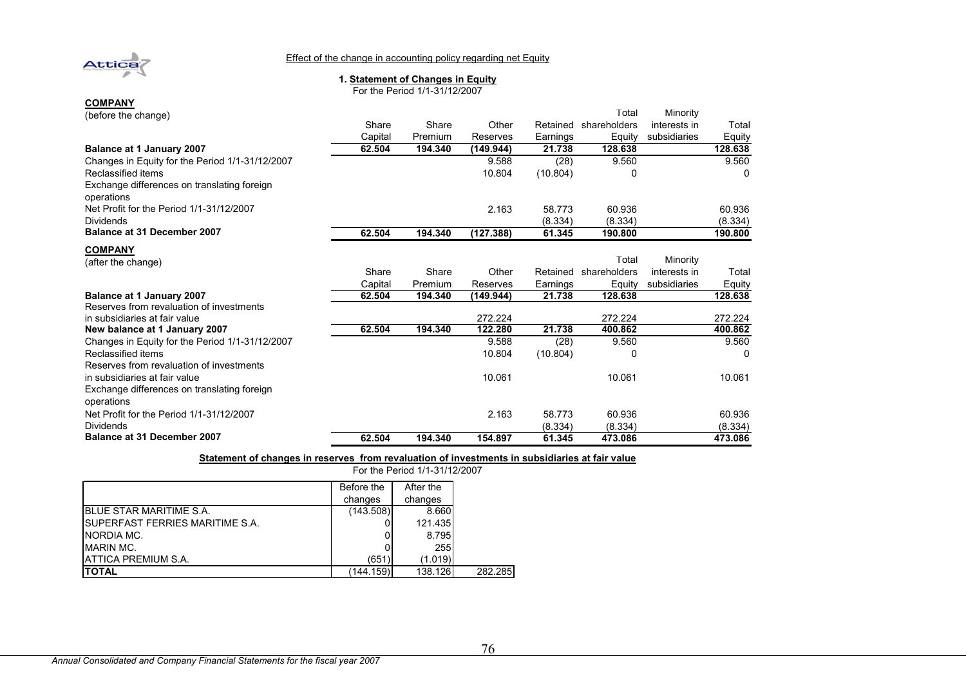

#### Effect of the change in accounting policy regarding net Equity

#### **1. Statement of Changes in Equity**

For the Period 1/1-31/12/2007

| (before the change)                                       |         |         |           |          | Total        | Minority     |         |
|-----------------------------------------------------------|---------|---------|-----------|----------|--------------|--------------|---------|
|                                                           | Share   | Share   | Other     | Retained | shareholders | interests in | Total   |
|                                                           | Capital | Premium | Reserves  | Earnings | Equity       | subsidiaries | Equity  |
| Balance at 1 January 2007                                 | 62.504  | 194.340 | (149.944) | 21.738   | 128.638      |              | 128.638 |
| Changes in Equity for the Period 1/1-31/12/2007           |         |         | 9.588     | (28)     | 9.560        |              | 9.560   |
| Reclassified items                                        |         |         | 10.804    | (10.804) | 0            |              | 0       |
| Exchange differences on translating foreign<br>operations |         |         |           |          |              |              |         |
| Net Profit for the Period 1/1-31/12/2007                  |         |         | 2.163     | 58.773   | 60.936       |              | 60.936  |
| <b>Dividends</b>                                          |         |         |           | (8.334)  | (8.334)      |              | (8.334) |
| <b>Balance at 31 December 2007</b>                        | 62.504  | 194.340 | (127.388) | 61.345   | 190.800      |              | 190.800 |
| <b>COMPANY</b>                                            |         |         |           |          |              |              |         |
| (after the change)                                        |         |         |           |          | Total        | Minority     |         |
|                                                           | Share   | Share   | Other     | Retained | shareholders | interests in | Total   |
|                                                           | Capital | Premium | Reserves  | Earnings | Equity       | subsidiaries | Equity  |
| Balance at 1 January 2007                                 | 62.504  | 194.340 | (149.944) | 21.738   | 128.638      |              | 128.638 |
| Reserves from revaluation of investments                  |         |         |           |          |              |              |         |
| in subsidiaries at fair value                             |         |         | 272.224   |          | 272.224      |              | 272.224 |
| New balance at 1 January 2007                             | 62.504  | 194.340 | 122.280   | 21.738   | 400.862      |              | 400.862 |
| Changes in Equity for the Period 1/1-31/12/2007           |         |         | 9.588     | (28)     | 9.560        |              | 9.560   |
| Reclassified items                                        |         |         | 10.804    | (10.804) | O            |              | O       |
| Reserves from revaluation of investments                  |         |         |           |          |              |              |         |
| in subsidiaries at fair value                             |         |         | 10.061    |          | 10.061       |              | 10.061  |
| Exchange differences on translating foreign<br>operations |         |         |           |          |              |              |         |
| Net Profit for the Period 1/1-31/12/2007                  |         |         | 2.163     | 58.773   | 60.936       |              | 60.936  |
| <b>Dividends</b>                                          |         |         |           | (8.334)  | (8.334)      |              | (8.334) |
| Balance at 31 December 2007                               | 62.504  | 194.340 | 154.897   | 61.345   | 473.086      |              | 473.086 |

**Statement of changes in reserves from revaluation of investments in subsidiaries at fair value**

|                                         | After the<br>Before the<br>changes<br>changes<br>(143.508)<br>(651) |         |  |
|-----------------------------------------|---------------------------------------------------------------------|---------|--|
|                                         |                                                                     |         |  |
|                                         |                                                                     |         |  |
| <b>IBLUE STAR MARITIME S.A.</b>         |                                                                     | 8.660   |  |
| <b>ISUPERFAST FERRIES MARITIME S.A.</b> |                                                                     | 121.435 |  |
| NORDIA MC.                              |                                                                     | 8.795   |  |
| <b>MARIN MC.</b>                        |                                                                     | 255     |  |
| <b>ATTICA PREMIUM S.A.</b>              |                                                                     | (1.019) |  |
| <b>TOTAL</b>                            | (144.159)                                                           | 138.126 |  |

For the Period 1/1-31/12/2007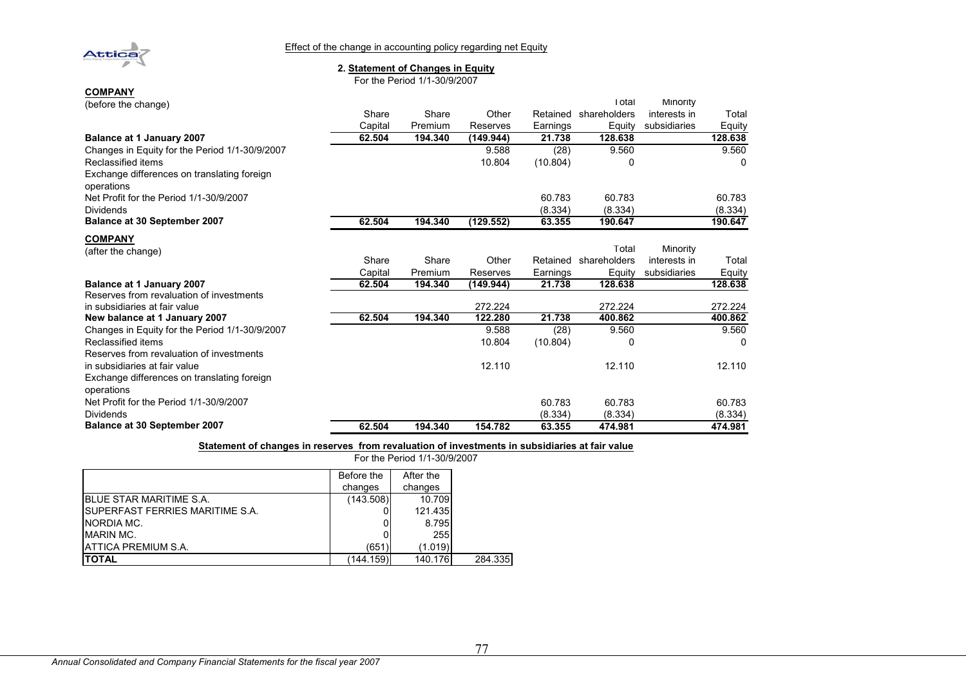

#### Effect of the change in accounting policy regarding net Equity

#### **2. Statement of Changes in Equity**

For the Period 1/1-30/9/2007

| (before the change)                                       |         |         |           |          | Total        | Minority     |         |
|-----------------------------------------------------------|---------|---------|-----------|----------|--------------|--------------|---------|
|                                                           | Share   | Share   | Other     | Retained | shareholders | interests in | Total   |
|                                                           | Capital | Premium | Reserves  | Earnings | Equity       | subsidiaries | Equity  |
| Balance at 1 January 2007                                 | 62.504  | 194.340 | (149.944) | 21.738   | 128.638      |              | 128.638 |
| Changes in Equity for the Period 1/1-30/9/2007            |         |         | 9.588     | (28)     | 9.560        |              | 9.560   |
| Reclassified items                                        |         |         | 10.804    | (10.804) | 0            |              | 0       |
| Exchange differences on translating foreign<br>operations |         |         |           |          |              |              |         |
| Net Profit for the Period 1/1-30/9/2007                   |         |         |           | 60.783   | 60.783       |              | 60.783  |
| <b>Dividends</b>                                          |         |         |           | (8.334)  | (8.334)      |              | (8.334) |
| <b>Balance at 30 September 2007</b>                       | 62.504  | 194.340 | (129.552) | 63.355   | 190.647      |              | 190.647 |
| <b>COMPANY</b>                                            |         |         |           |          |              |              |         |
| (after the change)                                        |         |         |           |          | Total        | Minority     |         |
|                                                           | Share   | Share   | Other     | Retained | shareholders | interests in | Total   |
|                                                           | Capital | Premium | Reserves  | Earnings | Equity       | subsidiaries | Equity  |
| Balance at 1 January 2007                                 | 62.504  | 194.340 | (149.944) | 21.738   | 128.638      |              | 128.638 |
| Reserves from revaluation of investments                  |         |         |           |          |              |              |         |
| in subsidiaries at fair value                             |         |         | 272.224   |          | 272.224      |              | 272.224 |
| New balance at 1 January 2007                             | 62.504  | 194.340 | 122.280   | 21.738   | 400.862      |              | 400.862 |
| Changes in Equity for the Period 1/1-30/9/2007            |         |         | 9.588     | (28)     | 9.560        |              | 9.560   |
| Reclassified items                                        |         |         | 10.804    | (10.804) | O            |              | U       |
| Reserves from revaluation of investments                  |         |         |           |          |              |              |         |
| in subsidiaries at fair value                             |         |         | 12.110    |          | 12.110       |              | 12.110  |
| Exchange differences on translating foreign<br>operations |         |         |           |          |              |              |         |
| Net Profit for the Period 1/1-30/9/2007                   |         |         |           | 60.783   | 60.783       |              | 60.783  |
| <b>Dividends</b>                                          |         |         |           | (8.334)  | (8.334)      |              | (8.334) |
| <b>Balance at 30 September 2007</b>                       | 62.504  | 194.340 | 154.782   | 63.355   | 474.981      |              | 474.981 |

#### **Statement of changes in reserves from revaluation of investments in subsidiaries at fair value** For the Period 1/1-30/9/2007

|                                         | Before the | After the |         |
|-----------------------------------------|------------|-----------|---------|
|                                         | changes    | changes   |         |
| <b>IBLUE STAR MARITIME S.A.</b>         | (143.508)  | 10.709    |         |
| <b>ISUPERFAST FERRIES MARITIME S.A.</b> |            | 121.435   |         |
| NORDIA MC.                              |            | 8.795     |         |
| MARIN MC.                               |            | 255       |         |
| <b>IATTICA PREMIUM S.A.</b>             | (651)      | (1.019)   |         |
| <b>ITOTAL</b>                           | (144.159)  | 140.176   | 284.335 |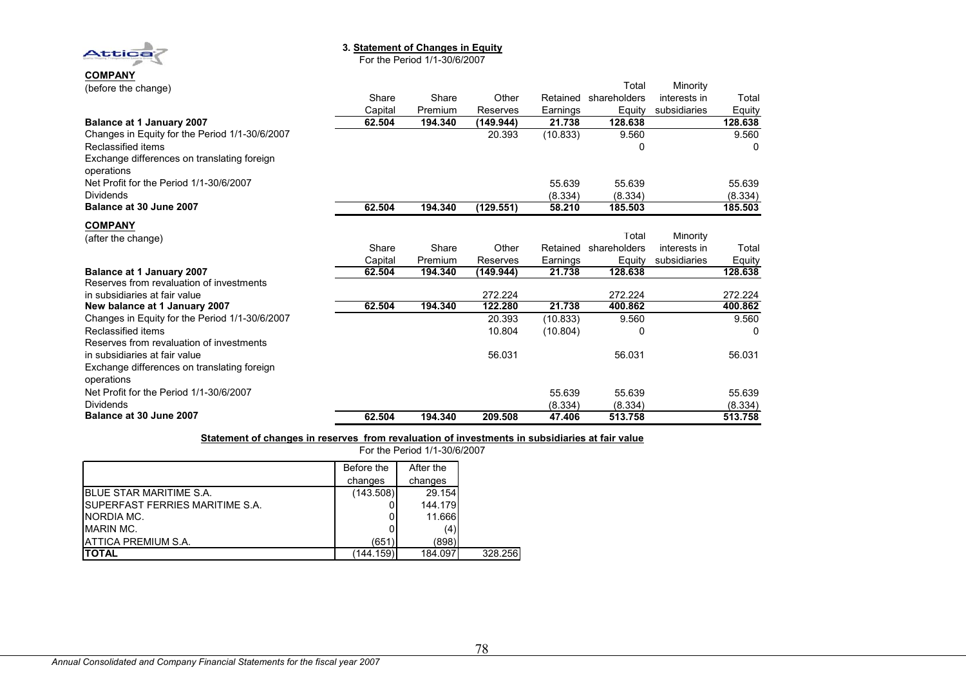

#### **3. Statement of Changes in Equity**

For the Period 1/1-30/6/2007

| ----- <i>-</i> ---<br>(before the change)      |         |         |           |          | Total        | Minority     |         |
|------------------------------------------------|---------|---------|-----------|----------|--------------|--------------|---------|
|                                                | Share   | Share   | Other     | Retained | shareholders | interests in | Total   |
|                                                | Capital | Premium | Reserves  | Earnings | Equity       | subsidiaries | Equity  |
| <b>Balance at 1 January 2007</b>               | 62.504  | 194.340 | (149.944) | 21.738   | 128.638      |              | 128.638 |
| Changes in Equity for the Period 1/1-30/6/2007 |         |         | 20.393    | (10.833) | 9.560        |              | 9.560   |
| Reclassified items                             |         |         |           |          | 0            |              | 0       |
| Exchange differences on translating foreign    |         |         |           |          |              |              |         |
| operations                                     |         |         |           |          |              |              |         |
| Net Profit for the Period 1/1-30/6/2007        |         |         |           | 55.639   | 55.639       |              | 55.639  |
| <b>Dividends</b>                               |         |         |           | (8.334)  | (8.334)      |              | (8.334) |
| Balance at 30 June 2007                        | 62.504  | 194.340 | (129.551) | 58.210   | 185.503      |              | 185.503 |
| <b>COMPANY</b>                                 |         |         |           |          |              |              |         |
| (after the change)                             |         |         |           |          | Total        | Minority     |         |
|                                                | Share   | Share   | Other     | Retained | shareholders | interests in | Total   |
|                                                | Capital | Premium | Reserves  | Earnings | Equity       | subsidiaries | Equity  |
| <b>Balance at 1 January 2007</b>               | 62.504  | 194.340 | (149.944) | 21.738   | 128.638      |              | 128.638 |
| Reserves from revaluation of investments       |         |         |           |          |              |              |         |
| in subsidiaries at fair value                  |         |         | 272.224   |          | 272.224      |              | 272.224 |
| New balance at 1 January 2007                  | 62.504  | 194.340 | 122.280   | 21.738   | 400.862      |              | 400.862 |
| Changes in Equity for the Period 1/1-30/6/2007 |         |         | 20.393    | (10.833) | 9.560        |              | 9.560   |
| Reclassified items                             |         |         | 10.804    | (10.804) | 0            |              |         |
| Reserves from revaluation of investments       |         |         |           |          |              |              |         |
| in subsidiaries at fair value                  |         |         | 56.031    |          | 56.031       |              | 56.031  |
| Exchange differences on translating foreign    |         |         |           |          |              |              |         |
| operations                                     |         |         |           |          |              |              |         |
| Net Profit for the Period 1/1-30/6/2007        |         |         |           | 55.639   | 55.639       |              | 55.639  |
| <b>Dividends</b>                               |         |         |           | (8.334)  | (8.334)      |              | (8.334) |
| Balance at 30 June 2007                        | 62.504  | 194.340 | 209.508   | 47.406   | 513.758      |              | 513.758 |

#### **Statement of changes in reserves from revaluation of investments in subsidiaries at fair value**

|                                         | For the Period 1/1-30/6/2007 |           |         |
|-----------------------------------------|------------------------------|-----------|---------|
|                                         | Before the                   | After the |         |
|                                         | changes                      | changes   |         |
| <b>IBLUE STAR MARITIME S.A.</b>         | (143.508)                    | 29.154    |         |
| <b>ISUPERFAST FERRIES MARITIME S.A.</b> |                              | 144.179   |         |
| NORDIA MC.                              |                              | 11.666    |         |
| MARIN MC.                               |                              | (4)       |         |
| ATTICA PREMIUM S.A.                     | (651)                        | (898)     |         |
| <b>TOTAL</b>                            | (144.159)                    | 184.097   | 328,256 |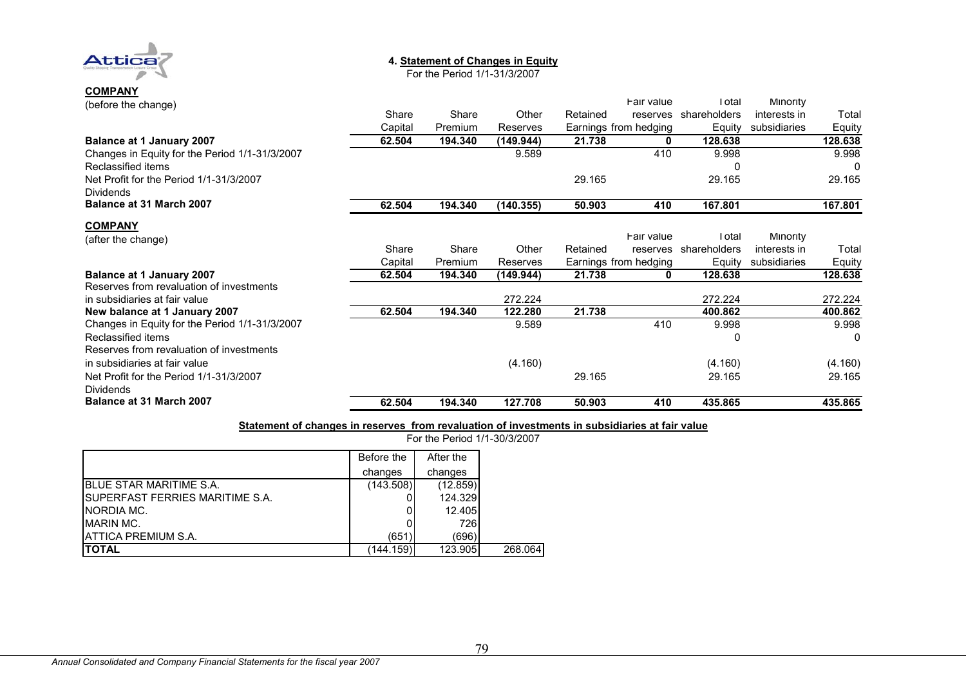

# **4. Statement of Changes in Equity**

For the Period 1/1-31/3/2007

# **COMPANY** (before the change)

| (before the change)                                         |         |         |           |          | Fair value            | Total        | <b>Minority</b> |         |
|-------------------------------------------------------------|---------|---------|-----------|----------|-----------------------|--------------|-----------------|---------|
|                                                             | Share   | Share   | Other     | Retained | reserves              | shareholders | interests in    | Total   |
|                                                             | Capital | Premium | Reserves  |          | Earnings from hedging | Equity       | subsidiaries    | Equity  |
| <b>Balance at 1 January 2007</b>                            | 62.504  | 194.340 | (149.944) | 21.738   | 0                     | 128.638      |                 | 128.638 |
| Changes in Equity for the Period 1/1-31/3/2007              |         |         | 9.589     |          | 410                   | 9.998        |                 | 9.998   |
| Reclassified items                                          |         |         |           |          |                       |              |                 |         |
| Net Profit for the Period 1/1-31/3/2007<br><b>Dividends</b> |         |         |           | 29.165   |                       | 29.165       |                 | 29.165  |
| Balance at 31 March 2007                                    | 62.504  | 194.340 | (140.355) | 50.903   | 410                   | 167.801      |                 | 167.801 |
| <b>COMPANY</b>                                              |         |         |           |          |                       |              |                 |         |
| (after the change)                                          |         |         |           |          | Fair value            | Total        | Minority        |         |
|                                                             | Share   | Share   | Other     | Retained | reserves              | shareholders | interests in    | Total   |
|                                                             | Capital | Premium | Reserves  |          | Earnings from hedging | Equity       | subsidiaries    | Equity  |
| <b>Balance at 1 January 2007</b>                            | 62.504  | 194.340 | (149.944) | 21.738   | 0                     | 128.638      |                 | 128.638 |
| Reserves from revaluation of investments                    |         |         |           |          |                       |              |                 |         |
| in subsidiaries at fair value                               |         |         | 272.224   |          |                       | 272.224      |                 | 272.224 |
| New balance at 1 January 2007                               | 62.504  | 194.340 | 122.280   | 21.738   |                       | 400.862      |                 | 400.862 |
| Changes in Equity for the Period 1/1-31/3/2007              |         |         | 9.589     |          | 410                   | 9.998        |                 | 9.998   |
| Reclassified items                                          |         |         |           |          |                       | 0            |                 | 0       |
| Reserves from revaluation of investments                    |         |         |           |          |                       |              |                 |         |
| in subsidiaries at fair value                               |         |         | (4.160)   |          |                       | (4.160)      |                 | (4.160) |
| Net Profit for the Period 1/1-31/3/2007<br><b>Dividends</b> |         |         |           | 29.165   |                       | 29.165       |                 | 29.165  |
| Balance at 31 March 2007                                    | 62.504  | 194.340 | 127.708   | 50.903   | 410                   | 435.865      |                 | 435.865 |

#### **Statement of changes in reserves from revaluation of investments in subsidiaries at fair value**

For the Period 1/1-30/3/2007

|                                         | Before the | After the |         |
|-----------------------------------------|------------|-----------|---------|
|                                         | changes    | changes   |         |
| <b>IBLUE STAR MARITIME S.A.</b>         | (143.508)  | (12.859)  |         |
| <b>ISUPERFAST FERRIES MARITIME S.A.</b> |            | 124.329   |         |
| NORDIA MC.                              |            | 12.405    |         |
| <b>MARIN MC.</b>                        |            | 726       |         |
| <b>IATTICA PREMIUM S.A.</b>             | (651)      | (696)     |         |
| <b>ITOTAL</b>                           | (144.159)  | 123.905   | 268.064 |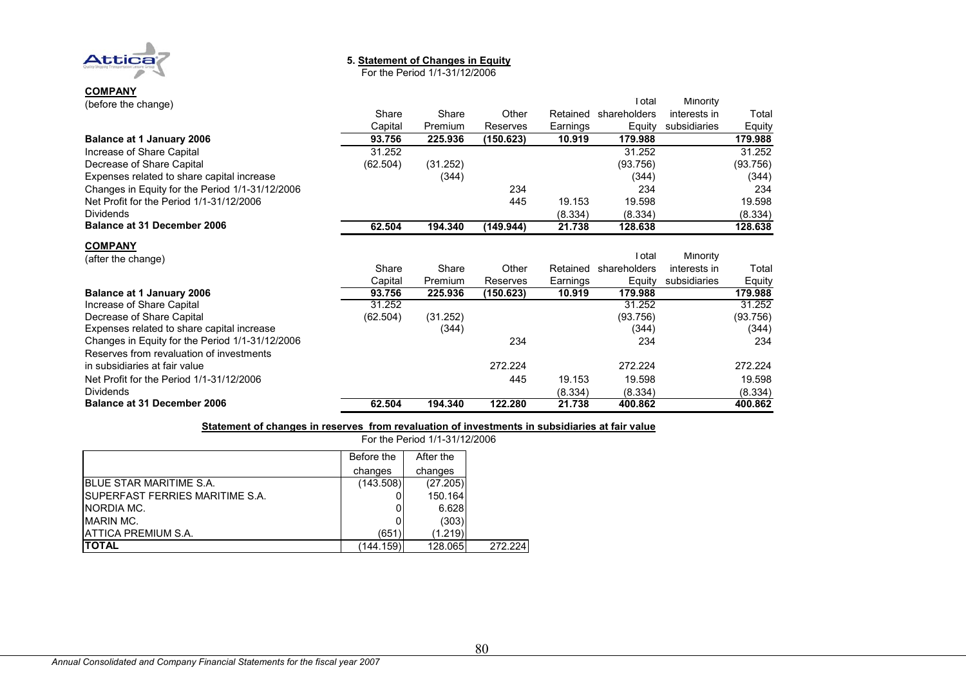

#### **5. Statement of Changes in Equity**

For the Period 1/1-31/12/2006

| (before the change)                             |          |          |           |          | Total        | Minority     |          |
|-------------------------------------------------|----------|----------|-----------|----------|--------------|--------------|----------|
|                                                 | Share    | Share    | Other     | Retained | shareholders | interests in | Total    |
|                                                 | Capital  | Premium  | Reserves  | Earnings | Equity       | subsidiaries | Equity   |
| <b>Balance at 1 January 2006</b>                | 93.756   | 225.936  | (150.623) | 10.919   | 179.988      |              | 179.988  |
| Increase of Share Capital                       | 31.252   |          |           |          | 31.252       |              | 31.252   |
| Decrease of Share Capital                       | (62.504) | (31.252) |           |          | (93.756)     |              | (93.756) |
| Expenses related to share capital increase      |          | (344)    |           |          | (344)        |              | (344)    |
| Changes in Equity for the Period 1/1-31/12/2006 |          |          | 234       |          | 234          |              | 234      |
| Net Profit for the Period 1/1-31/12/2006        |          |          | 445       | 19.153   | 19.598       |              | 19.598   |
| <b>Dividends</b>                                |          |          |           | (8.334)  | (8.334)      |              | (8.334)  |
| <b>Balance at 31 December 2006</b>              | 62.504   | 194.340  | (149.944) | 21.738   | 128.638      |              | 128.638  |
|                                                 |          |          |           |          |              |              |          |

#### **COMPANY**

| (after the change)                              |          |          |           |          | Total        | Minority     |          |
|-------------------------------------------------|----------|----------|-----------|----------|--------------|--------------|----------|
|                                                 | Share    | Share    | Other     | Retained | shareholders | interests in | Total    |
|                                                 | Capital  | Premium  | Reserves  | Earnings | Eauitv       | subsidiaries | Equity   |
| <b>Balance at 1 January 2006</b>                | 93.756   | 225.936  | (150.623) | 10.919   | 179.988      |              | 179.988  |
| Increase of Share Capital                       | 31.252   |          |           |          | 31.252       |              | 31.252   |
| Decrease of Share Capital                       | (62.504) | (31.252) |           |          | (93.756)     |              | (93.756) |
| Expenses related to share capital increase      |          | (344)    |           |          | (344)        |              | (344)    |
| Changes in Equity for the Period 1/1-31/12/2006 |          |          | 234       |          | 234          |              | 234      |
| Reserves from revaluation of investments        |          |          |           |          |              |              |          |
| in subsidiaries at fair value                   |          |          | 272.224   |          | 272.224      |              | 272.224  |
| Net Profit for the Period 1/1-31/12/2006        |          |          | 445       | 19.153   | 19.598       |              | 19.598   |
| <b>Dividends</b>                                |          |          |           | (8.334)  | (8.334)      |              | (8.334)  |
| <b>Balance at 31 December 2006</b>              | 62.504   | 194.340  | 122.280   | 21.738   | 400.862      |              | 400.862  |

#### **Statement of changes in reserves from revaluation of investments in subsidiaries at fair value**

|                                         | Before the | After the |
|-----------------------------------------|------------|-----------|
|                                         | changes    | changes   |
| <b>IBLUE STAR MARITIME S.A.</b>         | (143.508)  | (27.205)  |
| <b>ISUPERFAST FERRIES MARITIME S.A.</b> |            | 150.164   |
| NORDIA MC.                              |            | 6.628     |
| MARIN MC.                               |            | (303)     |
| <b>JATTICA PREMIUM S.A.</b>             | (651)      | (1.219)   |
| <b>ITOTAL</b>                           | (144.159)  | 128.065   |

For the Period 1/1-31/12/2006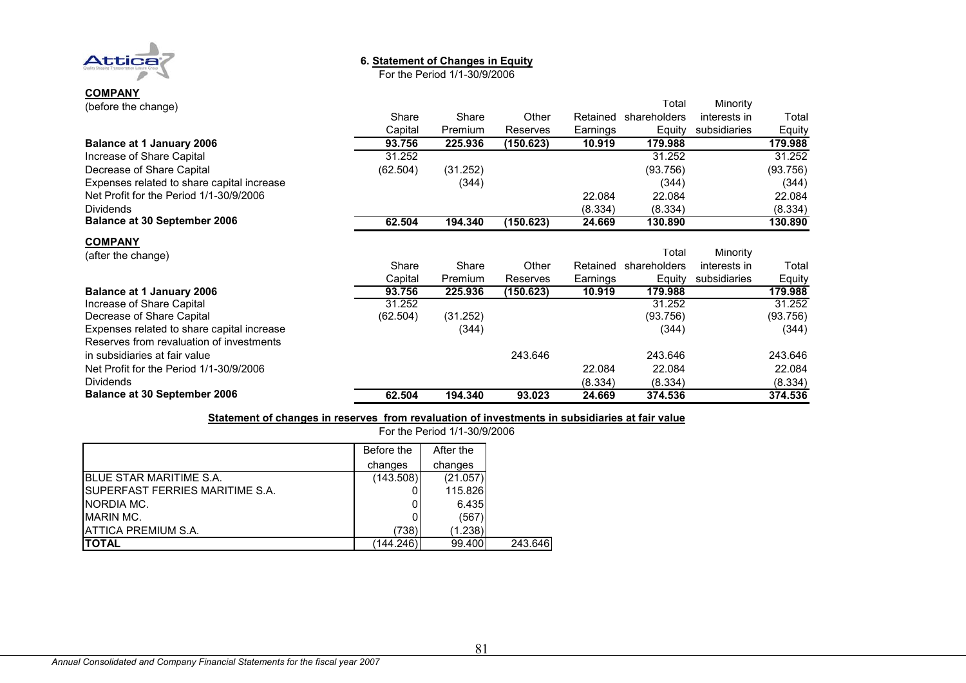

## **6. Statement of Changes in Equity**

For the Period 1/1-30/9/2006

| .<br>(before the change)                   |          |          |           |          | Total                 | Minority     |          |
|--------------------------------------------|----------|----------|-----------|----------|-----------------------|--------------|----------|
|                                            | Share    | Share    | Other     | Retained | shareholders          | interests in | Total    |
|                                            | Capital  | Premium  | Reserves  | Earnings | Equity                | subsidiaries | Equity   |
| <b>Balance at 1 January 2006</b>           | 93.756   | 225.936  | (150.623) | 10.919   | 179.988               |              | 179.988  |
| Increase of Share Capital                  | 31.252   |          |           |          | 31.252                |              | 31.252   |
| Decrease of Share Capital                  | (62.504) | (31.252) |           |          | (93.756)              |              | (93.756) |
| Expenses related to share capital increase |          | (344)    |           |          | (344)                 |              | (344)    |
| Net Profit for the Period 1/1-30/9/2006    |          |          |           | 22.084   | 22.084                |              | 22.084   |
| <b>Dividends</b>                           |          |          |           | (8.334)  | (8.334)               |              | (8.334)  |
| <b>Balance at 30 September 2006</b>        | 62.504   | 194.340  | (150.623) | 24.669   | 130.890               |              | 130.890  |
| <b>COMPANY</b>                             |          |          |           |          |                       |              |          |
| (after the change)                         |          |          |           |          | Total                 | Minority     |          |
|                                            | Share    | Share    | Other     |          | Retained shareholders | interests in | Total    |
|                                            | Capital  | Premium  | Reserves  | Earnings | Equity                | subsidiaries | Equity   |
| <b>Balance at 1 January 2006</b>           | 93.756   | 225.936  | (150.623) | 10.919   | 179.988               |              | 179.988  |
| Increase of Share Capital                  | 31.252   |          |           |          | 31.252                |              | 31.252   |
| Decrease of Share Capital                  | (62.504) | (31.252) |           |          | (93.756)              |              | (93.756) |
| Expenses related to share capital increase |          | (344)    |           |          | (344)                 |              | (344)    |
| Reserves from revaluation of investments   |          |          |           |          |                       |              |          |
| in subsidiaries at fair value              |          |          | 243.646   |          | 243.646               |              | 243.646  |
| Net Profit for the Period 1/1-30/9/2006    |          |          |           | 22.084   | 22.084                |              | 22.084   |
| <b>Dividends</b>                           |          |          |           | (8.334)  | (8.334)               |              | (8.334)  |
| <b>Balance at 30 September 2006</b>        | 62.504   | 194.340  | 93.023    | 24.669   | 374.536               |              | 374.536  |

#### **Statement of changes in reserves from revaluation of investments in subsidiaries at fair value** For the Period 1/1-30/9/2006

|                                         |            | <u>I UI LIIU I UIIUU I/T-JU/J/ZUUU</u> |
|-----------------------------------------|------------|----------------------------------------|
|                                         | Before the | After the                              |
|                                         | changes    | changes                                |
| <b>IBLUE STAR MARITIME S.A.</b>         | (143.508)  | (21.057)                               |
| <b>ISUPERFAST FERRIES MARITIME S.A.</b> |            | 115.826                                |
| <b>INORDIA MC.</b>                      |            | 6.435                                  |
| <b>MARIN MC.</b>                        |            | (567)                                  |
| <b>JATTICA PREMIUM S.A.</b>             | (738)      | (1.238)                                |
| ITOTAL                                  | (144.246)  | 99.400                                 |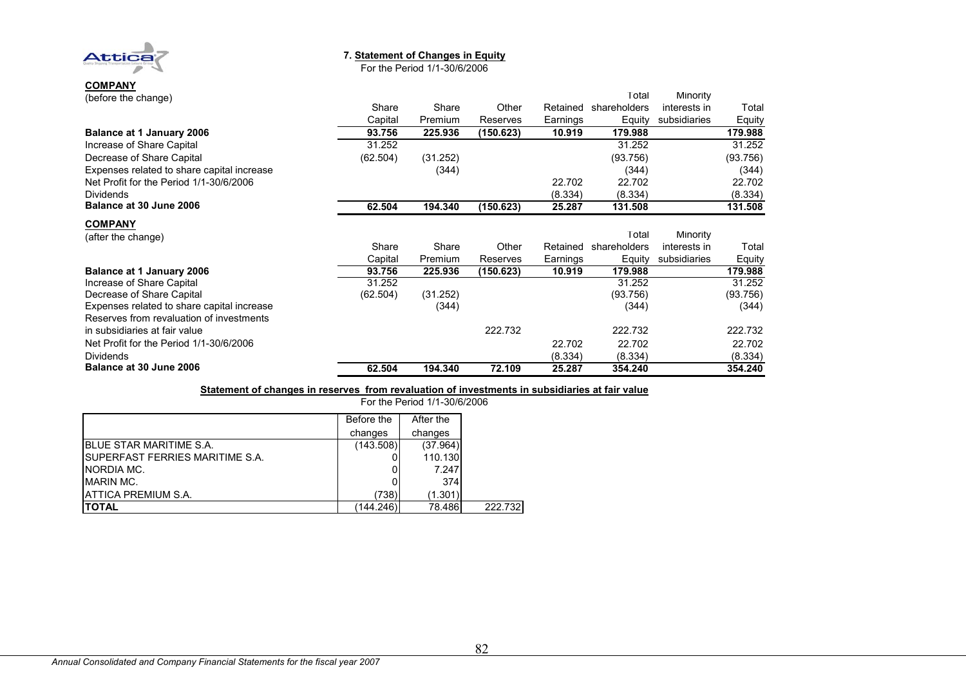

#### **7. Statement of Changes in Equity**

For the Period 1/1-30/6/2006

| ,,,,,,,,,,,                                |          |          |           |          | Total        | Minority     |          |
|--------------------------------------------|----------|----------|-----------|----------|--------------|--------------|----------|
| (before the change)                        | Share    | Share    | Other     | Retained | shareholders | interests in | Total    |
|                                            | Capital  | Premium  | Reserves  | Earnings | Equity       | subsidiaries | Equity   |
| <b>Balance at 1 January 2006</b>           | 93.756   | 225.936  | (150.623) | 10.919   | 179.988      |              | 179.988  |
| Increase of Share Capital                  | 31.252   |          |           |          | 31.252       |              | 31.252   |
| Decrease of Share Capital                  | (62.504) | (31.252) |           |          | (93.756)     |              | (93.756) |
|                                            |          |          |           |          |              |              |          |
| Expenses related to share capital increase |          | (344)    |           |          | (344)        |              | (344)    |
| Net Profit for the Period 1/1-30/6/2006    |          |          |           | 22.702   | 22.702       |              | 22.702   |
| <b>Dividends</b>                           |          |          |           | (8.334)  | (8.334)      |              | (8.334)  |
| Balance at 30 June 2006                    | 62.504   | 194.340  | (150.623) | 25.287   | 131.508      |              | 131.508  |
| <b>COMPANY</b>                             |          |          |           |          |              |              |          |
| (after the change)                         |          |          |           |          | Total        | Minority     |          |
|                                            | Share    | Share    | Other     | Retained | shareholders | interests in | Total    |
|                                            | Capital  | Premium  | Reserves  | Earnings | Equity       | subsidiaries | Equity   |
| <b>Balance at 1 January 2006</b>           | 93.756   | 225.936  | (150.623) | 10.919   | 179.988      |              | 179.988  |
| Increase of Share Capital                  | 31.252   |          |           |          | 31.252       |              | 31.252   |
| Decrease of Share Capital                  | (62.504) | (31.252) |           |          | (93.756)     |              | (93.756) |
| Expenses related to share capital increase |          | (344)    |           |          | (344)        |              | (344)    |
| Reserves from revaluation of investments   |          |          |           |          |              |              |          |
| in subsidiaries at fair value              |          |          | 222.732   |          | 222.732      |              | 222.732  |
| Net Profit for the Period 1/1-30/6/2006    |          |          |           | 22.702   | 22.702       |              | 22.702   |
| <b>Dividends</b>                           |          |          |           | (8.334)  | (8.334)      |              | (8.334)  |
| Balance at 30 June 2006                    | 62.504   | 194.340  | 72.109    | 25.287   | 354.240      |              | 354.240  |

#### **Statement of changes in reserves from revaluation of investments in subsidiaries at fair value**

|                                        | Before the | After the |
|----------------------------------------|------------|-----------|
|                                        | changes    | changes   |
| BLUE STAR MARITIME S.A.                | (143.508)  | (37.964)  |
| <b>SUPERFAST FERRIES MARITIME S.A.</b> |            | 110.130   |
| NORDIA MC.                             |            | 7.247     |
| <b>MARIN MC.</b>                       |            | 374       |
| <b>ATTICA PREMIUM S.A.</b>             | (738)      | (1.301)   |
| <b>ITOTAL</b>                          | (144.246)  | 78.486    |

For the Period 1/1-30/6/2006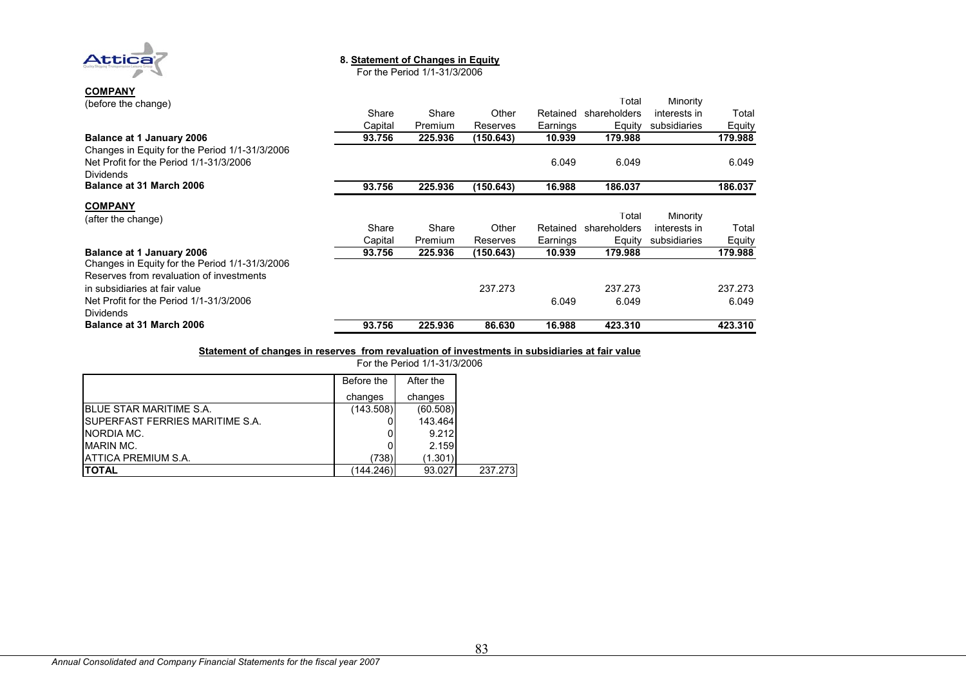

#### **8. Statement of Changes in Equity**

For the Period 1/1-31/3/2006

| <b>COMPANY</b><br>(before the change)                       | Share   | Share   | Other     | Retained | Total<br>shareholders | Minority<br>interests in | Total   |
|-------------------------------------------------------------|---------|---------|-----------|----------|-----------------------|--------------------------|---------|
|                                                             | Capital | Premium | Reserves  | Earnings | Equity                | subsidiaries             | Equity  |
| <b>Balance at 1 January 2006</b>                            | 93.756  | 225.936 | (150.643) | 10.939   | 179.988               |                          | 179.988 |
| Changes in Equity for the Period 1/1-31/3/2006              |         |         |           |          |                       |                          |         |
| Net Profit for the Period 1/1-31/3/2006                     |         |         |           | 6.049    | 6.049                 |                          | 6.049   |
| <b>Dividends</b>                                            |         |         |           |          |                       |                          |         |
| Balance at 31 March 2006                                    | 93.756  | 225.936 | (150.643) | 16.988   | 186.037               |                          | 186.037 |
| <b>COMPANY</b>                                              |         |         |           |          |                       |                          |         |
| (after the change)                                          |         |         |           |          | Total                 | Minority                 |         |
|                                                             | Share   | Share   | Other     | Retained | shareholders          | interests in             | Total   |
|                                                             | Capital | Premium | Reserves  | Earnings | Equity                | subsidiaries             | Equity  |
| <b>Balance at 1 January 2006</b>                            | 93.756  | 225.936 | (150.643) | 10.939   | 179.988               |                          | 179.988 |
| Changes in Equity for the Period 1/1-31/3/2006              |         |         |           |          |                       |                          |         |
| Reserves from revaluation of investments                    |         |         |           |          |                       |                          |         |
| in subsidiaries at fair value                               |         |         | 237.273   |          | 237.273               |                          | 237.273 |
| Net Profit for the Period 1/1-31/3/2006<br><b>Dividends</b> |         |         |           | 6.049    | 6.049                 |                          | 6.049   |
| Balance at 31 March 2006                                    | 93.756  | 225.936 | 86.630    | 16.988   | 423.310               |                          | 423.310 |

#### **Statement of changes in reserves from revaluation of investments in subsidiaries at fair value** For the Period 1/1-31/3/2006

|                                         |            | <u>I VI LIIG I GIIUU I/ I-9 I/9/ZUUU</u> |
|-----------------------------------------|------------|------------------------------------------|
|                                         | Before the | After the                                |
|                                         | changes    | changes                                  |
| <b>BLUE STAR MARITIME S.A.</b>          | (143.508)  | (60.508)                                 |
| <b>ISUPERFAST FERRIES MARITIME S.A.</b> |            | 143.464                                  |
| <b>INORDIA MC.</b>                      |            | 9.212                                    |
| <b>IMARIN MC.</b>                       |            | 2.159                                    |
| <b>IATTICA PREMIUM S.A.</b>             | (738)      | (1.301)                                  |
| ΙΤΟΤΑL                                  | (144.246)  | 93.027                                   |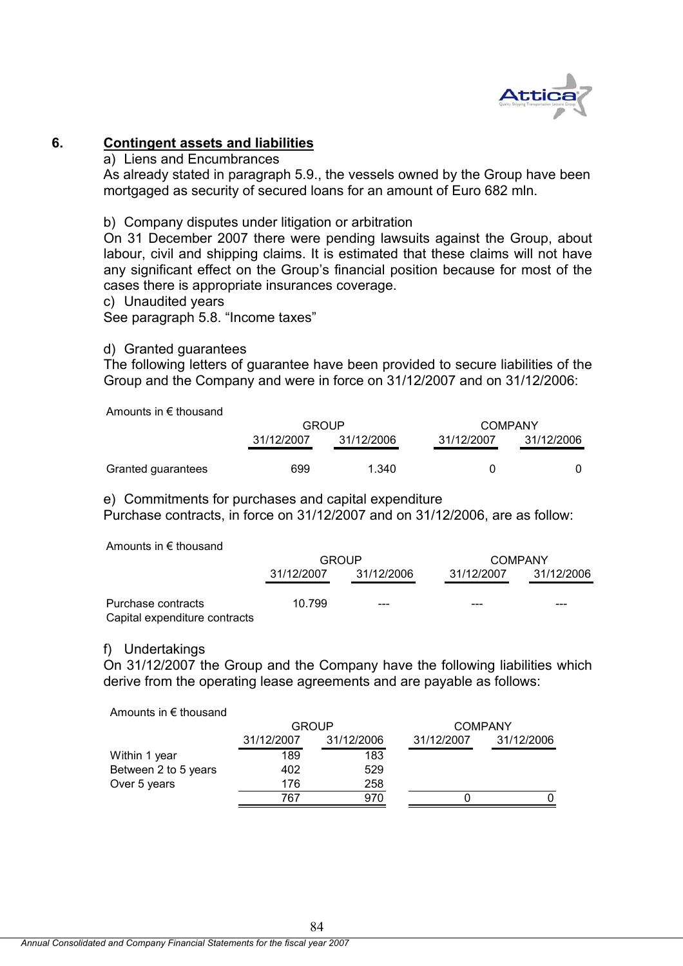

# **6. Contingent assets and liabilities**

a) Liens and Encumbrances

As already stated in paragraph 5.9., the vessels owned by the Group have been mortgaged as security of secured loans for an amount of Euro 682 mln.

b) Company disputes under litigation or arbitration

On 31 December 2007 there were pending lawsuits against the Group, about labour, civil and shipping claims. It is estimated that these claims will not have any significant effect on the Group's financial position because for most of the cases there is appropriate insurances coverage.

c) Unaudited years

See paragraph 5.8. "Income taxes"

#### d) Granted guarantees

The following letters of guarantee have been provided to secure liabilities of the Group and the Company and were in force on 31/12/2007 and on 31/12/2006:

Amounts in € thousand

|                    | <b>GROUP</b> |            | <b>COMPANY</b> |            |  |
|--------------------|--------------|------------|----------------|------------|--|
|                    | 31/12/2007   | 31/12/2006 | 31/12/2007     | 31/12/2006 |  |
| Granted guarantees | 699          | 1.340      | 0              |            |  |

e) Commitments for purchases and capital expenditure

Purchase contracts, in force on 31/12/2007 and on 31/12/2006, are as follow:

Amounts in € thousand

|                               | GROUP      |            | COMPANY    |            |  |
|-------------------------------|------------|------------|------------|------------|--|
|                               | 31/12/2007 | 31/12/2006 | 31/12/2007 | 31/12/2006 |  |
| Purchase contracts            | 10.799     | $- - -$    | ---        | ---        |  |
| Capital expenditure contracts |            |            |            |            |  |

#### f) Undertakings

On 31/12/2007 the Group and the Company have the following liabilities which derive from the operating lease agreements and are payable as follows:

Amounts in € thousand

|                      | <b>GROUP</b> |            |            | <b>COMPANY</b> |
|----------------------|--------------|------------|------------|----------------|
|                      | 31/12/2007   | 31/12/2006 | 31/12/2007 | 31/12/2006     |
| Within 1 year        | 189          | 183        |            |                |
| Between 2 to 5 years | 402          | 529        |            |                |
| Over 5 years         | 176          | 258        |            |                |
|                      | 767          | 970        |            |                |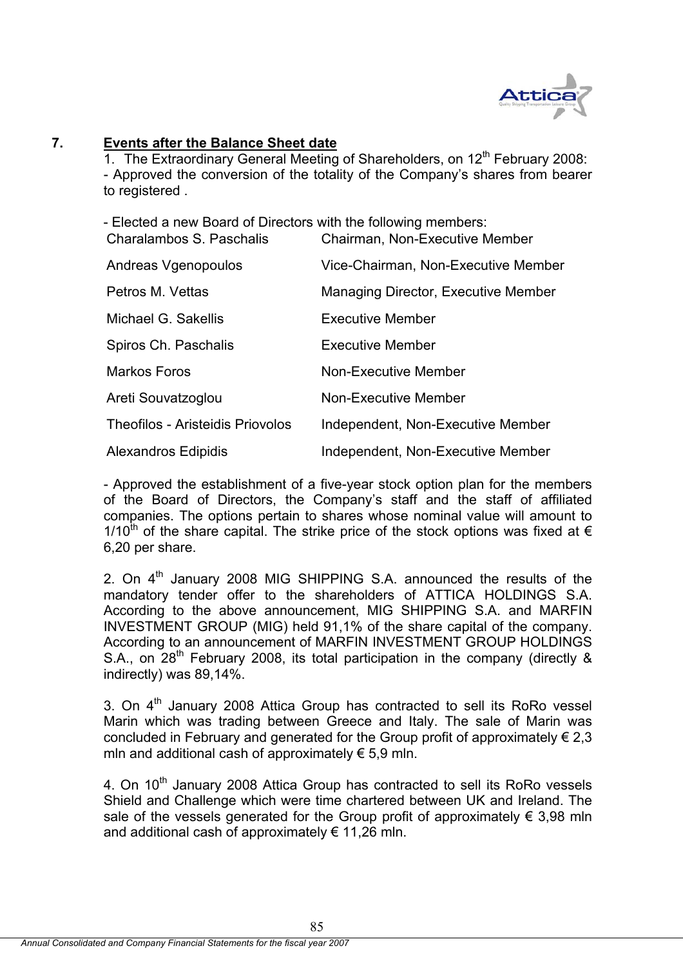

## **7. Events after the Balance Sheet date**

1. The Extraordinary General Meeting of Shareholders, on 12<sup>th</sup> February 2008: - Approved the conversion of the totality of the Company's shares from bearer to registered .

- Elected a new Board of Directors with the following members:

| Charalambos S. Paschalis                | Chairman, Non-Executive Member      |
|-----------------------------------------|-------------------------------------|
| Andreas Vgenopoulos                     | Vice-Chairman, Non-Executive Member |
| Petros M. Vettas                        | Managing Director, Executive Member |
| Michael G. Sakellis                     | <b>Executive Member</b>             |
| Spiros Ch. Paschalis                    | <b>Executive Member</b>             |
| <b>Markos Foros</b>                     | Non-Executive Member                |
| Areti Souvatzoglou                      | <b>Non-Executive Member</b>         |
| <b>Theofilos - Aristeidis Priovolos</b> | Independent, Non-Executive Member   |
| <b>Alexandros Edipidis</b>              | Independent, Non-Executive Member   |

- Approved the establishment of a five-year stock option plan for the members of the Board of Directors, the Company's staff and the staff of affiliated companies. The options pertain to shares whose nominal value will amount to 1/10<sup>th</sup> of the share capital. The strike price of the stock options was fixed at  $\epsilon$ 6,20 per share.

2. On  $4<sup>th</sup>$  January 2008 MIG SHIPPING S.A. announced the results of the mandatory tender offer to the shareholders of ATTICA HOLDINGS S.A. According to the above announcement, MIG SHIPPING S.A. and MARFIN INVESTMENT GROUP (MIG) held 91,1% of the share capital of the company. According to an announcement of MARFIN INVESTMENT GROUP HOLDINGS S.A., on  $28<sup>th</sup>$  February 2008, its total participation in the company (directly & indirectly) was 89,14%.

3. On  $4<sup>th</sup>$  January 2008 Attica Group has contracted to sell its RoRo vessel Marin which was trading between Greece and Italy. The sale of Marin was concluded in February and generated for the Group profit of approximately  $\epsilon$  2,3 mln and additional cash of approximately  $\epsilon$  5,9 mln.

4. On 10<sup>th</sup> January 2008 Attica Group has contracted to sell its RoRo vessels Shield and Challenge which were time chartered between UK and Ireland. The sale of the vessels generated for the Group profit of approximately  $\epsilon$  3,98 mln and additional cash of approximately  $\epsilon$  11,26 mln.